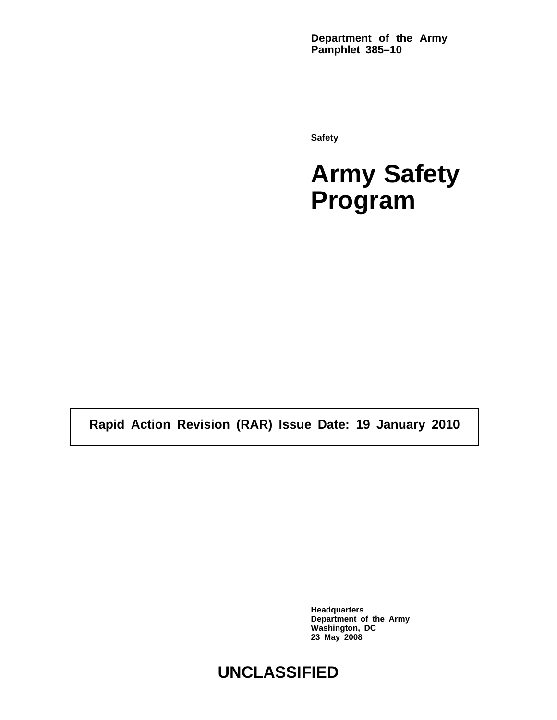**Department of the Army Pamphlet 385–10**

**Safety**

**Army Safety Program**

**Rapid Action Revision (RAR) Issue Date: 19 January 2010**

**Headquarters Department of the Army Washington, DC 23 May 2008**

# **UNCLASSIFIED**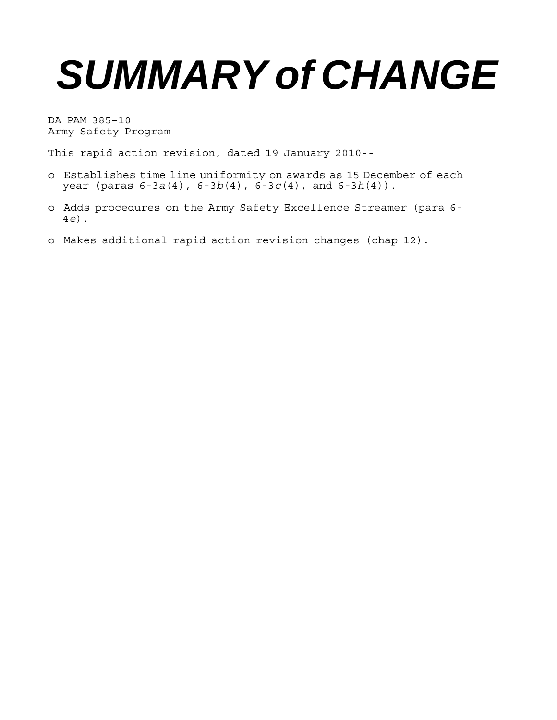# *SUMMARY of CHANGE*

DA PAM 385–10 Army Safety Program

This rapid action revision, dated 19 January 2010--

- o Establishes time line uniformity on awards as 15 December of each year (paras 6-3*a*(4), 6-3*b*(4), 6-3*c*(4), and 6-3*h*(4)).
- o Adds procedures on the Army Safety Excellence Streamer (para 6- 4*e*).
- o Makes additional rapid action revision changes (chap 12).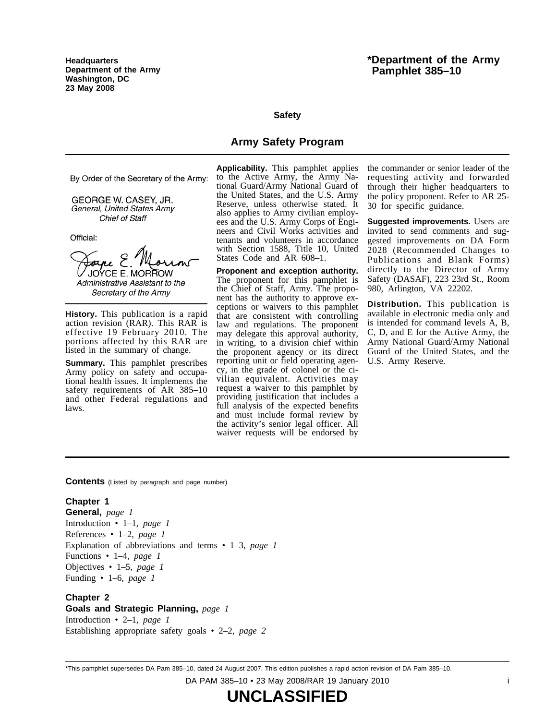**Headquarters Department of the Army Washington, DC 23 May 2008**

# **\*Department of the Army Pamphlet 385–10**

#### **Safety**

# **Army Safety Program**

By Order of the Secretary of the Army:

GEORGE W. CASEY, JR. General, United States Army **Chief of Staff** 

Official:

Joyce E. JOYCE E. MORROW Administrative Assistant to the Secretary of the Army

**History.** This publication is a rapid action revision (RAR). This RAR is effective 19 February 2010. The portions affected by this RAR are listed in the summary of change.

**Summary.** This pamphlet prescribes Army policy on safety and occupational health issues. It implements the safety requirements of  $AR$  385-10 and other Federal regulations and laws.

**Applicability.** This pamphlet applies to the Active Army, the Army National Guard/Army National Guard of the United States, and the U.S. Army Reserve, unless otherwise stated. It also applies to Army civilian employees and the U.S. Army Corps of Engineers and Civil Works activities and tenants and volunteers in accordance with Section 1588, Title 10, United States Code and AR 608–1.

**Proponent and exception authority.** The proponent for this pamphlet is the Chief of Staff, Army. The proponent has the authority to approve exceptions or waivers to this pamphlet that are consistent with controlling law and regulations. The proponent may delegate this approval authority, in writing, to a division chief within the proponent agency or its direct reporting unit or field operating agency, in the grade of colonel or the civilian equivalent. Activities may request a waiver to this pamphlet by providing justification that includes a full analysis of the expected benefits and must include formal review by the activity's senior legal officer. All waiver requests will be endorsed by

the commander or senior leader of the requesting activity and forwarded through their higher headquarters to the policy proponent. Refer to AR 25- 30 for specific guidance.

**Suggested improvements.** Users are invited to send comments and suggested improvements on DA Form  $2028$  (Recommended Changes to Publications and Blank Forms) directly to the Director of Army Safety (DASAF), 223 23rd St., Room 980, Arlington, VA 22202.

**Distribution.** This publication is available in electronic media only and is intended for command levels A, B, C, D, and E for the Active Army, the Army National Guard/Army National Guard of the United States, and the U.S. Army Reserve.

**Contents** (Listed by paragraph and page number)

#### **Chapter 1**

**General,** *page 1* Introduction • 1–1, *page 1* References • 1–2, *page 1* Explanation of abbreviations and terms • 1–3, *page 1* Functions • 1–4, *page 1* Objectives • 1–5, *page 1* Funding • 1–6, *page 1*

**Chapter 2 Goals and Strategic Planning,** *page 1* Introduction • 2–1, *page 1* Establishing appropriate safety goals • 2–2, *page 2*

\*This pamphlet supersedes DA Pam 385–10, dated 24 August 2007. This edition publishes a rapid action revision of DA Pam 385–10.

DA PAM 385–10 • 23 May 2008/RAR 19 January 2010 i

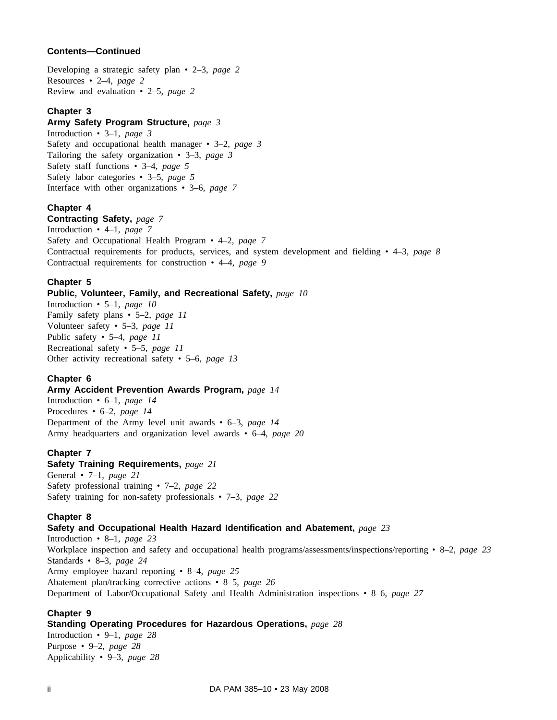# **Contents—Continued**

Developing a strategic safety plan • 2–3, *page 2* Resources • 2–4, *page 2* Review and evaluation • 2–5, *page 2*

# **Chapter 3**

# **Army Safety Program Structure,** *page 3*

Introduction • 3–1, *page 3* Safety and occupational health manager • 3–2, *page 3* Tailoring the safety organization • 3–3, *page 3* Safety staff functions • 3–4, *page 5* Safety labor categories • 3–5, *page 5* Interface with other organizations • 3–6, *page 7*

# **Chapter 4**

**Contracting Safety,** *page 7* Introduction • 4–1, *page 7* Safety and Occupational Health Program • 4–2, *page 7* Contractual requirements for products, services, and system development and fielding • 4–3, *page 8* Contractual requirements for construction • 4–4, *page 9*

# **Chapter 5**

# **Public, Volunteer, Family, and Recreational Safety,** *page 10*

Introduction • 5–1, *page 10* Family safety plans • 5–2, *page 11* Volunteer safety • 5–3, *page 11* Public safety • 5–4, *page 11* Recreational safety • 5–5, *page 11* Other activity recreational safety • 5–6, *page 13*

# **Chapter 6**

**Army Accident Prevention Awards Program,** *page 14* Introduction • 6–1, *page 14*

Procedures • 6–2, *page 14* Department of the Army level unit awards • 6–3, *page 14* Army headquarters and organization level awards • 6–4, *page 20*

# **Chapter 7**

#### **Safety Training Requirements,** *page 21*

General • 7–1, *page 21* Safety professional training • 7–2, *page 22* Safety training for non-safety professionals • 7–3, *page 22*

# **Chapter 8**

# **Safety and Occupational Health Hazard Identification and Abatement,** *page 23*

Introduction • 8–1, *page 23* Workplace inspection and safety and occupational health programs/assessments/inspections/reporting • 8–2, *page 23* Standards • 8–3, *page 24* Army employee hazard reporting • 8–4, *page 25* Abatement plan/tracking corrective actions • 8–5, *page 26* Department of Labor/Occupational Safety and Health Administration inspections • 8–6, *page 27*

# **Chapter 9**

# **Standing Operating Procedures for Hazardous Operations,** *page 28*

Introduction • 9–1, *page 28* Purpose • 9–2, *page 28* Applicability • 9–3, *page 28*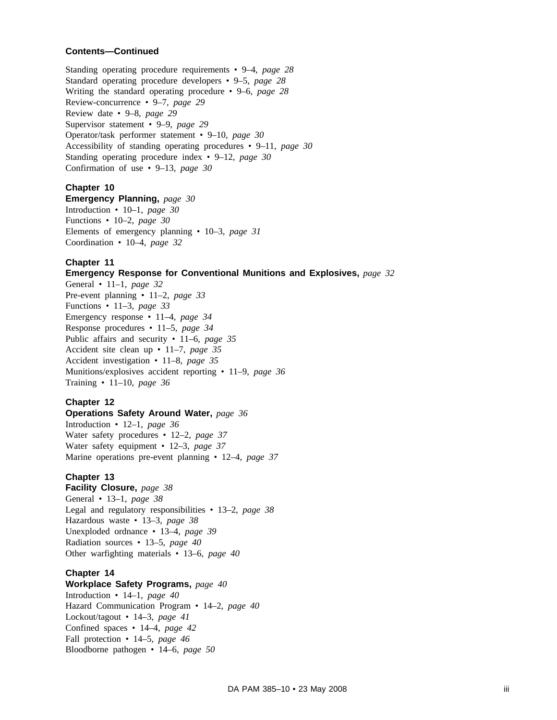#### **Contents—Continued**

Standing operating procedure requirements • 9–4, *page 28* Standard operating procedure developers • 9–5, *page 28* Writing the standard operating procedure • 9–6, *page 28* Review-concurrence • 9–7, *page 29* Review date • 9–8, *page 29* Supervisor statement • 9–9, *page 29* Operator/task performer statement • 9–10, *page 30* Accessibility of standing operating procedures • 9–11, *page 30* Standing operating procedure index • 9–12, *page 30* Confirmation of use • 9–13, *page 30*

#### **Chapter 10**

**Emergency Planning,** *page 30* Introduction • 10–1, *page 30* Functions • 10–2, *page 30* Elements of emergency planning • 10–3, *page 31* Coordination • 10–4, *page 32*

#### **Chapter 11**

**Emergency Response for Conventional Munitions and Explosives,** *page 32*

General • 11–1, *page 32* Pre-event planning • 11–2, *page 33* Functions • 11–3, *page 33* Emergency response • 11–4, *page 34* Response procedures • 11–5, *page 34* Public affairs and security • 11–6, *page 35* Accident site clean up • 11–7, *page 35* Accident investigation • 11–8, *page 35* Munitions/explosives accident reporting • 11–9, *page 36* Training • 11–10, *page 36*

#### **Chapter 12**

# **Operations Safety Around Water,** *page 36*

Introduction • 12–1, *page 36* Water safety procedures • 12–2, *page 37* Water safety equipment • 12–3, *page 37* Marine operations pre-event planning • 12–4, *page 37*

#### **Chapter 13**

**Facility Closure,** *page 38* General • 13–1, *page 38* Legal and regulatory responsibilities • 13–2, *page 38* Hazardous waste • 13–3, *page 38* Unexploded ordnance • 13–4, *page 39* Radiation sources • 13–5, *page 40* Other warfighting materials • 13–6, *page 40*

#### **Chapter 14**

**Workplace Safety Programs,** *page 40* Introduction • 14–1, *page 40* Hazard Communication Program • 14–2, *page 40* Lockout/tagout • 14–3, *page 41* Confined spaces • 14–4, *page 42* Fall protection • 14–5, *page 46* Bloodborne pathogen • 14–6, *page 50*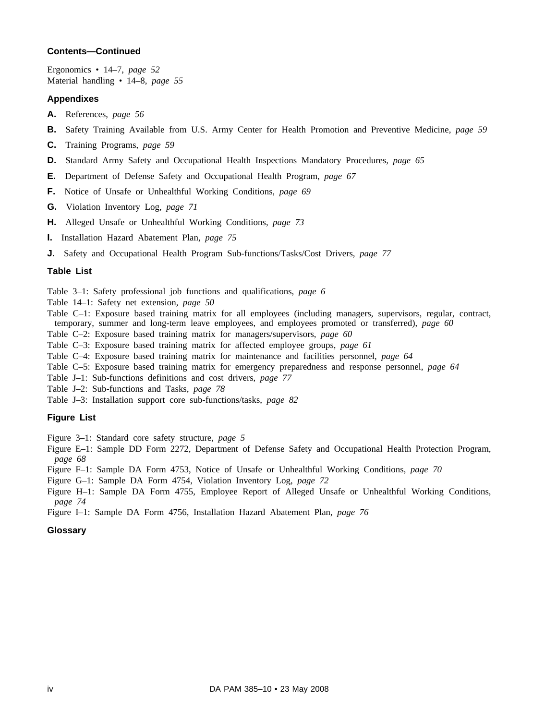#### **Contents—Continued**

Ergonomics • 14–7, *page 52* Material handling • 14–8, *page 55*

#### **Appendixes**

- **A.** References, *page 56*
- **B.** Safety Training Available from U.S. Army Center for Health Promotion and Preventive Medicine, *page 59*
- **C.** Training Programs, *page 59*
- **D.** Standard Army Safety and Occupational Health Inspections Mandatory Procedures, *page 65*
- **E.** Department of Defense Safety and Occupational Health Program, *page 67*
- **F.** Notice of Unsafe or Unhealthful Working Conditions, *page 69*
- **G.** Violation Inventory Log, *page 71*
- **H.** Alleged Unsafe or Unhealthful Working Conditions, *page 73*
- **I.** Installation Hazard Abatement Plan, *page 75*
- **J.** Safety and Occupational Health Program Sub-functions/Tasks/Cost Drivers, *page 77*

#### **Table List**

Table 3–1: Safety professional job functions and qualifications, *page 6*

- Table 14–1: Safety net extension, *page 50*
- Table C–1: Exposure based training matrix for all employees (including managers, supervisors, regular, contract, temporary, summer and long-term leave employees, and employees promoted or transferred), *page 60*

Table C–2: Exposure based training matrix for managers/supervisors, *page 60*

Table C–3: Exposure based training matrix for affected employee groups, *page 61*

- Table C–4: Exposure based training matrix for maintenance and facilities personnel, *page 64*
- Table C–5: Exposure based training matrix for emergency preparedness and response personnel, *page 64*
- Table J–1: Sub-functions definitions and cost drivers, *page 77*
- Table J–2: Sub-functions and Tasks, *page 78*
- Table J–3: Installation support core sub-functions/tasks, *page 82*

#### **Figure List**

Figure 3–1: Standard core safety structure, *page 5*

- Figure E–1: Sample DD Form 2272, Department of Defense Safety and Occupational Health Protection Program, *page 68*
- Figure F–1: Sample DA Form 4753, Notice of Unsafe or Unhealthful Working Conditions, *page 70*
- Figure G–1: Sample DA Form 4754, Violation Inventory Log, *page 72*
- Figure H–1: Sample DA Form 4755, Employee Report of Alleged Unsafe or Unhealthful Working Conditions, *page 74*
- Figure I–1: Sample DA Form 4756, Installation Hazard Abatement Plan, *page 76*

#### **Glossary**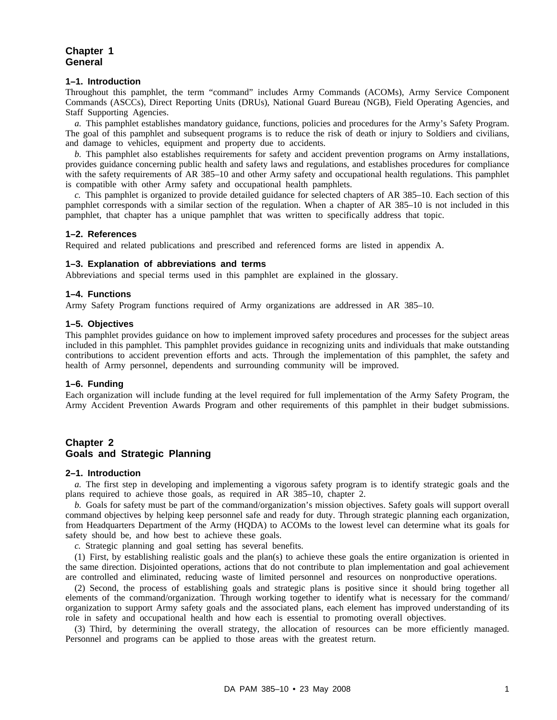# **Chapter 1 General**

#### **1–1. Introduction**

Throughout this pamphlet, the term "command" includes Army Commands (ACOMs), Army Service Component Commands (ASCCs), Direct Reporting Units (DRUs), National Guard Bureau (NGB), Field Operating Agencies, and Staff Supporting Agencies.

*a.* This pamphlet establishes mandatory guidance, functions, policies and procedures for the Army's Safety Program. The goal of this pamphlet and subsequent programs is to reduce the risk of death or injury to Soldiers and civilians, and damage to vehicles, equipment and property due to accidents.

*b.* This pamphlet also establishes requirements for safety and accident prevention programs on Army installations, provides guidance concerning public health and safety laws and regulations, and establishes procedures for compliance with the safety requirements of AR 385–10 and other Army safety and occupational health regulations. This pamphlet is compatible with other Army safety and occupational health pamphlets.

*c.* This pamphlet is organized to provide detailed guidance for selected chapters of AR 385–10. Each section of this pamphlet corresponds with a similar section of the regulation. When a chapter of AR 385–10 is not included in this pamphlet, that chapter has a unique pamphlet that was written to specifically address that topic.

#### **1–2. References**

Required and related publications and prescribed and referenced forms are listed in appendix A.

#### **1–3. Explanation of abbreviations and terms**

Abbreviations and special terms used in this pamphlet are explained in the glossary.

#### **1–4. Functions**

Army Safety Program functions required of Army organizations are addressed in AR 385–10.

#### **1–5. Objectives**

This pamphlet provides guidance on how to implement improved safety procedures and processes for the subject areas included in this pamphlet. This pamphlet provides guidance in recognizing units and individuals that make outstanding contributions to accident prevention efforts and acts. Through the implementation of this pamphlet, the safety and health of Army personnel, dependents and surrounding community will be improved.

#### **1–6. Funding**

Each organization will include funding at the level required for full implementation of the Army Safety Program, the Army Accident Prevention Awards Program and other requirements of this pamphlet in their budget submissions.

# **Chapter 2 Goals and Strategic Planning**

#### **2–1. Introduction**

*a.* The first step in developing and implementing a vigorous safety program is to identify strategic goals and the plans required to achieve those goals, as required in AR 385–10, chapter 2.

*b.* Goals for safety must be part of the command/organization's mission objectives. Safety goals will support overall command objectives by helping keep personnel safe and ready for duty. Through strategic planning each organization, from Headquarters Department of the Army (HQDA) to ACOMs to the lowest level can determine what its goals for safety should be, and how best to achieve these goals.

*c.* Strategic planning and goal setting has several benefits.

(1) First, by establishing realistic goals and the plan(s) to achieve these goals the entire organization is oriented in the same direction. Disjointed operations, actions that do not contribute to plan implementation and goal achievement are controlled and eliminated, reducing waste of limited personnel and resources on nonproductive operations.

(2) Second, the process of establishing goals and strategic plans is positive since it should bring together all elements of the command/organization. Through working together to identify what is necessary for the command/ organization to support Army safety goals and the associated plans, each element has improved understanding of its role in safety and occupational health and how each is essential to promoting overall objectives.

(3) Third, by determining the overall strategy, the allocation of resources can be more efficiently managed. Personnel and programs can be applied to those areas with the greatest return.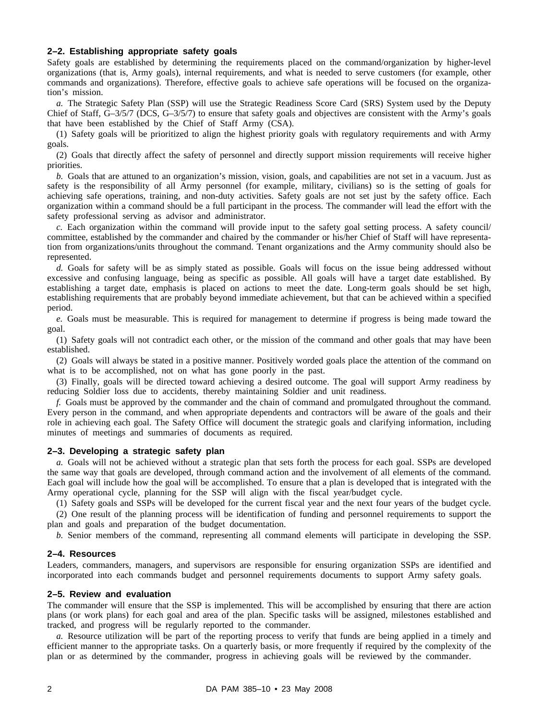#### **2–2. Establishing appropriate safety goals**

Safety goals are established by determining the requirements placed on the command/organization by higher-level organizations (that is, Army goals), internal requirements, and what is needed to serve customers (for example, other commands and organizations). Therefore, effective goals to achieve safe operations will be focused on the organization's mission.

*a.* The Strategic Safety Plan (SSP) will use the Strategic Readiness Score Card (SRS) System used by the Deputy Chief of Staff, G–3/5/7 (DCS, G–3/5/7) to ensure that safety goals and objectives are consistent with the Army's goals that have been established by the Chief of Staff Army (CSA).

(1) Safety goals will be prioritized to align the highest priority goals with regulatory requirements and with Army goals.

(2) Goals that directly affect the safety of personnel and directly support mission requirements will receive higher priorities.

*b.* Goals that are attuned to an organization's mission, vision, goals, and capabilities are not set in a vacuum. Just as safety is the responsibility of all Army personnel (for example, military, civilians) so is the setting of goals for achieving safe operations, training, and non-duty activities. Safety goals are not set just by the safety office. Each organization within a command should be a full participant in the process. The commander will lead the effort with the safety professional serving as advisor and administrator.

*c.* Each organization within the command will provide input to the safety goal setting process. A safety council/ committee, established by the commander and chaired by the commander or his/her Chief of Staff will have representation from organizations/units throughout the command. Tenant organizations and the Army community should also be represented.

*d.* Goals for safety will be as simply stated as possible. Goals will focus on the issue being addressed without excessive and confusing language, being as specific as possible. All goals will have a target date established. By establishing a target date, emphasis is placed on actions to meet the date. Long-term goals should be set high, establishing requirements that are probably beyond immediate achievement, but that can be achieved within a specified period.

*e.* Goals must be measurable. This is required for management to determine if progress is being made toward the goal.

(1) Safety goals will not contradict each other, or the mission of the command and other goals that may have been established.

(2) Goals will always be stated in a positive manner. Positively worded goals place the attention of the command on what is to be accomplished, not on what has gone poorly in the past.

(3) Finally, goals will be directed toward achieving a desired outcome. The goal will support Army readiness by reducing Soldier loss due to accidents, thereby maintaining Soldier and unit readiness.

*f.* Goals must be approved by the commander and the chain of command and promulgated throughout the command. Every person in the command, and when appropriate dependents and contractors will be aware of the goals and their role in achieving each goal. The Safety Office will document the strategic goals and clarifying information, including minutes of meetings and summaries of documents as required.

#### **2–3. Developing a strategic safety plan**

*a.* Goals will not be achieved without a strategic plan that sets forth the process for each goal. SSPs are developed the same way that goals are developed, through command action and the involvement of all elements of the command. Each goal will include how the goal will be accomplished. To ensure that a plan is developed that is integrated with the Army operational cycle, planning for the SSP will align with the fiscal year/budget cycle.

(1) Safety goals and SSPs will be developed for the current fiscal year and the next four years of the budget cycle. (2) One result of the planning process will be identification of funding and personnel requirements to support the plan and goals and preparation of the budget documentation.

*b.* Senior members of the command, representing all command elements will participate in developing the SSP.

#### **2–4. Resources**

Leaders, commanders, managers, and supervisors are responsible for ensuring organization SSPs are identified and incorporated into each commands budget and personnel requirements documents to support Army safety goals.

#### **2–5. Review and evaluation**

The commander will ensure that the SSP is implemented. This will be accomplished by ensuring that there are action plans (or work plans) for each goal and area of the plan. Specific tasks will be assigned, milestones established and tracked, and progress will be regularly reported to the commander.

*a.* Resource utilization will be part of the reporting process to verify that funds are being applied in a timely and efficient manner to the appropriate tasks. On a quarterly basis, or more frequently if required by the complexity of the plan or as determined by the commander, progress in achieving goals will be reviewed by the commander.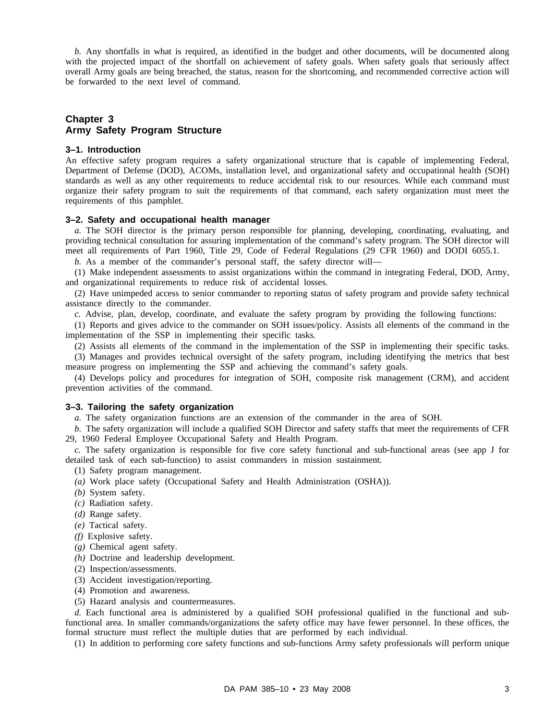*b.* Any shortfalls in what is required, as identified in the budget and other documents, will be documented along with the projected impact of the shortfall on achievement of safety goals. When safety goals that seriously affect overall Army goals are being breached, the status, reason for the shortcoming, and recommended corrective action will be forwarded to the next level of command.

# **Chapter 3 Army Safety Program Structure**

#### **3–1. Introduction**

An effective safety program requires a safety organizational structure that is capable of implementing Federal, Department of Defense (DOD), ACOMs, installation level, and organizational safety and occupational health (SOH) standards as well as any other requirements to reduce accidental risk to our resources. While each command must organize their safety program to suit the requirements of that command, each safety organization must meet the requirements of this pamphlet.

#### **3–2. Safety and occupational health manager**

*a.* The SOH director is the primary person responsible for planning, developing, coordinating, evaluating, and providing technical consultation for assuring implementation of the command's safety program. The SOH director will meet all requirements of Part 1960, Title 29, Code of Federal Regulations (29 CFR 1960) and DODI 6055.1.

*b.* As a member of the commander's personal staff, the safety director will—

(1) Make independent assessments to assist organizations within the command in integrating Federal, DOD, Army, and organizational requirements to reduce risk of accidental losses.

(2) Have unimpeded access to senior commander to reporting status of safety program and provide safety technical assistance directly to the commander.

*c.* Advise, plan, develop, coordinate, and evaluate the safety program by providing the following functions:

(1) Reports and gives advice to the commander on SOH issues/policy. Assists all elements of the command in the implementation of the SSP in implementing their specific tasks.

(2) Assists all elements of the command in the implementation of the SSP in implementing their specific tasks. (3) Manages and provides technical oversight of the safety program, including identifying the metrics that best

measure progress on implementing the SSP and achieving the command's safety goals.

(4) Develops policy and procedures for integration of SOH, composite risk management (CRM), and accident prevention activities of the command.

#### **3–3. Tailoring the safety organization**

*a.* The safety organization functions are an extension of the commander in the area of SOH.

*b.* The safety organization will include a qualified SOH Director and safety staffs that meet the requirements of CFR 29, 1960 Federal Employee Occupational Safety and Health Program.

*c.* The safety organization is responsible for five core safety functional and sub-functional areas (see app J for detailed task of each sub-function) to assist commanders in mission sustainment.

- (1) Safety program management.
- *(a)* Work place safety (Occupational Safety and Health Administration (OSHA)).
- *(b)* System safety.
- *(c)* Radiation safety.
- *(d)* Range safety.
- *(e)* Tactical safety.
- *(f)* Explosive safety.
- *(g)* Chemical agent safety.
- *(h)* Doctrine and leadership development.
- (2) Inspection/assessments.
- (3) Accident investigation/reporting.
- (4) Promotion and awareness.
- (5) Hazard analysis and countermeasures.

*d.* Each functional area is administered by a qualified SOH professional qualified in the functional and subfunctional area. In smaller commands/organizations the safety office may have fewer personnel. In these offices, the formal structure must reflect the multiple duties that are performed by each individual.

(1) In addition to performing core safety functions and sub-functions Army safety professionals will perform unique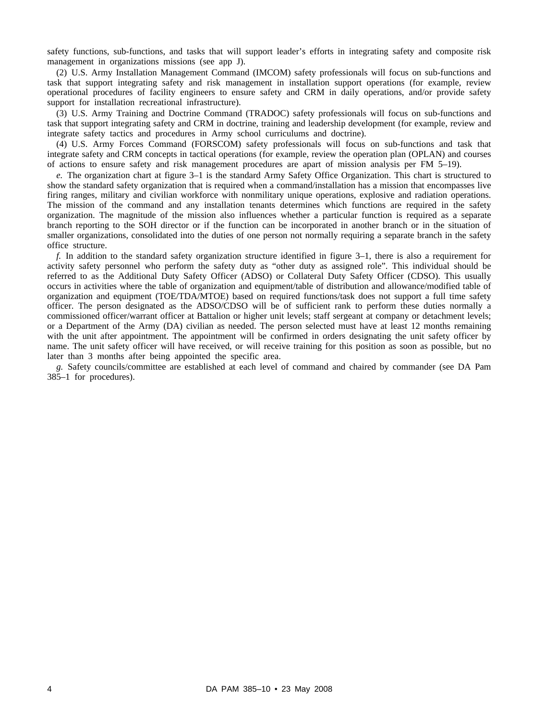safety functions, sub-functions, and tasks that will support leader's efforts in integrating safety and composite risk management in organizations missions (see app J).

(2) U.S. Army Installation Management Command (IMCOM) safety professionals will focus on sub-functions and task that support integrating safety and risk management in installation support operations (for example, review operational procedures of facility engineers to ensure safety and CRM in daily operations, and/or provide safety support for installation recreational infrastructure).

(3) U.S. Army Training and Doctrine Command (TRADOC) safety professionals will focus on sub-functions and task that support integrating safety and CRM in doctrine, training and leadership development (for example, review and integrate safety tactics and procedures in Army school curriculums and doctrine).

(4) U.S. Army Forces Command (FORSCOM) safety professionals will focus on sub-functions and task that integrate safety and CRM concepts in tactical operations (for example, review the operation plan (OPLAN) and courses of actions to ensure safety and risk management procedures are apart of mission analysis per FM 5–19).

*e.* The organization chart at figure 3–1 is the standard Army Safety Office Organization. This chart is structured to show the standard safety organization that is required when a command/installation has a mission that encompasses live firing ranges, military and civilian workforce with nonmilitary unique operations, explosive and radiation operations. The mission of the command and any installation tenants determines which functions are required in the safety organization. The magnitude of the mission also influences whether a particular function is required as a separate branch reporting to the SOH director or if the function can be incorporated in another branch or in the situation of smaller organizations, consolidated into the duties of one person not normally requiring a separate branch in the safety office structure.

*f.* In addition to the standard safety organization structure identified in figure 3–1, there is also a requirement for activity safety personnel who perform the safety duty as "other duty as assigned role". This individual should be referred to as the Additional Duty Safety Officer (ADSO) or Collateral Duty Safety Officer (CDSO). This usually occurs in activities where the table of organization and equipment/table of distribution and allowance/modified table of organization and equipment (TOE/TDA/MTOE) based on required functions/task does not support a full time safety officer. The person designated as the ADSO/CDSO will be of sufficient rank to perform these duties normally a commissioned officer/warrant officer at Battalion or higher unit levels; staff sergeant at company or detachment levels; or a Department of the Army (DA) civilian as needed. The person selected must have at least 12 months remaining with the unit after appointment. The appointment will be confirmed in orders designating the unit safety officer by name. The unit safety officer will have received, or will receive training for this position as soon as possible, but no later than 3 months after being appointed the specific area.

*g.* Safety councils/committee are established at each level of command and chaired by commander (see DA Pam 385–1 for procedures).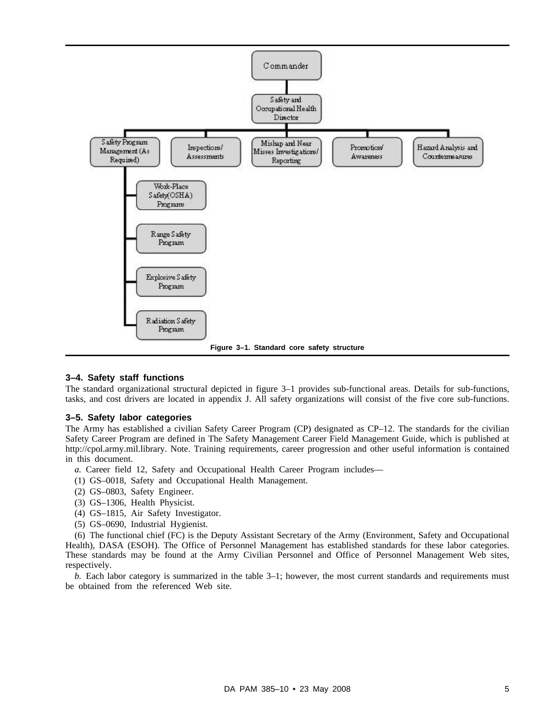

#### **3–4. Safety staff functions**

The standard organizational structural depicted in figure 3–1 provides sub-functional areas. Details for sub-functions, tasks, and cost drivers are located in appendix J. All safety organizations will consist of the five core sub-functions.

#### **3–5. Safety labor categories**

The Army has established a civilian Safety Career Program (CP) designated as CP–12. The standards for the civilian Safety Career Program are defined in The Safety Management Career Field Management Guide, which is published at http://cpol.army.mil.library. Note. Training requirements, career progression and other useful information is contained in this document.

- *a.* Career field 12, Safety and Occupational Health Career Program includes—
- (1) GS–0018, Safety and Occupational Health Management.
- (2) GS–0803, Safety Engineer.
- (3) GS–1306, Health Physicist.
- (4) GS–1815, Air Safety Investigator.
- (5) GS–0690, Industrial Hygienist.

(6) The functional chief (FC) is the Deputy Assistant Secretary of the Army (Environment, Safety and Occupational Health), DASA (ESOH). The Office of Personnel Management has established standards for these labor categories. These standards may be found at the Army Civilian Personnel and Office of Personnel Management Web sites, respectively.

*b.* Each labor category is summarized in the table 3–1; however, the most current standards and requirements must be obtained from the referenced Web site.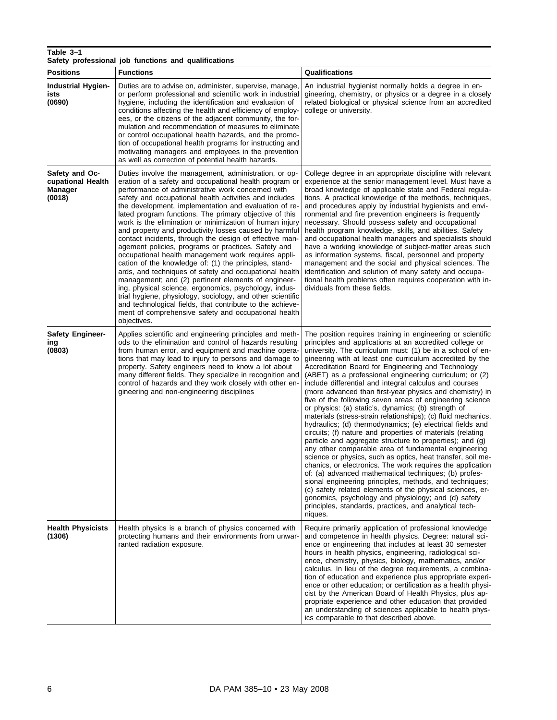| Table 3-1<br>Safety professional job functions and qualifications |                                                                                                                                                                                                                                                                                                                                                                                                                                                                                                                                                                                                                                                                                                                                                                                                                                                                                                                                                                                                                                                                                       |                                                                                                                                                                                                                                                                                                                                                                                                                                                                                                                                                                                                                                                                                                                                                                                                                                                                                                                                                                                                                                                                                                                                                                                                                                                                                                                                                                      |  |
|-------------------------------------------------------------------|---------------------------------------------------------------------------------------------------------------------------------------------------------------------------------------------------------------------------------------------------------------------------------------------------------------------------------------------------------------------------------------------------------------------------------------------------------------------------------------------------------------------------------------------------------------------------------------------------------------------------------------------------------------------------------------------------------------------------------------------------------------------------------------------------------------------------------------------------------------------------------------------------------------------------------------------------------------------------------------------------------------------------------------------------------------------------------------|----------------------------------------------------------------------------------------------------------------------------------------------------------------------------------------------------------------------------------------------------------------------------------------------------------------------------------------------------------------------------------------------------------------------------------------------------------------------------------------------------------------------------------------------------------------------------------------------------------------------------------------------------------------------------------------------------------------------------------------------------------------------------------------------------------------------------------------------------------------------------------------------------------------------------------------------------------------------------------------------------------------------------------------------------------------------------------------------------------------------------------------------------------------------------------------------------------------------------------------------------------------------------------------------------------------------------------------------------------------------|--|
| <b>Positions</b>                                                  | <b>Functions</b>                                                                                                                                                                                                                                                                                                                                                                                                                                                                                                                                                                                                                                                                                                                                                                                                                                                                                                                                                                                                                                                                      | Qualifications                                                                                                                                                                                                                                                                                                                                                                                                                                                                                                                                                                                                                                                                                                                                                                                                                                                                                                                                                                                                                                                                                                                                                                                                                                                                                                                                                       |  |
| <b>Industrial Hygien-</b><br>ists<br>(0690)                       | Duties are to advise on, administer, supervise, manage,<br>or perform professional and scientific work in industrial<br>hygiene, including the identification and evaluation of<br>conditions affecting the health and efficiency of employ-<br>ees, or the citizens of the adjacent community, the for-<br>mulation and recommendation of measures to eliminate<br>or control occupational health hazards, and the promo-<br>tion of occupational health programs for instructing and<br>motivating managers and employees in the prevention<br>as well as correction of potential health hazards.                                                                                                                                                                                                                                                                                                                                                                                                                                                                                   | An industrial hygienist normally holds a degree in en-<br>gineering, chemistry, or physics or a degree in a closely<br>related biological or physical science from an accredited<br>college or university.                                                                                                                                                                                                                                                                                                                                                                                                                                                                                                                                                                                                                                                                                                                                                                                                                                                                                                                                                                                                                                                                                                                                                           |  |
| Safety and Oc-<br>cupational Health<br>Manager<br>(0018)          | Duties involve the management, administration, or op-<br>eration of a safety and occupational health program or<br>performance of administrative work concerned with<br>safety and occupational health activities and includes<br>the development, implementation and evaluation of re-<br>lated program functions. The primary objective of this<br>work is the elimination or minimization of human injury<br>and property and productivity losses caused by harmful<br>contact incidents, through the design of effective man-<br>agement policies, programs or practices. Safety and<br>occupational health management work requires appli-<br>cation of the knowledge of: (1) the principles, stand-<br>ards, and techniques of safety and occupational health<br>management; and (2) pertinent elements of engineer-<br>ing, physical science, ergonomics, psychology, indus-<br>trial hygiene, physiology, sociology, and other scientific<br>and technological fields, that contribute to the achieve-<br>ment of comprehensive safety and occupational health<br>objectives. | College degree in an appropriate discipline with relevant<br>experience at the senior management level. Must have a<br>broad knowledge of applicable state and Federal regula-<br>tions. A practical knowledge of the methods, techniques,<br>and procedures apply by industrial hygienists and envi-<br>ronmental and fire prevention engineers is frequently<br>necessary. Should possess safety and occupational<br>health program knowledge, skills, and abilities. Safety<br>and occupational health managers and specialists should<br>have a working knowledge of subject-matter areas such<br>as information systems, fiscal, personnel and property<br>management and the social and physical sciences. The<br>identification and solution of many safety and occupa-<br>tional health problems often requires cooperation with in-<br>dividuals from these fields.                                                                                                                                                                                                                                                                                                                                                                                                                                                                                         |  |
| Safety Engineer-<br>ing<br>(0803)                                 | Applies scientific and engineering principles and meth-<br>ods to the elimination and control of hazards resulting<br>from human error, and equipment and machine opera-<br>tions that may lead to injury to persons and damage to<br>property. Safety engineers need to know a lot about<br>many different fields. They specialize in recognition and<br>control of hazards and they work closely with other en-<br>gineering and non-engineering disciplines                                                                                                                                                                                                                                                                                                                                                                                                                                                                                                                                                                                                                        | The position requires training in engineering or scientific<br>principles and applications at an accredited college or<br>university. The curriculum must: (1) be in a school of en-<br>gineering with at least one curriculum accredited by the<br>Accreditation Board for Engineering and Technology<br>(ABET) as a professional engineering curriculum; or (2)<br>include differential and integral calculus and courses<br>(more advanced than first-year physics and chemistry) in<br>five of the following seven areas of engineering science<br>or physics: (a) static's, dynamics; (b) strength of<br>materials (stress-strain relationships); (c) fluid mechanics,<br>hydraulics; (d) thermodynamics; (e) electrical fields and<br>circuits; (f) nature and properties of materials (relating<br>particle and aggregate structure to properties); and (g)<br>any other comparable area of fundamental engineering<br>science or physics, such as optics, heat transfer, soil me-<br>chanics, or electronics. The work requires the application<br>of: (a) advanced mathematical techniques; (b) profes-<br>sional engineering principles, methods, and techniques;<br>(c) safety related elements of the physical sciences, er-<br>gonomics, psychology and physiology; and (d) safety<br>principles, standards, practices, and analytical tech-<br>niques. |  |
| <b>Health Physicists</b><br>(1306)                                | Health physics is a branch of physics concerned with<br>protecting humans and their environments from unwar-<br>ranted radiation exposure.                                                                                                                                                                                                                                                                                                                                                                                                                                                                                                                                                                                                                                                                                                                                                                                                                                                                                                                                            | Require primarily application of professional knowledge<br>and competence in health physics. Degree: natural sci-<br>ence or engineering that includes at least 30 semester<br>hours in health physics, engineering, radiological sci-<br>ence, chemistry, physics, biology, mathematics, and/or<br>calculus. In lieu of the degree requirements, a combina-<br>tion of education and experience plus appropriate experi-<br>ence or other education; or certification as a health physi-<br>cist by the American Board of Health Physics, plus ap-<br>propriate experience and other education that provided<br>an understanding of sciences applicable to health phys-<br>ics comparable to that described above.                                                                                                                                                                                                                                                                                                                                                                                                                                                                                                                                                                                                                                                  |  |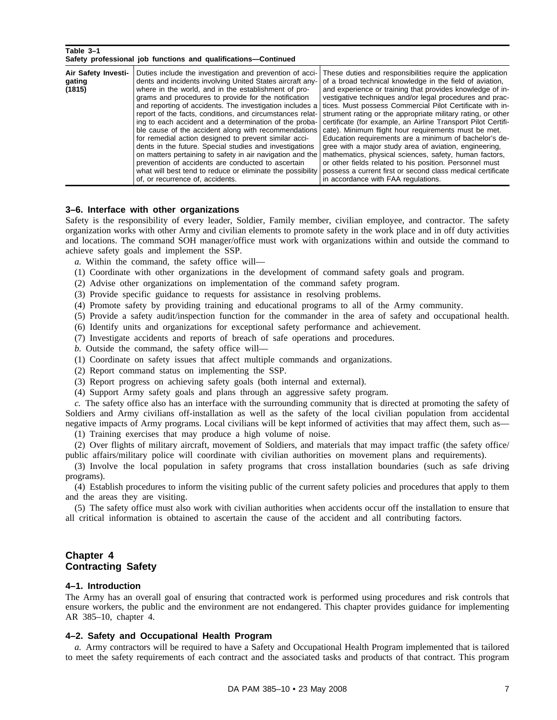# **Table 3–1**

| Safety professional job functions and qualifications—Continued |                                                                                                                                                                                                                                                                                                                                                                                                                                                                                                                                                                                                                                                                                                                                                                                                                           |                                                                                                                                                                                                                                                                                                                                                                                                                                                                                                                                                                                                                                                                                                                                                                                                                                                     |  |
|----------------------------------------------------------------|---------------------------------------------------------------------------------------------------------------------------------------------------------------------------------------------------------------------------------------------------------------------------------------------------------------------------------------------------------------------------------------------------------------------------------------------------------------------------------------------------------------------------------------------------------------------------------------------------------------------------------------------------------------------------------------------------------------------------------------------------------------------------------------------------------------------------|-----------------------------------------------------------------------------------------------------------------------------------------------------------------------------------------------------------------------------------------------------------------------------------------------------------------------------------------------------------------------------------------------------------------------------------------------------------------------------------------------------------------------------------------------------------------------------------------------------------------------------------------------------------------------------------------------------------------------------------------------------------------------------------------------------------------------------------------------------|--|
| Air Safety Investi-<br>gating<br>(1815)                        | Duties include the investigation and prevention of acci-<br>dents and incidents involving United States aircraft any-<br>where in the world, and in the establishment of pro-<br>grams and procedures to provide for the notification<br>and reporting of accidents. The investigation includes a<br>report of the facts, conditions, and circumstances relat-<br>ing to each accident and a determination of the proba-<br>ble cause of the accident along with recommendations<br>for remedial action designed to prevent similar acci-<br>dents in the future. Special studies and investigations<br>on matters pertaining to safety in air navigation and the<br>prevention of accidents are conducted to ascertain<br>what will best tend to reduce or eliminate the possibility<br>of, or recurrence of, accidents. | These duties and responsibilities require the application<br>of a broad technical knowledge in the field of aviation,<br>and experience or training that provides knowledge of in-<br>vestigative techniques and/or legal procedures and prac-<br>tices. Must possess Commercial Pilot Certificate with in-<br>strument rating or the appropriate military rating, or other<br>certificate (for example, an Airline Transport Pilot Certifi-<br>cate). Minimum flight hour requirements must be met.<br>Education requirements are a minimum of bachelor's de-<br>gree with a major study area of aviation, engineering,<br>mathematics, physical sciences, safety, human factors,<br>or other fields related to his position. Personnel must<br>possess a current first or second class medical certificate<br>in accordance with FAA regulations. |  |

#### **3–6. Interface with other organizations**

Safety is the responsibility of every leader, Soldier, Family member, civilian employee, and contractor. The safety organization works with other Army and civilian elements to promote safety in the work place and in off duty activities and locations. The command SOH manager/office must work with organizations within and outside the command to achieve safety goals and implement the SSP.

- *a.* Within the command, the safety office will—
- (1) Coordinate with other organizations in the development of command safety goals and program.
- (2) Advise other organizations on implementation of the command safety program.
- (3) Provide specific guidance to requests for assistance in resolving problems.
- (4) Promote safety by providing training and educational programs to all of the Army community.
- (5) Provide a safety audit/inspection function for the commander in the area of safety and occupational health.
- (6) Identify units and organizations for exceptional safety performance and achievement.
- (7) Investigate accidents and reports of breach of safe operations and procedures.
- *b.* Outside the command, the safety office will—
- (1) Coordinate on safety issues that affect multiple commands and organizations.
- (2) Report command status on implementing the SSP.
- (3) Report progress on achieving safety goals (both internal and external).
- (4) Support Army safety goals and plans through an aggressive safety program.

*c.* The safety office also has an interface with the surrounding community that is directed at promoting the safety of Soldiers and Army civilians off-installation as well as the safety of the local civilian population from accidental negative impacts of Army programs. Local civilians will be kept informed of activities that may affect them, such as—

(1) Training exercises that may produce a high volume of noise.

(2) Over flights of military aircraft, movement of Soldiers, and materials that may impact traffic (the safety office/ public affairs/military police will coordinate with civilian authorities on movement plans and requirements).

(3) Involve the local population in safety programs that cross installation boundaries (such as safe driving programs).

(4) Establish procedures to inform the visiting public of the current safety policies and procedures that apply to them and the areas they are visiting.

(5) The safety office must also work with civilian authorities when accidents occur off the installation to ensure that all critical information is obtained to ascertain the cause of the accident and all contributing factors.

# **Chapter 4 Contracting Safety**

#### **4–1. Introduction**

The Army has an overall goal of ensuring that contracted work is performed using procedures and risk controls that ensure workers, the public and the environment are not endangered. This chapter provides guidance for implementing AR 385–10, chapter 4.

#### **4–2. Safety and Occupational Health Program**

*a.* Army contractors will be required to have a Safety and Occupational Health Program implemented that is tailored to meet the safety requirements of each contract and the associated tasks and products of that contract. This program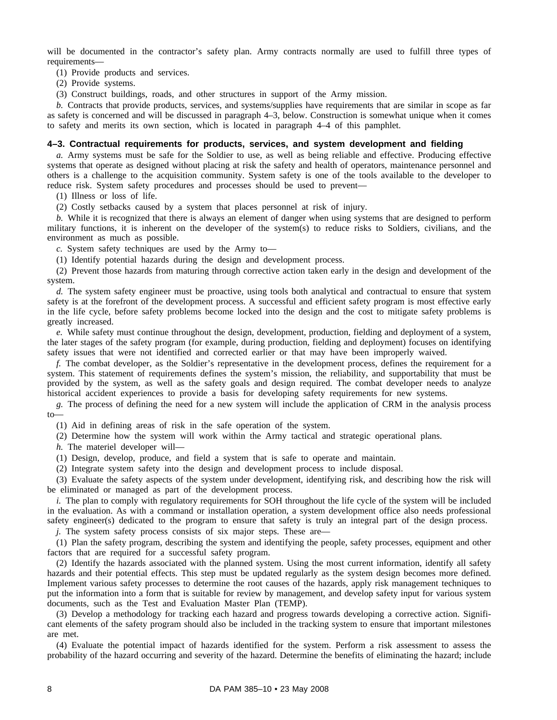will be documented in the contractor's safety plan. Army contracts normally are used to fulfill three types of requirements—

(1) Provide products and services.

(2) Provide systems.

(3) Construct buildings, roads, and other structures in support of the Army mission.

*b.* Contracts that provide products, services, and systems/supplies have requirements that are similar in scope as far as safety is concerned and will be discussed in paragraph 4–3, below. Construction is somewhat unique when it comes to safety and merits its own section, which is located in paragraph 4–4 of this pamphlet.

#### **4–3. Contractual requirements for products, services, and system development and fielding**

*a.* Army systems must be safe for the Soldier to use, as well as being reliable and effective. Producing effective systems that operate as designed without placing at risk the safety and health of operators, maintenance personnel and others is a challenge to the acquisition community. System safety is one of the tools available to the developer to reduce risk. System safety procedures and processes should be used to prevent—

(1) Illness or loss of life.

(2) Costly setbacks caused by a system that places personnel at risk of injury.

*b.* While it is recognized that there is always an element of danger when using systems that are designed to perform military functions, it is inherent on the developer of the system(s) to reduce risks to Soldiers, civilians, and the environment as much as possible.

*c.* System safety techniques are used by the Army to—

(1) Identify potential hazards during the design and development process.

(2) Prevent those hazards from maturing through corrective action taken early in the design and development of the system.

*d.* The system safety engineer must be proactive, using tools both analytical and contractual to ensure that system safety is at the forefront of the development process. A successful and efficient safety program is most effective early in the life cycle, before safety problems become locked into the design and the cost to mitigate safety problems is greatly increased.

*e.* While safety must continue throughout the design, development, production, fielding and deployment of a system, the later stages of the safety program (for example, during production, fielding and deployment) focuses on identifying safety issues that were not identified and corrected earlier or that may have been improperly waived.

*f.* The combat developer, as the Soldier's representative in the development process, defines the requirement for a system. This statement of requirements defines the system's mission, the reliability, and supportability that must be provided by the system, as well as the safety goals and design required. The combat developer needs to analyze historical accident experiences to provide a basis for developing safety requirements for new systems.

*g.* The process of defining the need for a new system will include the application of CRM in the analysis process to—

(1) Aid in defining areas of risk in the safe operation of the system.

(2) Determine how the system will work within the Army tactical and strategic operational plans.

*h.* The materiel developer will—

(1) Design, develop, produce, and field a system that is safe to operate and maintain.

(2) Integrate system safety into the design and development process to include disposal.

(3) Evaluate the safety aspects of the system under development, identifying risk, and describing how the risk will be eliminated or managed as part of the development process.

*i.* The plan to comply with regulatory requirements for SOH throughout the life cycle of the system will be included in the evaluation. As with a command or installation operation, a system development office also needs professional safety engineer(s) dedicated to the program to ensure that safety is truly an integral part of the design process.

*j.* The system safety process consists of six major steps. These are—

(1) Plan the safety program, describing the system and identifying the people, safety processes, equipment and other factors that are required for a successful safety program.

(2) Identify the hazards associated with the planned system. Using the most current information, identify all safety hazards and their potential effects. This step must be updated regularly as the system design becomes more defined. Implement various safety processes to determine the root causes of the hazards, apply risk management techniques to put the information into a form that is suitable for review by management, and develop safety input for various system documents, such as the Test and Evaluation Master Plan (TEMP).

(3) Develop a methodology for tracking each hazard and progress towards developing a corrective action. Significant elements of the safety program should also be included in the tracking system to ensure that important milestones are met.

(4) Evaluate the potential impact of hazards identified for the system. Perform a risk assessment to assess the probability of the hazard occurring and severity of the hazard. Determine the benefits of eliminating the hazard; include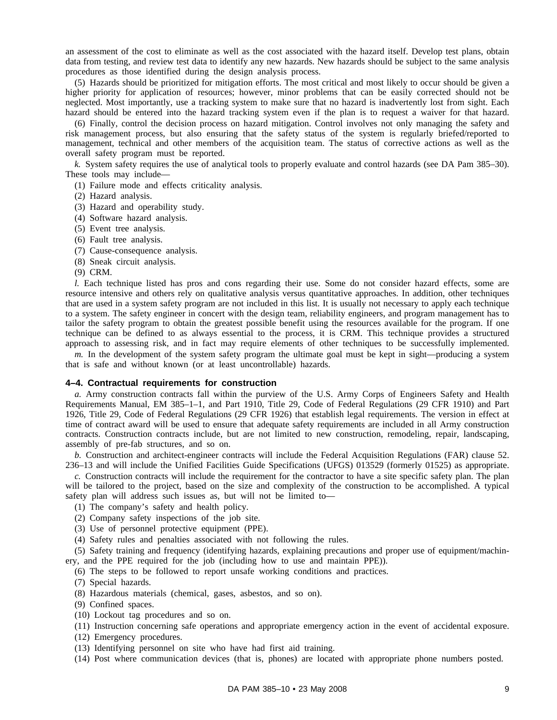an assessment of the cost to eliminate as well as the cost associated with the hazard itself. Develop test plans, obtain data from testing, and review test data to identify any new hazards. New hazards should be subject to the same analysis procedures as those identified during the design analysis process.

(5) Hazards should be prioritized for mitigation efforts. The most critical and most likely to occur should be given a higher priority for application of resources; however, minor problems that can be easily corrected should not be neglected. Most importantly, use a tracking system to make sure that no hazard is inadvertently lost from sight. Each hazard should be entered into the hazard tracking system even if the plan is to request a waiver for that hazard.

(6) Finally, control the decision process on hazard mitigation. Control involves not only managing the safety and risk management process, but also ensuring that the safety status of the system is regularly briefed/reported to management, technical and other members of the acquisition team. The status of corrective actions as well as the overall safety program must be reported.

*k.* System safety requires the use of analytical tools to properly evaluate and control hazards (see DA Pam 385–30). These tools may include—

- (1) Failure mode and effects criticality analysis.
- (2) Hazard analysis.
- (3) Hazard and operability study.
- (4) Software hazard analysis.
- (5) Event tree analysis.
- (6) Fault tree analysis.
- (7) Cause-consequence analysis.
- (8) Sneak circuit analysis.
- (9) CRM.

*l.* Each technique listed has pros and cons regarding their use. Some do not consider hazard effects, some are resource intensive and others rely on qualitative analysis versus quantitative approaches. In addition, other techniques that are used in a system safety program are not included in this list. It is usually not necessary to apply each technique to a system. The safety engineer in concert with the design team, reliability engineers, and program management has to tailor the safety program to obtain the greatest possible benefit using the resources available for the program. If one technique can be defined to as always essential to the process, it is CRM. This technique provides a structured approach to assessing risk, and in fact may require elements of other techniques to be successfully implemented.

*m.* In the development of the system safety program the ultimate goal must be kept in sight—producing a system that is safe and without known (or at least uncontrollable) hazards.

#### **4–4. Contractual requirements for construction**

*a.* Army construction contracts fall within the purview of the U.S. Army Corps of Engineers Safety and Health Requirements Manual, EM 385–1–1, and Part 1910, Title 29, Code of Federal Regulations (29 CFR 1910) and Part 1926, Title 29, Code of Federal Regulations (29 CFR 1926) that establish legal requirements. The version in effect at time of contract award will be used to ensure that adequate safety requirements are included in all Army construction contracts. Construction contracts include, but are not limited to new construction, remodeling, repair, landscaping, assembly of pre-fab structures, and so on.

*b.* Construction and architect-engineer contracts will include the Federal Acquisition Regulations (FAR) clause 52. 236–13 and will include the Unified Facilities Guide Specifications (UFGS) 013529 (formerly 01525) as appropriate.

*c.* Construction contracts will include the requirement for the contractor to have a site specific safety plan. The plan will be tailored to the project, based on the size and complexity of the construction to be accomplished. A typical safety plan will address such issues as, but will not be limited to—

- (1) The company's safety and health policy.
- (2) Company safety inspections of the job site.
- (3) Use of personnel protective equipment (PPE).
- (4) Safety rules and penalties associated with not following the rules.

(5) Safety training and frequency (identifying hazards, explaining precautions and proper use of equipment/machinery, and the PPE required for the job (including how to use and maintain PPE)).

(6) The steps to be followed to report unsafe working conditions and practices.

- (7) Special hazards.
- (8) Hazardous materials (chemical, gases, asbestos, and so on).
- (9) Confined spaces.
- (10) Lockout tag procedures and so on.
- (11) Instruction concerning safe operations and appropriate emergency action in the event of accidental exposure.
- (12) Emergency procedures.
- (13) Identifying personnel on site who have had first aid training.
- (14) Post where communication devices (that is, phones) are located with appropriate phone numbers posted.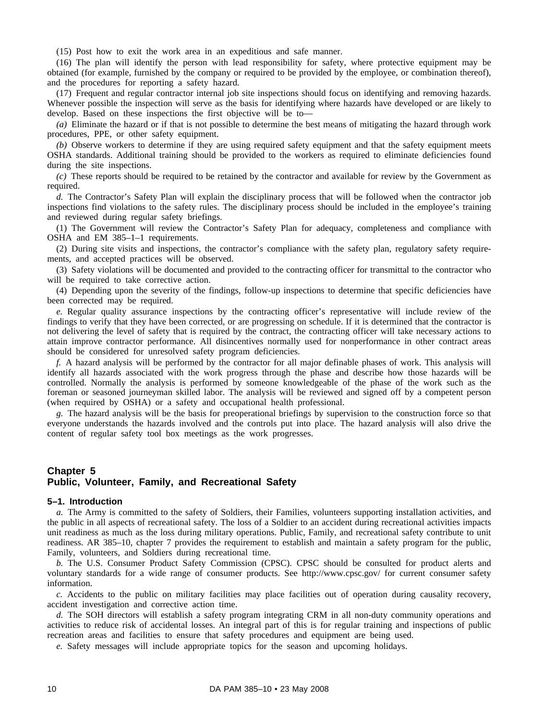(15) Post how to exit the work area in an expeditious and safe manner.

(16) The plan will identify the person with lead responsibility for safety, where protective equipment may be obtained (for example, furnished by the company or required to be provided by the employee, or combination thereof), and the procedures for reporting a safety hazard.

(17) Frequent and regular contractor internal job site inspections should focus on identifying and removing hazards. Whenever possible the inspection will serve as the basis for identifying where hazards have developed or are likely to develop. Based on these inspections the first objective will be to—

*(a)* Eliminate the hazard or if that is not possible to determine the best means of mitigating the hazard through work procedures, PPE, or other safety equipment.

*(b)* Observe workers to determine if they are using required safety equipment and that the safety equipment meets OSHA standards. Additional training should be provided to the workers as required to eliminate deficiencies found during the site inspections.

*(c)* These reports should be required to be retained by the contractor and available for review by the Government as required.

*d.* The Contractor's Safety Plan will explain the disciplinary process that will be followed when the contractor job inspections find violations to the safety rules. The disciplinary process should be included in the employee's training and reviewed during regular safety briefings.

(1) The Government will review the Contractor's Safety Plan for adequacy, completeness and compliance with OSHA and EM 385–1–1 requirements.

(2) During site visits and inspections, the contractor's compliance with the safety plan, regulatory safety requirements, and accepted practices will be observed.

(3) Safety violations will be documented and provided to the contracting officer for transmittal to the contractor who will be required to take corrective action.

(4) Depending upon the severity of the findings, follow-up inspections to determine that specific deficiencies have been corrected may be required.

*e.* Regular quality assurance inspections by the contracting officer's representative will include review of the findings to verify that they have been corrected, or are progressing on schedule. If it is determined that the contractor is not delivering the level of safety that is required by the contract, the contracting officer will take necessary actions to attain improve contractor performance. All disincentives normally used for nonperformance in other contract areas should be considered for unresolved safety program deficiencies.

*f.* A hazard analysis will be performed by the contractor for all major definable phases of work. This analysis will identify all hazards associated with the work progress through the phase and describe how those hazards will be controlled. Normally the analysis is performed by someone knowledgeable of the phase of the work such as the foreman or seasoned journeyman skilled labor. The analysis will be reviewed and signed off by a competent person (when required by OSHA) or a safety and occupational health professional.

*g.* The hazard analysis will be the basis for preoperational briefings by supervision to the construction force so that everyone understands the hazards involved and the controls put into place. The hazard analysis will also drive the content of regular safety tool box meetings as the work progresses.

# **Chapter 5 Public, Volunteer, Family, and Recreational Safety**

#### **5–1. Introduction**

*a.* The Army is committed to the safety of Soldiers, their Families, volunteers supporting installation activities, and the public in all aspects of recreational safety. The loss of a Soldier to an accident during recreational activities impacts unit readiness as much as the loss during military operations. Public, Family, and recreational safety contribute to unit readiness. AR 385–10, chapter 7 provides the requirement to establish and maintain a safety program for the public, Family, volunteers, and Soldiers during recreational time.

*b.* The U.S. Consumer Product Safety Commission (CPSC). CPSC should be consulted for product alerts and voluntary standards for a wide range of consumer products. See http://www.cpsc.gov/ for current consumer safety information.

*c.* Accidents to the public on military facilities may place facilities out of operation during causality recovery, accident investigation and corrective action time.

*d.* The SOH directors will establish a safety program integrating CRM in all non-duty community operations and activities to reduce risk of accidental losses. An integral part of this is for regular training and inspections of public recreation areas and facilities to ensure that safety procedures and equipment are being used.

*e.* Safety messages will include appropriate topics for the season and upcoming holidays.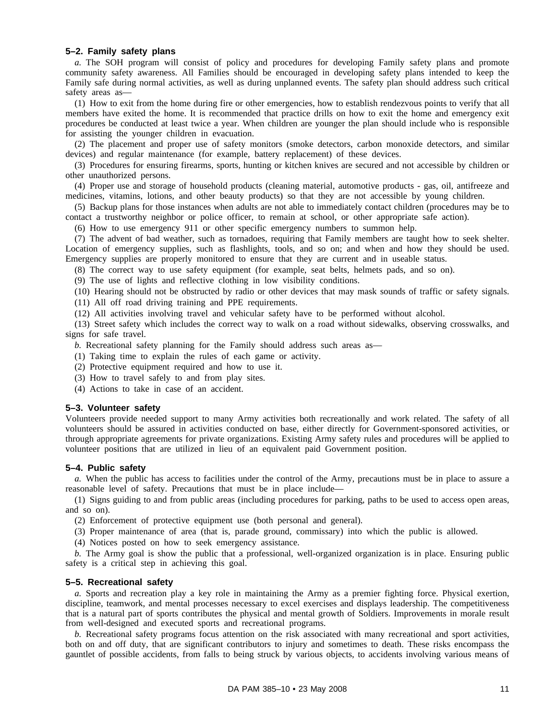#### **5–2. Family safety plans**

*a.* The SOH program will consist of policy and procedures for developing Family safety plans and promote community safety awareness. All Families should be encouraged in developing safety plans intended to keep the Family safe during normal activities, as well as during unplanned events. The safety plan should address such critical safety areas as—

(1) How to exit from the home during fire or other emergencies, how to establish rendezvous points to verify that all members have exited the home. It is recommended that practice drills on how to exit the home and emergency exit procedures be conducted at least twice a year. When children are younger the plan should include who is responsible for assisting the younger children in evacuation.

(2) The placement and proper use of safety monitors (smoke detectors, carbon monoxide detectors, and similar devices) and regular maintenance (for example, battery replacement) of these devices.

(3) Procedures for ensuring firearms, sports, hunting or kitchen knives are secured and not accessible by children or other unauthorized persons.

(4) Proper use and storage of household products (cleaning material, automotive products - gas, oil, antifreeze and medicines, vitamins, lotions, and other beauty products) so that they are not accessible by young children.

(5) Backup plans for those instances when adults are not able to immediately contact children (procedures may be to contact a trustworthy neighbor or police officer, to remain at school, or other appropriate safe action).

(6) How to use emergency 911 or other specific emergency numbers to summon help.

(7) The advent of bad weather, such as tornadoes, requiring that Family members are taught how to seek shelter. Location of emergency supplies, such as flashlights, tools, and so on; and when and how they should be used. Emergency supplies are properly monitored to ensure that they are current and in useable status.

(8) The correct way to use safety equipment (for example, seat belts, helmets pads, and so on).

(9) The use of lights and reflective clothing in low visibility conditions.

(10) Hearing should not be obstructed by radio or other devices that may mask sounds of traffic or safety signals.

(11) All off road driving training and PPE requirements.

(12) All activities involving travel and vehicular safety have to be performed without alcohol.

(13) Street safety which includes the correct way to walk on a road without sidewalks, observing crosswalks, and signs for safe travel.

*b.* Recreational safety planning for the Family should address such areas as—

(1) Taking time to explain the rules of each game or activity.

(2) Protective equipment required and how to use it.

(3) How to travel safely to and from play sites.

(4) Actions to take in case of an accident.

#### **5–3. Volunteer safety**

Volunteers provide needed support to many Army activities both recreationally and work related. The safety of all volunteers should be assured in activities conducted on base, either directly for Government-sponsored activities, or through appropriate agreements for private organizations. Existing Army safety rules and procedures will be applied to volunteer positions that are utilized in lieu of an equivalent paid Government position.

#### **5–4. Public safety**

*a.* When the public has access to facilities under the control of the Army, precautions must be in place to assure a reasonable level of safety. Precautions that must be in place include—

(1) Signs guiding to and from public areas (including procedures for parking, paths to be used to access open areas, and so on).

(2) Enforcement of protective equipment use (both personal and general).

(3) Proper maintenance of area (that is, parade ground, commissary) into which the public is allowed.

(4) Notices posted on how to seek emergency assistance.

*b.* The Army goal is show the public that a professional, well-organized organization is in place. Ensuring public safety is a critical step in achieving this goal.

#### **5–5. Recreational safety**

*a.* Sports and recreation play a key role in maintaining the Army as a premier fighting force. Physical exertion, discipline, teamwork, and mental processes necessary to excel exercises and displays leadership. The competitiveness that is a natural part of sports contributes the physical and mental growth of Soldiers. Improvements in morale result from well-designed and executed sports and recreational programs.

*b.* Recreational safety programs focus attention on the risk associated with many recreational and sport activities, both on and off duty, that are significant contributors to injury and sometimes to death. These risks encompass the gauntlet of possible accidents, from falls to being struck by various objects, to accidents involving various means of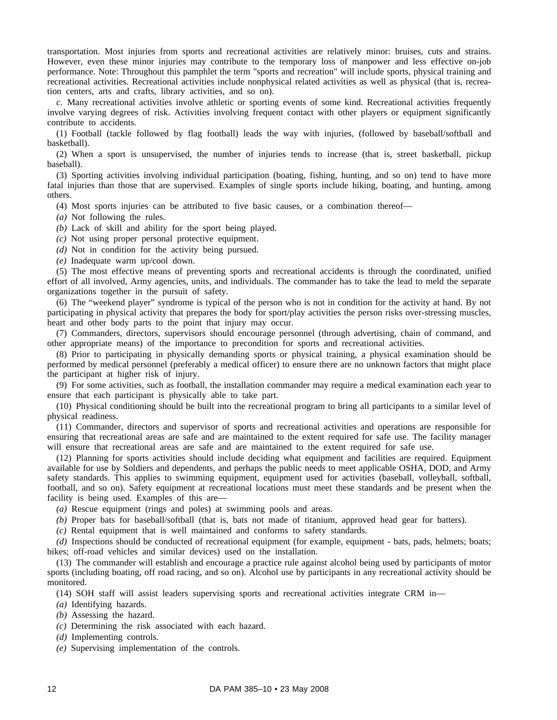transportation. Most injuries from sports and recreational activities are relatively minor: bruises, cuts and strains. However, even these minor injuries may contribute to the temporary loss of manpower and less effective on-job performance. Note: Throughout this pamphlet the term "sports and recreation" will include sports, physical training and recreational activities. Recreational activities include nonphysical related activities as well as physical (that is, recreation centers, arts and crafts, library activities, and so on).

*c.* Many recreational activities involve athletic or sporting events of some kind. Recreational activities frequently involve varying degrees of risk. Activities involving frequent contact with other players or equipment significantly contribute to accidents.

(1) Football (tackle followed by flag football) leads the way with injuries, (followed by baseball/softball and basketball).

(2) When a sport is unsupervised, the number of injuries tends to increase (that is, street basketball, pickup baseball).

(3) Sporting activities involving individual participation (boating, fishing, hunting, and so on) tend to have more fatal injuries than those that are supervised. Examples of single sports include hiking, boating, and hunting, among others.

(4) Most sports injuries can be attributed to five basic causes, or a combination thereof—

*(a)* Not following the rules.

*(b)* Lack of skill and ability for the sport being played.

*(c)* Not using proper personal protective equipment.

*(d)* Not in condition for the activity being pursued.

*(e)* Inadequate warm up/cool down.

(5) The most effective means of preventing sports and recreational accidents is through the coordinated, unified effort of all involved, Army agencies, units, and individuals. The commander has to take the lead to meld the separate organizations together in the pursuit of safety.

(6) The "weekend player" syndrome is typical of the person who is not in condition for the activity at hand. By not participating in physical activity that prepares the body for sport/play activities the person risks over-stressing muscles, heart and other body parts to the point that injury may occur.

(7) Commanders, directors, supervisors should encourage personnel (through advertising, chain of command, and other appropriate means) of the importance to precondition for sports and recreational activities.

(8) Prior to participating in physically demanding sports or physical training, a physical examination should be performed by medical personnel (preferably a medical officer) to ensure there are no unknown factors that might place the participant at higher risk of injury.

(9) For some activities, such as football, the installation commander may require a medical examination each year to ensure that each participant is physically able to take part.

(10) Physical conditioning should be built into the recreational program to bring all participants to a similar level of physical readiness.

(11) Commander, directors and supervisor of sports and recreational activities and operations are responsible for ensuring that recreational areas are safe and are maintained to the extent required for safe use. The facility manager will ensure that recreational areas are safe and are maintained to the extent required for safe use.

(12) Planning for sports activities should include deciding what equipment and facilities are required. Equipment available for use by Soldiers and dependents, and perhaps the public needs to meet applicable OSHA, DOD, and Army safety standards. This applies to swimming equipment, equipment used for activities (baseball, volleyball, softball, football, and so on). Safety equipment at recreational locations must meet these standards and be present when the facility is being used. Examples of this are—

*(a)* Rescue equipment (rings and poles) at swimming pools and areas.

*(b)* Proper bats for baseball/softball (that is, bats not made of titanium, approved head gear for batters).

*(c)* Rental equipment that is well maintained and conforms to safety standards.

*(d)* Inspections should be conducted of recreational equipment (for example, equipment - bats, pads, helmets; boats; bikes; off-road vehicles and similar devices) used on the installation.

(13) The commander will establish and encourage a practice rule against alcohol being used by participants of motor sports (including boating, off road racing, and so on). Alcohol use by participants in any recreational activity should be monitored.

(14) SOH staff will assist leaders supervising sports and recreational activities integrate CRM in—

- *(a)* Identifying hazards.
- *(b)* Assessing the hazard.
- *(c)* Determining the risk associated with each hazard.
- *(d)* Implementing controls.
- *(e)* Supervising implementation of the controls.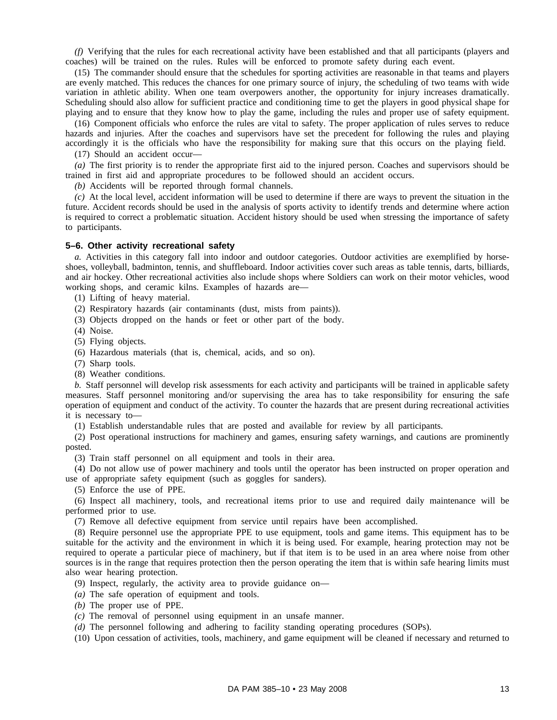*(f)* Verifying that the rules for each recreational activity have been established and that all participants (players and coaches) will be trained on the rules. Rules will be enforced to promote safety during each event.

(15) The commander should ensure that the schedules for sporting activities are reasonable in that teams and players are evenly matched. This reduces the chances for one primary source of injury, the scheduling of two teams with wide variation in athletic ability. When one team overpowers another, the opportunity for injury increases dramatically. Scheduling should also allow for sufficient practice and conditioning time to get the players in good physical shape for playing and to ensure that they know how to play the game, including the rules and proper use of safety equipment.

(16) Component officials who enforce the rules are vital to safety. The proper application of rules serves to reduce hazards and injuries. After the coaches and supervisors have set the precedent for following the rules and playing accordingly it is the officials who have the responsibility for making sure that this occurs on the playing field.

(17) Should an accident occur—

*(a)* The first priority is to render the appropriate first aid to the injured person. Coaches and supervisors should be trained in first aid and appropriate procedures to be followed should an accident occurs.

*(b)* Accidents will be reported through formal channels.

*(c)* At the local level, accident information will be used to determine if there are ways to prevent the situation in the future. Accident records should be used in the analysis of sports activity to identify trends and determine where action is required to correct a problematic situation. Accident history should be used when stressing the importance of safety to participants.

#### **5–6. Other activity recreational safety**

*a.* Activities in this category fall into indoor and outdoor categories. Outdoor activities are exemplified by horseshoes, volleyball, badminton, tennis, and shuffleboard. Indoor activities cover such areas as table tennis, darts, billiards, and air hockey. Other recreational activities also include shops where Soldiers can work on their motor vehicles, wood working shops, and ceramic kilns. Examples of hazards are—

(1) Lifting of heavy material.

(2) Respiratory hazards (air contaminants (dust, mists from paints)).

(3) Objects dropped on the hands or feet or other part of the body.

(4) Noise.

(5) Flying objects.

(6) Hazardous materials (that is, chemical, acids, and so on).

(7) Sharp tools.

(8) Weather conditions.

*b.* Staff personnel will develop risk assessments for each activity and participants will be trained in applicable safety measures. Staff personnel monitoring and/or supervising the area has to take responsibility for ensuring the safe operation of equipment and conduct of the activity. To counter the hazards that are present during recreational activities it is necessary to—

(1) Establish understandable rules that are posted and available for review by all participants.

(2) Post operational instructions for machinery and games, ensuring safety warnings, and cautions are prominently posted.

(3) Train staff personnel on all equipment and tools in their area.

(4) Do not allow use of power machinery and tools until the operator has been instructed on proper operation and use of appropriate safety equipment (such as goggles for sanders).

(5) Enforce the use of PPE.

(6) Inspect all machinery, tools, and recreational items prior to use and required daily maintenance will be performed prior to use.

(7) Remove all defective equipment from service until repairs have been accomplished.

(8) Require personnel use the appropriate PPE to use equipment, tools and game items. This equipment has to be suitable for the activity and the environment in which it is being used. For example, hearing protection may not be required to operate a particular piece of machinery, but if that item is to be used in an area where noise from other sources is in the range that requires protection then the person operating the item that is within safe hearing limits must also wear hearing protection.

(9) Inspect, regularly, the activity area to provide guidance on—

*(a)* The safe operation of equipment and tools.

*(b)* The proper use of PPE.

*(c)* The removal of personnel using equipment in an unsafe manner.

*(d)* The personnel following and adhering to facility standing operating procedures (SOPs).

(10) Upon cessation of activities, tools, machinery, and game equipment will be cleaned if necessary and returned to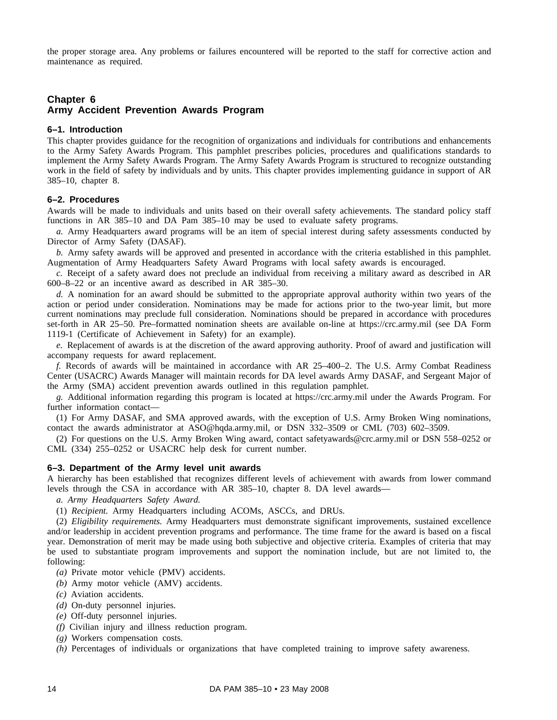the proper storage area. Any problems or failures encountered will be reported to the staff for corrective action and maintenance as required.

# **Chapter 6 Army Accident Prevention Awards Program**

#### **6–1. Introduction**

This chapter provides guidance for the recognition of organizations and individuals for contributions and enhancements to the Army Safety Awards Program. This pamphlet prescribes policies, procedures and qualifications standards to implement the Army Safety Awards Program. The Army Safety Awards Program is structured to recognize outstanding work in the field of safety by individuals and by units. This chapter provides implementing guidance in support of AR 385–10, chapter 8.

#### **6–2. Procedures**

Awards will be made to individuals and units based on their overall safety achievements. The standard policy staff functions in AR 385–10 and DA Pam 385–10 may be used to evaluate safety programs.

*a.* Army Headquarters award programs will be an item of special interest during safety assessments conducted by Director of Army Safety (DASAF).

*b.* Army safety awards will be approved and presented in accordance with the criteria established in this pamphlet. Augmentation of Army Headquarters Safety Award Programs with local safety awards is encouraged.

*c.* Receipt of a safety award does not preclude an individual from receiving a military award as described in AR 600–8–22 or an incentive award as described in AR 385–30.

*d.* A nomination for an award should be submitted to the appropriate approval authority within two years of the action or period under consideration. Nominations may be made for actions prior to the two-year limit, but more current nominations may preclude full consideration. Nominations should be prepared in accordance with procedures set-forth in AR 25–50. Pre–formatted nomination sheets are available on-line at https://crc.army.mil (see DA Form 1119-1 (Certificate of Achievement in Safety) for an example).

*e.* Replacement of awards is at the discretion of the award approving authority. Proof of award and justification will accompany requests for award replacement.

*f.* Records of awards will be maintained in accordance with AR 25–400–2. The U.S. Army Combat Readiness Center (USACRC) Awards Manager will maintain records for DA level awards Army DASAF, and Sergeant Major of the Army (SMA) accident prevention awards outlined in this regulation pamphlet.

*g.* Additional information regarding this program is located at https://crc.army.mil under the Awards Program. For further information contact—

(1) For Army DASAF, and SMA approved awards, with the exception of U.S. Army Broken Wing nominations, contact the awards administrator at ASO@hqda.army.mil, or DSN 332–3509 or CML (703) 602–3509.

(2) For questions on the U.S. Army Broken Wing award, contact safetyawards@crc.army.mil or DSN 558–0252 or CML (334) 255–0252 or USACRC help desk for current number.

#### **6–3. Department of the Army level unit awards**

A hierarchy has been established that recognizes different levels of achievement with awards from lower command levels through the CSA in accordance with AR 385–10, chapter 8. DA level awards—

*a. Army Headquarters Safety Award.*

(1) *Recipient.* Army Headquarters including ACOMs, ASCCs, and DRUs.

(2) *Eligibility requirements.* Army Headquarters must demonstrate significant improvements, sustained excellence and/or leadership in accident prevention programs and performance. The time frame for the award is based on a fiscal year. Demonstration of merit may be made using both subjective and objective criteria. Examples of criteria that may be used to substantiate program improvements and support the nomination include, but are not limited to, the following:

- *(a)* Private motor vehicle (PMV) accidents.
- *(b)* Army motor vehicle (AMV) accidents.
- *(c)* Aviation accidents.
- *(d)* On-duty personnel injuries.
- *(e)* Off-duty personnel injuries.
- *(f)* Civilian injury and illness reduction program.
- *(g)* Workers compensation costs.
- *(h)* Percentages of individuals or organizations that have completed training to improve safety awareness.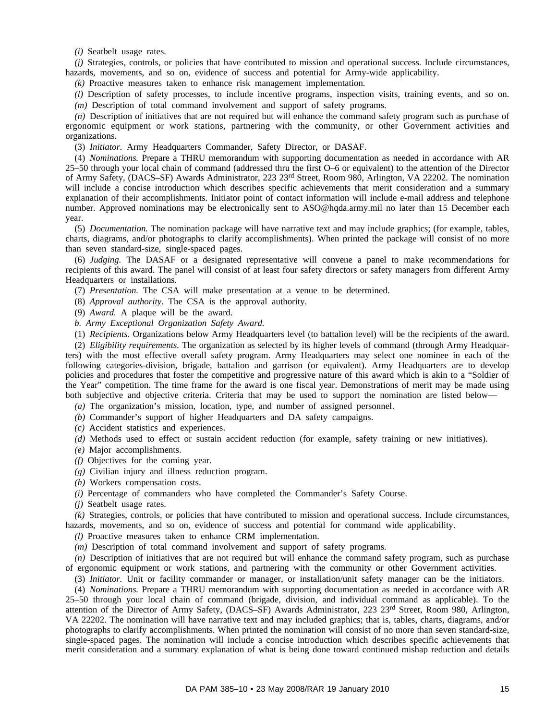*(i)* Seatbelt usage rates.

*(j)* Strategies, controls, or policies that have contributed to mission and operational success. Include circumstances, hazards, movements, and so on, evidence of success and potential for Army-wide applicability.

*(k)* Proactive measures taken to enhance risk management implementation.

*(l)* Description of safety processes, to include incentive programs, inspection visits, training events, and so on. *(m)* Description of total command involvement and support of safety programs.

*(n)* Description of initiatives that are not required but will enhance the command safety program such as purchase of ergonomic equipment or work stations, partnering with the community, or other Government activities and organizations.

(3) *Initiator.* Army Headquarters Commander, Safety Director, or DASAF.

(4) *Nominations.* Prepare a THRU memorandum with supporting documentation as needed in accordance with AR 25–50 through your local chain of command (addressed thru the first O–6 or equivalent) to the attention of the Director of Army Safety, (DACS–SF) Awards Administrator, 223 23rd Street, Room 980, Arlington, VA 22202. The nomination will include a concise introduction which describes specific achievements that merit consideration and a summary explanation of their accomplishments. Initiator point of contact information will include e-mail address and telephone number. Approved nominations may be electronically sent to ASO@hqda.army.mil no later than 15 December each year.

(5) *Documentation.* The nomination package will have narrative text and may include graphics; (for example, tables, charts, diagrams, and/or photographs to clarify accomplishments). When printed the package will consist of no more than seven standard-size, single-spaced pages.

(6) *Judging.* The DASAF or a designated representative will convene a panel to make recommendations for recipients of this award. The panel will consist of at least four safety directors or safety managers from different Army Headquarters or installations.

(7) *Presentation.* The CSA will make presentation at a venue to be determined.

(8) *Approval authority.* The CSA is the approval authority.

(9) *Award.* A plaque will be the award.

*b. Army Exceptional Organization Safety Award.*

(1) *Recipients.* Organizations below Army Headquarters level (to battalion level) will be the recipients of the award.

(2) *Eligibility requirements.* The organization as selected by its higher levels of command (through Army Headquarters) with the most effective overall safety program. Army Headquarters may select one nominee in each of the following categories-division, brigade, battalion and garrison (or equivalent). Army Headquarters are to develop policies and procedures that foster the competitive and progressive nature of this award which is akin to a "Soldier of the Year" competition. The time frame for the award is one fiscal year. Demonstrations of merit may be made using both subjective and objective criteria. Criteria that may be used to support the nomination are listed below—

*(a)* The organization's mission, location, type, and number of assigned personnel.

*(b)* Commander's support of higher Headquarters and DA safety campaigns.

*(c)* Accident statistics and experiences.

*(d)* Methods used to effect or sustain accident reduction (for example, safety training or new initiatives).

*(e)* Major accomplishments.

*(f)* Objectives for the coming year.

*(g)* Civilian injury and illness reduction program.

*(h)* Workers compensation costs.

*(i)* Percentage of commanders who have completed the Commander's Safety Course.

*(j)* Seatbelt usage rates.

*(k)* Strategies, controls, or policies that have contributed to mission and operational success. Include circumstances, hazards, movements, and so on, evidence of success and potential for command wide applicability.

*(l)* Proactive measures taken to enhance CRM implementation.

*(m)* Description of total command involvement and support of safety programs.

*(n)* Description of initiatives that are not required but will enhance the command safety program, such as purchase of ergonomic equipment or work stations, and partnering with the community or other Government activities.

(3) *Initiator.* Unit or facility commander or manager, or installation/unit safety manager can be the initiators.

(4) *Nominations.* Prepare a THRU memorandum with supporting documentation as needed in accordance with AR 25–50 through your local chain of command (brigade, division, and individual command as applicable). To the attention of the Director of Army Safety, (DACS–SF) Awards Administrator, 223 23<sup>rd</sup> Street, Room 980, Arlington, VA 22202. The nomination will have narrative text and may included graphics; that is, tables, charts, diagrams, and/or photographs to clarify accomplishments. When printed the nomination will consist of no more than seven standard-size, single-spaced pages. The nomination will include a concise introduction which describes specific achievements that merit consideration and a summary explanation of what is being done toward continued mishap reduction and details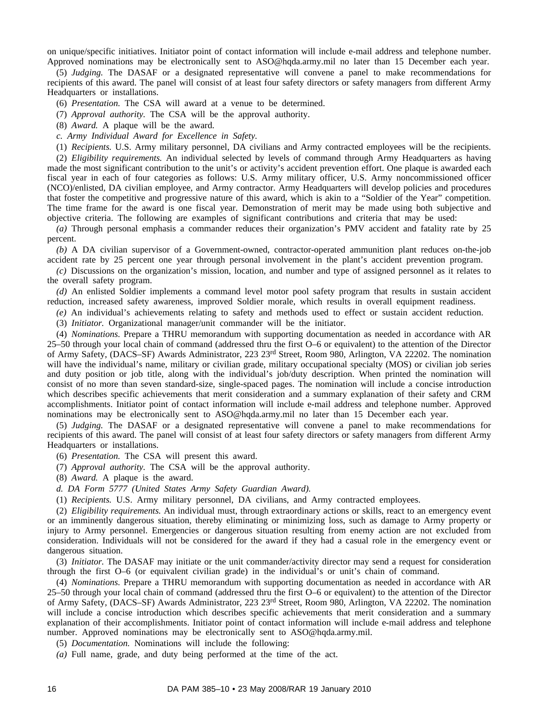on unique/specific initiatives. Initiator point of contact information will include e-mail address and telephone number. Approved nominations may be electronically sent to ASO@hqda.army.mil no later than 15 December each year.

(5) *Judging.* The DASAF or a designated representative will convene a panel to make recommendations for recipients of this award. The panel will consist of at least four safety directors or safety managers from different Army Headquarters or installations.

(6) *Presentation.* The CSA will award at a venue to be determined.

(7) *Approval authority.* The CSA will be the approval authority.

(8) *Award.* A plaque will be the award.

*c. Army Individual Award for Excellence in Safety.*

(1) *Recipients.* U.S. Army military personnel, DA civilians and Army contracted employees will be the recipients.

(2) *Eligibility requirements.* An individual selected by levels of command through Army Headquarters as having made the most significant contribution to the unit's or activity's accident prevention effort. One plaque is awarded each fiscal year in each of four categories as follows: U.S. Army military officer, U.S. Army noncommissioned officer (NCO)/enlisted, DA civilian employee, and Army contractor. Army Headquarters will develop policies and procedures that foster the competitive and progressive nature of this award, which is akin to a "Soldier of the Year" competition. The time frame for the award is one fiscal year. Demonstration of merit may be made using both subjective and objective criteria. The following are examples of significant contributions and criteria that may be used:

*(a)* Through personal emphasis a commander reduces their organization's PMV accident and fatality rate by 25 percent.

*(b)* A DA civilian supervisor of a Government-owned, contractor-operated ammunition plant reduces on-the-job accident rate by 25 percent one year through personal involvement in the plant's accident prevention program.

*(c)* Discussions on the organization's mission, location, and number and type of assigned personnel as it relates to the overall safety program.

*(d)* An enlisted Soldier implements a command level motor pool safety program that results in sustain accident reduction, increased safety awareness, improved Soldier morale, which results in overall equipment readiness.

*(e)* An individual's achievements relating to safety and methods used to effect or sustain accident reduction.

(3) *Initiator.* Organizational manager/unit commander will be the initiator.

(4) *Nominations.* Prepare a THRU memorandum with supporting documentation as needed in accordance with AR 25–50 through your local chain of command (addressed thru the first O–6 or equivalent) to the attention of the Director of Army Safety, (DACS–SF) Awards Administrator, 223 23rd Street, Room 980, Arlington, VA 22202. The nomination will have the individual's name, military or civilian grade, military occupational specialty (MOS) or civilian job series and duty position or job title, along with the individual's job/duty description. When printed the nomination will consist of no more than seven standard-size, single-spaced pages. The nomination will include a concise introduction which describes specific achievements that merit consideration and a summary explanation of their safety and CRM accomplishments. Initiator point of contact information will include e-mail address and telephone number. Approved nominations may be electronically sent to ASO@hqda.army.mil no later than 15 December each year.

(5) *Judging.* The DASAF or a designated representative will convene a panel to make recommendations for recipients of this award. The panel will consist of at least four safety directors or safety managers from different Army Headquarters or installations.

(6) *Presentation.* The CSA will present this award.

(7) *Approval authority.* The CSA will be the approval authority.

(8) *Award.* A plaque is the award.

*d. DA Form 5777 (United States Army Safety Guardian Award).*

(1) *Recipients.* U.S. Army military personnel, DA civilians, and Army contracted employees.

(2) *Eligibility requirements.* An individual must, through extraordinary actions or skills, react to an emergency event or an imminently dangerous situation, thereby eliminating or minimizing loss, such as damage to Army property or injury to Army personnel. Emergencies or dangerous situation resulting from enemy action are not excluded from consideration. Individuals will not be considered for the award if they had a casual role in the emergency event or dangerous situation.

(3) *Initiator.* The DASAF may initiate or the unit commander/activity director may send a request for consideration through the first O–6 (or equivalent civilian grade) in the individual's or unit's chain of command.

(4) *Nominations.* Prepare a THRU memorandum with supporting documentation as needed in accordance with AR 25–50 through your local chain of command (addressed thru the first O–6 or equivalent) to the attention of the Director of Army Safety, (DACS–SF) Awards Administrator, 223 23rd Street, Room 980, Arlington, VA 22202. The nomination will include a concise introduction which describes specific achievements that merit consideration and a summary explanation of their accomplishments. Initiator point of contact information will include e-mail address and telephone number. Approved nominations may be electronically sent to ASO@hqda.army.mil.

(5) *Documentation.* Nominations will include the following:

*(a)* Full name, grade, and duty being performed at the time of the act.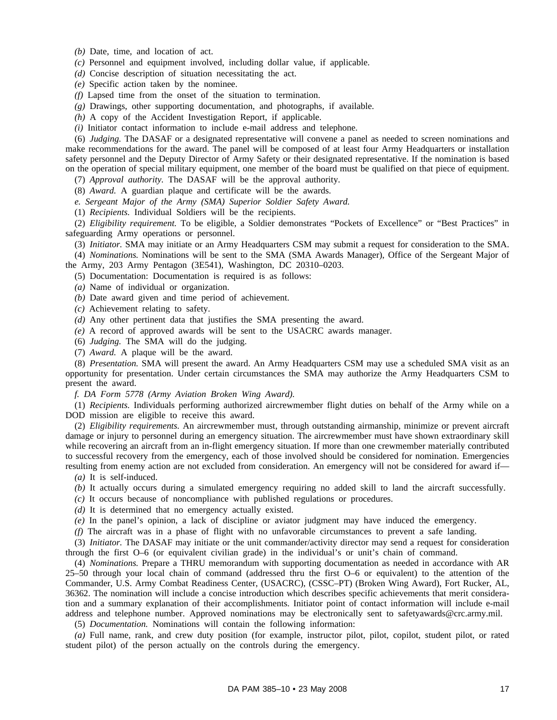*(b)* Date, time, and location of act.

*(c)* Personnel and equipment involved, including dollar value, if applicable.

*(d)* Concise description of situation necessitating the act.

*(e)* Specific action taken by the nominee.

*(f)* Lapsed time from the onset of the situation to termination.

*(g)* Drawings, other supporting documentation, and photographs, if available.

*(h)* A copy of the Accident Investigation Report, if applicable.

*(i)* Initiator contact information to include e-mail address and telephone.

(6) *Judging.* The DASAF or a designated representative will convene a panel as needed to screen nominations and make recommendations for the award. The panel will be composed of at least four Army Headquarters or installation safety personnel and the Deputy Director of Army Safety or their designated representative. If the nomination is based on the operation of special military equipment, one member of the board must be qualified on that piece of equipment.

(7) *Approval authority.* The DASAF will be the approval authority.

(8) *Award.* A guardian plaque and certificate will be the awards.

*e. Sergeant Major of the Army (SMA) Superior Soldier Safety Award.*

(1) *Recipients.* Individual Soldiers will be the recipients.

(2) *Eligibility requirement.* To be eligible, a Soldier demonstrates "Pockets of Excellence" or "Best Practices" in safeguarding Army operations or personnel.

(3) *Initiator.* SMA may initiate or an Army Headquarters CSM may submit a request for consideration to the SMA.

(4) *Nominations.* Nominations will be sent to the SMA (SMA Awards Manager), Office of the Sergeant Major of the Army, 203 Army Pentagon (3E541), Washington, DC 20310–0203.

(5) Documentation: Documentation is required is as follows:

*(a)* Name of individual or organization.

*(b)* Date award given and time period of achievement.

*(c)* Achievement relating to safety.

*(d)* Any other pertinent data that justifies the SMA presenting the award.

*(e)* A record of approved awards will be sent to the USACRC awards manager.

(6) *Judging.* The SMA will do the judging.

(7) *Award.* A plaque will be the award.

(8) *Presentation.* SMA will present the award. An Army Headquarters CSM may use a scheduled SMA visit as an opportunity for presentation. Under certain circumstances the SMA may authorize the Army Headquarters CSM to present the award.

*f. DA Form 5778 (Army Aviation Broken Wing Award).*

(1) *Recipients.* Individuals performing authorized aircrewmember flight duties on behalf of the Army while on a DOD mission are eligible to receive this award.

(2) *Eligibility requirements.* An aircrewmember must, through outstanding airmanship, minimize or prevent aircraft damage or injury to personnel during an emergency situation. The aircrewmember must have shown extraordinary skill while recovering an aircraft from an in-flight emergency situation. If more than one crewmember materially contributed to successful recovery from the emergency, each of those involved should be considered for nomination. Emergencies resulting from enemy action are not excluded from consideration. An emergency will not be considered for award if—

*(a)* It is self-induced.

*(b)* It actually occurs during a simulated emergency requiring no added skill to land the aircraft successfully.

*(c)* It occurs because of noncompliance with published regulations or procedures.

*(d)* It is determined that no emergency actually existed.

*(e)* In the panel's opinion, a lack of discipline or aviator judgment may have induced the emergency.

*(f)* The aircraft was in a phase of flight with no unfavorable circumstances to prevent a safe landing.

(3) *Initiator.* The DASAF may initiate or the unit commander/activity director may send a request for consideration through the first O–6 (or equivalent civilian grade) in the individual's or unit's chain of command.

(4) *Nominations.* Prepare a THRU memorandum with supporting documentation as needed in accordance with AR 25–50 through your local chain of command (addressed thru the first O–6 or equivalent) to the attention of the Commander, U.S. Army Combat Readiness Center, (USACRC), (CSSC–PT) (Broken Wing Award), Fort Rucker, AL, 36362. The nomination will include a concise introduction which describes specific achievements that merit consideration and a summary explanation of their accomplishments. Initiator point of contact information will include e-mail address and telephone number. Approved nominations may be electronically sent to safetyawards@crc.army.mil.

(5) *Documentation.* Nominations will contain the following information:

*(a)* Full name, rank, and crew duty position (for example, instructor pilot, pilot, copilot, student pilot, or rated student pilot) of the person actually on the controls during the emergency.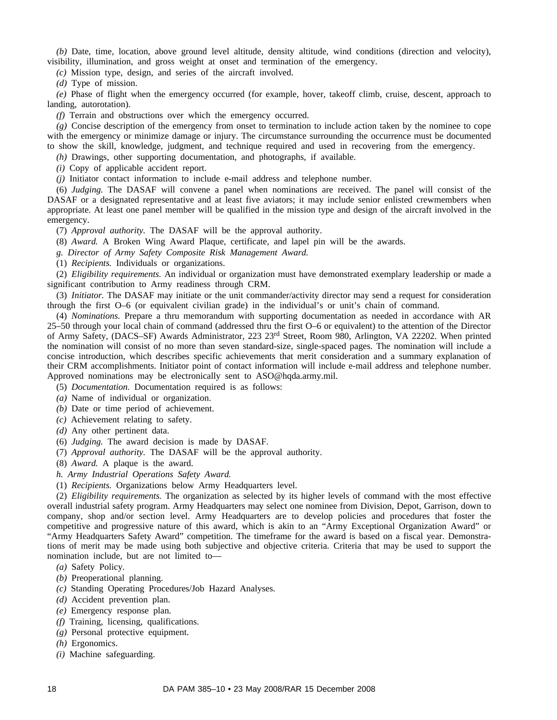*(b)* Date, time, location, above ground level altitude, density altitude, wind conditions (direction and velocity), visibility, illumination, and gross weight at onset and termination of the emergency.

*(c)* Mission type, design, and series of the aircraft involved.

*(d)* Type of mission.

*(e)* Phase of flight when the emergency occurred (for example, hover, takeoff climb, cruise, descent, approach to landing, autorotation).

*(f)* Terrain and obstructions over which the emergency occurred.

*(g)* Concise description of the emergency from onset to termination to include action taken by the nominee to cope with the emergency or minimize damage or injury. The circumstance surrounding the occurrence must be documented to show the skill, knowledge, judgment, and technique required and used in recovering from the emergency.

*(h)* Drawings, other supporting documentation, and photographs, if available.

*(i)* Copy of applicable accident report.

*(j)* Initiator contact information to include e-mail address and telephone number.

(6) *Judging.* The DASAF will convene a panel when nominations are received. The panel will consist of the DASAF or a designated representative and at least five aviators; it may include senior enlisted crewmembers when appropriate. At least one panel member will be qualified in the mission type and design of the aircraft involved in the emergency.

(7) *Approval authority.* The DASAF will be the approval authority.

(8) *Award.* A Broken Wing Award Plaque, certificate, and lapel pin will be the awards.

*g. Director of Army Safety Composite Risk Management Award.*

(1) *Recipients.* Individuals or organizations.

(2) *Eligibility requirements.* An individual or organization must have demonstrated exemplary leadership or made a significant contribution to Army readiness through CRM.

(3) *Initiator.* The DASAF may initiate or the unit commander/activity director may send a request for consideration through the first O–6 (or equivalent civilian grade) in the individual's or unit's chain of command.

(4) *Nominations.* Prepare a thru memorandum with supporting documentation as needed in accordance with AR 25–50 through your local chain of command (addressed thru the first O–6 or equivalent) to the attention of the Director of Army Safety, (DACS–SF) Awards Administrator, 223 23rd Street, Room 980, Arlington, VA 22202. When printed the nomination will consist of no more than seven standard-size, single-spaced pages. The nomination will include a concise introduction, which describes specific achievements that merit consideration and a summary explanation of their CRM accomplishments. Initiator point of contact information will include e-mail address and telephone number. Approved nominations may be electronically sent to ASO@hqda.army.mil.

(5) *Documentation.* Documentation required is as follows:

*(a)* Name of individual or organization.

*(b)* Date or time period of achievement.

- *(c)* Achievement relating to safety.
- *(d)* Any other pertinent data.
- (6) *Judging.* The award decision is made by DASAF.
- (7) *Approval authority.* The DASAF will be the approval authority.
- (8) *Award.* A plaque is the award.
- *h. Army Industrial Operations Safety Award.*
- (1) *Recipients.* Organizations below Army Headquarters level.

(2) *Eligibility requirements.* The organization as selected by its higher levels of command with the most effective overall industrial safety program. Army Headquarters may select one nominee from Division, Depot, Garrison, down to company, shop and/or section level. Army Headquarters are to develop policies and procedures that foster the competitive and progressive nature of this award, which is akin to an "Army Exceptional Organization Award" or "Army Headquarters Safety Award" competition. The timeframe for the award is based on a fiscal year. Demonstrations of merit may be made using both subjective and objective criteria. Criteria that may be used to support the nomination include, but are not limited to—

*(a)* Safety Policy.

- *(b)* Preoperational planning.
- *(c)* Standing Operating Procedures/Job Hazard Analyses.
- *(d)* Accident prevention plan.
- *(e)* Emergency response plan.
- *(f)* Training, licensing, qualifications.
- *(g)* Personal protective equipment.
- *(h)* Ergonomics.
- *(i)* Machine safeguarding.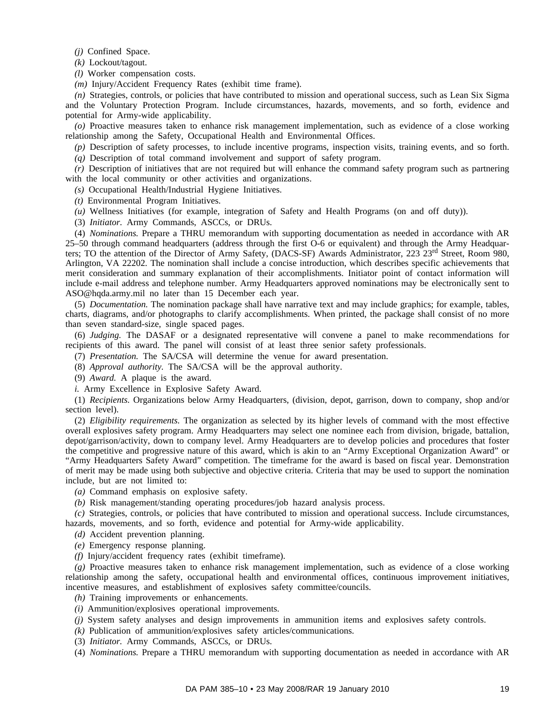*(j)* Confined Space.

*(k)* Lockout/tagout.

*(l)* Worker compensation costs.

*(m)* Injury/Accident Frequency Rates (exhibit time frame).

*(n)* Strategies, controls, or policies that have contributed to mission and operational success, such as Lean Six Sigma and the Voluntary Protection Program. Include circumstances, hazards, movements, and so forth, evidence and potential for Army-wide applicability.

*(o)* Proactive measures taken to enhance risk management implementation, such as evidence of a close working relationship among the Safety, Occupational Health and Environmental Offices.

*(p)* Description of safety processes, to include incentive programs, inspection visits, training events, and so forth. *(q)* Description of total command involvement and support of safety program.

*(r)* Description of initiatives that are not required but will enhance the command safety program such as partnering with the local community or other activities and organizations.

*(s)* Occupational Health/Industrial Hygiene Initiatives.

*(t)* Environmental Program Initiatives.

*(u)* Wellness Initiatives (for example, integration of Safety and Health Programs (on and off duty)).

(3) *Initiator.* Army Commands, ASCCs, or DRUs.

(4) *Nominations.* Prepare a THRU memorandum with supporting documentation as needed in accordance with AR 25–50 through command headquarters (address through the first O-6 or equivalent) and through the Army Headquarters; TO the attention of the Director of Army Safety, (DACS-SF) Awards Administrator, 223 23<sup>rd</sup> Street, Room 980, Arlington, VA 22202. The nomination shall include a concise introduction, which describes specific achievements that merit consideration and summary explanation of their accomplishments. Initiator point of contact information will include e-mail address and telephone number. Army Headquarters approved nominations may be electronically sent to ASO@hqda.army.mil no later than 15 December each year.

(5) *Documentation.* The nomination package shall have narrative text and may include graphics; for example, tables, charts, diagrams, and/or photographs to clarify accomplishments. When printed, the package shall consist of no more than seven standard-size, single spaced pages.

(6) *Judging.* The DASAF or a designated representative will convene a panel to make recommendations for recipients of this award. The panel will consist of at least three senior safety professionals.

(7) *Presentation.* The SA/CSA will determine the venue for award presentation.

(8) *Approval authority.* The SA/CSA will be the approval authority.

(9) *Award.* A plaque is the award.

*i.* Army Excellence in Explosive Safety Award.

(1) *Recipients.* Organizations below Army Headquarters, (division, depot, garrison, down to company, shop and/or section level).

(2) *Eligibility requirements.* The organization as selected by its higher levels of command with the most effective overall explosives safety program. Army Headquarters may select one nominee each from division, brigade, battalion, depot/garrison/activity, down to company level. Army Headquarters are to develop policies and procedures that foster the competitive and progressive nature of this award, which is akin to an "Army Exceptional Organization Award" or "Army Headquarters Safety Award" competition. The timeframe for the award is based on fiscal year. Demonstration of merit may be made using both subjective and objective criteria. Criteria that may be used to support the nomination include, but are not limited to:

*(a)* Command emphasis on explosive safety.

*(b)* Risk management/standing operating procedures/job hazard analysis process.

*(c)* Strategies, controls, or policies that have contributed to mission and operational success. Include circumstances, hazards, movements, and so forth, evidence and potential for Army-wide applicability.

*(d)* Accident prevention planning.

*(e)* Emergency response planning.

*(f)* Injury/accident frequency rates (exhibit timeframe).

*(g)* Proactive measures taken to enhance risk management implementation, such as evidence of a close working relationship among the safety, occupational health and environmental offices, continuous improvement initiatives, incentive measures, and establishment of explosives safety committee/councils.

*(h)* Training improvements or enhancements.

- *(i)* Ammunition/explosives operational improvements.
- *(j)* System safety analyses and design improvements in ammunition items and explosives safety controls.

*(k)* Publication of ammunition/explosives safety articles/communications.

(3) *Initiator.* Army Commands, ASCCs, or DRUs.

(4) *Nominations.* Prepare a THRU memorandum with supporting documentation as needed in accordance with AR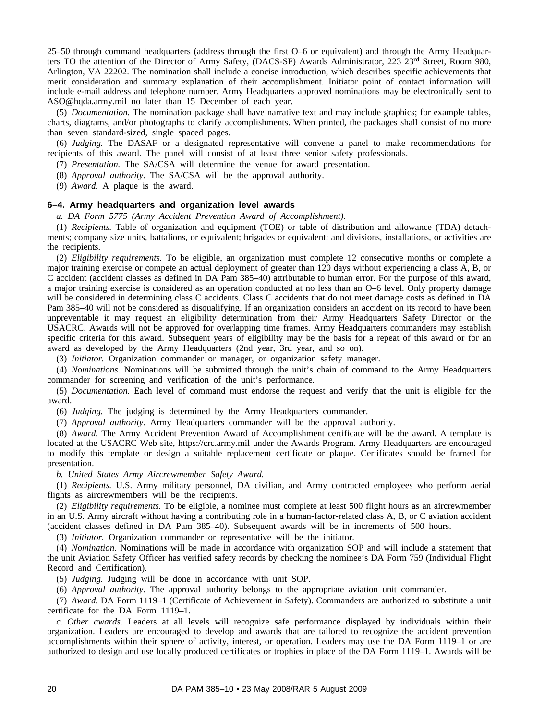25–50 through command headquarters (address through the first O–6 or equivalent) and through the Army Headquarters TO the attention of the Director of Army Safety, (DACS-SF) Awards Administrator, 223 23<sup>rd</sup> Street, Room 980, Arlington, VA 22202. The nomination shall include a concise introduction, which describes specific achievements that merit consideration and summary explanation of their accomplishment. Initiator point of contact information will include e-mail address and telephone number. Army Headquarters approved nominations may be electronically sent to ASO@hqda.army.mil no later than 15 December of each year.

(5) *Documentation.* The nomination package shall have narrative text and may include graphics; for example tables, charts, diagrams, and/or photographs to clarify accomplishments. When printed, the packages shall consist of no more than seven standard-sized, single spaced pages.

(6) *Judging.* The DASAF or a designated representative will convene a panel to make recommendations for recipients of this award. The panel will consist of at least three senior safety professionals.

(7) *Presentation.* The SA/CSA will determine the venue for award presentation.

(8) *Approval authority.* The SA/CSA will be the approval authority.

(9) *Award.* A plaque is the award.

#### **6–4. Army headquarters and organization level awards**

*a. DA Form 5775 (Army Accident Prevention Award of Accomplishment).*

(1) *Recipients.* Table of organization and equipment (TOE) or table of distribution and allowance (TDA) detachments; company size units, battalions, or equivalent; brigades or equivalent; and divisions, installations, or activities are the recipients.

(2) *Eligibility requirements.* To be eligible, an organization must complete 12 consecutive months or complete a major training exercise or compete an actual deployment of greater than 120 days without experiencing a class A, B, or C accident (accident classes as defined in DA Pam 385–40) attributable to human error. For the purpose of this award, a major training exercise is considered as an operation conducted at no less than an O–6 level. Only property damage will be considered in determining class C accidents. Class C accidents that do not meet damage costs as defined in DA Pam 385–40 will not be considered as disqualifying. If an organization considers an accident on its record to have been unpreventable it may request an eligibility determination from their Army Headquarters Safety Director or the USACRC. Awards will not be approved for overlapping time frames. Army Headquarters commanders may establish specific criteria for this award. Subsequent years of eligibility may be the basis for a repeat of this award or for an award as developed by the Army Headquarters (2nd year, 3rd year, and so on).

(3) *Initiator.* Organization commander or manager, or organization safety manager.

(4) *Nominations.* Nominations will be submitted through the unit's chain of command to the Army Headquarters commander for screening and verification of the unit's performance.

(5) *Documentation.* Each level of command must endorse the request and verify that the unit is eligible for the award.

(6) *Judging.* The judging is determined by the Army Headquarters commander.

(7) *Approval authority.* Army Headquarters commander will be the approval authority.

(8) *Award.* The Army Accident Prevention Award of Accomplishment certificate will be the award. A template is located at the USACRC Web site, https://crc.army.mil under the Awards Program. Army Headquarters are encouraged to modify this template or design a suitable replacement certificate or plaque. Certificates should be framed for presentation.

*b. United States Army Aircrewmember Safety Award.*

(1) *Recipients.* U.S. Army military personnel, DA civilian, and Army contracted employees who perform aerial flights as aircrewmembers will be the recipients.

(2) *Eligibility requirements.* To be eligible, a nominee must complete at least 500 flight hours as an aircrewmember in an U.S. Army aircraft without having a contributing role in a human-factor-related class A, B, or C aviation accident (accident classes defined in DA Pam 385–40). Subsequent awards will be in increments of 500 hours.

(3) *Initiator.* Organization commander or representative will be the initiator.

(4) *Nomination.* Nominations will be made in accordance with organization SOP and will include a statement that the unit Aviation Safety Officer has verified safety records by checking the nominee's DA Form 759 (Individual Flight Record and Certification).

(5) *Judging.* Judging will be done in accordance with unit SOP.

(6) *Approval authority.* The approval authority belongs to the appropriate aviation unit commander.

(7) *Award.* DA Form 1119–1 (Certificate of Achievement in Safety). Commanders are authorized to substitute a unit certificate for the DA Form 1119–1.

*c. Other awards.* Leaders at all levels will recognize safe performance displayed by individuals within their organization. Leaders are encouraged to develop and awards that are tailored to recognize the accident prevention accomplishments within their sphere of activity, interest, or operation. Leaders may use the DA Form 1119–1 or are authorized to design and use locally produced certificates or trophies in place of the DA Form 1119–1. Awards will be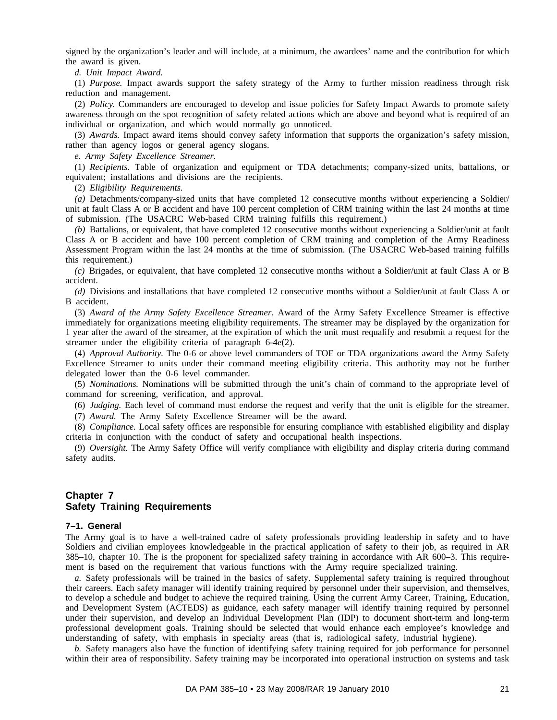signed by the organization's leader and will include, at a minimum, the awardees' name and the contribution for which the award is given.

*d. Unit Impact Award.*

(1) *Purpose.* Impact awards support the safety strategy of the Army to further mission readiness through risk reduction and management.

(2) *Policy.* Commanders are encouraged to develop and issue policies for Safety Impact Awards to promote safety awareness through on the spot recognition of safety related actions which are above and beyond what is required of an individual or organization, and which would normally go unnoticed.

(3) *Awards.* Impact award items should convey safety information that supports the organization's safety mission, rather than agency logos or general agency slogans.

*e. Army Safety Excellence Streamer.*

(1) *Recipients.* Table of organization and equipment or TDA detachments; company-sized units, battalions, or equivalent; installations and divisions are the recipients.

(2) *Eligibility Requirements.*

*(a)* Detachments/company-sized units that have completed 12 consecutive months without experiencing a Soldier/ unit at fault Class A or B accident and have 100 percent completion of CRM training within the last 24 months at time of submission. (The USACRC Web-based CRM training fulfills this requirement.)

*(b)* Battalions, or equivalent, that have completed 12 consecutive months without experiencing a Soldier/unit at fault Class A or B accident and have 100 percent completion of CRM training and completion of the Army Readiness Assessment Program within the last 24 months at the time of submission. (The USACRC Web-based training fulfills this requirement.)

*(c)* Brigades, or equivalent, that have completed 12 consecutive months without a Soldier/unit at fault Class A or B accident.

*(d)* Divisions and installations that have completed 12 consecutive months without a Soldier/unit at fault Class A or B accident.

(3) *Award of the Army Safety Excellence Streamer.* Award of the Army Safety Excellence Streamer is effective immediately for organizations meeting eligibility requirements. The streamer may be displayed by the organization for 1 year after the award of the streamer, at the expiration of which the unit must requalify and resubmit a request for the streamer under the eligibility criteria of paragraph 6-4*e*(2).

(4) *Approval Authority.* The 0-6 or above level commanders of TOE or TDA organizations award the Army Safety Excellence Streamer to units under their command meeting eligibility criteria. This authority may not be further delegated lower than the 0-6 level commander.

(5) *Nominations.* Nominations will be submitted through the unit's chain of command to the appropriate level of command for screening, verification, and approval.

(6) *Judging.* Each level of command must endorse the request and verify that the unit is eligible for the streamer. (7) *Award.* The Army Safety Excellence Streamer will be the award.

(8) *Compliance.* Local safety offices are responsible for ensuring compliance with established eligibility and display criteria in conjunction with the conduct of safety and occupational health inspections.

(9) *Oversight.* The Army Safety Office will verify compliance with eligibility and display criteria during command safety audits.

# **Chapter 7 Safety Training Requirements**

#### **7–1. General**

The Army goal is to have a well-trained cadre of safety professionals providing leadership in safety and to have Soldiers and civilian employees knowledgeable in the practical application of safety to their job, as required in AR 385–10, chapter 10. The is the proponent for specialized safety training in accordance with AR 600–3. This requirement is based on the requirement that various functions with the Army require specialized training.

*a.* Safety professionals will be trained in the basics of safety. Supplemental safety training is required throughout their careers. Each safety manager will identify training required by personnel under their supervision, and themselves, to develop a schedule and budget to achieve the required training. Using the current Army Career, Training, Education, and Development System (ACTEDS) as guidance, each safety manager will identify training required by personnel under their supervision, and develop an Individual Development Plan (IDP) to document short-term and long-term professional development goals. Training should be selected that would enhance each employee's knowledge and understanding of safety, with emphasis in specialty areas (that is, radiological safety, industrial hygiene).

*b.* Safety managers also have the function of identifying safety training required for job performance for personnel within their area of responsibility. Safety training may be incorporated into operational instruction on systems and task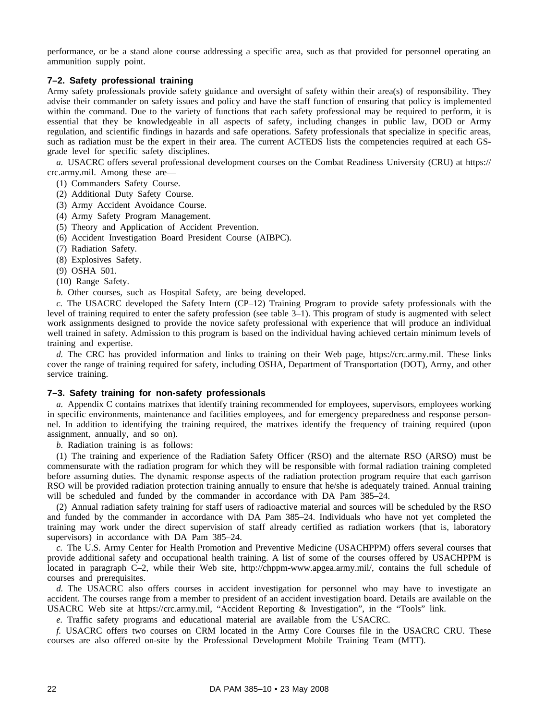performance, or be a stand alone course addressing a specific area, such as that provided for personnel operating an ammunition supply point.

# **7–2. Safety professional training**

Army safety professionals provide safety guidance and oversight of safety within their area(s) of responsibility. They advise their commander on safety issues and policy and have the staff function of ensuring that policy is implemented within the command. Due to the variety of functions that each safety professional may be required to perform, it is essential that they be knowledgeable in all aspects of safety, including changes in public law, DOD or Army regulation, and scientific findings in hazards and safe operations. Safety professionals that specialize in specific areas, such as radiation must be the expert in their area. The current ACTEDS lists the competencies required at each GSgrade level for specific safety disciplines.

*a.* USACRC offers several professional development courses on the Combat Readiness University (CRU) at https:// crc.army.mil. Among these are—

- (1) Commanders Safety Course.
- (2) Additional Duty Safety Course.
- (3) Army Accident Avoidance Course.
- (4) Army Safety Program Management.
- (5) Theory and Application of Accident Prevention.
- (6) Accident Investigation Board President Course (AIBPC).
- (7) Radiation Safety.
- (8) Explosives Safety.
- (9) OSHA 501.
- (10) Range Safety.
- *b.* Other courses, such as Hospital Safety, are being developed.

*c.* The USACRC developed the Safety Intern (CP–12) Training Program to provide safety professionals with the level of training required to enter the safety profession (see table 3–1). This program of study is augmented with select work assignments designed to provide the novice safety professional with experience that will produce an individual well trained in safety. Admission to this program is based on the individual having achieved certain minimum levels of training and expertise.

*d.* The CRC has provided information and links to training on their Web page, https://crc.army.mil. These links cover the range of training required for safety, including OSHA, Department of Transportation (DOT), Army, and other service training.

#### **7–3. Safety training for non-safety professionals**

*a.* Appendix C contains matrixes that identify training recommended for employees, supervisors, employees working in specific environments, maintenance and facilities employees, and for emergency preparedness and response personnel. In addition to identifying the training required, the matrixes identify the frequency of training required (upon assignment, annually, and so on).

*b.* Radiation training is as follows:

(1) The training and experience of the Radiation Safety Officer (RSO) and the alternate RSO (ARSO) must be commensurate with the radiation program for which they will be responsible with formal radiation training completed before assuming duties. The dynamic response aspects of the radiation protection program require that each garrison RSO will be provided radiation protection training annually to ensure that he/she is adequately trained. Annual training will be scheduled and funded by the commander in accordance with DA Pam 385–24.

(2) Annual radiation safety training for staff users of radioactive material and sources will be scheduled by the RSO and funded by the commander in accordance with DA Pam 385–24. Individuals who have not yet completed the training may work under the direct supervision of staff already certified as radiation workers (that is, laboratory supervisors) in accordance with DA Pam 385–24.

*c.* The U.S. Army Center for Health Promotion and Preventive Medicine (USACHPPM) offers several courses that provide additional safety and occupational health training. A list of some of the courses offered by USACHPPM is located in paragraph C–2, while their Web site, http://chppm-www.apgea.army.mil/, contains the full schedule of courses and prerequisites.

*d.* The USACRC also offers courses in accident investigation for personnel who may have to investigate an accident. The courses range from a member to president of an accident investigation board. Details are available on the USACRC Web site at https://crc.army.mil, "Accident Reporting & Investigation", in the "Tools" link.

*e.* Traffic safety programs and educational material are available from the USACRC.

*f.* USACRC offers two courses on CRM located in the Army Core Courses file in the USACRC CRU. These courses are also offered on-site by the Professional Development Mobile Training Team (MTT).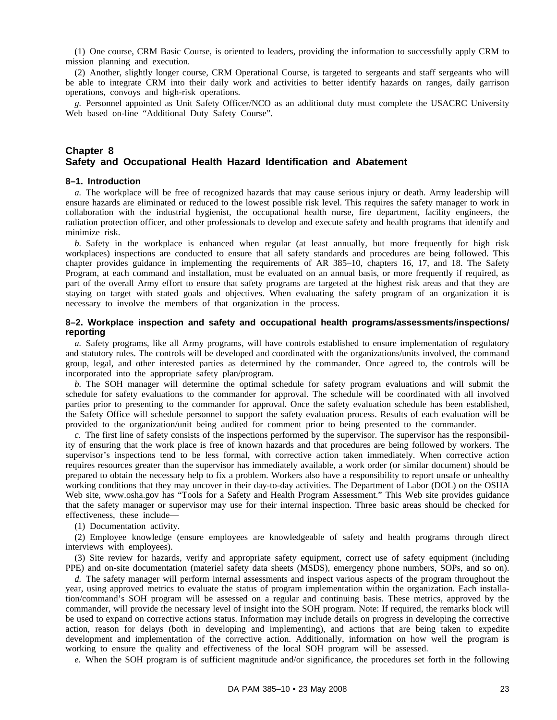(1) One course, CRM Basic Course, is oriented to leaders, providing the information to successfully apply CRM to mission planning and execution.

(2) Another, slightly longer course, CRM Operational Course, is targeted to sergeants and staff sergeants who will be able to integrate CRM into their daily work and activities to better identify hazards on ranges, daily garrison operations, convoys and high-risk operations.

*g.* Personnel appointed as Unit Safety Officer/NCO as an additional duty must complete the USACRC University Web based on-line "Additional Duty Safety Course".

#### **Chapter 8 Safety and Occupational Health Hazard Identification and Abatement**

#### **8–1. Introduction**

*a.* The workplace will be free of recognized hazards that may cause serious injury or death. Army leadership will ensure hazards are eliminated or reduced to the lowest possible risk level. This requires the safety manager to work in collaboration with the industrial hygienist, the occupational health nurse, fire department, facility engineers, the radiation protection officer, and other professionals to develop and execute safety and health programs that identify and minimize risk.

*b*. Safety in the workplace is enhanced when regular (at least annually, but more frequently for high risk workplaces) inspections are conducted to ensure that all safety standards and procedures are being followed. This chapter provides guidance in implementing the requirements of AR 385–10, chapters 16, 17, and 18. The Safety Program, at each command and installation, must be evaluated on an annual basis, or more frequently if required, as part of the overall Army effort to ensure that safety programs are targeted at the highest risk areas and that they are staying on target with stated goals and objectives. When evaluating the safety program of an organization it is necessary to involve the members of that organization in the process.

#### **8–2. Workplace inspection and safety and occupational health programs/assessments/inspections/ reporting**

*a.* Safety programs, like all Army programs, will have controls established to ensure implementation of regulatory and statutory rules. The controls will be developed and coordinated with the organizations/units involved, the command group, legal, and other interested parties as determined by the commander. Once agreed to, the controls will be incorporated into the appropriate safety plan/program.

*b.* The SOH manager will determine the optimal schedule for safety program evaluations and will submit the schedule for safety evaluations to the commander for approval. The schedule will be coordinated with all involved parties prior to presenting to the commander for approval. Once the safety evaluation schedule has been established, the Safety Office will schedule personnel to support the safety evaluation process. Results of each evaluation will be provided to the organization/unit being audited for comment prior to being presented to the commander.

*c.* The first line of safety consists of the inspections performed by the supervisor. The supervisor has the responsibility of ensuring that the work place is free of known hazards and that procedures are being followed by workers. The supervisor's inspections tend to be less formal, with corrective action taken immediately. When corrective action requires resources greater than the supervisor has immediately available, a work order (or similar document) should be prepared to obtain the necessary help to fix a problem. Workers also have a responsibility to report unsafe or unhealthy working conditions that they may uncover in their day-to-day activities. The Department of Labor (DOL) on the OSHA Web site, www.osha.gov has "Tools for a Safety and Health Program Assessment." This Web site provides guidance that the safety manager or supervisor may use for their internal inspection. Three basic areas should be checked for effectiveness, these include—

(1) Documentation activity.

(2) Employee knowledge (ensure employees are knowledgeable of safety and health programs through direct interviews with employees).

(3) Site review for hazards, verify and appropriate safety equipment, correct use of safety equipment (including PPE) and on-site documentation (materiel safety data sheets (MSDS), emergency phone numbers, SOPs, and so on).

*d.* The safety manager will perform internal assessments and inspect various aspects of the program throughout the year, using approved metrics to evaluate the status of program implementation within the organization. Each installation/command's SOH program will be assessed on a regular and continuing basis. These metrics, approved by the commander, will provide the necessary level of insight into the SOH program. Note: If required, the remarks block will be used to expand on corrective actions status. Information may include details on progress in developing the corrective action, reason for delays (both in developing and implementing), and actions that are being taken to expedite development and implementation of the corrective action. Additionally, information on how well the program is working to ensure the quality and effectiveness of the local SOH program will be assessed.

*e.* When the SOH program is of sufficient magnitude and/or significance, the procedures set forth in the following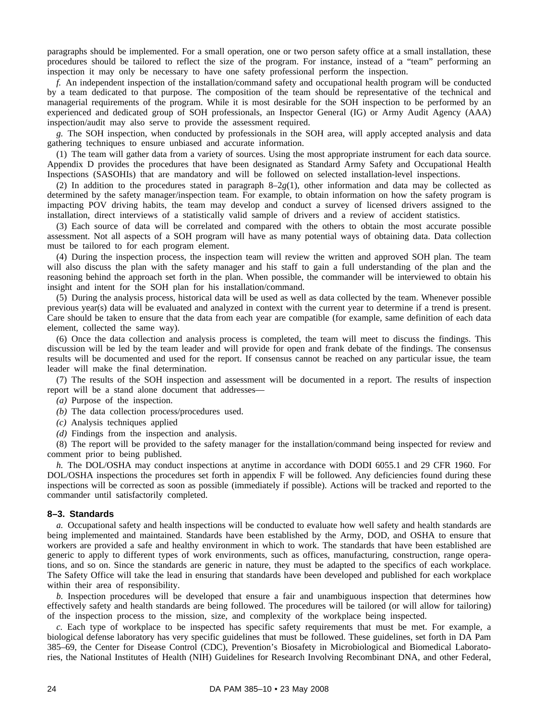paragraphs should be implemented. For a small operation, one or two person safety office at a small installation, these procedures should be tailored to reflect the size of the program. For instance, instead of a "team" performing an inspection it may only be necessary to have one safety professional perform the inspection.

*f.* An independent inspection of the installation/command safety and occupational health program will be conducted by a team dedicated to that purpose. The composition of the team should be representative of the technical and managerial requirements of the program. While it is most desirable for the SOH inspection to be performed by an experienced and dedicated group of SOH professionals, an Inspector General (IG) or Army Audit Agency (AAA) inspection/audit may also serve to provide the assessment required.

*g.* The SOH inspection, when conducted by professionals in the SOH area, will apply accepted analysis and data gathering techniques to ensure unbiased and accurate information.

(1) The team will gather data from a variety of sources. Using the most appropriate instrument for each data source. Appendix D provides the procedures that have been designated as Standard Army Safety and Occupational Health Inspections (SASOHIs) that are mandatory and will be followed on selected installation-level inspections.

(2) In addition to the procedures stated in paragraph  $8-2g(1)$ , other information and data may be collected as determined by the safety manager/inspection team. For example, to obtain information on how the safety program is impacting POV driving habits, the team may develop and conduct a survey of licensed drivers assigned to the installation, direct interviews of a statistically valid sample of drivers and a review of accident statistics.

(3) Each source of data will be correlated and compared with the others to obtain the most accurate possible assessment. Not all aspects of a SOH program will have as many potential ways of obtaining data. Data collection must be tailored to for each program element.

(4) During the inspection process, the inspection team will review the written and approved SOH plan. The team will also discuss the plan with the safety manager and his staff to gain a full understanding of the plan and the reasoning behind the approach set forth in the plan. When possible, the commander will be interviewed to obtain his insight and intent for the SOH plan for his installation/command.

(5) During the analysis process, historical data will be used as well as data collected by the team. Whenever possible previous year(s) data will be evaluated and analyzed in context with the current year to determine if a trend is present. Care should be taken to ensure that the data from each year are compatible (for example, same definition of each data element, collected the same way).

(6) Once the data collection and analysis process is completed, the team will meet to discuss the findings. This discussion will be led by the team leader and will provide for open and frank debate of the findings. The consensus results will be documented and used for the report. If consensus cannot be reached on any particular issue, the team leader will make the final determination.

(7) The results of the SOH inspection and assessment will be documented in a report. The results of inspection report will be a stand alone document that addresses—

- *(a)* Purpose of the inspection.
- *(b)* The data collection process/procedures used.
- *(c)* Analysis techniques applied
- *(d)* Findings from the inspection and analysis.

(8) The report will be provided to the safety manager for the installation/command being inspected for review and comment prior to being published.

*h.* The DOL/OSHA may conduct inspections at anytime in accordance with DODI 6055.1 and 29 CFR 1960. For DOL/OSHA inspections the procedures set forth in appendix F will be followed. Any deficiencies found during these inspections will be corrected as soon as possible (immediately if possible). Actions will be tracked and reported to the commander until satisfactorily completed.

#### **8–3. Standards**

*a.* Occupational safety and health inspections will be conducted to evaluate how well safety and health standards are being implemented and maintained. Standards have been established by the Army, DOD, and OSHA to ensure that workers are provided a safe and healthy environment in which to work. The standards that have been established are generic to apply to different types of work environments, such as offices, manufacturing, construction, range operations, and so on. Since the standards are generic in nature, they must be adapted to the specifics of each workplace. The Safety Office will take the lead in ensuring that standards have been developed and published for each workplace within their area of responsibility.

*b.* Inspection procedures will be developed that ensure a fair and unambiguous inspection that determines how effectively safety and health standards are being followed. The procedures will be tailored (or will allow for tailoring) of the inspection process to the mission, size, and complexity of the workplace being inspected.

*c.* Each type of workplace to be inspected has specific safety requirements that must be met. For example, a biological defense laboratory has very specific guidelines that must be followed. These guidelines, set forth in DA Pam 385–69, the Center for Disease Control (CDC), Prevention's Biosafety in Microbiological and Biomedical Laboratories, the National Institutes of Health (NIH) Guidelines for Research Involving Recombinant DNA, and other Federal,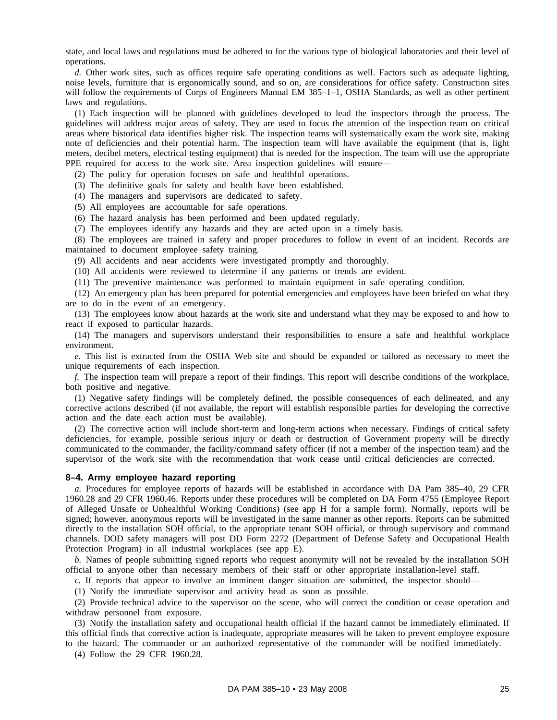state, and local laws and regulations must be adhered to for the various type of biological laboratories and their level of operations.

*d.* Other work sites, such as offices require safe operating conditions as well. Factors such as adequate lighting, noise levels, furniture that is ergonomically sound, and so on, are considerations for office safety. Construction sites will follow the requirements of Corps of Engineers Manual EM 385–1–1, OSHA Standards, as well as other pertinent laws and regulations.

(1) Each inspection will be planned with guidelines developed to lead the inspectors through the process. The guidelines will address major areas of safety. They are used to focus the attention of the inspection team on critical areas where historical data identifies higher risk. The inspection teams will systematically exam the work site, making note of deficiencies and their potential harm. The inspection team will have available the equipment (that is, light meters, decibel meters, electrical testing equipment) that is needed for the inspection. The team will use the appropriate PPE required for access to the work site. Area inspection guidelines will ensure—

(2) The policy for operation focuses on safe and healthful operations.

(3) The definitive goals for safety and health have been established.

(4) The managers and supervisors are dedicated to safety.

(5) All employees are accountable for safe operations.

(6) The hazard analysis has been performed and been updated regularly.

(7) The employees identify any hazards and they are acted upon in a timely basis.

(8) The employees are trained in safety and proper procedures to follow in event of an incident. Records are maintained to document employee safety training.

(9) All accidents and near accidents were investigated promptly and thoroughly.

(10) All accidents were reviewed to determine if any patterns or trends are evident.

(11) The preventive maintenance was performed to maintain equipment in safe operating condition.

(12) An emergency plan has been prepared for potential emergencies and employees have been briefed on what they are to do in the event of an emergency.

(13) The employees know about hazards at the work site and understand what they may be exposed to and how to react if exposed to particular hazards.

(14) The managers and supervisors understand their responsibilities to ensure a safe and healthful workplace environment.

*e.* This list is extracted from the OSHA Web site and should be expanded or tailored as necessary to meet the unique requirements of each inspection.

*f.* The inspection team will prepare a report of their findings. This report will describe conditions of the workplace, both positive and negative.

(1) Negative safety findings will be completely defined, the possible consequences of each delineated, and any corrective actions described (if not available, the report will establish responsible parties for developing the corrective action and the date each action must be available).

(2) The corrective action will include short-term and long-term actions when necessary. Findings of critical safety deficiencies, for example, possible serious injury or death or destruction of Government property will be directly communicated to the commander, the facility/command safety officer (if not a member of the inspection team) and the supervisor of the work site with the recommendation that work cease until critical deficiencies are corrected.

#### **8–4. Army employee hazard reporting**

*a.* Procedures for employee reports of hazards will be established in accordance with DA Pam 385–40, 29 CFR 1960.28 and 29 CFR 1960.46. Reports under these procedures will be completed on DA Form 4755 (Employee Report of Alleged Unsafe or Unhealthful Working Conditions) (see app H for a sample form). Normally, reports will be signed; however, anonymous reports will be investigated in the same manner as other reports. Reports can be submitted directly to the installation SOH official, to the appropriate tenant SOH official, or through supervisory and command channels. DOD safety managers will post DD Form 2272 (Department of Defense Safety and Occupational Health Protection Program) in all industrial workplaces (see app E).

*b.* Names of people submitting signed reports who request anonymity will not be revealed by the installation SOH official to anyone other than necessary members of their staff or other appropriate installation-level staff.

*c.* If reports that appear to involve an imminent danger situation are submitted, the inspector should—

(1) Notify the immediate supervisor and activity head as soon as possible.

(2) Provide technical advice to the supervisor on the scene, who will correct the condition or cease operation and withdraw personnel from exposure.

(3) Notify the installation safety and occupational health official if the hazard cannot be immediately eliminated. If this official finds that corrective action is inadequate, appropriate measures will be taken to prevent employee exposure to the hazard. The commander or an authorized representative of the commander will be notified immediately.

(4) Follow the 29 CFR 1960.28.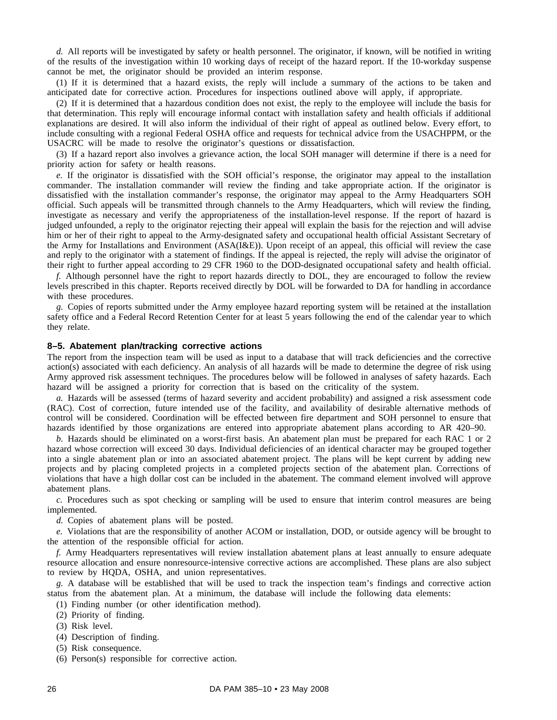*d.* All reports will be investigated by safety or health personnel. The originator, if known, will be notified in writing of the results of the investigation within 10 working days of receipt of the hazard report. If the 10-workday suspense cannot be met, the originator should be provided an interim response.

(1) If it is determined that a hazard exists, the reply will include a summary of the actions to be taken and anticipated date for corrective action. Procedures for inspections outlined above will apply, if appropriate.

(2) If it is determined that a hazardous condition does not exist, the reply to the employee will include the basis for that determination. This reply will encourage informal contact with installation safety and health officials if additional explanations are desired. It will also inform the individual of their right of appeal as outlined below. Every effort, to include consulting with a regional Federal OSHA office and requests for technical advice from the USACHPPM, or the USACRC will be made to resolve the originator's questions or dissatisfaction.

(3) If a hazard report also involves a grievance action, the local SOH manager will determine if there is a need for priority action for safety or health reasons.

*e.* If the originator is dissatisfied with the SOH official's response, the originator may appeal to the installation commander. The installation commander will review the finding and take appropriate action. If the originator is dissatisfied with the installation commander's response, the originator may appeal to the Army Headquarters SOH official. Such appeals will be transmitted through channels to the Army Headquarters, which will review the finding, investigate as necessary and verify the appropriateness of the installation-level response. If the report of hazard is judged unfounded, a reply to the originator rejecting their appeal will explain the basis for the rejection and will advise him or her of their right to appeal to the Army-designated safety and occupational health official Assistant Secretary of the Army for Installations and Environment (ASA(I&E)). Upon receipt of an appeal, this official will review the case and reply to the originator with a statement of findings. If the appeal is rejected, the reply will advise the originator of their right to further appeal according to 29 CFR 1960 to the DOD-designated occupational safety and health official.

*f.* Although personnel have the right to report hazards directly to DOL, they are encouraged to follow the review levels prescribed in this chapter. Reports received directly by DOL will be forwarded to DA for handling in accordance with these procedures.

*g.* Copies of reports submitted under the Army employee hazard reporting system will be retained at the installation safety office and a Federal Record Retention Center for at least 5 years following the end of the calendar year to which they relate.

#### **8–5. Abatement plan/tracking corrective actions**

The report from the inspection team will be used as input to a database that will track deficiencies and the corrective action(s) associated with each deficiency. An analysis of all hazards will be made to determine the degree of risk using Army approved risk assessment techniques. The procedures below will be followed in analyses of safety hazards. Each hazard will be assigned a priority for correction that is based on the criticality of the system.

*a.* Hazards will be assessed (terms of hazard severity and accident probability) and assigned a risk assessment code (RAC). Cost of correction, future intended use of the facility, and availability of desirable alternative methods of control will be considered. Coordination will be effected between fire department and SOH personnel to ensure that hazards identified by those organizations are entered into appropriate abatement plans according to AR 420–90.

*b.* Hazards should be eliminated on a worst-first basis. An abatement plan must be prepared for each RAC 1 or 2 hazard whose correction will exceed 30 days. Individual deficiencies of an identical character may be grouped together into a single abatement plan or into an associated abatement project. The plans will be kept current by adding new projects and by placing completed projects in a completed projects section of the abatement plan. Corrections of violations that have a high dollar cost can be included in the abatement. The command element involved will approve abatement plans.

*c.* Procedures such as spot checking or sampling will be used to ensure that interim control measures are being implemented.

*d.* Copies of abatement plans will be posted.

*e.* Violations that are the responsibility of another ACOM or installation, DOD, or outside agency will be brought to the attention of the responsible official for action.

*f.* Army Headquarters representatives will review installation abatement plans at least annually to ensure adequate resource allocation and ensure nonresource-intensive corrective actions are accomplished. These plans are also subject to review by HQDA, OSHA, and union representatives.

*g.* A database will be established that will be used to track the inspection team's findings and corrective action status from the abatement plan. At a minimum, the database will include the following data elements:

- (1) Finding number (or other identification method).
- (2) Priority of finding.
- (3) Risk level.
- (4) Description of finding.
- (5) Risk consequence.
- (6) Person(s) responsible for corrective action.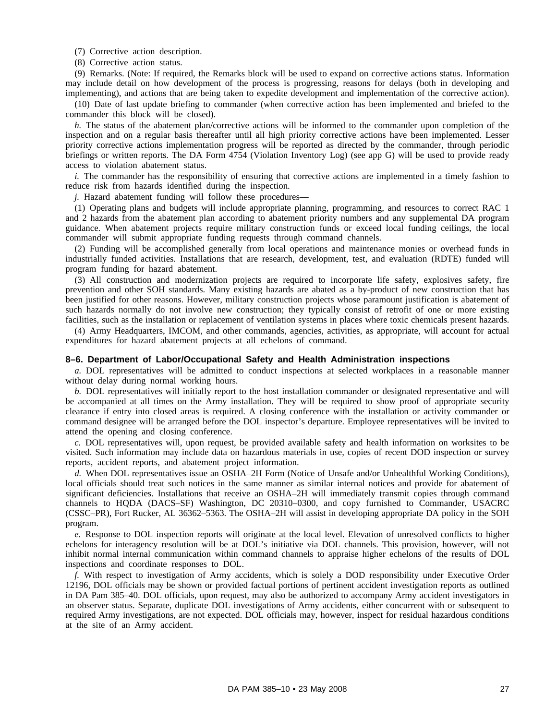(7) Corrective action description.

(8) Corrective action status.

(9) Remarks. (Note: If required, the Remarks block will be used to expand on corrective actions status. Information may include detail on how development of the process is progressing, reasons for delays (both in developing and implementing), and actions that are being taken to expedite development and implementation of the corrective action).

(10) Date of last update briefing to commander (when corrective action has been implemented and briefed to the commander this block will be closed).

*h*. The status of the abatement plan/corrective actions will be informed to the commander upon completion of the inspection and on a regular basis thereafter until all high priority corrective actions have been implemented. Lesser priority corrective actions implementation progress will be reported as directed by the commander, through periodic briefings or written reports. The DA Form 4754 (Violation Inventory Log) (see app G) will be used to provide ready access to violation abatement status.

*i.* The commander has the responsibility of ensuring that corrective actions are implemented in a timely fashion to reduce risk from hazards identified during the inspection.

*j.* Hazard abatement funding will follow these procedures—

(1) Operating plans and budgets will include appropriate planning, programming, and resources to correct RAC 1 and 2 hazards from the abatement plan according to abatement priority numbers and any supplemental DA program guidance. When abatement projects require military construction funds or exceed local funding ceilings, the local commander will submit appropriate funding requests through command channels.

(2) Funding will be accomplished generally from local operations and maintenance monies or overhead funds in industrially funded activities. Installations that are research, development, test, and evaluation (RDTE) funded will program funding for hazard abatement.

(3) All construction and modernization projects are required to incorporate life safety, explosives safety, fire prevention and other SOH standards. Many existing hazards are abated as a by-product of new construction that has been justified for other reasons. However, military construction projects whose paramount justification is abatement of such hazards normally do not involve new construction; they typically consist of retrofit of one or more existing facilities, such as the installation or replacement of ventilation systems in places where toxic chemicals present hazards.

(4) Army Headquarters, IMCOM, and other commands, agencies, activities, as appropriate, will account for actual expenditures for hazard abatement projects at all echelons of command.

#### **8–6. Department of Labor/Occupational Safety and Health Administration inspections**

*a.* DOL representatives will be admitted to conduct inspections at selected workplaces in a reasonable manner without delay during normal working hours.

*b.* DOL representatives will initially report to the host installation commander or designated representative and will be accompanied at all times on the Army installation. They will be required to show proof of appropriate security clearance if entry into closed areas is required. A closing conference with the installation or activity commander or command designee will be arranged before the DOL inspector's departure. Employee representatives will be invited to attend the opening and closing conference.

*c.* DOL representatives will, upon request, be provided available safety and health information on worksites to be visited. Such information may include data on hazardous materials in use, copies of recent DOD inspection or survey reports, accident reports, and abatement project information.

*d.* When DOL representatives issue an OSHA–2H Form (Notice of Unsafe and/or Unhealthful Working Conditions), local officials should treat such notices in the same manner as similar internal notices and provide for abatement of significant deficiencies. Installations that receive an OSHA–2H will immediately transmit copies through command channels to HQDA (DACS-SF) Washington, DC 20310-0300, and copy furnished to Commander, USACRC (CSSC–PR), Fort Rucker, AL 36362–5363. The OSHA–2H will assist in developing appropriate DA policy in the SOH program.

*e.* Response to DOL inspection reports will originate at the local level. Elevation of unresolved conflicts to higher echelons for interagency resolution will be at DOL's initiative via DOL channels. This provision, however, will not inhibit normal internal communication within command channels to appraise higher echelons of the results of DOL inspections and coordinate responses to DOL.

*f.* With respect to investigation of Army accidents, which is solely a DOD responsibility under Executive Order 12196, DOL officials may be shown or provided factual portions of pertinent accident investigation reports as outlined in DA Pam 385–40. DOL officials, upon request, may also be authorized to accompany Army accident investigators in an observer status. Separate, duplicate DOL investigations of Army accidents, either concurrent with or subsequent to required Army investigations, are not expected. DOL officials may, however, inspect for residual hazardous conditions at the site of an Army accident.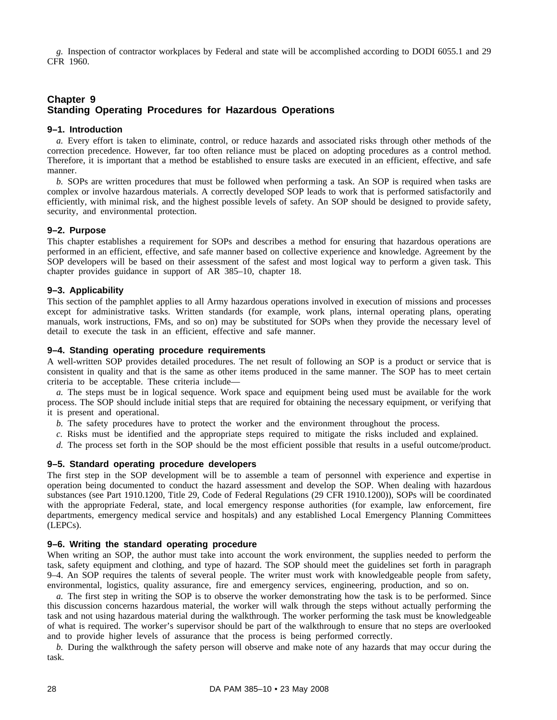*g.* Inspection of contractor workplaces by Federal and state will be accomplished according to DODI 6055.1 and 29 CFR 1960.

# **Chapter 9 Standing Operating Procedures for Hazardous Operations**

#### **9–1. Introduction**

*a.* Every effort is taken to eliminate, control, or reduce hazards and associated risks through other methods of the correction precedence. However, far too often reliance must be placed on adopting procedures as a control method. Therefore, it is important that a method be established to ensure tasks are executed in an efficient, effective, and safe manner.

*b.* SOPs are written procedures that must be followed when performing a task. An SOP is required when tasks are complex or involve hazardous materials. A correctly developed SOP leads to work that is performed satisfactorily and efficiently, with minimal risk, and the highest possible levels of safety. An SOP should be designed to provide safety, security, and environmental protection.

#### **9–2. Purpose**

This chapter establishes a requirement for SOPs and describes a method for ensuring that hazardous operations are performed in an efficient, effective, and safe manner based on collective experience and knowledge. Agreement by the SOP developers will be based on their assessment of the safest and most logical way to perform a given task. This chapter provides guidance in support of AR 385–10, chapter 18.

#### **9–3. Applicability**

This section of the pamphlet applies to all Army hazardous operations involved in execution of missions and processes except for administrative tasks. Written standards (for example, work plans, internal operating plans, operating manuals, work instructions, FMs, and so on) may be substituted for SOPs when they provide the necessary level of detail to execute the task in an efficient, effective and safe manner.

#### **9–4. Standing operating procedure requirements**

A well-written SOP provides detailed procedures. The net result of following an SOP is a product or service that is consistent in quality and that is the same as other items produced in the same manner. The SOP has to meet certain criteria to be acceptable. These criteria include—

*a.* The steps must be in logical sequence. Work space and equipment being used must be available for the work process. The SOP should include initial steps that are required for obtaining the necessary equipment, or verifying that it is present and operational.

*b.* The safety procedures have to protect the worker and the environment throughout the process.

- *c.* Risks must be identified and the appropriate steps required to mitigate the risks included and explained.
- *d.* The process set forth in the SOP should be the most efficient possible that results in a useful outcome/product.

#### **9–5. Standard operating procedure developers**

The first step in the SOP development will be to assemble a team of personnel with experience and expertise in operation being documented to conduct the hazard assessment and develop the SOP. When dealing with hazardous substances (see Part 1910.1200, Title 29, Code of Federal Regulations (29 CFR 1910.1200)), SOPs will be coordinated with the appropriate Federal, state, and local emergency response authorities (for example, law enforcement, fire departments, emergency medical service and hospitals) and any established Local Emergency Planning Committees (LEPCs).

#### **9–6. Writing the standard operating procedure**

When writing an SOP, the author must take into account the work environment, the supplies needed to perform the task, safety equipment and clothing, and type of hazard. The SOP should meet the guidelines set forth in paragraph 9–4. An SOP requires the talents of several people. The writer must work with knowledgeable people from safety, environmental, logistics, quality assurance, fire and emergency services, engineering, production, and so on.

*a.* The first step in writing the SOP is to observe the worker demonstrating how the task is to be performed. Since this discussion concerns hazardous material, the worker will walk through the steps without actually performing the task and not using hazardous material during the walkthrough. The worker performing the task must be knowledgeable of what is required. The worker's supervisor should be part of the walkthrough to ensure that no steps are overlooked and to provide higher levels of assurance that the process is being performed correctly.

*b.* During the walkthrough the safety person will observe and make note of any hazards that may occur during the task.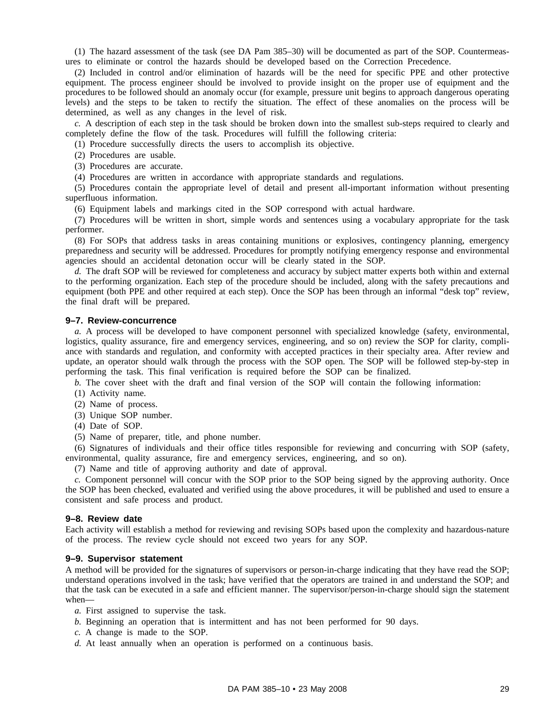(1) The hazard assessment of the task (see DA Pam 385–30) will be documented as part of the SOP. Countermeasures to eliminate or control the hazards should be developed based on the Correction Precedence.

(2) Included in control and/or elimination of hazards will be the need for specific PPE and other protective equipment. The process engineer should be involved to provide insight on the proper use of equipment and the procedures to be followed should an anomaly occur (for example, pressure unit begins to approach dangerous operating levels) and the steps to be taken to rectify the situation. The effect of these anomalies on the process will be determined, as well as any changes in the level of risk.

*c.* A description of each step in the task should be broken down into the smallest sub-steps required to clearly and completely define the flow of the task. Procedures will fulfill the following criteria:

(1) Procedure successfully directs the users to accomplish its objective.

- (2) Procedures are usable.
- (3) Procedures are accurate.

(4) Procedures are written in accordance with appropriate standards and regulations.

(5) Procedures contain the appropriate level of detail and present all-important information without presenting superfluous information.

(6) Equipment labels and markings cited in the SOP correspond with actual hardware.

(7) Procedures will be written in short, simple words and sentences using a vocabulary appropriate for the task performer.

(8) For SOPs that address tasks in areas containing munitions or explosives, contingency planning, emergency preparedness and security will be addressed. Procedures for promptly notifying emergency response and environmental agencies should an accidental detonation occur will be clearly stated in the SOP.

*d.* The draft SOP will be reviewed for completeness and accuracy by subject matter experts both within and external to the performing organization. Each step of the procedure should be included, along with the safety precautions and equipment (both PPE and other required at each step). Once the SOP has been through an informal "desk top" review, the final draft will be prepared.

#### **9–7. Review-concurrence**

*a.* A process will be developed to have component personnel with specialized knowledge (safety, environmental, logistics, quality assurance, fire and emergency services, engineering, and so on) review the SOP for clarity, compliance with standards and regulation, and conformity with accepted practices in their specialty area. After review and update, an operator should walk through the process with the SOP open. The SOP will be followed step-by-step in performing the task. This final verification is required before the SOP can be finalized.

*b.* The cover sheet with the draft and final version of the SOP will contain the following information:

- (1) Activity name.
- (2) Name of process.
- (3) Unique SOP number.
- (4) Date of SOP.

(5) Name of preparer, title, and phone number.

(6) Signatures of individuals and their office titles responsible for reviewing and concurring with SOP (safety, environmental, quality assurance, fire and emergency services, engineering, and so on).

(7) Name and title of approving authority and date of approval.

*c.* Component personnel will concur with the SOP prior to the SOP being signed by the approving authority. Once the SOP has been checked, evaluated and verified using the above procedures, it will be published and used to ensure a consistent and safe process and product.

#### **9–8. Review date**

Each activity will establish a method for reviewing and revising SOPs based upon the complexity and hazardous-nature of the process. The review cycle should not exceed two years for any SOP.

#### **9–9. Supervisor statement**

A method will be provided for the signatures of supervisors or person-in-charge indicating that they have read the SOP; understand operations involved in the task; have verified that the operators are trained in and understand the SOP; and that the task can be executed in a safe and efficient manner. The supervisor/person-in-charge should sign the statement when—

- *a.* First assigned to supervise the task.
- *b.* Beginning an operation that is intermittent and has not been performed for 90 days.
- *c.* A change is made to the SOP.
- *d.* At least annually when an operation is performed on a continuous basis.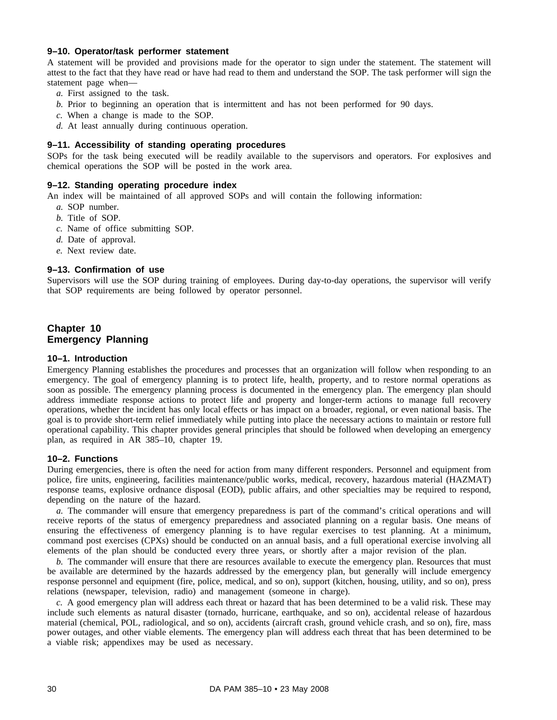#### **9–10. Operator/task performer statement**

A statement will be provided and provisions made for the operator to sign under the statement. The statement will attest to the fact that they have read or have had read to them and understand the SOP. The task performer will sign the statement page when—

- *a.* First assigned to the task.
- *b.* Prior to beginning an operation that is intermittent and has not been performed for 90 days.
- *c.* When a change is made to the SOP.
- *d.* At least annually during continuous operation.

# **9–11. Accessibility of standing operating procedures**

SOPs for the task being executed will be readily available to the supervisors and operators. For explosives and chemical operations the SOP will be posted in the work area.

#### **9–12. Standing operating procedure index**

An index will be maintained of all approved SOPs and will contain the following information:

- *a.* SOP number.
- *b.* Title of SOP.
- *c.* Name of office submitting SOP.
- *d.* Date of approval.
- *e.* Next review date.

#### **9–13. Confirmation of use**

Supervisors will use the SOP during training of employees. During day-to-day operations, the supervisor will verify that SOP requirements are being followed by operator personnel.

# **Chapter 10 Emergency Planning**

#### **10–1. Introduction**

Emergency Planning establishes the procedures and processes that an organization will follow when responding to an emergency. The goal of emergency planning is to protect life, health, property, and to restore normal operations as soon as possible. The emergency planning process is documented in the emergency plan. The emergency plan should address immediate response actions to protect life and property and longer-term actions to manage full recovery operations, whether the incident has only local effects or has impact on a broader, regional, or even national basis. The goal is to provide short-term relief immediately while putting into place the necessary actions to maintain or restore full operational capability. This chapter provides general principles that should be followed when developing an emergency plan, as required in AR 385–10, chapter 19.

#### **10–2. Functions**

During emergencies, there is often the need for action from many different responders. Personnel and equipment from police, fire units, engineering, facilities maintenance/public works, medical, recovery, hazardous material (HAZMAT) response teams, explosive ordnance disposal (EOD), public affairs, and other specialties may be required to respond, depending on the nature of the hazard.

*a.* The commander will ensure that emergency preparedness is part of the command's critical operations and will receive reports of the status of emergency preparedness and associated planning on a regular basis. One means of ensuring the effectiveness of emergency planning is to have regular exercises to test planning. At a minimum, command post exercises (CPXs) should be conducted on an annual basis, and a full operational exercise involving all elements of the plan should be conducted every three years, or shortly after a major revision of the plan.

*b.* The commander will ensure that there are resources available to execute the emergency plan. Resources that must be available are determined by the hazards addressed by the emergency plan, but generally will include emergency response personnel and equipment (fire, police, medical, and so on), support (kitchen, housing, utility, and so on), press relations (newspaper, television, radio) and management (someone in charge).

*c.* A good emergency plan will address each threat or hazard that has been determined to be a valid risk. These may include such elements as natural disaster (tornado, hurricane, earthquake, and so on), accidental release of hazardous material (chemical, POL, radiological, and so on), accidents (aircraft crash, ground vehicle crash, and so on), fire, mass power outages, and other viable elements. The emergency plan will address each threat that has been determined to be a viable risk; appendixes may be used as necessary.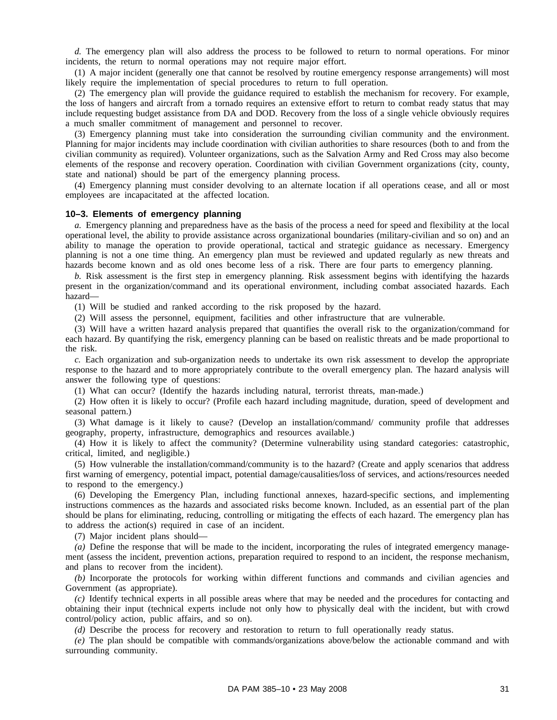*d.* The emergency plan will also address the process to be followed to return to normal operations. For minor incidents, the return to normal operations may not require major effort.

(1) A major incident (generally one that cannot be resolved by routine emergency response arrangements) will most likely require the implementation of special procedures to return to full operation.

(2) The emergency plan will provide the guidance required to establish the mechanism for recovery. For example, the loss of hangers and aircraft from a tornado requires an extensive effort to return to combat ready status that may include requesting budget assistance from DA and DOD. Recovery from the loss of a single vehicle obviously requires a much smaller commitment of management and personnel to recover.

(3) Emergency planning must take into consideration the surrounding civilian community and the environment. Planning for major incidents may include coordination with civilian authorities to share resources (both to and from the civilian community as required). Volunteer organizations, such as the Salvation Army and Red Cross may also become elements of the response and recovery operation. Coordination with civilian Government organizations (city, county, state and national) should be part of the emergency planning process.

(4) Emergency planning must consider devolving to an alternate location if all operations cease, and all or most employees are incapacitated at the affected location.

### **10–3. Elements of emergency planning**

*a.* Emergency planning and preparedness have as the basis of the process a need for speed and flexibility at the local operational level, the ability to provide assistance across organizational boundaries (military-civilian and so on) and an ability to manage the operation to provide operational, tactical and strategic guidance as necessary. Emergency planning is not a one time thing. An emergency plan must be reviewed and updated regularly as new threats and hazards become known and as old ones become less of a risk. There are four parts to emergency planning.

*b.* Risk assessment is the first step in emergency planning. Risk assessment begins with identifying the hazards present in the organization/command and its operational environment, including combat associated hazards. Each hazard—

(1) Will be studied and ranked according to the risk proposed by the hazard.

(2) Will assess the personnel, equipment, facilities and other infrastructure that are vulnerable.

(3) Will have a written hazard analysis prepared that quantifies the overall risk to the organization/command for each hazard. By quantifying the risk, emergency planning can be based on realistic threats and be made proportional to the risk.

*c.* Each organization and sub-organization needs to undertake its own risk assessment to develop the appropriate response to the hazard and to more appropriately contribute to the overall emergency plan. The hazard analysis will answer the following type of questions:

(1) What can occur? (Identify the hazards including natural, terrorist threats, man-made.)

(2) How often it is likely to occur? (Profile each hazard including magnitude, duration, speed of development and seasonal pattern.)

(3) What damage is it likely to cause? (Develop an installation/command/ community profile that addresses geography, property, infrastructure, demographics and resources available.)

(4) How it is likely to affect the community? (Determine vulnerability using standard categories: catastrophic, critical, limited, and negligible.)

(5) How vulnerable the installation/command/community is to the hazard? (Create and apply scenarios that address first warning of emergency, potential impact, potential damage/causalities/loss of services, and actions/resources needed to respond to the emergency.)

(6) Developing the Emergency Plan, including functional annexes, hazard-specific sections, and implementing instructions commences as the hazards and associated risks become known. Included, as an essential part of the plan should be plans for eliminating, reducing, controlling or mitigating the effects of each hazard. The emergency plan has to address the action(s) required in case of an incident.

(7) Major incident plans should—

*(a)* Define the response that will be made to the incident, incorporating the rules of integrated emergency management (assess the incident, prevention actions, preparation required to respond to an incident, the response mechanism, and plans to recover from the incident).

*(b)* Incorporate the protocols for working within different functions and commands and civilian agencies and Government (as appropriate).

*(c)* Identify technical experts in all possible areas where that may be needed and the procedures for contacting and obtaining their input (technical experts include not only how to physically deal with the incident, but with crowd control/policy action, public affairs, and so on).

*(d)* Describe the process for recovery and restoration to return to full operationally ready status.

*(e)* The plan should be compatible with commands/organizations above/below the actionable command and with surrounding community.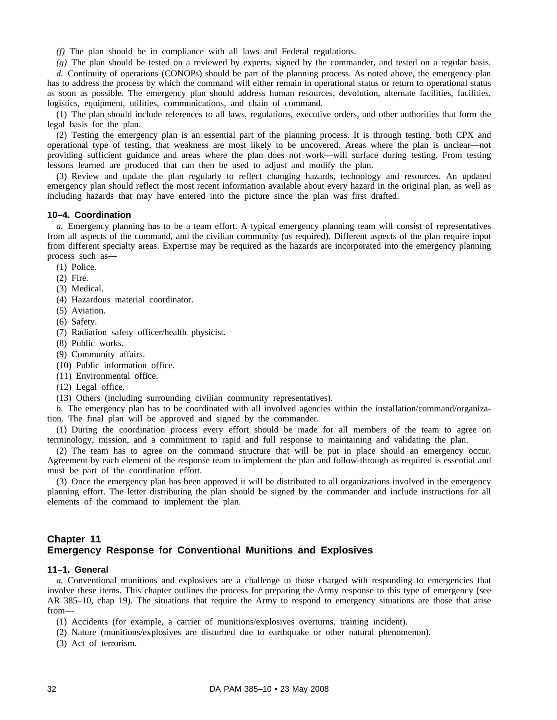*(f)* The plan should be in compliance with all laws and Federal regulations.

*(g)* The plan should be tested on a reviewed by experts, signed by the commander, and tested on a regular basis. *d.* Continuity of operations (CONOPs) should be part of the planning process. As noted above, the emergency plan has to address the process by which the command will either remain in operational status or return to operational status as soon as possible. The emergency plan should address human resources, devolution, alternate facilities, facilities, logistics, equipment, utilities, communications, and chain of command.

(1) The plan should include references to all laws, regulations, executive orders, and other authorities that form the legal basis for the plan.

(2) Testing the emergency plan is an essential part of the planning process. It is through testing, both CPX and operational type of testing, that weakness are most likely to be uncovered. Areas where the plan is unclear—not providing sufficient guidance and areas where the plan does not work—will surface during testing. From testing lessons learned are produced that can then be used to adjust and modify the plan.

(3) Review and update the plan regularly to reflect changing hazards, technology and resources. An updated emergency plan should reflect the most recent information available about every hazard in the original plan, as well as including hazards that may have entered into the picture since the plan was first drafted.

### **10–4. Coordination**

*a.* Emergency planning has to be a team effort. A typical emergency planning team will consist of representatives from all aspects of the command, and the civilian community (as required). Different aspects of the plan require input from different specialty areas. Expertise may be required as the hazards are incorporated into the emergency planning process such as—

(1) Police.

(2) Fire.

(3) Medical.

(4) Hazardous material coordinator.

(5) Aviation.

(6) Safety.

(7) Radiation safety officer/health physicist.

(8) Public works.

(9) Community affairs.

(10) Public information office.

- (11) Environmental office.
- (12) Legal office.
- (13) Others (including surrounding civilian community representatives).

*b.* The emergency plan has to be coordinated with all involved agencies within the installation/command/organization. The final plan will be approved and signed by the commander.

(1) During the coordination process every effort should be made for all members of the team to agree on terminology, mission, and a commitment to rapid and full response to maintaining and validating the plan.

(2) The team has to agree on the command structure that will be put in place should an emergency occur. Agreement by each element of the response team to implement the plan and follow-through as required is essential and must be part of the coordination effort.

(3) Once the emergency plan has been approved it will be distributed to all organizations involved in the emergency planning effort. The letter distributing the plan should be signed by the commander and include instructions for all elements of the command to implement the plan.

# **Chapter 11 Emergency Response for Conventional Munitions and Explosives**

## **11–1. General**

*a.* Conventional munitions and explosives are a challenge to those charged with responding to emergencies that involve these items. This chapter outlines the process for preparing the Army response to this type of emergency (see AR 385–10, chap 19). The situations that require the Army to respond to emergency situations are those that arise from—

(1) Accidents (for example, a carrier of munitions/explosives overturns, training incident).

- (2) Nature (munitions/explosives are disturbed due to earthquake or other natural phenomenon).
- (3) Act of terrorism.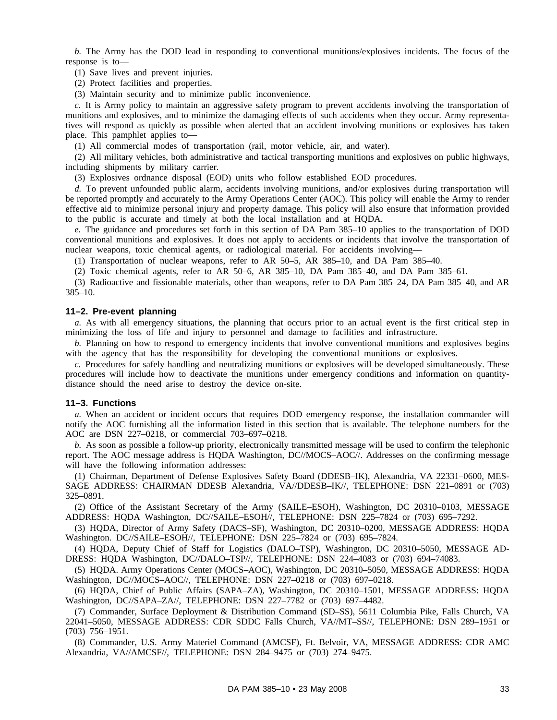*b.* The Army has the DOD lead in responding to conventional munitions/explosives incidents. The focus of the response is to—

(1) Save lives and prevent injuries.

(2) Protect facilities and properties.

(3) Maintain security and to minimize public inconvenience.

*c.* It is Army policy to maintain an aggressive safety program to prevent accidents involving the transportation of munitions and explosives, and to minimize the damaging effects of such accidents when they occur. Army representatives will respond as quickly as possible when alerted that an accident involving munitions or explosives has taken place. This pamphlet applies to—

(1) All commercial modes of transportation (rail, motor vehicle, air, and water).

(2) All military vehicles, both administrative and tactical transporting munitions and explosives on public highways, including shipments by military carrier.

(3) Explosives ordnance disposal (EOD) units who follow established EOD procedures.

*d.* To prevent unfounded public alarm, accidents involving munitions, and/or explosives during transportation will be reported promptly and accurately to the Army Operations Center (AOC). This policy will enable the Army to render effective aid to minimize personal injury and property damage. This policy will also ensure that information provided to the public is accurate and timely at both the local installation and at HQDA.

*e.* The guidance and procedures set forth in this section of DA Pam 385–10 applies to the transportation of DOD conventional munitions and explosives. It does not apply to accidents or incidents that involve the transportation of nuclear weapons, toxic chemical agents, or radiological material. For accidents involving—

(1) Transportation of nuclear weapons, refer to AR 50–5, AR 385–10, and DA Pam 385–40.

(2) Toxic chemical agents, refer to AR 50–6, AR 385–10, DA Pam 385–40, and DA Pam 385–61.

(3) Radioactive and fissionable materials, other than weapons, refer to DA Pam 385–24, DA Pam 385–40, and AR 385–10.

### **11–2. Pre-event planning**

*a.* As with all emergency situations, the planning that occurs prior to an actual event is the first critical step in minimizing the loss of life and injury to personnel and damage to facilities and infrastructure.

*b.* Planning on how to respond to emergency incidents that involve conventional munitions and explosives begins with the agency that has the responsibility for developing the conventional munitions or explosives.

*c.* Procedures for safely handling and neutralizing munitions or explosives will be developed simultaneously. These procedures will include how to deactivate the munitions under emergency conditions and information on quantitydistance should the need arise to destroy the device on-site.

#### **11–3. Functions**

*a.* When an accident or incident occurs that requires DOD emergency response, the installation commander will notify the AOC furnishing all the information listed in this section that is available. The telephone numbers for the AOC are DSN 227–0218, or commercial 703–697–0218.

*b.* As soon as possible a follow-up priority, electronically transmitted message will be used to confirm the telephonic report. The AOC message address is HQDA Washington, DC//MOCS–AOC//. Addresses on the confirming message will have the following information addresses:

(1) Chairman, Department of Defense Explosives Safety Board (DDESB–IK), Alexandria, VA 22331–0600, MES-SAGE ADDRESS: CHAIRMAN DDESB Alexandria, VA//DDESB–IK//, TELEPHONE: DSN 221–0891 or (703) 325–0891.

(2) Office of the Assistant Secretary of the Army (SAILE–ESOH), Washington, DC 20310–0103, MESSAGE ADDRESS: HQDA Washington, DC//SAILE–ESOH//, TELEPHONE: DSN 225–7824 or (703) 695–7292.

(3) HQDA, Director of Army Safety (DACS–SF), Washington, DC 20310–0200, MESSAGE ADDRESS: HQDA Washington. DC//SAILE–ESOH//, TELEPHONE: DSN 225–7824 or (703) 695–7824.

(4) HQDA, Deputy Chief of Staff for Logistics (DALO–TSP), Washington, DC 20310–5050, MESSAGE AD-DRESS: HQDA Washington, DC//DALO–TSP//, TELEPHONE: DSN 224–4083 or (703) 694–74083.

(5) HQDA. Army Operations Center (MOCS–AOC), Washington, DC 20310–5050, MESSAGE ADDRESS: HQDA Washington, DC//MOCS–AOC//, TELEPHONE: DSN 227–0218 or (703) 697–0218.

(6) HQDA, Chief of Public Affairs (SAPA–ZA), Washington, DC 20310–1501, MESSAGE ADDRESS: HQDA Washington, DC//SAPA–ZA//, TELEPHONE: DSN 227–7782 or (703) 697–4482.

(7) Commander, Surface Deployment & Distribution Command (SD–SS), 5611 Columbia Pike, Falls Church, VA 22041–5050, MESSAGE ADDRESS: CDR SDDC Falls Church, VA//MT–SS//, TELEPHONE: DSN 289–1951 or (703) 756–1951.

(8) Commander, U.S. Army Materiel Command (AMCSF), Ft. Belvoir, VA, MESSAGE ADDRESS: CDR AMC Alexandria, VA//AMCSF//, TELEPHONE: DSN 284–9475 or (703) 274–9475.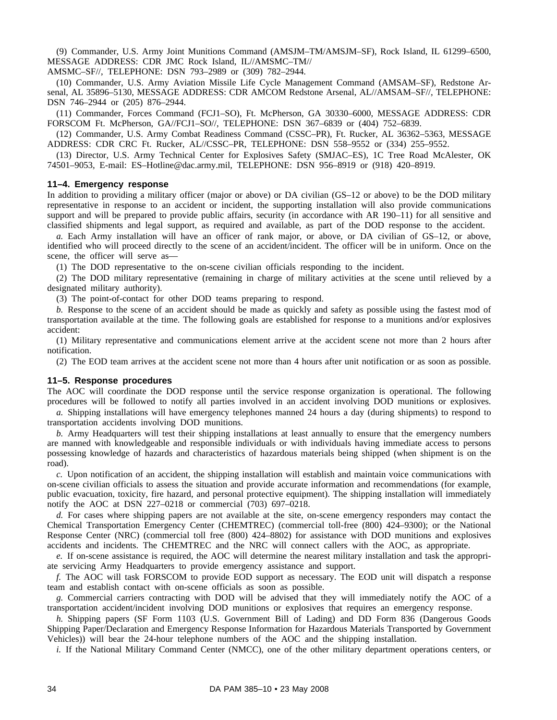(9) Commander, U.S. Army Joint Munitions Command (AMSJM–TM/AMSJM–SF), Rock Island, IL 61299–6500, MESSAGE ADDRESS: CDR JMC Rock Island, IL//AMSMC–TM//

AMSMC–SF//, TELEPHONE: DSN 793–2989 or (309) 782–2944.

(10) Commander, U.S. Army Aviation Missile Life Cycle Management Command (AMSAM–SF), Redstone Arsenal, AL 35896–5130, MESSAGE ADDRESS: CDR AMCOM Redstone Arsenal, AL//AMSAM–SF//, TELEPHONE: DSN 746–2944 or (205) 876–2944.

(11) Commander, Forces Command (FCJ1–SO), Ft. McPherson, GA 30330–6000, MESSAGE ADDRESS: CDR FORSCOM Ft. McPherson, GA//FCJ1–SO//, TELEPHONE: DSN 367–6839 or (404) 752–6839.

(12) Commander, U.S. Army Combat Readiness Command (CSSC–PR), Ft. Rucker, AL 36362–5363, MESSAGE ADDRESS: CDR CRC Ft. Rucker, AL//CSSC–PR, TELEPHONE: DSN 558–9552 or (334) 255–9552.

(13) Director, U.S. Army Technical Center for Explosives Safety (SMJAC–ES), 1C Tree Road McAlester, OK 74501–9053, E-mail: ES–Hotline@dac.army.mil, TELEPHONE: DSN 956–8919 or (918) 420–8919.

### **11–4. Emergency response**

In addition to providing a military officer (major or above) or DA civilian (GS–12 or above) to be the DOD military representative in response to an accident or incident, the supporting installation will also provide communications support and will be prepared to provide public affairs, security (in accordance with AR 190–11) for all sensitive and classified shipments and legal support, as required and available, as part of the DOD response to the accident.

*a.* Each Army installation will have an officer of rank major, or above, or DA civilian of GS–12, or above, identified who will proceed directly to the scene of an accident/incident. The officer will be in uniform. Once on the scene, the officer will serve as—

(1) The DOD representative to the on-scene civilian officials responding to the incident.

(2) The DOD military representative (remaining in charge of military activities at the scene until relieved by a designated military authority).

(3) The point-of-contact for other DOD teams preparing to respond.

*b.* Response to the scene of an accident should be made as quickly and safety as possible using the fastest mod of transportation available at the time. The following goals are established for response to a munitions and/or explosives accident:

(1) Military representative and communications element arrive at the accident scene not more than 2 hours after notification.

(2) The EOD team arrives at the accident scene not more than 4 hours after unit notification or as soon as possible.

#### **11–5. Response procedures**

The AOC will coordinate the DOD response until the service response organization is operational. The following procedures will be followed to notify all parties involved in an accident involving DOD munitions or explosives.

*a.* Shipping installations will have emergency telephones manned 24 hours a day (during shipments) to respond to transportation accidents involving DOD munitions.

*b.* Army Headquarters will test their shipping installations at least annually to ensure that the emergency numbers are manned with knowledgeable and responsible individuals or with individuals having immediate access to persons possessing knowledge of hazards and characteristics of hazardous materials being shipped (when shipment is on the road).

*c.* Upon notification of an accident, the shipping installation will establish and maintain voice communications with on-scene civilian officials to assess the situation and provide accurate information and recommendations (for example, public evacuation, toxicity, fire hazard, and personal protective equipment). The shipping installation will immediately notify the AOC at DSN 227–0218 or commercial (703) 697–0218.

*d.* For cases where shipping papers are not available at the site, on-scene emergency responders may contact the Chemical Transportation Emergency Center (CHEMTREC) (commercial toll-free (800) 424–9300); or the National Response Center (NRC) (commercial toll free (800) 424–8802) for assistance with DOD munitions and explosives accidents and incidents. The CHEMTREC and the NRC will connect callers with the AOC, as appropriate.

*e.* If on-scene assistance is required, the AOC will determine the nearest military installation and task the appropriate servicing Army Headquarters to provide emergency assistance and support.

*f.* The AOC will task FORSCOM to provide EOD support as necessary. The EOD unit will dispatch a response team and establish contact with on-scene officials as soon as possible.

*g.* Commercial carriers contracting with DOD will be advised that they will immediately notify the AOC of a transportation accident/incident involving DOD munitions or explosives that requires an emergency response.

*h.* Shipping papers (SF Form 1103 (U.S. Government Bill of Lading) and DD Form 836 (Dangerous Goods Shipping Paper/Declaration and Emergency Response Information for Hazardous Materials Transported by Government Vehicles)) will bear the 24-hour telephone numbers of the AOC and the shipping installation.

*i.* If the National Military Command Center (NMCC), one of the other military department operations centers, or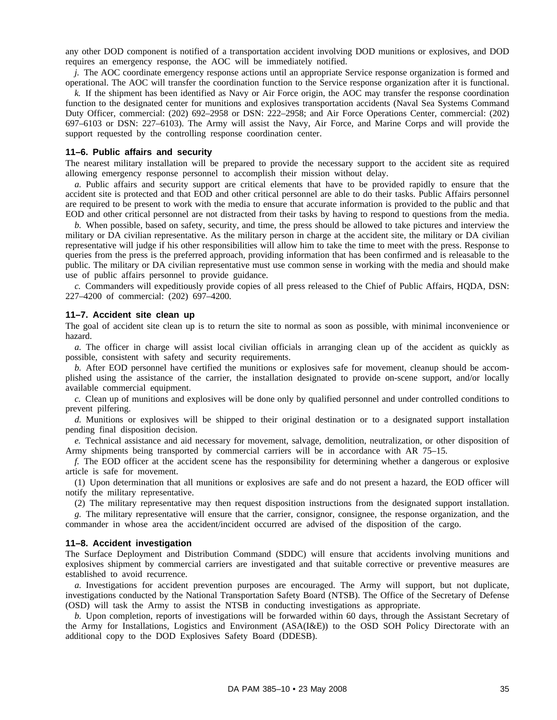any other DOD component is notified of a transportation accident involving DOD munitions or explosives, and DOD requires an emergency response, the AOC will be immediately notified.

*j.* The AOC coordinate emergency response actions until an appropriate Service response organization is formed and operational. The AOC will transfer the coordination function to the Service response organization after it is functional.

*k.* If the shipment has been identified as Navy or Air Force origin, the AOC may transfer the response coordination function to the designated center for munitions and explosives transportation accidents (Naval Sea Systems Command Duty Officer, commercial: (202) 692–2958 or DSN: 222–2958; and Air Force Operations Center, commercial: (202) 697–6103 or DSN: 227–6103). The Army will assist the Navy, Air Force, and Marine Corps and will provide the support requested by the controlling response coordination center.

## **11–6. Public affairs and security**

The nearest military installation will be prepared to provide the necessary support to the accident site as required allowing emergency response personnel to accomplish their mission without delay.

*a.* Public affairs and security support are critical elements that have to be provided rapidly to ensure that the accident site is protected and that EOD and other critical personnel are able to do their tasks. Public Affairs personnel are required to be present to work with the media to ensure that accurate information is provided to the public and that EOD and other critical personnel are not distracted from their tasks by having to respond to questions from the media.

*b.* When possible, based on safety, security, and time, the press should be allowed to take pictures and interview the military or DA civilian representative. As the military person in charge at the accident site, the military or DA civilian representative will judge if his other responsibilities will allow him to take the time to meet with the press. Response to queries from the press is the preferred approach, providing information that has been confirmed and is releasable to the public. The military or DA civilian representative must use common sense in working with the media and should make use of public affairs personnel to provide guidance.

*c.* Commanders will expeditiously provide copies of all press released to the Chief of Public Affairs, HQDA, DSN: 227–4200 of commercial: (202) 697–4200.

## **11–7. Accident site clean up**

The goal of accident site clean up is to return the site to normal as soon as possible, with minimal inconvenience or hazard.

*a.* The officer in charge will assist local civilian officials in arranging clean up of the accident as quickly as possible, consistent with safety and security requirements.

*b.* After EOD personnel have certified the munitions or explosives safe for movement, cleanup should be accomplished using the assistance of the carrier, the installation designated to provide on-scene support, and/or locally available commercial equipment.

*c.* Clean up of munitions and explosives will be done only by qualified personnel and under controlled conditions to prevent pilfering.

*d.* Munitions or explosives will be shipped to their original destination or to a designated support installation pending final disposition decision.

*e.* Technical assistance and aid necessary for movement, salvage, demolition, neutralization, or other disposition of Army shipments being transported by commercial carriers will be in accordance with AR 75–15.

*f.* The EOD officer at the accident scene has the responsibility for determining whether a dangerous or explosive article is safe for movement.

(1) Upon determination that all munitions or explosives are safe and do not present a hazard, the EOD officer will notify the military representative.

(2) The military representative may then request disposition instructions from the designated support installation.

*g.* The military representative will ensure that the carrier, consignor, consignee, the response organization, and the commander in whose area the accident/incident occurred are advised of the disposition of the cargo.

#### **11–8. Accident investigation**

The Surface Deployment and Distribution Command (SDDC) will ensure that accidents involving munitions and explosives shipment by commercial carriers are investigated and that suitable corrective or preventive measures are established to avoid recurrence.

*a.* Investigations for accident prevention purposes are encouraged. The Army will support, but not duplicate, investigations conducted by the National Transportation Safety Board (NTSB). The Office of the Secretary of Defense (OSD) will task the Army to assist the NTSB in conducting investigations as appropriate.

*b.* Upon completion, reports of investigations will be forwarded within 60 days, through the Assistant Secretary of the Army for Installations, Logistics and Environment (ASA(I&E)) to the OSD SOH Policy Directorate with an additional copy to the DOD Explosives Safety Board (DDESB).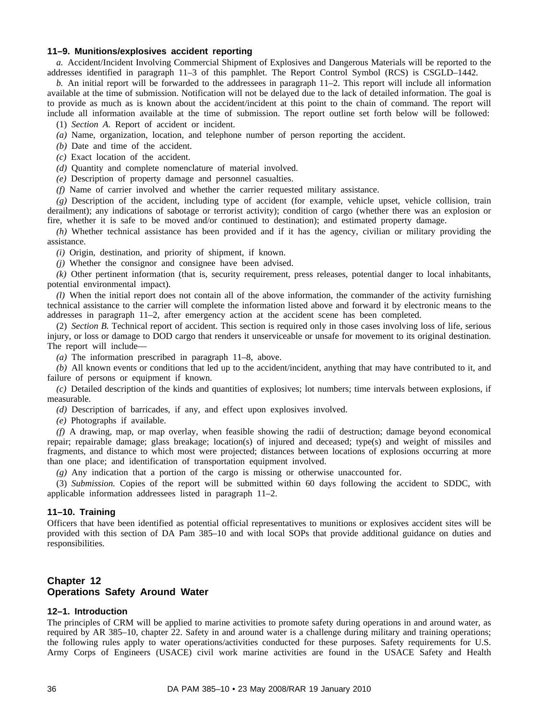## **11–9. Munitions/explosives accident reporting**

*a.* Accident/Incident Involving Commercial Shipment of Explosives and Dangerous Materials will be reported to the addresses identified in paragraph 11–3 of this pamphlet. The Report Control Symbol (RCS) is CSGLD–1442.

*b.* An initial report will be forwarded to the addressees in paragraph 11–2. This report will include all information available at the time of submission. Notification will not be delayed due to the lack of detailed information. The goal is to provide as much as is known about the accident/incident at this point to the chain of command. The report will include all information available at the time of submission. The report outline set forth below will be followed: (1) *Section A.* Report of accident or incident.

*(a)* Name, organization, location, and telephone number of person reporting the accident.

*(b)* Date and time of the accident.

*(c)* Exact location of the accident.

*(d)* Quantity and complete nomenclature of material involved.

*(e)* Description of property damage and personnel casualties.

*(f)* Name of carrier involved and whether the carrier requested military assistance.

*(g)* Description of the accident, including type of accident (for example, vehicle upset, vehicle collision, train derailment); any indications of sabotage or terrorist activity); condition of cargo (whether there was an explosion or fire, whether it is safe to be moved and/or continued to destination); and estimated property damage.

*(h)* Whether technical assistance has been provided and if it has the agency, civilian or military providing the assistance.

*(i)* Origin, destination, and priority of shipment, if known.

*(j)* Whether the consignor and consignee have been advised.

*(k)* Other pertinent information (that is, security requirement, press releases, potential danger to local inhabitants, potential environmental impact).

*(l)* When the initial report does not contain all of the above information, the commander of the activity furnishing technical assistance to the carrier will complete the information listed above and forward it by electronic means to the addresses in paragraph 11–2, after emergency action at the accident scene has been completed.

(2) *Section B.* Technical report of accident. This section is required only in those cases involving loss of life, serious injury, or loss or damage to DOD cargo that renders it unserviceable or unsafe for movement to its original destination. The report will include—

*(a)* The information prescribed in paragraph 11–8, above.

*(b)* All known events or conditions that led up to the accident/incident, anything that may have contributed to it, and failure of persons or equipment if known.

*(c)* Detailed description of the kinds and quantities of explosives; lot numbers; time intervals between explosions, if measurable.

*(d)* Description of barricades, if any, and effect upon explosives involved.

*(e)* Photographs if available.

*(f)* A drawing, map, or map overlay, when feasible showing the radii of destruction; damage beyond economical repair; repairable damage; glass breakage; location(s) of injured and deceased; type(s) and weight of missiles and fragments, and distance to which most were projected; distances between locations of explosions occurring at more than one place; and identification of transportation equipment involved.

*(g)* Any indication that a portion of the cargo is missing or otherwise unaccounted for.

(3) *Submission.* Copies of the report will be submitted within 60 days following the accident to SDDC, with applicable information addressees listed in paragraph 11–2.

### **11–10. Training**

Officers that have been identified as potential official representatives to munitions or explosives accident sites will be provided with this section of DA Pam 385–10 and with local SOPs that provide additional guidance on duties and responsibilities.

## **Chapter 12 Operations Safety Around Water**

### **12–1. Introduction**

The principles of CRM will be applied to marine activities to promote safety during operations in and around water, as required by AR 385–10, chapter 22. Safety in and around water is a challenge during military and training operations; the following rules apply to water operations/activities conducted for these purposes. Safety requirements for U.S. Army Corps of Engineers (USACE) civil work marine activities are found in the USACE Safety and Health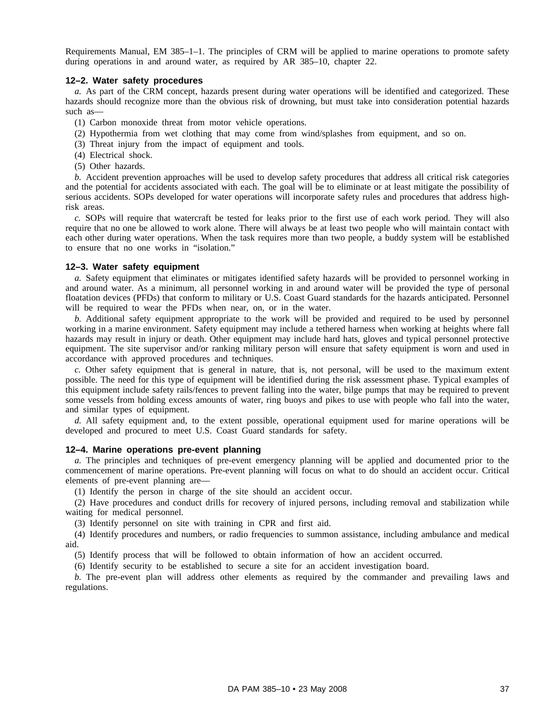Requirements Manual, EM 385–1–1. The principles of CRM will be applied to marine operations to promote safety during operations in and around water, as required by AR 385–10, chapter 22.

### **12–2. Water safety procedures**

*a.* As part of the CRM concept, hazards present during water operations will be identified and categorized. These hazards should recognize more than the obvious risk of drowning, but must take into consideration potential hazards such as—

- (1) Carbon monoxide threat from motor vehicle operations.
- (2) Hypothermia from wet clothing that may come from wind/splashes from equipment, and so on.
- (3) Threat injury from the impact of equipment and tools.
- (4) Electrical shock.
- (5) Other hazards.

*b.* Accident prevention approaches will be used to develop safety procedures that address all critical risk categories and the potential for accidents associated with each. The goal will be to eliminate or at least mitigate the possibility of serious accidents. SOPs developed for water operations will incorporate safety rules and procedures that address highrisk areas.

*c.* SOPs will require that watercraft be tested for leaks prior to the first use of each work period. They will also require that no one be allowed to work alone. There will always be at least two people who will maintain contact with each other during water operations. When the task requires more than two people, a buddy system will be established to ensure that no one works in "isolation."

### **12–3. Water safety equipment**

*a.* Safety equipment that eliminates or mitigates identified safety hazards will be provided to personnel working in and around water. As a minimum, all personnel working in and around water will be provided the type of personal floatation devices (PFDs) that conform to military or U.S. Coast Guard standards for the hazards anticipated. Personnel will be required to wear the PFDs when near, on, or in the water.

*b.* Additional safety equipment appropriate to the work will be provided and required to be used by personnel working in a marine environment. Safety equipment may include a tethered harness when working at heights where fall hazards may result in injury or death. Other equipment may include hard hats, gloves and typical personnel protective equipment. The site supervisor and/or ranking military person will ensure that safety equipment is worn and used in accordance with approved procedures and techniques.

*c.* Other safety equipment that is general in nature, that is, not personal, will be used to the maximum extent possible. The need for this type of equipment will be identified during the risk assessment phase. Typical examples of this equipment include safety rails/fences to prevent falling into the water, bilge pumps that may be required to prevent some vessels from holding excess amounts of water, ring buoys and pikes to use with people who fall into the water, and similar types of equipment.

*d.* All safety equipment and, to the extent possible, operational equipment used for marine operations will be developed and procured to meet U.S. Coast Guard standards for safety.

## **12–4. Marine operations pre-event planning**

*a.* The principles and techniques of pre-event emergency planning will be applied and documented prior to the commencement of marine operations. Pre-event planning will focus on what to do should an accident occur. Critical elements of pre-event planning are—

(1) Identify the person in charge of the site should an accident occur.

(2) Have procedures and conduct drills for recovery of injured persons, including removal and stabilization while waiting for medical personnel.

(3) Identify personnel on site with training in CPR and first aid.

(4) Identify procedures and numbers, or radio frequencies to summon assistance, including ambulance and medical aid.

(5) Identify process that will be followed to obtain information of how an accident occurred.

(6) Identify security to be established to secure a site for an accident investigation board.

*b*. The pre-event plan will address other elements as required by the commander and prevailing laws and regulations.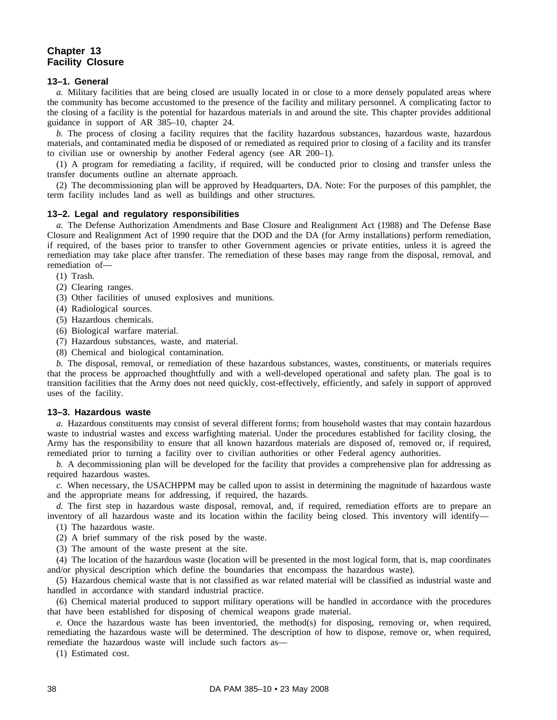# **Chapter 13 Facility Closure**

## **13–1. General**

*a.* Military facilities that are being closed are usually located in or close to a more densely populated areas where the community has become accustomed to the presence of the facility and military personnel. A complicating factor to the closing of a facility is the potential for hazardous materials in and around the site. This chapter provides additional guidance in support of AR 385–10, chapter 24.

*b.* The process of closing a facility requires that the facility hazardous substances, hazardous waste, hazardous materials, and contaminated media be disposed of or remediated as required prior to closing of a facility and its transfer to civilian use or ownership by another Federal agency (see AR 200–1).

(1) A program for remediating a facility, if required, will be conducted prior to closing and transfer unless the transfer documents outline an alternate approach.

(2) The decommissioning plan will be approved by Headquarters, DA. Note: For the purposes of this pamphlet, the term facility includes land as well as buildings and other structures.

## **13–2. Legal and regulatory responsibilities**

*a.* The Defense Authorization Amendments and Base Closure and Realignment Act (1988) and The Defense Base Closure and Realignment Act of 1990 require that the DOD and the DA (for Army installations) perform remediation, if required, of the bases prior to transfer to other Government agencies or private entities, unless it is agreed the remediation may take place after transfer. The remediation of these bases may range from the disposal, removal, and remediation of—

- (1) Trash.
- (2) Clearing ranges.
- (3) Other facilities of unused explosives and munitions.
- (4) Radiological sources.
- (5) Hazardous chemicals.
- (6) Biological warfare material.
- (7) Hazardous substances, waste, and material.
- (8) Chemical and biological contamination.

*b.* The disposal, removal, or remediation of these hazardous substances, wastes, constituents, or materials requires that the process be approached thoughtfully and with a well-developed operational and safety plan. The goal is to transition facilities that the Army does not need quickly, cost-effectively, efficiently, and safely in support of approved uses of the facility.

#### **13–3. Hazardous waste**

*a.* Hazardous constituents may consist of several different forms; from household wastes that may contain hazardous waste to industrial wastes and excess warfighting material. Under the procedures established for facility closing, the Army has the responsibility to ensure that all known hazardous materials are disposed of, removed or, if required, remediated prior to turning a facility over to civilian authorities or other Federal agency authorities.

*b.* A decommissioning plan will be developed for the facility that provides a comprehensive plan for addressing as required hazardous wastes.

*c.* When necessary, the USACHPPM may be called upon to assist in determining the magnitude of hazardous waste and the appropriate means for addressing, if required, the hazards.

*d.* The first step in hazardous waste disposal, removal, and, if required, remediation efforts are to prepare an inventory of all hazardous waste and its location within the facility being closed. This inventory will identify—

- (1) The hazardous waste.
- (2) A brief summary of the risk posed by the waste.
- (3) The amount of the waste present at the site.

(4) The location of the hazardous waste (location will be presented in the most logical form, that is, map coordinates and/or physical description which define the boundaries that encompass the hazardous waste).

(5) Hazardous chemical waste that is not classified as war related material will be classified as industrial waste and handled in accordance with standard industrial practice.

(6) Chemical material produced to support military operations will be handled in accordance with the procedures that have been established for disposing of chemical weapons grade material.

*e.* Once the hazardous waste has been inventoried, the method(s) for disposing, removing or, when required, remediating the hazardous waste will be determined. The description of how to dispose, remove or, when required, remediate the hazardous waste will include such factors as—

(1) Estimated cost.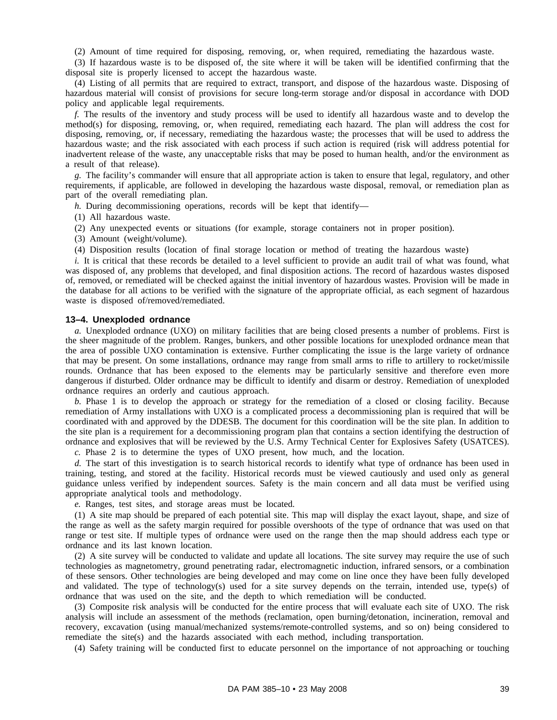(2) Amount of time required for disposing, removing, or, when required, remediating the hazardous waste.

(3) If hazardous waste is to be disposed of, the site where it will be taken will be identified confirming that the disposal site is properly licensed to accept the hazardous waste.

(4) Listing of all permits that are required to extract, transport, and dispose of the hazardous waste. Disposing of hazardous material will consist of provisions for secure long-term storage and/or disposal in accordance with DOD policy and applicable legal requirements.

*f.* The results of the inventory and study process will be used to identify all hazardous waste and to develop the method(s) for disposing, removing, or, when required, remediating each hazard. The plan will address the cost for disposing, removing, or, if necessary, remediating the hazardous waste; the processes that will be used to address the hazardous waste; and the risk associated with each process if such action is required (risk will address potential for inadvertent release of the waste, any unacceptable risks that may be posed to human health, and/or the environment as a result of that release).

*g.* The facility's commander will ensure that all appropriate action is taken to ensure that legal, regulatory, and other requirements, if applicable, are followed in developing the hazardous waste disposal, removal, or remediation plan as part of the overall remediating plan.

*h.* During decommissioning operations, records will be kept that identify—

(1) All hazardous waste.

(2) Any unexpected events or situations (for example, storage containers not in proper position).

(3) Amount (weight/volume).

(4) Disposition results (location of final storage location or method of treating the hazardous waste)

*i.* It is critical that these records be detailed to a level sufficient to provide an audit trail of what was found, what was disposed of, any problems that developed, and final disposition actions. The record of hazardous wastes disposed of, removed, or remediated will be checked against the initial inventory of hazardous wastes. Provision will be made in the database for all actions to be verified with the signature of the appropriate official, as each segment of hazardous waste is disposed of/removed/remediated.

### **13–4. Unexploded ordnance**

*a.* Unexploded ordnance (UXO) on military facilities that are being closed presents a number of problems. First is the sheer magnitude of the problem. Ranges, bunkers, and other possible locations for unexploded ordnance mean that the area of possible UXO contamination is extensive. Further complicating the issue is the large variety of ordnance that may be present. On some installations, ordnance may range from small arms to rifle to artillery to rocket/missile rounds. Ordnance that has been exposed to the elements may be particularly sensitive and therefore even more dangerous if disturbed. Older ordnance may be difficult to identify and disarm or destroy. Remediation of unexploded ordnance requires an orderly and cautious approach.

*b.* Phase 1 is to develop the approach or strategy for the remediation of a closed or closing facility. Because remediation of Army installations with UXO is a complicated process a decommissioning plan is required that will be coordinated with and approved by the DDESB. The document for this coordination will be the site plan. In addition to the site plan is a requirement for a decommissioning program plan that contains a section identifying the destruction of ordnance and explosives that will be reviewed by the U.S. Army Technical Center for Explosives Safety (USATCES).

*c.* Phase 2 is to determine the types of UXO present, how much, and the location.

*d.* The start of this investigation is to search historical records to identify what type of ordnance has been used in training, testing, and stored at the facility. Historical records must be viewed cautiously and used only as general guidance unless verified by independent sources. Safety is the main concern and all data must be verified using appropriate analytical tools and methodology.

*e.* Ranges, test sites, and storage areas must be located.

(1) A site map should be prepared of each potential site. This map will display the exact layout, shape, and size of the range as well as the safety margin required for possible overshoots of the type of ordnance that was used on that range or test site. If multiple types of ordnance were used on the range then the map should address each type or ordnance and its last known location.

(2) A site survey will be conducted to validate and update all locations. The site survey may require the use of such technologies as magnetometry, ground penetrating radar, electromagnetic induction, infrared sensors, or a combination of these sensors. Other technologies are being developed and may come on line once they have been fully developed and validated. The type of technology(s) used for a site survey depends on the terrain, intended use, type(s) of ordnance that was used on the site, and the depth to which remediation will be conducted.

(3) Composite risk analysis will be conducted for the entire process that will evaluate each site of UXO. The risk analysis will include an assessment of the methods (reclamation, open burning/detonation, incineration, removal and recovery, excavation (using manual/mechanized systems/remote-controlled systems, and so on) being considered to remediate the site(s) and the hazards associated with each method, including transportation.

(4) Safety training will be conducted first to educate personnel on the importance of not approaching or touching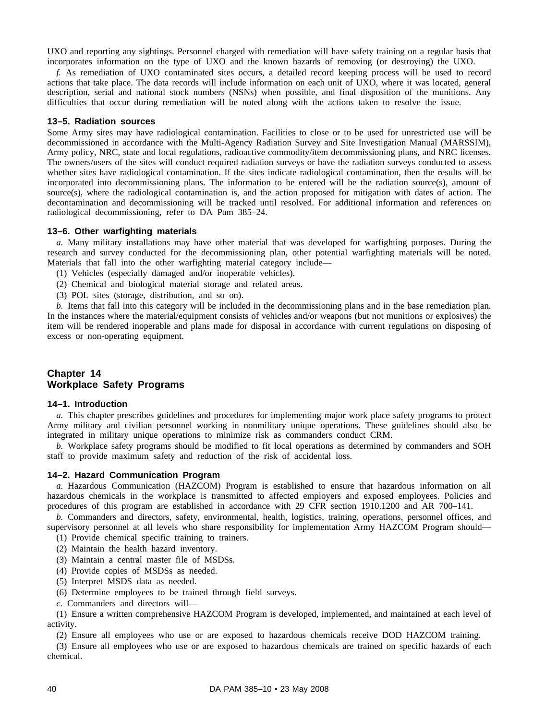UXO and reporting any sightings. Personnel charged with remediation will have safety training on a regular basis that incorporates information on the type of UXO and the known hazards of removing (or destroying) the UXO.

*f.* As remediation of UXO contaminated sites occurs, a detailed record keeping process will be used to record actions that take place. The data records will include information on each unit of UXO, where it was located, general description, serial and national stock numbers (NSNs) when possible, and final disposition of the munitions. Any difficulties that occur during remediation will be noted along with the actions taken to resolve the issue.

### **13–5. Radiation sources**

Some Army sites may have radiological contamination. Facilities to close or to be used for unrestricted use will be decommissioned in accordance with the Multi-Agency Radiation Survey and Site Investigation Manual (MARSSIM), Army policy, NRC, state and local regulations, radioactive commodity/item decommissioning plans, and NRC licenses. The owners/users of the sites will conduct required radiation surveys or have the radiation surveys conducted to assess whether sites have radiological contamination. If the sites indicate radiological contamination, then the results will be incorporated into decommissioning plans. The information to be entered will be the radiation source(s), amount of source(s), where the radiological contamination is, and the action proposed for mitigation with dates of action. The decontamination and decommissioning will be tracked until resolved. For additional information and references on radiological decommissioning, refer to DA Pam 385–24.

## **13–6. Other warfighting materials**

*a.* Many military installations may have other material that was developed for warfighting purposes. During the research and survey conducted for the decommissioning plan, other potential warfighting materials will be noted. Materials that fall into the other warfighting material category include—

- (1) Vehicles (especially damaged and/or inoperable vehicles).
- (2) Chemical and biological material storage and related areas.
- (3) POL sites (storage, distribution, and so on).

*b.* Items that fall into this category will be included in the decommissioning plans and in the base remediation plan. In the instances where the material/equipment consists of vehicles and/or weapons (but not munitions or explosives) the item will be rendered inoperable and plans made for disposal in accordance with current regulations on disposing of excess or non-operating equipment.

# **Chapter 14 Workplace Safety Programs**

## **14–1. Introduction**

*a.* This chapter prescribes guidelines and procedures for implementing major work place safety programs to protect Army military and civilian personnel working in nonmilitary unique operations. These guidelines should also be integrated in military unique operations to minimize risk as commanders conduct CRM.

*b.* Workplace safety programs should be modified to fit local operations as determined by commanders and SOH staff to provide maximum safety and reduction of the risk of accidental loss.

### **14–2. Hazard Communication Program**

*a.* Hazardous Communication (HAZCOM) Program is established to ensure that hazardous information on all hazardous chemicals in the workplace is transmitted to affected employers and exposed employees. Policies and procedures of this program are established in accordance with 29 CFR section 1910.1200 and AR 700–141.

*b.* Commanders and directors, safety, environmental, health, logistics, training, operations, personnel offices, and supervisory personnel at all levels who share responsibility for implementation Army HAZCOM Program should—

(1) Provide chemical specific training to trainers.

- (2) Maintain the health hazard inventory.
- (3) Maintain a central master file of MSDSs.
- (4) Provide copies of MSDSs as needed.
- (5) Interpret MSDS data as needed.
- (6) Determine employees to be trained through field surveys.
- *c.* Commanders and directors will—

(1) Ensure a written comprehensive HAZCOM Program is developed, implemented, and maintained at each level of activity.

(2) Ensure all employees who use or are exposed to hazardous chemicals receive DOD HAZCOM training.

(3) Ensure all employees who use or are exposed to hazardous chemicals are trained on specific hazards of each chemical.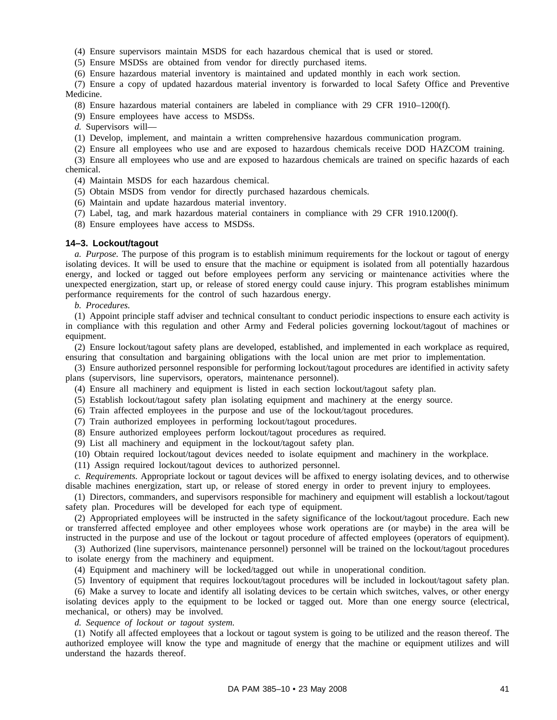(4) Ensure supervisors maintain MSDS for each hazardous chemical that is used or stored.

(5) Ensure MSDSs are obtained from vendor for directly purchased items.

(6) Ensure hazardous material inventory is maintained and updated monthly in each work section.

(7) Ensure a copy of updated hazardous material inventory is forwarded to local Safety Office and Preventive Medicine.

(8) Ensure hazardous material containers are labeled in compliance with 29 CFR 1910–1200(f).

(9) Ensure employees have access to MSDSs.

*d.* Supervisors will—

(1) Develop, implement, and maintain a written comprehensive hazardous communication program.

(2) Ensure all employees who use and are exposed to hazardous chemicals receive DOD HAZCOM training.

(3) Ensure all employees who use and are exposed to hazardous chemicals are trained on specific hazards of each chemical.

(4) Maintain MSDS for each hazardous chemical.

(5) Obtain MSDS from vendor for directly purchased hazardous chemicals.

(6) Maintain and update hazardous material inventory.

(7) Label, tag, and mark hazardous material containers in compliance with 29 CFR 1910.1200(f).

(8) Ensure employees have access to MSDSs.

#### **14–3. Lockout/tagout**

*a. Purpose.* The purpose of this program is to establish minimum requirements for the lockout or tagout of energy isolating devices. It will be used to ensure that the machine or equipment is isolated from all potentially hazardous energy, and locked or tagged out before employees perform any servicing or maintenance activities where the unexpected energization, start up, or release of stored energy could cause injury. This program establishes minimum performance requirements for the control of such hazardous energy.

### *b. Procedures.*

(1) Appoint principle staff adviser and technical consultant to conduct periodic inspections to ensure each activity is in compliance with this regulation and other Army and Federal policies governing lockout/tagout of machines or equipment.

(2) Ensure lockout/tagout safety plans are developed, established, and implemented in each workplace as required, ensuring that consultation and bargaining obligations with the local union are met prior to implementation.

(3) Ensure authorized personnel responsible for performing lockout/tagout procedures are identified in activity safety plans (supervisors, line supervisors, operators, maintenance personnel).

(4) Ensure all machinery and equipment is listed in each section lockout/tagout safety plan.

(5) Establish lockout/tagout safety plan isolating equipment and machinery at the energy source.

(6) Train affected employees in the purpose and use of the lockout/tagout procedures.

(7) Train authorized employees in performing lockout/tagout procedures.

(8) Ensure authorized employees perform lockout/tagout procedures as required.

(9) List all machinery and equipment in the lockout/tagout safety plan.

(10) Obtain required lockout/tagout devices needed to isolate equipment and machinery in the workplace.

(11) Assign required lockout/tagout devices to authorized personnel.

*c. Requirements.* Appropriate lockout or tagout devices will be affixed to energy isolating devices, and to otherwise disable machines energization, start up, or release of stored energy in order to prevent injury to employees.

(1) Directors, commanders, and supervisors responsible for machinery and equipment will establish a lockout/tagout safety plan. Procedures will be developed for each type of equipment.

(2) Appropriated employees will be instructed in the safety significance of the lockout/tagout procedure. Each new or transferred affected employee and other employees whose work operations are (or maybe) in the area will be instructed in the purpose and use of the lockout or tagout procedure of affected employees (operators of equipment).

(3) Authorized (line supervisors, maintenance personnel) personnel will be trained on the lockout/tagout procedures to isolate energy from the machinery and equipment.

(4) Equipment and machinery will be locked/tagged out while in unoperational condition.

(5) Inventory of equipment that requires lockout/tagout procedures will be included in lockout/tagout safety plan.

(6) Make a survey to locate and identify all isolating devices to be certain which switches, valves, or other energy isolating devices apply to the equipment to be locked or tagged out. More than one energy source (electrical, mechanical, or others) may be involved.

*d. Sequence of lockout or tagout system.*

(1) Notify all affected employees that a lockout or tagout system is going to be utilized and the reason thereof. The authorized employee will know the type and magnitude of energy that the machine or equipment utilizes and will understand the hazards thereof.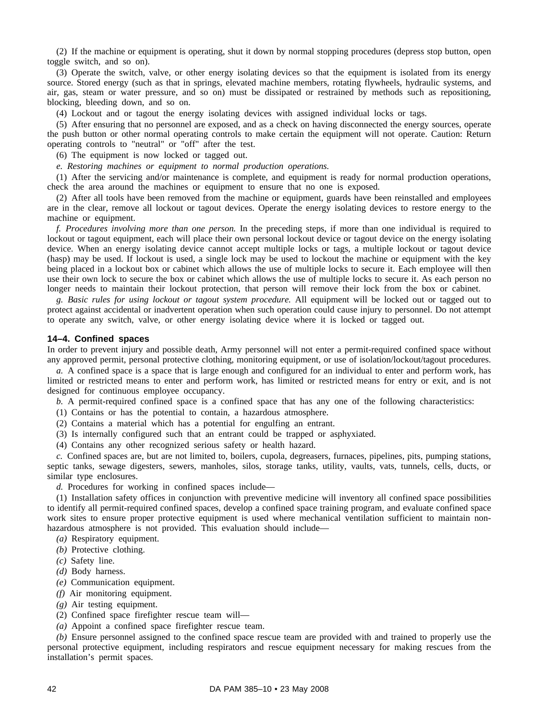(2) If the machine or equipment is operating, shut it down by normal stopping procedures (depress stop button, open toggle switch, and so on).

(3) Operate the switch, valve, or other energy isolating devices so that the equipment is isolated from its energy source. Stored energy (such as that in springs, elevated machine members, rotating flywheels, hydraulic systems, and air, gas, steam or water pressure, and so on) must be dissipated or restrained by methods such as repositioning, blocking, bleeding down, and so on.

(4) Lockout and or tagout the energy isolating devices with assigned individual locks or tags.

(5) After ensuring that no personnel are exposed, and as a check on having disconnected the energy sources, operate the push button or other normal operating controls to make certain the equipment will not operate. Caution: Return operating controls to "neutral" or "off" after the test.

(6) The equipment is now locked or tagged out.

*e. Restoring machines or equipment to normal production operations.*

(1) After the servicing and/or maintenance is complete, and equipment is ready for normal production operations, check the area around the machines or equipment to ensure that no one is exposed.

(2) After all tools have been removed from the machine or equipment, guards have been reinstalled and employees are in the clear, remove all lockout or tagout devices. Operate the energy isolating devices to restore energy to the machine or equipment.

*f. Procedures involving more than one person.* In the preceding steps, if more than one individual is required to lockout or tagout equipment, each will place their own personal lockout device or tagout device on the energy isolating device. When an energy isolating device cannot accept multiple locks or tags, a multiple lockout or tagout device (hasp) may be used. If lockout is used, a single lock may be used to lockout the machine or equipment with the key being placed in a lockout box or cabinet which allows the use of multiple locks to secure it. Each employee will then use their own lock to secure the box or cabinet which allows the use of multiple locks to secure it. As each person no longer needs to maintain their lockout protection, that person will remove their lock from the box or cabinet.

*g. Basic rules for using lockout or tagout system procedure.* All equipment will be locked out or tagged out to protect against accidental or inadvertent operation when such operation could cause injury to personnel. Do not attempt to operate any switch, valve, or other energy isolating device where it is locked or tagged out.

#### **14–4. Confined spaces**

In order to prevent injury and possible death, Army personnel will not enter a permit-required confined space without any approved permit, personal protective clothing, monitoring equipment, or use of isolation/lockout/tagout procedures.

*a.* A confined space is a space that is large enough and configured for an individual to enter and perform work, has limited or restricted means to enter and perform work, has limited or restricted means for entry or exit, and is not designed for continuous employee occupancy.

*b.* A permit-required confined space is a confined space that has any one of the following characteristics:

- (1) Contains or has the potential to contain, a hazardous atmosphere.
- (2) Contains a material which has a potential for engulfing an entrant.
- (3) Is internally configured such that an entrant could be trapped or asphyxiated.
- (4) Contains any other recognized serious safety or health hazard.

*c.* Confined spaces are, but are not limited to, boilers, cupola, degreasers, furnaces, pipelines, pits, pumping stations, septic tanks, sewage digesters, sewers, manholes, silos, storage tanks, utility, vaults, vats, tunnels, cells, ducts, or similar type enclosures.

*d.* Procedures for working in confined spaces include—

(1) Installation safety offices in conjunction with preventive medicine will inventory all confined space possibilities to identify all permit-required confined spaces, develop a confined space training program, and evaluate confined space work sites to ensure proper protective equipment is used where mechanical ventilation sufficient to maintain nonhazardous atmosphere is not provided. This evaluation should include—

- *(a)* Respiratory equipment.
- *(b)* Protective clothing.
- *(c)* Safety line.
- *(d)* Body harness.
- *(e)* Communication equipment.
- *(f)* Air monitoring equipment.
- *(g)* Air testing equipment.
- (2) Confined space firefighter rescue team will—
- *(a)* Appoint a confined space firefighter rescue team.

*(b)* Ensure personnel assigned to the confined space rescue team are provided with and trained to properly use the personal protective equipment, including respirators and rescue equipment necessary for making rescues from the installation's permit spaces.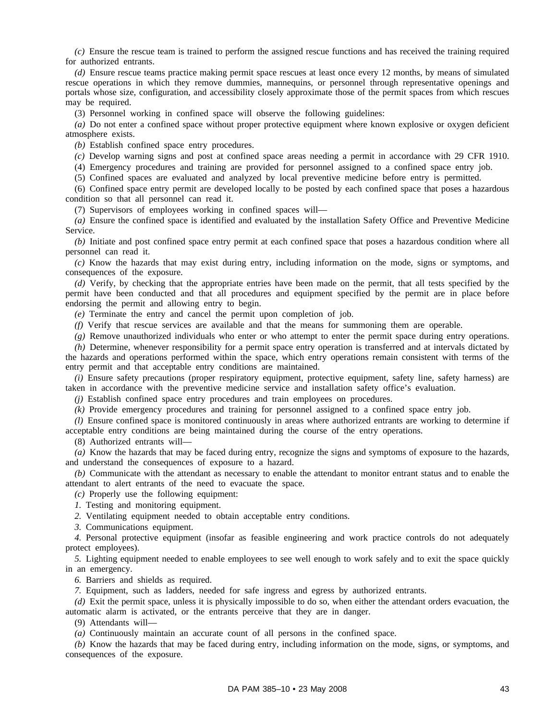*(c)* Ensure the rescue team is trained to perform the assigned rescue functions and has received the training required for authorized entrants.

*(d)* Ensure rescue teams practice making permit space rescues at least once every 12 months, by means of simulated rescue operations in which they remove dummies, mannequins, or personnel through representative openings and portals whose size, configuration, and accessibility closely approximate those of the permit spaces from which rescues may be required.

(3) Personnel working in confined space will observe the following guidelines:

*(a)* Do not enter a confined space without proper protective equipment where known explosive or oxygen deficient atmosphere exists.

*(b)* Establish confined space entry procedures.

*(c)* Develop warning signs and post at confined space areas needing a permit in accordance with 29 CFR 1910.

(4) Emergency procedures and training are provided for personnel assigned to a confined space entry job.

(5) Confined spaces are evaluated and analyzed by local preventive medicine before entry is permitted.

(6) Confined space entry permit are developed locally to be posted by each confined space that poses a hazardous condition so that all personnel can read it.

(7) Supervisors of employees working in confined spaces will—

*(a)* Ensure the confined space is identified and evaluated by the installation Safety Office and Preventive Medicine Service.

*(b)* Initiate and post confined space entry permit at each confined space that poses a hazardous condition where all personnel can read it.

*(c)* Know the hazards that may exist during entry, including information on the mode, signs or symptoms, and consequences of the exposure.

*(d)* Verify, by checking that the appropriate entries have been made on the permit, that all tests specified by the permit have been conducted and that all procedures and equipment specified by the permit are in place before endorsing the permit and allowing entry to begin.

*(e)* Terminate the entry and cancel the permit upon completion of job.

*(f)* Verify that rescue services are available and that the means for summoning them are operable.

*(g)* Remove unauthorized individuals who enter or who attempt to enter the permit space during entry operations.

*(h)* Determine, whenever responsibility for a permit space entry operation is transferred and at intervals dictated by the hazards and operations performed within the space, which entry operations remain consistent with terms of the entry permit and that acceptable entry conditions are maintained.

*(i)* Ensure safety precautions (proper respiratory equipment, protective equipment, safety line, safety harness) are taken in accordance with the preventive medicine service and installation safety office's evaluation.

*(j)* Establish confined space entry procedures and train employees on procedures.

*(k)* Provide emergency procedures and training for personnel assigned to a confined space entry job.

*(l)* Ensure confined space is monitored continuously in areas where authorized entrants are working to determine if acceptable entry conditions are being maintained during the course of the entry operations.

(8) Authorized entrants will—

*(a)* Know the hazards that may be faced during entry, recognize the signs and symptoms of exposure to the hazards, and understand the consequences of exposure to a hazard.

*(b)* Communicate with the attendant as necessary to enable the attendant to monitor entrant status and to enable the attendant to alert entrants of the need to evacuate the space.

*(c)* Properly use the following equipment:

*1.* Testing and monitoring equipment.

*2.* Ventilating equipment needed to obtain acceptable entry conditions.

*3.* Communications equipment.

*4.* Personal protective equipment (insofar as feasible engineering and work practice controls do not adequately protect employees).

*5.* Lighting equipment needed to enable employees to see well enough to work safely and to exit the space quickly in an emergency.

*6.* Barriers and shields as required.

*7.* Equipment, such as ladders, needed for safe ingress and egress by authorized entrants.

*(d)* Exit the permit space, unless it is physically impossible to do so, when either the attendant orders evacuation, the automatic alarm is activated, or the entrants perceive that they are in danger.

(9) Attendants will—

*(a)* Continuously maintain an accurate count of all persons in the confined space.

*(b)* Know the hazards that may be faced during entry, including information on the mode, signs, or symptoms, and consequences of the exposure.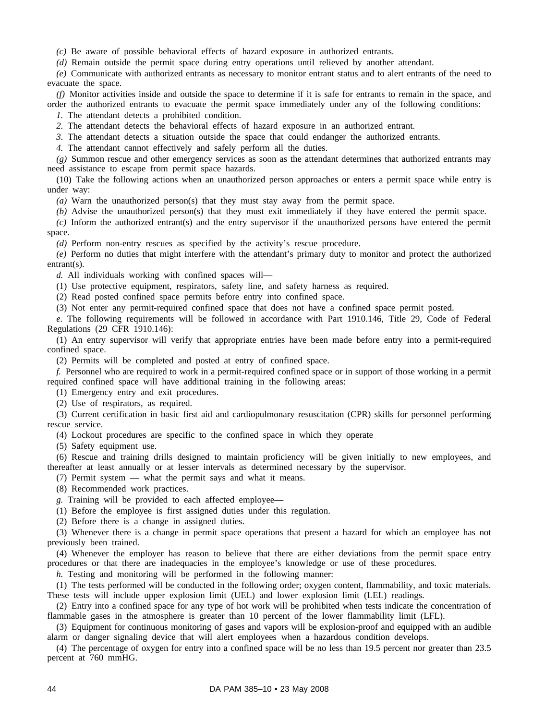*(c)* Be aware of possible behavioral effects of hazard exposure in authorized entrants.

*(d)* Remain outside the permit space during entry operations until relieved by another attendant.

*(e)* Communicate with authorized entrants as necessary to monitor entrant status and to alert entrants of the need to evacuate the space.

*(f)* Monitor activities inside and outside the space to determine if it is safe for entrants to remain in the space, and order the authorized entrants to evacuate the permit space immediately under any of the following conditions:

*1.* The attendant detects a prohibited condition.

*2.* The attendant detects the behavioral effects of hazard exposure in an authorized entrant.

*3.* The attendant detects a situation outside the space that could endanger the authorized entrants.

*4.* The attendant cannot effectively and safely perform all the duties.

*(g)* Summon rescue and other emergency services as soon as the attendant determines that authorized entrants may need assistance to escape from permit space hazards.

(10) Take the following actions when an unauthorized person approaches or enters a permit space while entry is under way:

*(a)* Warn the unauthorized person(s) that they must stay away from the permit space.

*(b)* Advise the unauthorized person(s) that they must exit immediately if they have entered the permit space.

*(c)* Inform the authorized entrant(s) and the entry supervisor if the unauthorized persons have entered the permit space.

*(d)* Perform non-entry rescues as specified by the activity's rescue procedure.

*(e)* Perform no duties that might interfere with the attendant's primary duty to monitor and protect the authorized entrant(s).

*d.* All individuals working with confined spaces will—

(1) Use protective equipment, respirators, safety line, and safety harness as required.

(2) Read posted confined space permits before entry into confined space.

(3) Not enter any permit-required confined space that does not have a confined space permit posted.

*e.* The following requirements will be followed in accordance with Part 1910.146, Title 29, Code of Federal Regulations (29 CFR 1910.146):

(1) An entry supervisor will verify that appropriate entries have been made before entry into a permit-required confined space.

(2) Permits will be completed and posted at entry of confined space.

*f.* Personnel who are required to work in a permit-required confined space or in support of those working in a permit required confined space will have additional training in the following areas:

(1) Emergency entry and exit procedures.

(2) Use of respirators, as required.

(3) Current certification in basic first aid and cardiopulmonary resuscitation (CPR) skills for personnel performing rescue service.

(4) Lockout procedures are specific to the confined space in which they operate

(5) Safety equipment use.

(6) Rescue and training drills designed to maintain proficiency will be given initially to new employees, and thereafter at least annually or at lesser intervals as determined necessary by the supervisor.

(7) Permit system — what the permit says and what it means.

(8) Recommended work practices.

*g.* Training will be provided to each affected employee—

(1) Before the employee is first assigned duties under this regulation.

(2) Before there is a change in assigned duties.

(3) Whenever there is a change in permit space operations that present a hazard for which an employee has not previously been trained.

(4) Whenever the employer has reason to believe that there are either deviations from the permit space entry procedures or that there are inadequacies in the employee's knowledge or use of these procedures.

*h*. Testing and monitoring will be performed in the following manner:

(1) The tests performed will be conducted in the following order; oxygen content, flammability, and toxic materials. These tests will include upper explosion limit (UEL) and lower explosion limit (LEL) readings.

(2) Entry into a confined space for any type of hot work will be prohibited when tests indicate the concentration of flammable gases in the atmosphere is greater than 10 percent of the lower flammability limit (LFL).

(3) Equipment for continuous monitoring of gases and vapors will be explosion-proof and equipped with an audible alarm or danger signaling device that will alert employees when a hazardous condition develops.

(4) The percentage of oxygen for entry into a confined space will be no less than 19.5 percent nor greater than 23.5 percent at 760 mmHG.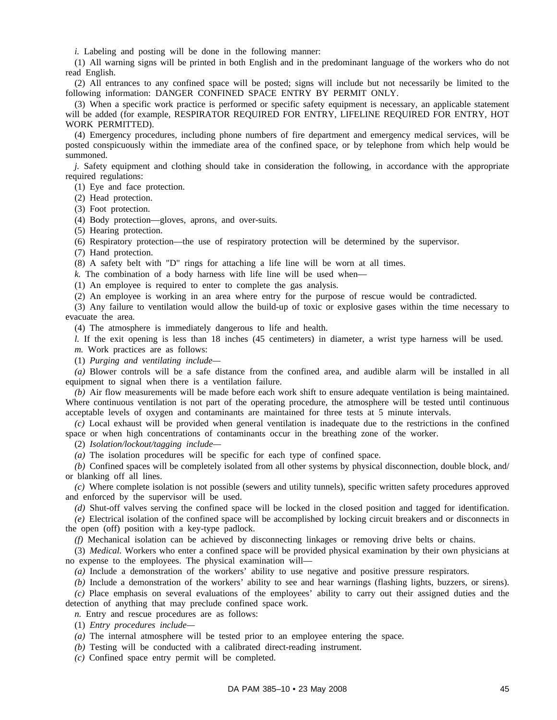*i.* Labeling and posting will be done in the following manner:

(1) All warning signs will be printed in both English and in the predominant language of the workers who do not read English.

(2) All entrances to any confined space will be posted; signs will include but not necessarily be limited to the following information: DANGER CONFINED SPACE ENTRY BY PERMIT ONLY.

(3) When a specific work practice is performed or specific safety equipment is necessary, an applicable statement will be added (for example, RESPIRATOR REQUIRED FOR ENTRY, LIFELINE REQUIRED FOR ENTRY, HOT WORK PERMITTED).

(4) Emergency procedures, including phone numbers of fire department and emergency medical services, will be posted conspicuously within the immediate area of the confined space, or by telephone from which help would be summoned.

*j.* Safety equipment and clothing should take in consideration the following, in accordance with the appropriate required regulations:

(1) Eye and face protection.

(2) Head protection.

(3) Foot protection.

(4) Body protection—gloves, aprons, and over-suits.

(5) Hearing protection.

(6) Respiratory protection—the use of respiratory protection will be determined by the supervisor.

(7) Hand protection.

(8) A safety belt with "D" rings for attaching a life line will be worn at all times.

*k.* The combination of a body harness with life line will be used when—

(1) An employee is required to enter to complete the gas analysis.

(2) An employee is working in an area where entry for the purpose of rescue would be contradicted.

(3) Any failure to ventilation would allow the build-up of toxic or explosive gases within the time necessary to evacuate the area.

(4) The atmosphere is immediately dangerous to life and health.

*l.* If the exit opening is less than 18 inches (45 centimeters) in diameter, a wrist type harness will be used. *m.* Work practices are as follows:

(1) *Purging and ventilating include—*

*(a)* Blower controls will be a safe distance from the confined area, and audible alarm will be installed in all equipment to signal when there is a ventilation failure.

*(b)* Air flow measurements will be made before each work shift to ensure adequate ventilation is being maintained. Where continuous ventilation is not part of the operating procedure, the atmosphere will be tested until continuous acceptable levels of oxygen and contaminants are maintained for three tests at 5 minute intervals.

*(c)* Local exhaust will be provided when general ventilation is inadequate due to the restrictions in the confined space or when high concentrations of contaminants occur in the breathing zone of the worker.

(2) *Isolation/lockout/tagging include—*

*(a)* The isolation procedures will be specific for each type of confined space.

*(b)* Confined spaces will be completely isolated from all other systems by physical disconnection, double block, and/ or blanking off all lines.

*(c)* Where complete isolation is not possible (sewers and utility tunnels), specific written safety procedures approved and enforced by the supervisor will be used.

*(d)* Shut-off valves serving the confined space will be locked in the closed position and tagged for identification.

*(e)* Electrical isolation of the confined space will be accomplished by locking circuit breakers and or disconnects in the open (off) position with a key-type padlock.

*(f)* Mechanical isolation can be achieved by disconnecting linkages or removing drive belts or chains.

(3) *Medical.* Workers who enter a confined space will be provided physical examination by their own physicians at no expense to the employees. The physical examination will—

*(a)* Include a demonstration of the workers' ability to use negative and positive pressure respirators.

*(b)* Include a demonstration of the workers' ability to see and hear warnings (flashing lights, buzzers, or sirens). *(c)* Place emphasis on several evaluations of the employees' ability to carry out their assigned duties and the detection of anything that may preclude confined space work.

*n.* Entry and rescue procedures are as follows:

(1) *Entry procedures include—*

*(a)* The internal atmosphere will be tested prior to an employee entering the space.

*(b)* Testing will be conducted with a calibrated direct-reading instrument.

*(c)* Confined space entry permit will be completed.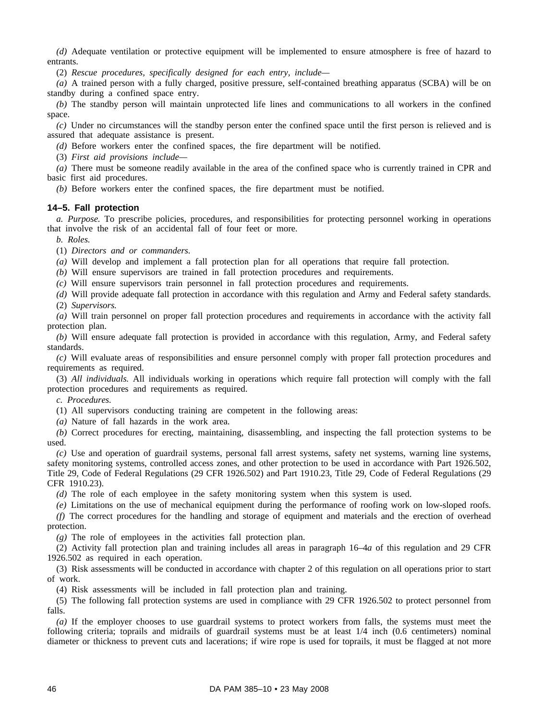*(d)* Adequate ventilation or protective equipment will be implemented to ensure atmosphere is free of hazard to entrants.

(2) *Rescue procedures, specifically designed for each entry, include—*

*(a)* A trained person with a fully charged, positive pressure, self-contained breathing apparatus (SCBA) will be on standby during a confined space entry.

*(b)* The standby person will maintain unprotected life lines and communications to all workers in the confined space.

*(c)* Under no circumstances will the standby person enter the confined space until the first person is relieved and is assured that adequate assistance is present.

*(d)* Before workers enter the confined spaces, the fire department will be notified.

(3) *First aid provisions include—*

*(a)* There must be someone readily available in the area of the confined space who is currently trained in CPR and basic first aid procedures.

*(b)* Before workers enter the confined spaces, the fire department must be notified.

#### **14–5. Fall protection**

*a. Purpose.* To prescribe policies, procedures, and responsibilities for protecting personnel working in operations that involve the risk of an accidental fall of four feet or more.

*b. Roles.*

(1) *Directors and or commanders.*

*(a)* Will develop and implement a fall protection plan for all operations that require fall protection.

*(b)* Will ensure supervisors are trained in fall protection procedures and requirements.

*(c)* Will ensure supervisors train personnel in fall protection procedures and requirements.

*(d)* Will provide adequate fall protection in accordance with this regulation and Army and Federal safety standards. (2) *Supervisors.*

*(a)* Will train personnel on proper fall protection procedures and requirements in accordance with the activity fall protection plan.

*(b)* Will ensure adequate fall protection is provided in accordance with this regulation, Army, and Federal safety standards.

*(c)* Will evaluate areas of responsibilities and ensure personnel comply with proper fall protection procedures and requirements as required.

(3) *All individuals.* All individuals working in operations which require fall protection will comply with the fall protection procedures and requirements as required.

*c. Procedures.*

(1) All supervisors conducting training are competent in the following areas:

*(a)* Nature of fall hazards in the work area.

*(b)* Correct procedures for erecting, maintaining, disassembling, and inspecting the fall protection systems to be used.

*(c)* Use and operation of guardrail systems, personal fall arrest systems, safety net systems, warning line systems, safety monitoring systems, controlled access zones, and other protection to be used in accordance with Part 1926.502, Title 29, Code of Federal Regulations (29 CFR 1926.502) and Part 1910.23, Title 29, Code of Federal Regulations (29 CFR 1910.23).

*(d)* The role of each employee in the safety monitoring system when this system is used.

*(e)* Limitations on the use of mechanical equipment during the performance of roofing work on low-sloped roofs. *(f)* The correct procedures for the handling and storage of equipment and materials and the erection of overhead protection.

*(g)* The role of employees in the activities fall protection plan.

(2) Activity fall protection plan and training includes all areas in paragraph 16–4*a* of this regulation and 29 CFR 1926.502 as required in each operation.

(3) Risk assessments will be conducted in accordance with chapter 2 of this regulation on all operations prior to start of work.

(4) Risk assessments will be included in fall protection plan and training.

(5) The following fall protection systems are used in compliance with 29 CFR 1926.502 to protect personnel from falls.

*(a)* If the employer chooses to use guardrail systems to protect workers from falls, the systems must meet the following criteria; toprails and midrails of guardrail systems must be at least 1/4 inch (0.6 centimeters) nominal diameter or thickness to prevent cuts and lacerations; if wire rope is used for toprails, it must be flagged at not more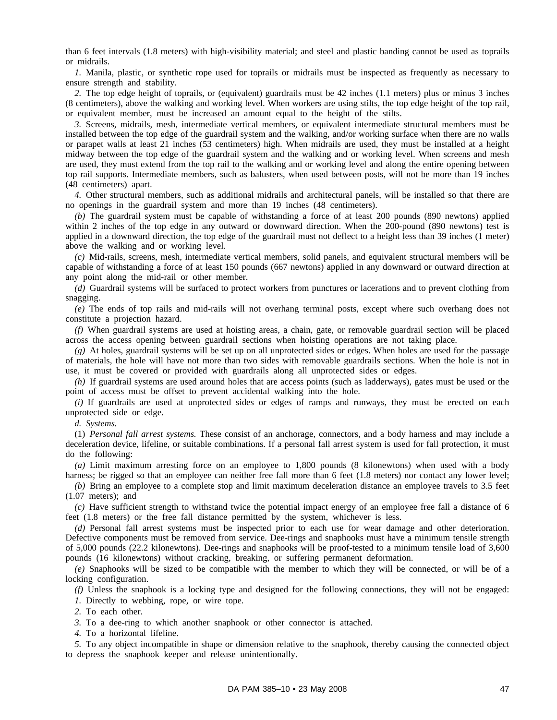than 6 feet intervals (1.8 meters) with high-visibility material; and steel and plastic banding cannot be used as toprails or midrails.

*1.* Manila, plastic, or synthetic rope used for toprails or midrails must be inspected as frequently as necessary to ensure strength and stability.

*2.* The top edge height of toprails, or (equivalent) guardrails must be 42 inches (1.1 meters) plus or minus 3 inches (8 centimeters), above the walking and working level. When workers are using stilts, the top edge height of the top rail, or equivalent member, must be increased an amount equal to the height of the stilts.

*3.* Screens, midrails, mesh, intermediate vertical members, or equivalent intermediate structural members must be installed between the top edge of the guardrail system and the walking, and/or working surface when there are no walls or parapet walls at least 21 inches (53 centimeters) high. When midrails are used, they must be installed at a height midway between the top edge of the guardrail system and the walking and or working level. When screens and mesh are used, they must extend from the top rail to the walking and or working level and along the entire opening between top rail supports. Intermediate members, such as balusters, when used between posts, will not be more than 19 inches (48 centimeters) apart.

*4.* Other structural members, such as additional midrails and architectural panels, will be installed so that there are no openings in the guardrail system and more than 19 inches (48 centimeters).

*(b)* The guardrail system must be capable of withstanding a force of at least 200 pounds (890 newtons) applied within 2 inches of the top edge in any outward or downward direction. When the 200-pound (890 newtons) test is applied in a downward direction, the top edge of the guardrail must not deflect to a height less than 39 inches (1 meter) above the walking and or working level.

*(c)* Mid-rails, screens, mesh, intermediate vertical members, solid panels, and equivalent structural members will be capable of withstanding a force of at least 150 pounds (667 newtons) applied in any downward or outward direction at any point along the mid-rail or other member.

*(d)* Guardrail systems will be surfaced to protect workers from punctures or lacerations and to prevent clothing from snagging.

*(e)* The ends of top rails and mid-rails will not overhang terminal posts, except where such overhang does not constitute a projection hazard.

*(f)* When guardrail systems are used at hoisting areas, a chain, gate, or removable guardrail section will be placed across the access opening between guardrail sections when hoisting operations are not taking place.

*(g)* At holes, guardrail systems will be set up on all unprotected sides or edges. When holes are used for the passage of materials, the hole will have not more than two sides with removable guardrails sections. When the hole is not in use, it must be covered or provided with guardrails along all unprotected sides or edges.

*(h)* If guardrail systems are used around holes that are access points (such as ladderways), gates must be used or the point of access must be offset to prevent accidental walking into the hole.

*(i)* If guardrails are used at unprotected sides or edges of ramps and runways, they must be erected on each unprotected side or edge.

*d. Systems.*

(1) *Personal fall arrest systems.* These consist of an anchorage, connectors, and a body harness and may include a deceleration device, lifeline, or suitable combinations. If a personal fall arrest system is used for fall protection, it must do the following:

*(a)* Limit maximum arresting force on an employee to 1,800 pounds (8 kilonewtons) when used with a body harness; be rigged so that an employee can neither free fall more than 6 feet (1.8 meters) nor contact any lower level;

*(b)* Bring an employee to a complete stop and limit maximum deceleration distance an employee travels to 3.5 feet (1.07 meters); and

*(c)* Have sufficient strength to withstand twice the potential impact energy of an employee free fall a distance of 6 feet (1.8 meters) or the free fall distance permitted by the system, whichever is less.

*(d)* Personal fall arrest systems must be inspected prior to each use for wear damage and other deterioration. Defective components must be removed from service. Dee-rings and snaphooks must have a minimum tensile strength of 5,000 pounds (22.2 kilonewtons). Dee-rings and snaphooks will be proof-tested to a minimum tensile load of 3,600 pounds (16 kilonewtons) without cracking, breaking, or suffering permanent deformation.

*(e)* Snaphooks will be sized to be compatible with the member to which they will be connected, or will be of a locking configuration.

*(f)* Unless the snaphook is a locking type and designed for the following connections, they will not be engaged:

*1.* Directly to webbing, rope, or wire tope.

*2.* To each other.

*3.* To a dee-ring to which another snaphook or other connector is attached.

*4.* To a horizontal lifeline.

*5.* To any object incompatible in shape or dimension relative to the snaphook, thereby causing the connected object to depress the snaphook keeper and release unintentionally.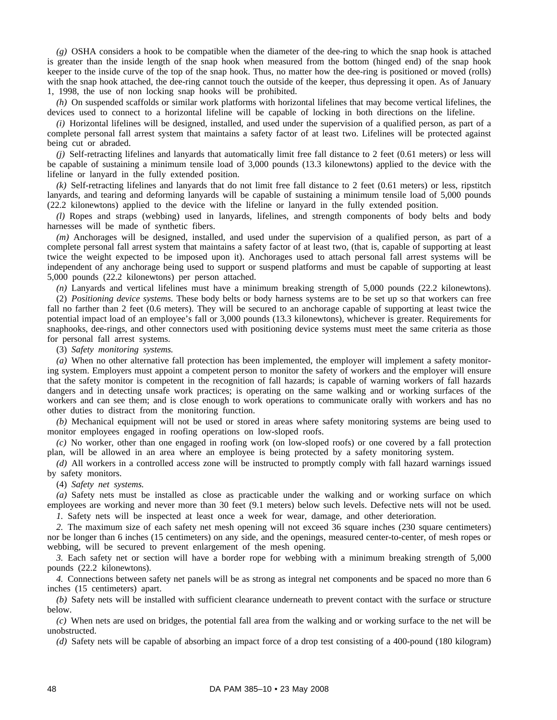*(g)* OSHA considers a hook to be compatible when the diameter of the dee-ring to which the snap hook is attached is greater than the inside length of the snap hook when measured from the bottom (hinged end) of the snap hook keeper to the inside curve of the top of the snap hook. Thus, no matter how the dee-ring is positioned or moved (rolls) with the snap hook attached, the dee-ring cannot touch the outside of the keeper, thus depressing it open. As of January 1, 1998, the use of non locking snap hooks will be prohibited.

*(h)* On suspended scaffolds or similar work platforms with horizontal lifelines that may become vertical lifelines, the devices used to connect to a horizontal lifeline will be capable of locking in both directions on the lifeline.

*(i)* Horizontal lifelines will be designed, installed, and used under the supervision of a qualified person, as part of a complete personal fall arrest system that maintains a safety factor of at least two. Lifelines will be protected against being cut or abraded.

*(j)* Self-retracting lifelines and lanyards that automatically limit free fall distance to 2 feet (0.61 meters) or less will be capable of sustaining a minimum tensile load of 3,000 pounds (13.3 kilonewtons) applied to the device with the lifeline or lanyard in the fully extended position.

*(k)* Self-retracting lifelines and lanyards that do not limit free fall distance to 2 feet (0.61 meters) or less, ripstitch lanyards, and tearing and deforming lanyards will be capable of sustaining a minimum tensile load of 5,000 pounds (22.2 kilonewtons) applied to the device with the lifeline or lanyard in the fully extended position.

*(l)* Ropes and straps (webbing) used in lanyards, lifelines, and strength components of body belts and body harnesses will be made of synthetic fibers.

*(m)* Anchorages will be designed, installed, and used under the supervision of a qualified person, as part of a complete personal fall arrest system that maintains a safety factor of at least two, (that is, capable of supporting at least twice the weight expected to be imposed upon it). Anchorages used to attach personal fall arrest systems will be independent of any anchorage being used to support or suspend platforms and must be capable of supporting at least 5,000 pounds (22.2 kilonewtons) per person attached.

*(n)* Lanyards and vertical lifelines must have a minimum breaking strength of 5,000 pounds (22.2 kilonewtons).

(2) *Positioning device systems.* These body belts or body harness systems are to be set up so that workers can free fall no farther than 2 feet (0.6 meters). They will be secured to an anchorage capable of supporting at least twice the potential impact load of an employee's fall or 3,000 pounds (13.3 kilonewtons), whichever is greater. Requirements for snaphooks, dee-rings, and other connectors used with positioning device systems must meet the same criteria as those for personal fall arrest systems.

(3) *Safety monitoring systems.*

*(a)* When no other alternative fall protection has been implemented, the employer will implement a safety monitoring system. Employers must appoint a competent person to monitor the safety of workers and the employer will ensure that the safety monitor is competent in the recognition of fall hazards; is capable of warning workers of fall hazards dangers and in detecting unsafe work practices; is operating on the same walking and or working surfaces of the workers and can see them; and is close enough to work operations to communicate orally with workers and has no other duties to distract from the monitoring function.

*(b)* Mechanical equipment will not be used or stored in areas where safety monitoring systems are being used to monitor employees engaged in roofing operations on low-sloped roofs.

*(c)* No worker, other than one engaged in roofing work (on low-sloped roofs) or one covered by a fall protection plan, will be allowed in an area where an employee is being protected by a safety monitoring system.

*(d)* All workers in a controlled access zone will be instructed to promptly comply with fall hazard warnings issued by safety monitors.

(4) *Safety net systems.*

*(a)* Safety nets must be installed as close as practicable under the walking and or working surface on which employees are working and never more than 30 feet (9.1 meters) below such levels. Defective nets will not be used.

*1.* Safety nets will be inspected at least once a week for wear, damage, and other deterioration.

*2.* The maximum size of each safety net mesh opening will not exceed 36 square inches (230 square centimeters) nor be longer than 6 inches (15 centimeters) on any side, and the openings, measured center-to-center, of mesh ropes or webbing, will be secured to prevent enlargement of the mesh opening.

*3.* Each safety net or section will have a border rope for webbing with a minimum breaking strength of 5,000 pounds (22.2 kilonewtons).

*4.* Connections between safety net panels will be as strong as integral net components and be spaced no more than 6 inches (15 centimeters) apart.

*(b)* Safety nets will be installed with sufficient clearance underneath to prevent contact with the surface or structure below.

*(c)* When nets are used on bridges, the potential fall area from the walking and or working surface to the net will be unobstructed.

*(d)* Safety nets will be capable of absorbing an impact force of a drop test consisting of a 400-pound (180 kilogram)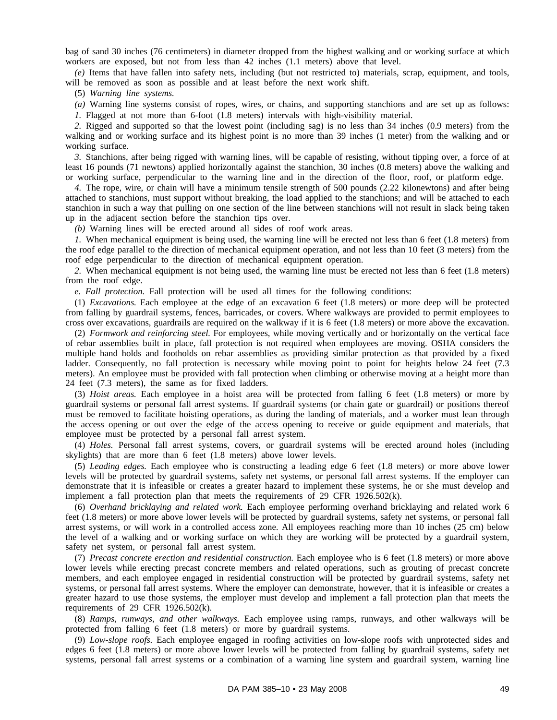bag of sand 30 inches (76 centimeters) in diameter dropped from the highest walking and or working surface at which workers are exposed, but not from less than 42 inches (1.1 meters) above that level.

*(e)* Items that have fallen into safety nets, including (but not restricted to) materials, scrap, equipment, and tools, will be removed as soon as possible and at least before the next work shift.

(5) *Warning line systems.*

*(a)* Warning line systems consist of ropes, wires, or chains, and supporting stanchions and are set up as follows: *1.* Flagged at not more than 6-foot (1.8 meters) intervals with high-visibility material.

*2.* Rigged and supported so that the lowest point (including sag) is no less than 34 inches (0.9 meters) from the walking and or working surface and its highest point is no more than 39 inches (1 meter) from the walking and or working surface.

*3.* Stanchions, after being rigged with warning lines, will be capable of resisting, without tipping over, a force of at least 16 pounds (71 newtons) applied horizontally against the stanchion, 30 inches (0.8 meters) above the walking and or working surface, perpendicular to the warning line and in the direction of the floor, roof, or platform edge.

*4.* The rope, wire, or chain will have a minimum tensile strength of 500 pounds (2.22 kilonewtons) and after being attached to stanchions, must support without breaking, the load applied to the stanchions; and will be attached to each stanchion in such a way that pulling on one section of the line between stanchions will not result in slack being taken up in the adjacent section before the stanchion tips over.

*(b)* Warning lines will be erected around all sides of roof work areas.

*1.* When mechanical equipment is being used, the warning line will be erected not less than 6 feet (1.8 meters) from the roof edge parallel to the direction of mechanical equipment operation, and not less than 10 feet (3 meters) from the roof edge perpendicular to the direction of mechanical equipment operation.

*2.* When mechanical equipment is not being used, the warning line must be erected not less than 6 feet (1.8 meters) from the roof edge.

*e. Fall protection.* Fall protection will be used all times for the following conditions:

(1) *Excavations.* Each employee at the edge of an excavation 6 feet (1.8 meters) or more deep will be protected from falling by guardrail systems, fences, barricades, or covers. Where walkways are provided to permit employees to cross over excavations, guardrails are required on the walkway if it is 6 feet (1.8 meters) or more above the excavation.

(2) *Formwork and reinforcing steel.* For employees, while moving vertically and or horizontally on the vertical face of rebar assemblies built in place, fall protection is not required when employees are moving. OSHA considers the multiple hand holds and footholds on rebar assemblies as providing similar protection as that provided by a fixed ladder. Consequently, no fall protection is necessary while moving point to point for heights below 24 feet (7.3) meters). An employee must be provided with fall protection when climbing or otherwise moving at a height more than 24 feet (7.3 meters), the same as for fixed ladders.

(3) *Hoist areas.* Each employee in a hoist area will be protected from falling 6 feet (1.8 meters) or more by guardrail systems or personal fall arrest systems. If guardrail systems (or chain gate or guardrail) or positions thereof must be removed to facilitate hoisting operations, as during the landing of materials, and a worker must lean through the access opening or out over the edge of the access opening to receive or guide equipment and materials, that employee must be protected by a personal fall arrest system.

(4) *Holes.* Personal fall arrest systems, covers, or guardrail systems will be erected around holes (including skylights) that are more than 6 feet (1.8 meters) above lower levels.

(5) *Leading edges.* Each employee who is constructing a leading edge 6 feet (1.8 meters) or more above lower levels will be protected by guardrail systems, safety net systems, or personal fall arrest systems. If the employer can demonstrate that it is infeasible or creates a greater hazard to implement these systems, he or she must develop and implement a fall protection plan that meets the requirements of 29 CFR 1926.502(k).

(6) *Overhand bricklaying and related work.* Each employee performing overhand bricklaying and related work 6 feet (1.8 meters) or more above lower levels will be protected by guardrail systems, safety net systems, or personal fall arrest systems, or will work in a controlled access zone. All employees reaching more than 10 inches (25 cm) below the level of a walking and or working surface on which they are working will be protected by a guardrail system, safety net system, or personal fall arrest system.

(7) *Precast concrete erection and residential construction.* Each employee who is 6 feet (1.8 meters) or more above lower levels while erecting precast concrete members and related operations, such as grouting of precast concrete members, and each employee engaged in residential construction will be protected by guardrail systems, safety net systems, or personal fall arrest systems. Where the employer can demonstrate, however, that it is infeasible or creates a greater hazard to use those systems, the employer must develop and implement a fall protection plan that meets the requirements of 29 CFR 1926.502(k).

(8) *Ramps, runways, and other walkways.* Each employee using ramps, runways, and other walkways will be protected from falling 6 feet (1.8 meters) or more by guardrail systems.

(9) *Low-slope roofs.* Each employee engaged in roofing activities on low-slope roofs with unprotected sides and edges 6 feet (1.8 meters) or more above lower levels will be protected from falling by guardrail systems, safety net systems, personal fall arrest systems or a combination of a warning line system and guardrail system, warning line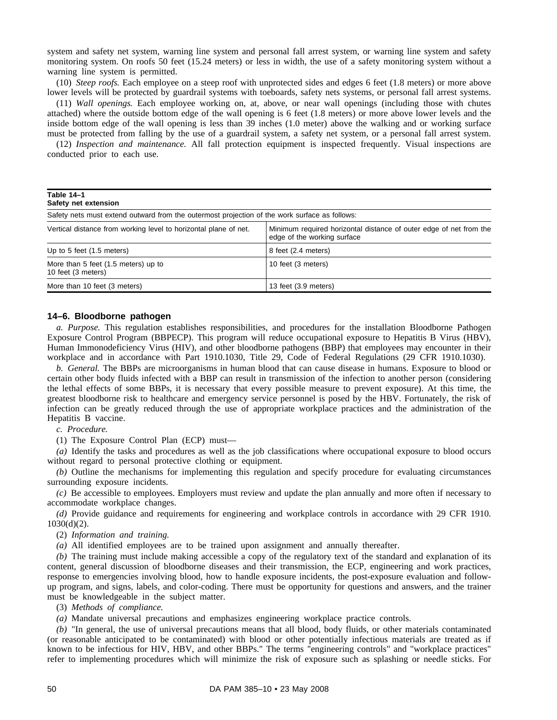system and safety net system, warning line system and personal fall arrest system, or warning line system and safety monitoring system. On roofs 50 feet (15.24 meters) or less in width, the use of a safety monitoring system without a warning line system is permitted.

(10) *Steep roofs.* Each employee on a steep roof with unprotected sides and edges 6 feet (1.8 meters) or more above lower levels will be protected by guardrail systems with toeboards, safety nets systems, or personal fall arrest systems.

(11) *Wall openings.* Each employee working on, at, above, or near wall openings (including those with chutes attached) where the outside bottom edge of the wall opening is 6 feet (1.8 meters) or more above lower levels and the inside bottom edge of the wall opening is less than 39 inches (1.0 meter) above the walking and or working surface must be protected from falling by the use of a guardrail system, a safety net system, or a personal fall arrest system.

(12) *Inspection and maintenance.* All fall protection equipment is inspected frequently. Visual inspections are conducted prior to each use.

| Table 14-1<br>Safety net extension                                                            |                                                                                                   |  |  |  |
|-----------------------------------------------------------------------------------------------|---------------------------------------------------------------------------------------------------|--|--|--|
| Safety nets must extend outward from the outermost projection of the work surface as follows: |                                                                                                   |  |  |  |
| Vertical distance from working level to horizontal plane of net.                              | Minimum required horizontal distance of outer edge of net from the<br>edge of the working surface |  |  |  |
| Up to 5 feet $(1.5$ meters)                                                                   | 8 feet (2.4 meters)                                                                               |  |  |  |
| More than 5 feet (1.5 meters) up to<br>10 feet (3 meters)                                     | 10 feet (3 meters)                                                                                |  |  |  |
| More than 10 feet (3 meters)                                                                  | 13 feet (3.9 meters)                                                                              |  |  |  |

### **14–6. Bloodborne pathogen**

*a. Purpose.* This regulation establishes responsibilities, and procedures for the installation Bloodborne Pathogen Exposure Control Program (BBPECP). This program will reduce occupational exposure to Hepatitis B Virus (HBV), Human Immonodeficiency Virus (HIV), and other bloodborne pathogens (BBP) that employees may encounter in their workplace and in accordance with Part 1910.1030, Title 29, Code of Federal Regulations (29 CFR 1910.1030).

*b. General.* The BBPs are microorganisms in human blood that can cause disease in humans. Exposure to blood or certain other body fluids infected with a BBP can result in transmission of the infection to another person (considering the lethal effects of some BBPs, it is necessary that every possible measure to prevent exposure). At this time, the greatest bloodborne risk to healthcare and emergency service personnel is posed by the HBV. Fortunately, the risk of infection can be greatly reduced through the use of appropriate workplace practices and the administration of the Hepatitis B vaccine.

*c. Procedure.*

(1) The Exposure Control Plan (ECP) must—

*(a)* Identify the tasks and procedures as well as the job classifications where occupational exposure to blood occurs without regard to personal protective clothing or equipment.

*(b)* Outline the mechanisms for implementing this regulation and specify procedure for evaluating circumstances surrounding exposure incidents.

*(c)* Be accessible to employees. Employers must review and update the plan annually and more often if necessary to accommodate workplace changes.

*(d)* Provide guidance and requirements for engineering and workplace controls in accordance with 29 CFR 1910. 1030(d)(2).

(2) *Information and training.*

*(a)* All identified employees are to be trained upon assignment and annually thereafter.

*(b)* The training must include making accessible a copy of the regulatory text of the standard and explanation of its content, general discussion of bloodborne diseases and their transmission, the ECP, engineering and work practices, response to emergencies involving blood, how to handle exposure incidents, the post-exposure evaluation and followup program, and signs, labels, and color-coding. There must be opportunity for questions and answers, and the trainer must be knowledgeable in the subject matter.

(3) *Methods of compliance.*

*(a)* Mandate universal precautions and emphasizes engineering workplace practice controls.

*(b)* "In general, the use of universal precautions means that all blood, body fluids, or other materials contaminated (or reasonable anticipated to be contaminated) with blood or other potentially infectious materials are treated as if known to be infectious for HIV, HBV, and other BBPs." The terms "engineering controls" and "workplace practices" refer to implementing procedures which will minimize the risk of exposure such as splashing or needle sticks. For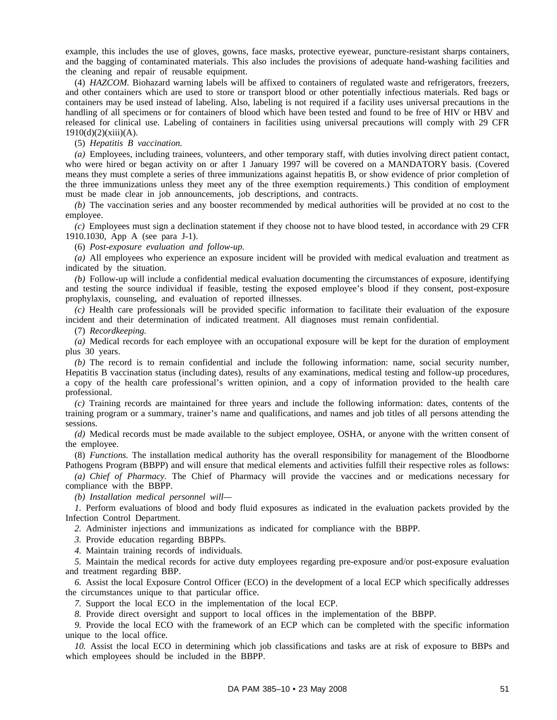example, this includes the use of gloves, gowns, face masks, protective eyewear, puncture-resistant sharps containers, and the bagging of contaminated materials. This also includes the provisions of adequate hand-washing facilities and the cleaning and repair of reusable equipment.

(4) *HAZCOM.* Biohazard warning labels will be affixed to containers of regulated waste and refrigerators, freezers, and other containers which are used to store or transport blood or other potentially infectious materials. Red bags or containers may be used instead of labeling. Also, labeling is not required if a facility uses universal precautions in the handling of all specimens or for containers of blood which have been tested and found to be free of HIV or HBV and released for clinical use. Labeling of containers in facilities using universal precautions will comply with 29 CFR  $1910(d)(2)(xiii)(A).$ 

(5) *Hepatitis B vaccination.*

*(a)* Employees, including trainees, volunteers, and other temporary staff, with duties involving direct patient contact, who were hired or began activity on or after 1 January 1997 will be covered on a MANDATORY basis. (Covered means they must complete a series of three immunizations against hepatitis B, or show evidence of prior completion of the three immunizations unless they meet any of the three exemption requirements.) This condition of employment must be made clear in job announcements, job descriptions, and contracts.

*(b)* The vaccination series and any booster recommended by medical authorities will be provided at no cost to the employee.

*(c)* Employees must sign a declination statement if they choose not to have blood tested, in accordance with 29 CFR 1910.1030, App A (see para J-1).

(6) *Post-exposure evaluation and follow-up.*

*(a)* All employees who experience an exposure incident will be provided with medical evaluation and treatment as indicated by the situation.

*(b)* Follow-up will include a confidential medical evaluation documenting the circumstances of exposure, identifying and testing the source individual if feasible, testing the exposed employee's blood if they consent, post-exposure prophylaxis, counseling, and evaluation of reported illnesses.

*(c)* Health care professionals will be provided specific information to facilitate their evaluation of the exposure incident and their determination of indicated treatment. All diagnoses must remain confidential.

(7) *Recordkeeping.*

*(a)* Medical records for each employee with an occupational exposure will be kept for the duration of employment plus 30 years.

*(b)* The record is to remain confidential and include the following information: name, social security number, Hepatitis B vaccination status (including dates), results of any examinations, medical testing and follow-up procedures, a copy of the health care professional's written opinion, and a copy of information provided to the health care professional.

*(c)* Training records are maintained for three years and include the following information: dates, contents of the training program or a summary, trainer's name and qualifications, and names and job titles of all persons attending the sessions.

*(d)* Medical records must be made available to the subject employee, OSHA, or anyone with the written consent of the employee.

(8) *Functions.* The installation medical authority has the overall responsibility for management of the Bloodborne Pathogens Program (BBPP) and will ensure that medical elements and activities fulfill their respective roles as follows:

*(a) Chief of Pharmacy.* The Chief of Pharmacy will provide the vaccines and or medications necessary for compliance with the BBPP.

*(b) Installation medical personnel will—*

*1.* Perform evaluations of blood and body fluid exposures as indicated in the evaluation packets provided by the Infection Control Department.

*2.* Administer injections and immunizations as indicated for compliance with the BBPP.

*3.* Provide education regarding BBPPs.

*4.* Maintain training records of individuals.

*5.* Maintain the medical records for active duty employees regarding pre-exposure and/or post-exposure evaluation and treatment regarding BBP.

*6.* Assist the local Exposure Control Officer (ECO) in the development of a local ECP which specifically addresses the circumstances unique to that particular office.

*7.* Support the local ECO in the implementation of the local ECP.

*8.* Provide direct oversight and support to local offices in the implementation of the BBPP.

*9.* Provide the local ECO with the framework of an ECP which can be completed with the specific information unique to the local office.

*10.* Assist the local ECO in determining which job classifications and tasks are at risk of exposure to BBPs and which employees should be included in the BBPP.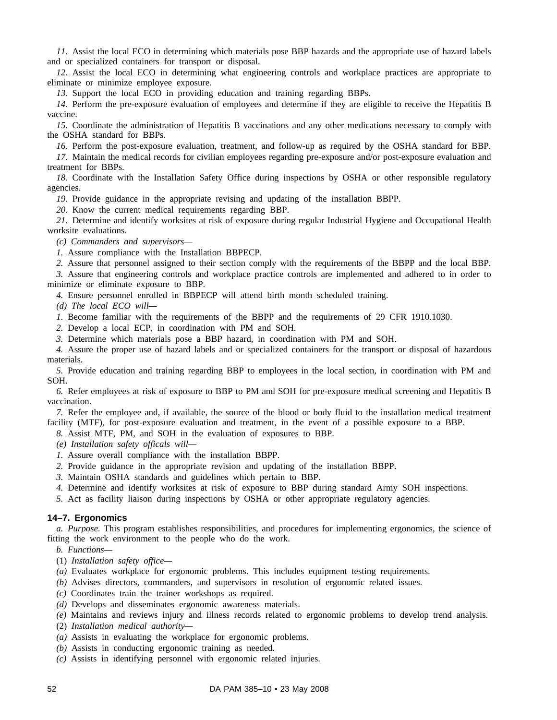*11.* Assist the local ECO in determining which materials pose BBP hazards and the appropriate use of hazard labels and or specialized containers for transport or disposal.

*12.* Assist the local ECO in determining what engineering controls and workplace practices are appropriate to eliminate or minimize employee exposure.

*13.* Support the local ECO in providing education and training regarding BBPs.

*14.* Perform the pre-exposure evaluation of employees and determine if they are eligible to receive the Hepatitis B vaccine.

*15.* Coordinate the administration of Hepatitis B vaccinations and any other medications necessary to comply with the OSHA standard for BBPs.

*16.* Perform the post-exposure evaluation, treatment, and follow-up as required by the OSHA standard for BBP.

*17.* Maintain the medical records for civilian employees regarding pre-exposure and/or post-exposure evaluation and treatment for BBPs.

*18.* Coordinate with the Installation Safety Office during inspections by OSHA or other responsible regulatory agencies.

*19.* Provide guidance in the appropriate revising and updating of the installation BBPP.

*20.* Know the current medical requirements regarding BBP.

*21.* Determine and identify worksites at risk of exposure during regular Industrial Hygiene and Occupational Health worksite evaluations.

*(c) Commanders and supervisors—*

*1.* Assure compliance with the Installation BBPECP.

*2.* Assure that personnel assigned to their section comply with the requirements of the BBPP and the local BBP.

*3.* Assure that engineering controls and workplace practice controls are implemented and adhered to in order to minimize or eliminate exposure to BBP.

*4.* Ensure personnel enrolled in BBPECP will attend birth month scheduled training.

*(d) The local ECO will—*

*1.* Become familiar with the requirements of the BBPP and the requirements of 29 CFR 1910.1030.

*2.* Develop a local ECP, in coordination with PM and SOH.

*3.* Determine which materials pose a BBP hazard, in coordination with PM and SOH.

*4.* Assure the proper use of hazard labels and or specialized containers for the transport or disposal of hazardous materials.

*5.* Provide education and training regarding BBP to employees in the local section, in coordination with PM and SOH.

*6.* Refer employees at risk of exposure to BBP to PM and SOH for pre-exposure medical screening and Hepatitis B vaccination.

*7.* Refer the employee and, if available, the source of the blood or body fluid to the installation medical treatment facility (MTF), for post-exposure evaluation and treatment, in the event of a possible exposure to a BBP.

*8.* Assist MTF, PM, and SOH in the evaluation of exposures to BBP.

*(e) Installation safety officals will—*

*1.* Assure overall compliance with the installation BBPP.

- *2.* Provide guidance in the appropriate revision and updating of the installation BBPP.
- *3.* Maintain OSHA standards and guidelines which pertain to BBP.
- *4.* Determine and identify worksites at risk of exposure to BBP during standard Army SOH inspections.
- *5.* Act as facility liaison during inspections by OSHA or other appropriate regulatory agencies.

#### **14–7. Ergonomics**

*a. Purpose.* This program establishes responsibilities, and procedures for implementing ergonomics, the science of fitting the work environment to the people who do the work.

*b. Functions—*

- (1) *Installation safety office—*
- *(a)* Evaluates workplace for ergonomic problems. This includes equipment testing requirements.

*(b)* Advises directors, commanders, and supervisors in resolution of ergonomic related issues.

- *(c)* Coordinates train the trainer workshops as required.
- *(d)* Develops and disseminates ergonomic awareness materials.
- *(e)* Maintains and reviews injury and illness records related to ergonomic problems to develop trend analysis.
- (2) *Installation medical authority—*
- *(a)* Assists in evaluating the workplace for ergonomic problems.
- *(b)* Assists in conducting ergonomic training as needed.
- *(c)* Assists in identifying personnel with ergonomic related injuries.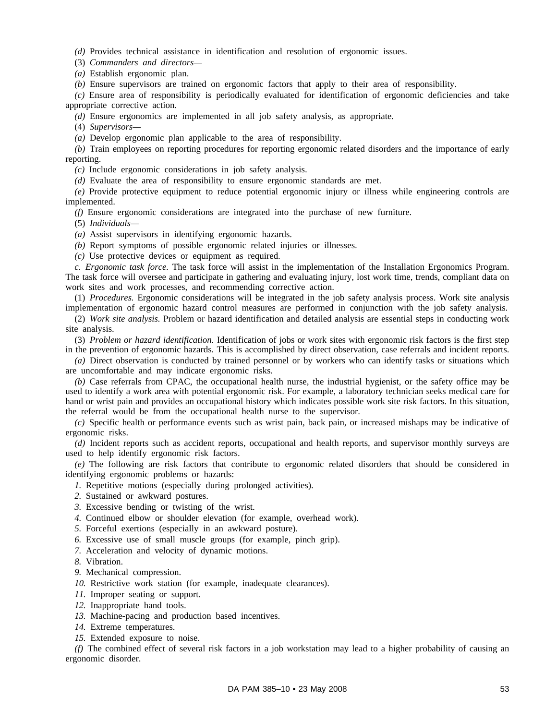*(d)* Provides technical assistance in identification and resolution of ergonomic issues.

(3) *Commanders and directors—*

*(a)* Establish ergonomic plan.

*(b)* Ensure supervisors are trained on ergonomic factors that apply to their area of responsibility.

*(c)* Ensure area of responsibility is periodically evaluated for identification of ergonomic deficiencies and take appropriate corrective action.

*(d)* Ensure ergonomics are implemented in all job safety analysis, as appropriate.

(4) *Supervisors—*

*(a)* Develop ergonomic plan applicable to the area of responsibility.

*(b)* Train employees on reporting procedures for reporting ergonomic related disorders and the importance of early reporting.

*(c)* Include ergonomic considerations in job safety analysis.

*(d)* Evaluate the area of responsibility to ensure ergonomic standards are met.

*(e)* Provide protective equipment to reduce potential ergonomic injury or illness while engineering controls are implemented.

*(f)* Ensure ergonomic considerations are integrated into the purchase of new furniture.

(5) *Individuals—*

*(a)* Assist supervisors in identifying ergonomic hazards.

*(b)* Report symptoms of possible ergonomic related injuries or illnesses.

*(c)* Use protective devices or equipment as required.

*c. Ergonomic task force.* The task force will assist in the implementation of the Installation Ergonomics Program. The task force will oversee and participate in gathering and evaluating injury, lost work time, trends, compliant data on work sites and work processes, and recommending corrective action.

(1) *Procedures.* Ergonomic considerations will be integrated in the job safety analysis process. Work site analysis implementation of ergonomic hazard control measures are performed in conjunction with the job safety analysis.

(2) *Work site analysis.* Problem or hazard identification and detailed analysis are essential steps in conducting work site analysis.

(3) *Problem or hazard identification.* Identification of jobs or work sites with ergonomic risk factors is the first step in the prevention of ergonomic hazards. This is accomplished by direct observation, case referrals and incident reports.

*(a)* Direct observation is conducted by trained personnel or by workers who can identify tasks or situations which are uncomfortable and may indicate ergonomic risks.

*(b)* Case referrals from CPAC, the occupational health nurse, the industrial hygienist, or the safety office may be used to identify a work area with potential ergonomic risk. For example, a laboratory technician seeks medical care for hand or wrist pain and provides an occupational history which indicates possible work site risk factors. In this situation, the referral would be from the occupational health nurse to the supervisor.

*(c)* Specific health or performance events such as wrist pain, back pain, or increased mishaps may be indicative of ergonomic risks.

*(d)* Incident reports such as accident reports, occupational and health reports, and supervisor monthly surveys are used to help identify ergonomic risk factors.

*(e)* The following are risk factors that contribute to ergonomic related disorders that should be considered in identifying ergonomic problems or hazards:

*1.* Repetitive motions (especially during prolonged activities).

*2.* Sustained or awkward postures.

*3.* Excessive bending or twisting of the wrist.

- *4.* Continued elbow or shoulder elevation (for example, overhead work).
- *5.* Forceful exertions (especially in an awkward posture).
- *6.* Excessive use of small muscle groups (for example, pinch grip).
- *7.* Acceleration and velocity of dynamic motions.
- *8.* Vibration.
- *9.* Mechanical compression.
- 10. Restrictive work station (for example, inadequate clearances).
- *11.* Improper seating or support.
- *12.* Inappropriate hand tools.
- *13.* Machine-pacing and production based incentives.
- *14.* Extreme temperatures.
- *15.* Extended exposure to noise.

*(f)* The combined effect of several risk factors in a job workstation may lead to a higher probability of causing an ergonomic disorder.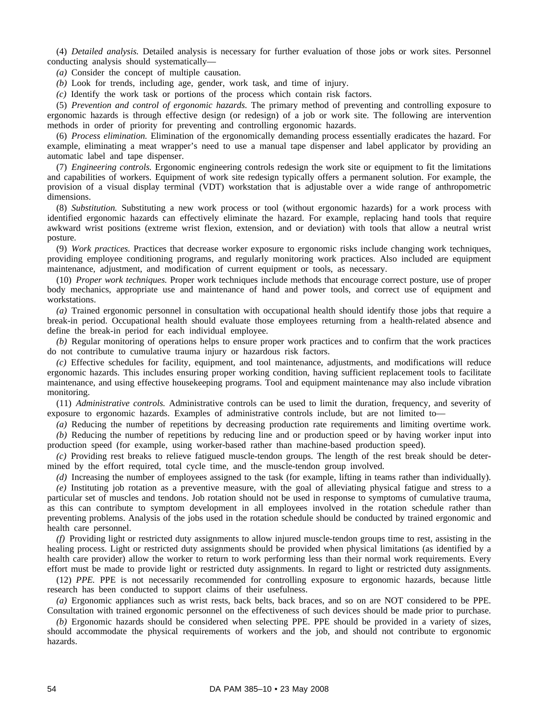(4) *Detailed analysis.* Detailed analysis is necessary for further evaluation of those jobs or work sites. Personnel conducting analysis should systematically—

*(a)* Consider the concept of multiple causation.

*(b)* Look for trends, including age, gender, work task, and time of injury.

*(c)* Identify the work task or portions of the process which contain risk factors.

(5) *Prevention and control of ergonomic hazards.* The primary method of preventing and controlling exposure to ergonomic hazards is through effective design (or redesign) of a job or work site. The following are intervention methods in order of priority for preventing and controlling ergonomic hazards.

(6) *Process elimination.* Elimination of the ergonomically demanding process essentially eradicates the hazard. For example, eliminating a meat wrapper's need to use a manual tape dispenser and label applicator by providing an automatic label and tape dispenser.

(7) *Engineering controls.* Ergonomic engineering controls redesign the work site or equipment to fit the limitations and capabilities of workers. Equipment of work site redesign typically offers a permanent solution. For example, the provision of a visual display terminal (VDT) workstation that is adjustable over a wide range of anthropometric dimensions.

(8) *Substitution.* Substituting a new work process or tool (without ergonomic hazards) for a work process with identified ergonomic hazards can effectively eliminate the hazard. For example, replacing hand tools that require awkward wrist positions (extreme wrist flexion, extension, and or deviation) with tools that allow a neutral wrist posture.

(9) *Work practices.* Practices that decrease worker exposure to ergonomic risks include changing work techniques, providing employee conditioning programs, and regularly monitoring work practices. Also included are equipment maintenance, adjustment, and modification of current equipment or tools, as necessary.

(10) *Proper work techniques.* Proper work techniques include methods that encourage correct posture, use of proper body mechanics, appropriate use and maintenance of hand and power tools, and correct use of equipment and workstations.

*(a)* Trained ergonomic personnel in consultation with occupational health should identify those jobs that require a break-in period. Occupational health should evaluate those employees returning from a health-related absence and define the break-in period for each individual employee.

*(b)* Regular monitoring of operations helps to ensure proper work practices and to confirm that the work practices do not contribute to cumulative trauma injury or hazardous risk factors.

*(c)* Effective schedules for facility, equipment, and tool maintenance, adjustments, and modifications will reduce ergonomic hazards. This includes ensuring proper working condition, having sufficient replacement tools to facilitate maintenance, and using effective housekeeping programs. Tool and equipment maintenance may also include vibration monitoring.

(11) *Administrative controls.* Administrative controls can be used to limit the duration, frequency, and severity of exposure to ergonomic hazards. Examples of administrative controls include, but are not limited to—

*(a)* Reducing the number of repetitions by decreasing production rate requirements and limiting overtime work.

*(b)* Reducing the number of repetitions by reducing line and or production speed or by having worker input into production speed (for example, using worker-based rather than machine-based production speed).

*(c)* Providing rest breaks to relieve fatigued muscle-tendon groups. The length of the rest break should be determined by the effort required, total cycle time, and the muscle-tendon group involved.

*(d)* Increasing the number of employees assigned to the task (for example, lifting in teams rather than individually).

*(e)* Instituting job rotation as a preventive measure, with the goal of alleviating physical fatigue and stress to a particular set of muscles and tendons. Job rotation should not be used in response to symptoms of cumulative trauma, as this can contribute to symptom development in all employees involved in the rotation schedule rather than preventing problems. Analysis of the jobs used in the rotation schedule should be conducted by trained ergonomic and health care personnel.

*(f)* Providing light or restricted duty assignments to allow injured muscle-tendon groups time to rest, assisting in the healing process. Light or restricted duty assignments should be provided when physical limitations (as identified by a health care provider) allow the worker to return to work performing less than their normal work requirements. Every effort must be made to provide light or restricted duty assignments. In regard to light or restricted duty assignments.

(12) *PPE.* PPE is not necessarily recommended for controlling exposure to ergonomic hazards, because little research has been conducted to support claims of their usefulness.

*(a)* Ergonomic appliances such as wrist rests, back belts, back braces, and so on are NOT considered to be PPE. Consultation with trained ergonomic personnel on the effectiveness of such devices should be made prior to purchase.

*(b)* Ergonomic hazards should be considered when selecting PPE. PPE should be provided in a variety of sizes, should accommodate the physical requirements of workers and the job, and should not contribute to ergonomic hazards.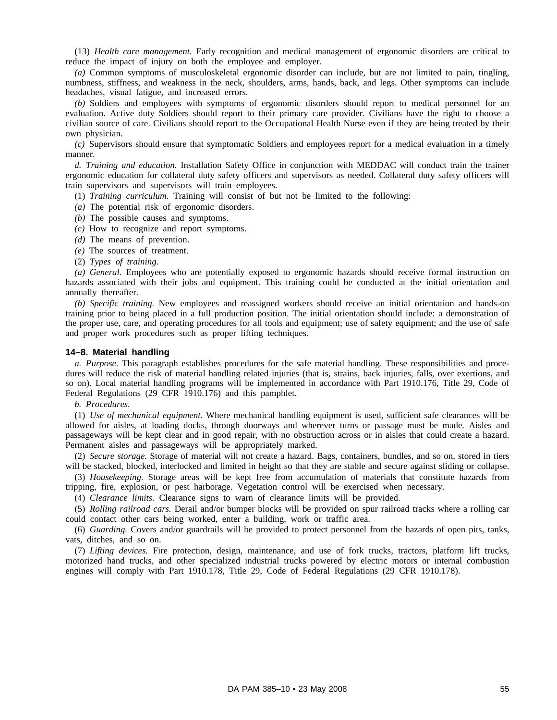(13) *Health care management.* Early recognition and medical management of ergonomic disorders are critical to reduce the impact of injury on both the employee and employer.

*(a)* Common symptoms of musculoskeletal ergonomic disorder can include, but are not limited to pain, tingling, numbness, stiffness, and weakness in the neck, shoulders, arms, hands, back, and legs. Other symptoms can include headaches, visual fatigue, and increased errors.

*(b)* Soldiers and employees with symptoms of ergonomic disorders should report to medical personnel for an evaluation. Active duty Soldiers should report to their primary care provider. Civilians have the right to choose a civilian source of care. Civilians should report to the Occupational Health Nurse even if they are being treated by their own physician.

*(c)* Supervisors should ensure that symptomatic Soldiers and employees report for a medical evaluation in a timely manner.

*d. Training and education.* Installation Safety Office in conjunction with MEDDAC will conduct train the trainer ergonomic education for collateral duty safety officers and supervisors as needed. Collateral duty safety officers will train supervisors and supervisors will train employees.

(1) *Training curriculum.* Training will consist of but not be limited to the following:

*(a)* The potential risk of ergonomic disorders.

- *(b)* The possible causes and symptoms.
- *(c)* How to recognize and report symptoms.
- *(d)* The means of prevention.
- *(e)* The sources of treatment.
- (2) *Types of training.*

*(a) General.* Employees who are potentially exposed to ergonomic hazards should receive formal instruction on hazards associated with their jobs and equipment. This training could be conducted at the initial orientation and annually thereafter.

*(b) Specific training.* New employees and reassigned workers should receive an initial orientation and hands-on training prior to being placed in a full production position. The initial orientation should include: a demonstration of the proper use, care, and operating procedures for all tools and equipment; use of safety equipment; and the use of safe and proper work procedures such as proper lifting techniques.

#### **14–8. Material handling**

*a. Purpose.* This paragraph establishes procedures for the safe material handling. These responsibilities and procedures will reduce the risk of material handling related injuries (that is, strains, back injuries, falls, over exertions, and so on). Local material handling programs will be implemented in accordance with Part 1910.176, Title 29, Code of Federal Regulations (29 CFR 1910.176) and this pamphlet.

*b. Procedures.*

(1) *Use of mechanical equipment.* Where mechanical handling equipment is used, sufficient safe clearances will be allowed for aisles, at loading docks, through doorways and wherever turns or passage must be made. Aisles and passageways will be kept clear and in good repair, with no obstruction across or in aisles that could create a hazard. Permanent aisles and passageways will be appropriately marked.

(2) *Secure storage.* Storage of material will not create a hazard. Bags, containers, bundles, and so on, stored in tiers will be stacked, blocked, interlocked and limited in height so that they are stable and secure against sliding or collapse.

(3) *Housekeeping.* Storage areas will be kept free from accumulation of materials that constitute hazards from tripping, fire, explosion, or pest harborage. Vegetation control will be exercised when necessary.

(4) *Clearance limits.* Clearance signs to warn of clearance limits will be provided.

(5) *Rolling railroad cars.* Derail and/or bumper blocks will be provided on spur railroad tracks where a rolling car could contact other cars being worked, enter a building, work or traffic area.

(6) *Guarding.* Covers and/or guardrails will be provided to protect personnel from the hazards of open pits, tanks, vats, ditches, and so on.

(7) *Lifting devices.* Fire protection, design, maintenance, and use of fork trucks, tractors, platform lift trucks, motorized hand trucks, and other specialized industrial trucks powered by electric motors or internal combustion engines will comply with Part 1910.178, Title 29, Code of Federal Regulations (29 CFR 1910.178).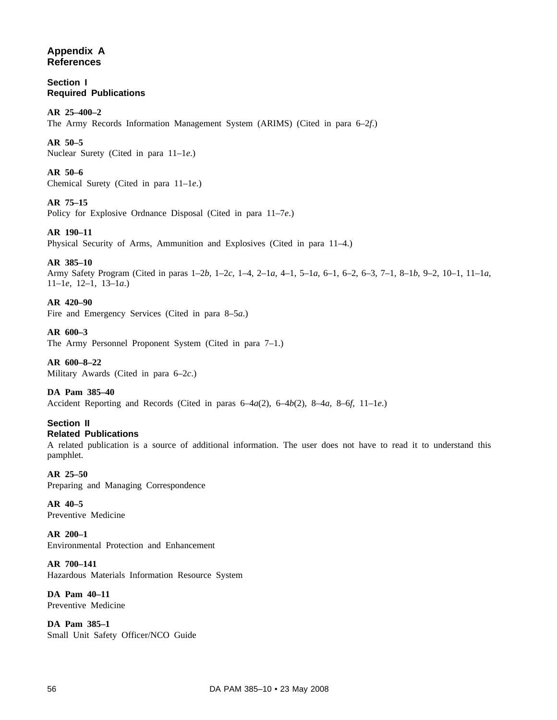# **Appendix A References**

**Section I Required Publications**

# **AR 25–400–2**

The Army Records Information Management System (ARIMS) (Cited in para 6–2*f*.)

# **AR 50–5**

Nuclear Surety (Cited in para 11–1*e*.)

## **AR 50–6**

Chemical Surety (Cited in para 11–1*e*.)

## **AR 75–15**

Policy for Explosive Ordnance Disposal (Cited in para 11–7*e*.)

# **AR 190–11**

Physical Security of Arms, Ammunition and Explosives (Cited in para 11–4.)

# **AR 385–10**

Army Safety Program (Cited in paras 1–2*b*, 1–2*c*, 1–4, 2–1*a*, 4–1, 5–1*a*, 6–1, 6–2, 6–3, 7–1, 8–1*b*, 9–2, 10–1, 11–1*a*, 11–1*e*, 12–1, 13–1*a*.)

## **AR 420–90**

Fire and Emergency Services (Cited in para 8–5*a*.)

## **AR 600–3**

The Army Personnel Proponent System (Cited in para 7–1.)

**AR 600–8–22** Military Awards (Cited in para 6–2*c*.)

## **DA Pam 385–40**

Accident Reporting and Records (Cited in paras 6–4*a*(2), 6–4*b*(2), 8–4*a*, 8–6*f*, 11–1*e*.)

## **Section II Related Publications**

A related publication is a source of additional information. The user does not have to read it to understand this pamphlet.

**AR 25–50**

Preparing and Managing Correspondence

**AR 40–5** Preventive Medicine

**AR 200–1** Environmental Protection and Enhancement

**AR 700–141** Hazardous Materials Information Resource System

**DA Pam 40–11** Preventive Medicine

**DA Pam 385–1** Small Unit Safety Officer/NCO Guide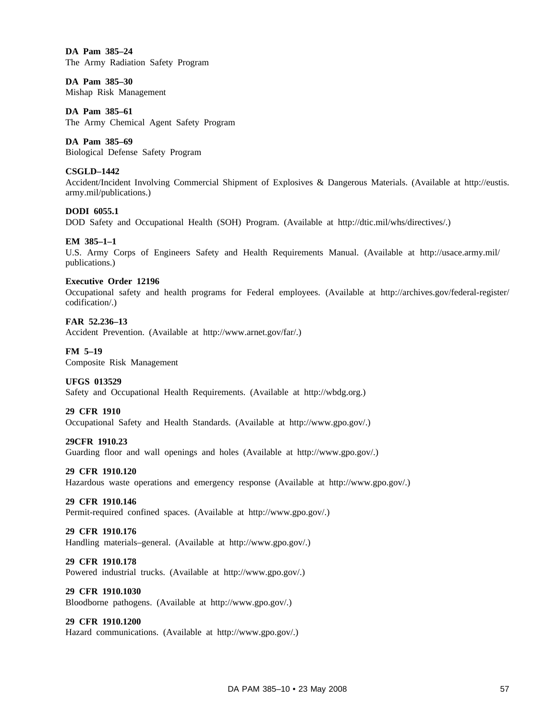**DA Pam 385–24** The Army Radiation Safety Program

**DA Pam 385–30** Mishap Risk Management

**DA Pam 385–61** The Army Chemical Agent Safety Program

**DA Pam 385–69** Biological Defense Safety Program

## **CSGLD–1442** Accident/Incident Involving Commercial Shipment of Explosives & Dangerous Materials. (Available at http://eustis. army.mil/publications.)

**DODI 6055.1** DOD Safety and Occupational Health (SOH) Program. (Available at http://dtic.mil/whs/directives/.)

**EM 385–1–1**

U.S. Army Corps of Engineers Safety and Health Requirements Manual. (Available at http://usace.army.mil/ publications.)

## **Executive Order 12196**

Occupational safety and health programs for Federal employees. (Available at http://archives.gov/federal-register/ codification/.)

**FAR 52.236–13**

Accident Prevention. (Available at http://www.arnet.gov/far/.)

**FM 5–19**

Composite Risk Management

## **UFGS 013529**

Safety and Occupational Health Requirements. (Available at http://wbdg.org.)

## **29 CFR 1910**

Occupational Safety and Health Standards. (Available at http://www.gpo.gov/.)

## **29CFR 1910.23**

Guarding floor and wall openings and holes (Available at http://www.gpo.gov/.)

## **29 CFR 1910.120**

Hazardous waste operations and emergency response (Available at http://www.gpo.gov/.)

## **29 CFR 1910.146**

Permit-required confined spaces. (Available at http://www.gpo.gov/.)

## **29 CFR 1910.176**

Handling materials–general. (Available at http://www.gpo.gov/.)

## **29 CFR 1910.178**

Powered industrial trucks. (Available at http://www.gpo.gov/.)

## **29 CFR 1910.1030**

Bloodborne pathogens. (Available at http://www.gpo.gov/.)

## **29 CFR 1910.1200**

Hazard communications. (Available at http://www.gpo.gov/.)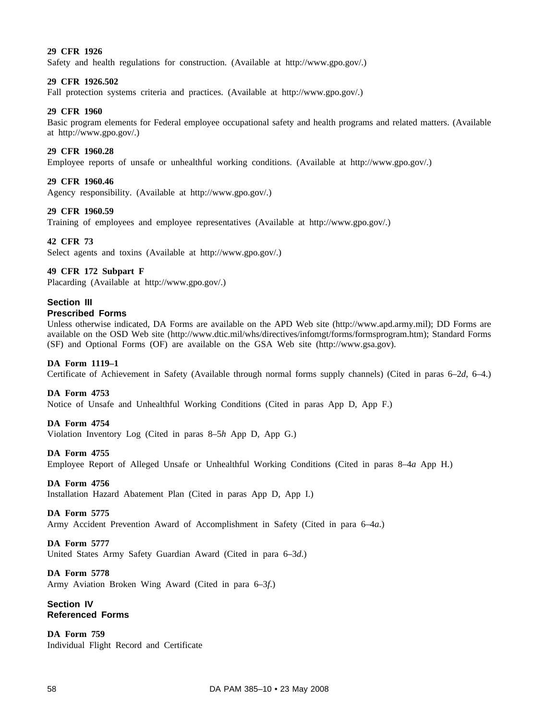## **29 CFR 1926**

Safety and health regulations for construction. (Available at http://www.gpo.gov/.)

### **29 CFR 1926.502**

Fall protection systems criteria and practices. (Available at http://www.gpo.gov/.)

### **29 CFR 1960**

Basic program elements for Federal employee occupational safety and health programs and related matters. (Available at http://www.gpo.gov/.)

### **29 CFR 1960.28**

Employee reports of unsafe or unhealthful working conditions. (Available at http://www.gpo.gov/.)

### **29 CFR 1960.46**

Agency responsibility. (Available at http://www.gpo.gov/.)

### **29 CFR 1960.59**

Training of employees and employee representatives (Available at http://www.gpo.gov/.)

### **42 CFR 73**

Select agents and toxins (Available at http://www.gpo.gov/.)

### **49 CFR 172 Subpart F**

Placarding (Available at http://www.gpo.gov/.)

## **Section III**

## **Prescribed Forms**

Unless otherwise indicated, DA Forms are available on the APD Web site (http://www.apd.army.mil); DD Forms are available on the OSD Web site (http://www.dtic.mil/whs/directives/infomgt/forms/formsprogram.htm); Standard Forms (SF) and Optional Forms (OF) are available on the GSA Web site (http://www.gsa.gov).

### **DA Form 1119–1**

Certificate of Achievement in Safety (Available through normal forms supply channels) (Cited in paras 6–2*d*, 6–4.)

#### **DA Form 4753**

Notice of Unsafe and Unhealthful Working Conditions (Cited in paras App D, App F.)

#### **DA Form 4754**

Violation Inventory Log (Cited in paras 8–5*h* App D, App G.)

#### **DA Form 4755**

Employee Report of Alleged Unsafe or Unhealthful Working Conditions (Cited in paras 8–4*a* App H.)

### **DA Form 4756**

Installation Hazard Abatement Plan (Cited in paras App D, App I.)

#### **DA Form 5775**

Army Accident Prevention Award of Accomplishment in Safety (Cited in para 6–4*a*.)

### **DA Form 5777**

United States Army Safety Guardian Award (Cited in para 6–3*d*.)

#### **DA Form 5778**

Army Aviation Broken Wing Award (Cited in para 6–3*f*.)

## **Section IV Referenced Forms**

**DA Form 759** Individual Flight Record and Certificate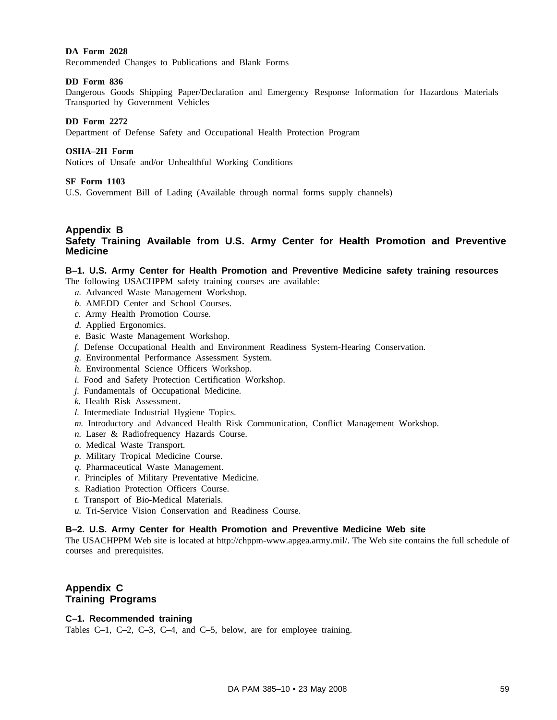## **DA Form 2028**

Recommended Changes to Publications and Blank Forms

### **DD Form 836**

Dangerous Goods Shipping Paper/Declaration and Emergency Response Information for Hazardous Materials Transported by Government Vehicles

### **DD Form 2272**

Department of Defense Safety and Occupational Health Protection Program

### **OSHA–2H Form**

Notices of Unsafe and/or Unhealthful Working Conditions

### **SF Form 1103**

U.S. Government Bill of Lading (Available through normal forms supply channels)

### **Appendix B Safety Training Available from U.S. Army Center for Health Promotion and Preventive Medicine**

# **B–1. U.S. Army Center for Health Promotion and Preventive Medicine safety training resources**

- The following USACHPPM safety training courses are available:
	- *a.* Advanced Waste Management Workshop.
	- *b.* AMEDD Center and School Courses.
	- *c.* Army Health Promotion Course.
	- *d.* Applied Ergonomics.
	- *e.* Basic Waste Management Workshop.
	- *f.* Defense Occupational Health and Environment Readiness System-Hearing Conservation.
	- *g.* Environmental Performance Assessment System.
	- *h.* Environmental Science Officers Workshop.
	- *i.* Food and Safety Protection Certification Workshop.
	- *j.* Fundamentals of Occupational Medicine.
	- *k.* Health Risk Assessment.
	- *l.* Intermediate Industrial Hygiene Topics.
	- *m.* Introductory and Advanced Health Risk Communication, Conflict Management Workshop.
	- *n.* Laser & Radiofrequency Hazards Course.
	- *o.* Medical Waste Transport.
	- *p.* Military Tropical Medicine Course.
	- *q.* Pharmaceutical Waste Management.
	- *r.* Principles of Military Preventative Medicine.
	- *s.* Radiation Protection Officers Course.
	- *t.* Transport of Bio-Medical Materials.
	- *u.* Tri-Service Vision Conservation and Readiness Course.

## **B–2. U.S. Army Center for Health Promotion and Preventive Medicine Web site**

The USACHPPM Web site is located at http://chppm-www.apgea.army.mil/. The Web site contains the full schedule of courses and prerequisites.

# **Appendix C Training Programs**

## **C–1. Recommended training**

Tables C–1, C–2, C–3, C–4, and C–5, below, are for employee training.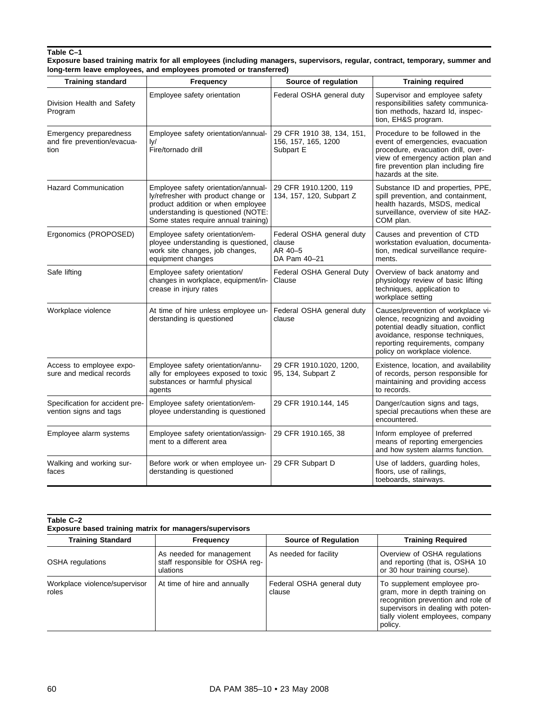#### **Table C–1 Exposure based training matrix for all employees (including managers, supervisors, regular, contract, temporary, summer and long-term leave employees, and employees promoted or transferred)**

| <b>Training standard</b>                                      | Frequency                                                                                                                                                                                     | Source of regulation                                           | <b>Training required</b>                                                                                                                                                                                              |
|---------------------------------------------------------------|-----------------------------------------------------------------------------------------------------------------------------------------------------------------------------------------------|----------------------------------------------------------------|-----------------------------------------------------------------------------------------------------------------------------------------------------------------------------------------------------------------------|
| Division Health and Safety<br>Program                         | Employee safety orientation<br>Federal OSHA general duty                                                                                                                                      |                                                                | Supervisor and employee safety<br>responsibilities safety communica-<br>tion methods, hazard Id, inspec-<br>tion, EH&S program.                                                                                       |
| Emergency preparedness<br>and fire prevention/evacua-<br>tion | Employee safety orientation/annual-<br>ly/<br>Fire/tornado drill                                                                                                                              | 29 CFR 1910 38, 134, 151,<br>156, 157, 165, 1200<br>Subpart E  | Procedure to be followed in the<br>event of emergencies, evacuation<br>procedure, evacuation drill, over-<br>view of emergency action plan and<br>fire prevention plan including fire<br>hazards at the site.         |
| <b>Hazard Communication</b>                                   | Employee safety orientation/annual-<br>ly/refresher with product change or<br>product addition or when employee<br>understanding is questioned (NOTE:<br>Some states require annual training) | 29 CFR 1910.1200, 119<br>134, 157, 120, Subpart Z              | Substance ID and properties, PPE,<br>spill prevention, and containment,<br>health hazards, MSDS, medical<br>surveillance, overview of site HAZ-<br>COM plan.                                                          |
| Ergonomics (PROPOSED)                                         | Employee safety orientation/em-<br>ployee understanding is questioned,<br>work site changes, job changes,<br>equipment changes                                                                | Federal OSHA general duty<br>clause<br>AR 40-5<br>DA Pam 40-21 | Causes and prevention of CTD<br>workstation evaluation, documenta-<br>tion, medical surveillance require-<br>ments.                                                                                                   |
| Safe lifting                                                  | Employee safety orientation/<br>changes in workplace, equipment/in-<br>crease in injury rates                                                                                                 | Federal OSHA General Duty<br>Clause                            | Overview of back anatomy and<br>physiology review of basic lifting<br>techniques, application to<br>workplace setting                                                                                                 |
| Workplace violence                                            | At time of hire unless employee un-<br>derstanding is questioned                                                                                                                              | Federal OSHA general duty<br>clause                            | Causes/prevention of workplace vi-<br>olence, recognizing and avoiding<br>potential deadly situation, conflict<br>avoidance, response techniques,<br>reporting requirements, company<br>policy on workplace violence. |
| Access to employee expo-<br>sure and medical records          | Employee safety orientation/annu-<br>ally for employees exposed to toxic<br>substances or harmful physical<br>agents                                                                          | 29 CFR 1910.1020, 1200,<br>95, 134, Subpart Z                  | Existence, location, and availability<br>of records, person responsible for<br>maintaining and providing access<br>to records.                                                                                        |
| Specification for accident pre-<br>vention signs and tags     | Employee safety orientation/em-<br>ployee understanding is questioned                                                                                                                         | 29 CFR 1910.144, 145                                           | Danger/caution signs and tags,<br>special precautions when these are<br>encountered.                                                                                                                                  |
| Employee alarm systems                                        | Employee safety orientation/assign-<br>ment to a different area                                                                                                                               | 29 CFR 1910.165, 38                                            | Inform employee of preferred<br>means of reporting emergencies<br>and how system alarms function.                                                                                                                     |
| Walking and working sur-<br>faces                             | Before work or when employee un-<br>derstanding is questioned                                                                                                                                 | 29 CFR Subpart D                                               | Use of ladders, guarding holes,<br>floors, use of railings,<br>toeboards, stairways.                                                                                                                                  |

#### **Table C–2 Exposure based training matrix for managers/supervisors**

| <b>Training Standard</b>               | Frequency                                                               | Source of Regulation                | <b>Training Required</b>                                                                                                                                                                   |  |
|----------------------------------------|-------------------------------------------------------------------------|-------------------------------------|--------------------------------------------------------------------------------------------------------------------------------------------------------------------------------------------|--|
| OSHA regulations                       | As needed for management<br>staff responsible for OSHA req-<br>ulations | As needed for facility              | Overview of OSHA regulations<br>and reporting (that is, OSHA 10<br>or 30 hour training course).                                                                                            |  |
| Workplace violence/supervisor<br>roles | At time of hire and annually                                            | Federal OSHA general duty<br>clause | To supplement employee pro-<br>gram, more in depth training on<br>recognition prevention and role of<br>supervisors in dealing with poten-<br>tially violent employees, company<br>policy. |  |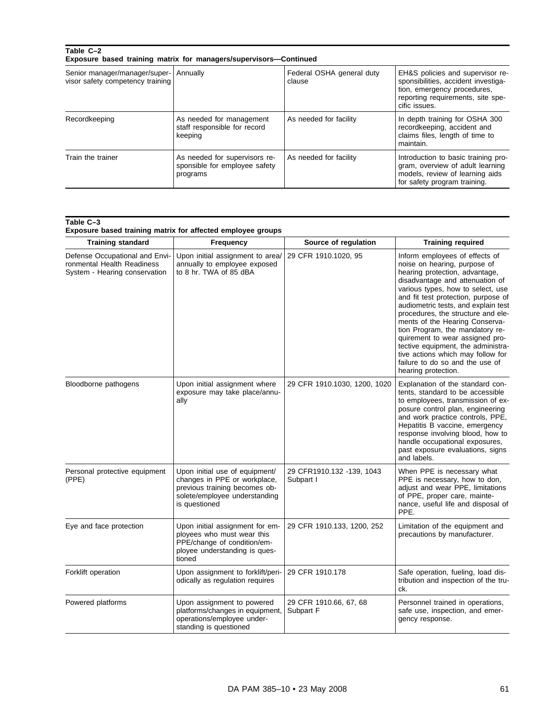| Table C-2                                                         | Exposure based training matrix for managers/supervisors—Continued          |                                     |                                                                                                                                                              |
|-------------------------------------------------------------------|----------------------------------------------------------------------------|-------------------------------------|--------------------------------------------------------------------------------------------------------------------------------------------------------------|
| Senior manager/manager/super-<br>visor safety competency training | Annually                                                                   | Federal OSHA general duty<br>clause | EH&S policies and supervisor re-<br>sponsibilities, accident investiga-<br>tion, emergency procedures,<br>reporting requirements, site spe-<br>cific issues. |
| Recordkeeping                                                     | As needed for management<br>staff responsible for record<br>keeping        | As needed for facility              | In depth training for OSHA 300<br>recordkeeping, accident and<br>claims files, length of time to<br>maintain.                                                |
| Train the trainer                                                 | As needed for supervisors re-<br>sponsible for employee safety<br>programs | As needed for facility              | Introduction to basic training pro-<br>gram, overview of adult learning<br>models, review of learning aids<br>for safety program training.                   |

| Table C-3                                                   |  |  |  |  |
|-------------------------------------------------------------|--|--|--|--|
| Exposure based training matrix for affected employee groups |  |  |  |  |

| <b>Training standard</b>                                                                      | <b>Frequency</b>                                                                                                                                  | Source of regulation                   | <b>Training required</b>                                                                                                                                                                                                                                                                                                                                                                                                                                                                                                                  |
|-----------------------------------------------------------------------------------------------|---------------------------------------------------------------------------------------------------------------------------------------------------|----------------------------------------|-------------------------------------------------------------------------------------------------------------------------------------------------------------------------------------------------------------------------------------------------------------------------------------------------------------------------------------------------------------------------------------------------------------------------------------------------------------------------------------------------------------------------------------------|
| Defense Occupational and Envi-<br>ronmental Health Readiness<br>System - Hearing conservation | Upon initial assignment to area/<br>annually to employee exposed<br>to 8 hr. TWA of 85 dBA                                                        | 29 CFR 1910.1020, 95                   | Inform employees of effects of<br>noise on hearing, purpose of<br>hearing protection, advantage,<br>disadvantage and attenuation of<br>various types, how to select, use<br>and fit test protection, purpose of<br>audiometric tests, and explain test<br>procedures, the structure and ele-<br>ments of the Hearing Conserva-<br>tion Program, the mandatory re-<br>quirement to wear assigned pro-<br>tective equipment, the administra-<br>tive actions which may follow for<br>failure to do so and the use of<br>hearing protection. |
| Bloodborne pathogens                                                                          | Upon initial assignment where<br>exposure may take place/annu-<br>ally                                                                            | 29 CFR 1910.1030, 1200, 1020           | Explanation of the standard con-<br>tents, standard to be accessible<br>to employees, transmission of ex-<br>posure control plan, engineering<br>and work practice controls, PPE,<br>Hepatitis B vaccine, emergency<br>response involving blood, how to<br>handle occupational exposures,<br>past exposure evaluations, signs<br>and labels.                                                                                                                                                                                              |
| Personal protective equipment<br>(PPE)                                                        | Upon initial use of equipment/<br>changes in PPE or workplace,<br>previous training becomes ob-<br>solete/employee understanding<br>is questioned | 29 CFR1910.132 -139, 1043<br>Subpart I | When PPE is necessary what<br>PPE is necessary, how to don,<br>adjust and wear PPE, limitations<br>of PPE, proper care, mainte-<br>nance, useful life and disposal of<br>PPE.                                                                                                                                                                                                                                                                                                                                                             |
| Eye and face protection                                                                       | Upon initial assignment for em-<br>ployees who must wear this<br>PPE/change of condition/em-<br>ployee understanding is ques-<br>tioned           | 29 CFR 1910.133, 1200, 252             | Limitation of the equipment and<br>precautions by manufacturer.                                                                                                                                                                                                                                                                                                                                                                                                                                                                           |
| Forklift operation                                                                            | Upon assignment to forklift/peri-<br>odically as regulation requires                                                                              | 29 CFR 1910.178                        | Safe operation, fueling, load dis-<br>tribution and inspection of the tru-<br>ck.                                                                                                                                                                                                                                                                                                                                                                                                                                                         |
| Powered platforms                                                                             | Upon assignment to powered<br>platforms/changes in equipment,<br>operations/employee under-<br>standing is questioned                             | 29 CFR 1910.66, 67, 68<br>Subpart F    | Personnel trained in operations,<br>safe use, inspection, and emer-<br>gency response.                                                                                                                                                                                                                                                                                                                                                                                                                                                    |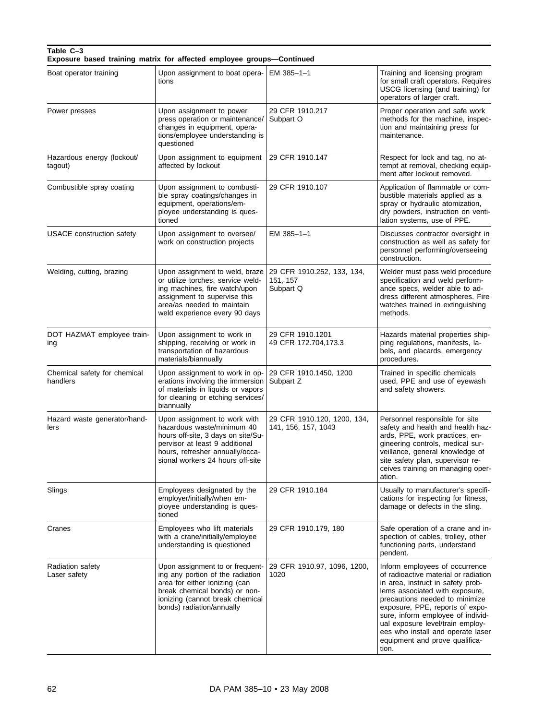### **Table C–3 Exposure based training matrix for affected employee groups—Continued**

| Boat operator training                   | Upon assignment to boat opera-<br>tions                                                                                                                                                                   | $EM$ 385-1-1                                        | Training and licensing program<br>for small craft operators. Requires<br>USCG licensing (and training) for<br>operators of larger craft.                                                                                                                                                                                                                                    |
|------------------------------------------|-----------------------------------------------------------------------------------------------------------------------------------------------------------------------------------------------------------|-----------------------------------------------------|-----------------------------------------------------------------------------------------------------------------------------------------------------------------------------------------------------------------------------------------------------------------------------------------------------------------------------------------------------------------------------|
| Power presses                            | Upon assignment to power<br>press operation or maintenance/<br>changes in equipment, opera-<br>tions/employee understanding is<br>questioned                                                              | 29 CFR 1910.217<br>Subpart O                        | Proper operation and safe work<br>methods for the machine, inspec-<br>tion and maintaining press for<br>maintenance.                                                                                                                                                                                                                                                        |
| Hazardous energy (lockout/<br>tagout)    | Upon assignment to equipment<br>affected by lockout                                                                                                                                                       | 29 CFR 1910.147                                     | Respect for lock and tag, no at-<br>tempt at removal, checking equip-<br>ment after lockout removed.                                                                                                                                                                                                                                                                        |
| Combustible spray coating                | Upon assignment to combusti-<br>ble spray coatings/changes in<br>equipment, operations/em-<br>ployee understanding is ques-<br>tioned                                                                     | 29 CFR 1910.107                                     | Application of flammable or com-<br>bustible materials applied as a<br>spray or hydraulic atomization,<br>dry powders, instruction on venti-<br>lation systems, use of PPE.                                                                                                                                                                                                 |
| <b>USACE</b> construction safety         | Upon assignment to oversee/<br>work on construction projects                                                                                                                                              | EM 385-1-1                                          | Discusses contractor oversight in<br>construction as well as safety for<br>personnel performing/overseeing<br>construction.                                                                                                                                                                                                                                                 |
| Welding, cutting, brazing                | Upon assignment to weld, braze<br>or utilize torches, service weld-<br>ing machines, fire watch/upon<br>assignment to supervise this<br>area/as needed to maintain<br>weld experience every 90 days       | 29 CFR 1910.252, 133, 134,<br>151, 157<br>Subpart Q | Welder must pass weld procedure<br>specification and weld perform-<br>ance specs, welder able to ad-<br>dress different atmospheres. Fire<br>watches trained in extinguishing<br>methods.                                                                                                                                                                                   |
| DOT HAZMAT employee train-<br>ıng        | Upon assignment to work in<br>shipping, receiving or work in<br>transportation of hazardous<br>materials/biannually                                                                                       | 29 CFR 1910.1201<br>49 CFR 172.704,173.3            | Hazards material properties ship-<br>ping regulations, manifests, la-<br>bels, and placards, emergency<br>procedures.                                                                                                                                                                                                                                                       |
| Chemical safety for chemical<br>handlers | Upon assignment to work in op-<br>erations involving the immersion<br>of materials in liquids or vapors<br>for cleaning or etching services/<br>biannually                                                | 29 CFR 1910.1450, 1200<br>Subpart Z                 | Trained in specific chemicals<br>used, PPE and use of eyewash<br>and safety showers.                                                                                                                                                                                                                                                                                        |
| Hazard waste generator/hand-<br>lers     | Upon assignment to work with<br>hazardous waste/minimum 40<br>hours off-site, 3 days on site/Su-<br>pervisor at least 9 additional<br>hours, refresher annually/occa-<br>sional workers 24 hours off-site | 29 CFR 1910.120, 1200, 134,<br>141, 156, 157, 1043  | Personnel responsible for site<br>safety and health and health haz-<br>ards, PPE, work practices, en-<br>gineering controls, medical sur-<br>veillance, general knowledge of<br>site safety plan, supervisor re-<br>ceives training on managing oper-<br>ation.                                                                                                             |
| Slings                                   | Employees designated by the<br>employer/initially/when em-<br>ployee understanding is ques-<br>tioned                                                                                                     | 29 CFR 1910.184                                     | Usually to manufacturer's specifi-<br>cations for inspecting for fitness.<br>damage or defects in the sling.                                                                                                                                                                                                                                                                |
| Cranes                                   | Employees who lift materials<br>with a crane/initially/employee<br>understanding is questioned                                                                                                            | 29 CFR 1910.179, 180                                | Safe operation of a crane and in-<br>spection of cables, trolley, other<br>functioning parts, understand<br>pendent.                                                                                                                                                                                                                                                        |
| Radiation safety<br>Laser safety         | Upon assignment to or frequent-<br>ing any portion of the radiation<br>area for either ionizing (can<br>break chemical bonds) or non-<br>ionizing (cannot break chemical<br>bonds) radiation/annually     | 29 CFR 1910.97, 1096, 1200,<br>1020                 | Inform employees of occurrence<br>of radioactive material or radiation<br>in area, instruct in safety prob-<br>lems associated with exposure,<br>precautions needed to minimize<br>exposure, PPE, reports of expo-<br>sure, inform employee of individ-<br>ual exposure level/train employ-<br>ees who install and operate laser<br>equipment and prove qualifica-<br>tion. |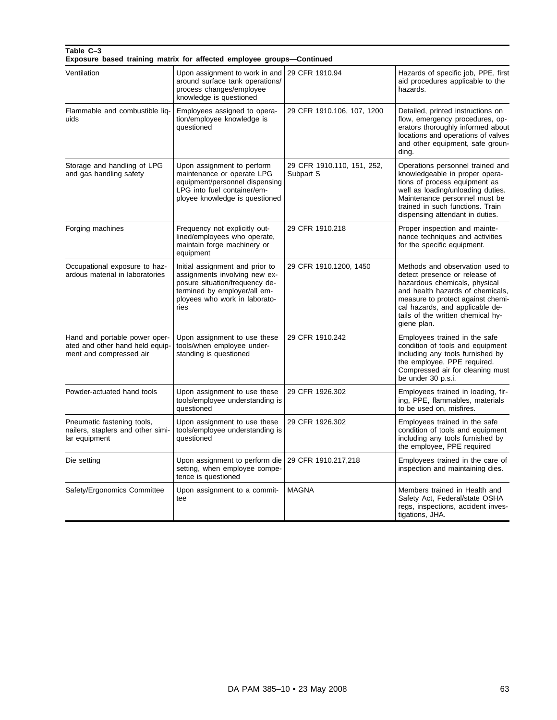### **Table C–3 Exposure based training matrix for affected employee groups—Continued**

| Ventilation                                                                                 | Upon assignment to work in and<br>around surface tank operations/<br>process changes/employee<br>knowledge is questioned                                                    | 29 CFR 1910.94                          | Hazards of specific job, PPE, first<br>aid procedures applicable to the<br>hazards.                                                                                                                                                                               |
|---------------------------------------------------------------------------------------------|-----------------------------------------------------------------------------------------------------------------------------------------------------------------------------|-----------------------------------------|-------------------------------------------------------------------------------------------------------------------------------------------------------------------------------------------------------------------------------------------------------------------|
| Flammable and combustible liq-<br>uids                                                      | Employees assigned to opera-<br>tion/employee knowledge is<br>questioned                                                                                                    | 29 CFR 1910.106, 107, 1200              | Detailed, printed instructions on<br>flow, emergency procedures, op-<br>erators thoroughly informed about<br>locations and operations of valves<br>and other equipment, safe groun-<br>ding.                                                                      |
| Storage and handling of LPG<br>and gas handling safety                                      | Upon assignment to perform<br>maintenance or operate LPG<br>equipment/personnel dispensing<br>LPG into fuel container/em-<br>ployee knowledge is questioned                 | 29 CFR 1910.110, 151, 252,<br>Subpart S | Operations personnel trained and<br>knowledgeable in proper opera-<br>tions of process equipment as<br>well as loading/unloading duties.<br>Maintenance personnel must be<br>trained in such functions. Train<br>dispensing attendant in duties.                  |
| Forging machines                                                                            | Frequency not explicitly out-<br>lined/employees who operate,<br>maintain forge machinery or<br>equipment                                                                   | 29 CFR 1910.218                         | Proper inspection and mainte-<br>nance techniques and activities<br>for the specific equipment.                                                                                                                                                                   |
| Occupational exposure to haz-<br>ardous material in laboratories                            | Initial assignment and prior to<br>assignments involving new ex-<br>posure situation/frequency de-<br>termined by employer/all em-<br>ployees who work in laborato-<br>ries | 29 CFR 1910.1200, 1450                  | Methods and observation used to<br>detect presence or release of<br>hazardous chemicals, physical<br>and health hazards of chemicals,<br>measure to protect against chemi-<br>cal hazards, and applicable de-<br>tails of the written chemical hy-<br>giene plan. |
| Hand and portable power oper-<br>ated and other hand held equip-<br>ment and compressed air | Upon assignment to use these<br>tools/when employee under-<br>standing is questioned                                                                                        | 29 CFR 1910.242                         | Employees trained in the safe<br>condition of tools and equipment<br>including any tools furnished by<br>the employee, PPE required.<br>Compressed air for cleaning must<br>be under 30 p.s.i.                                                                    |
| Powder-actuated hand tools                                                                  | Upon assignment to use these<br>tools/employee understanding is<br>questioned                                                                                               | 29 CFR 1926.302                         | Employees trained in loading, fir-<br>ing, PPE, flammables, materials<br>to be used on, misfires.                                                                                                                                                                 |
| Pneumatic fastening tools,<br>nailers, staplers and other simi-<br>lar equipment            | Upon assignment to use these<br>tools/employee understanding is<br>questioned                                                                                               | 29 CFR 1926.302                         | Employees trained in the safe<br>condition of tools and equipment<br>including any tools furnished by<br>the employee, PPE required                                                                                                                               |
| Die setting                                                                                 | Upon assignment to perform die<br>setting, when employee compe-<br>tence is questioned                                                                                      | 29 CFR 1910.217,218                     | Employees trained in the care of<br>inspection and maintaining dies.                                                                                                                                                                                              |
| Safety/Ergonomics Committee                                                                 | Upon assignment to a commit-<br>tee                                                                                                                                         | <b>MAGNA</b>                            | Members trained in Health and<br>Safety Act, Federal/state OSHA<br>regs, inspections, accident inves-<br>tigations, JHA.                                                                                                                                          |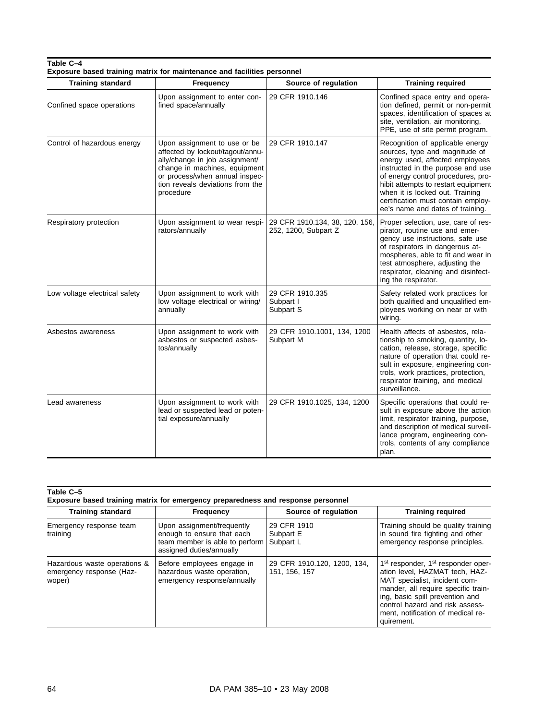| <b>Training standard</b>      | Exposure based training matrix for maintenance and facilities personnel                                                                                                                                                |                                                        |                                                                                                                                                                                                                                                                                                                                      |
|-------------------------------|------------------------------------------------------------------------------------------------------------------------------------------------------------------------------------------------------------------------|--------------------------------------------------------|--------------------------------------------------------------------------------------------------------------------------------------------------------------------------------------------------------------------------------------------------------------------------------------------------------------------------------------|
|                               | Frequency                                                                                                                                                                                                              | Source of regulation                                   | <b>Training required</b>                                                                                                                                                                                                                                                                                                             |
| Confined space operations     | Upon assignment to enter con-<br>fined space/annually                                                                                                                                                                  | 29 CFR 1910.146                                        | Confined space entry and opera-<br>tion defined, permit or non-permit<br>spaces, identification of spaces at<br>site, ventilation, air monitoring,<br>PPE, use of site permit program.                                                                                                                                               |
| Control of hazardous energy   | Upon assignment to use or be<br>affected by lockout/tagout/annu-<br>ally/change in job assignment/<br>change in machines, equipment<br>or process/when annual inspec-<br>tion reveals deviations from the<br>procedure | 29 CFR 1910.147                                        | Recognition of applicable energy<br>sources, type and magnitude of<br>energy used, affected employees<br>instructed in the purpose and use<br>of energy control procedures, pro-<br>hibit attempts to restart equipment<br>when it is locked out. Training<br>certification must contain employ-<br>ee's name and dates of training. |
| Respiratory protection        | Upon assignment to wear respi-<br>rators/annually                                                                                                                                                                      | 29 CFR 1910.134, 38, 120, 156,<br>252, 1200, Subpart Z | Proper selection, use, care of res-<br>pirator, routine use and emer-<br>gency use instructions, safe use<br>of respirators in dangerous at-<br>mospheres, able to fit and wear in<br>test atmosphere, adjusting the<br>respirator, cleaning and disinfect-<br>ing the respirator.                                                   |
| Low voltage electrical safety | Upon assignment to work with<br>low voltage electrical or wiring/<br>annually                                                                                                                                          | 29 CFR 1910.335<br>Subpart I<br>Subpart S              | Safety related work practices for<br>both qualified and unqualified em-<br>ployees working on near or with<br>wiring.                                                                                                                                                                                                                |
| Asbestos awareness            | Upon assignment to work with<br>asbestos or suspected asbes-<br>tos/annually                                                                                                                                           | 29 CFR 1910.1001, 134, 1200<br>Subpart M               | Health affects of asbestos, rela-<br>tionship to smoking, quantity, lo-<br>cation, release, storage, specific<br>nature of operation that could re-<br>sult in exposure, engineering con-<br>trols, work practices, protection,<br>respirator training, and medical<br>surveillance.                                                 |
| Lead awareness                | Upon assignment to work with<br>lead or suspected lead or poten-<br>tial exposure/annually                                                                                                                             | 29 CFR 1910.1025, 134, 1200                            | Specific operations that could re-<br>sult in exposure above the action<br>limit, respirator training, purpose,<br>and description of medical surveil-<br>lance program, engineering con-<br>trols, contents of any compliance<br>plan.                                                                                              |

| Table C-5 |                                                                                  |  |  |
|-----------|----------------------------------------------------------------------------------|--|--|
|           | Exposure based training matrix for emergency preparedness and response personnel |  |  |
|           |                                                                                  |  |  |

| <b>Training standard</b>                                           | <b>Frequency</b>                                                                                                       | Source of regulation                         | <b>Training required</b>                                                                                                                                                                                                                                                                      |
|--------------------------------------------------------------------|------------------------------------------------------------------------------------------------------------------------|----------------------------------------------|-----------------------------------------------------------------------------------------------------------------------------------------------------------------------------------------------------------------------------------------------------------------------------------------------|
| Emergency response team<br>training                                | Upon assignment/frequently<br>enough to ensure that each<br>team member is able to perform<br>assigned duties/annually | 29 CFR 1910<br>Subpart E<br>Subpart L        | Training should be quality training<br>in sound fire fighting and other<br>emergency response principles.                                                                                                                                                                                     |
| Hazardous waste operations &<br>emergency response (Haz-<br>woper) | Before employees engage in<br>hazardous waste operation,<br>emergency response/annually                                | 29 CFR 1910.120, 1200, 134,<br>151, 156, 157 | 1 <sup>st</sup> responder, 1 <sup>st</sup> responder oper-<br>ation level, HAZMAT tech, HAZ-<br>MAT specialist, incident com-<br>mander, all require specific train-<br>ing, basic spill prevention and<br>control hazard and risk assess-<br>ment. notification of medical re-<br>quirement. |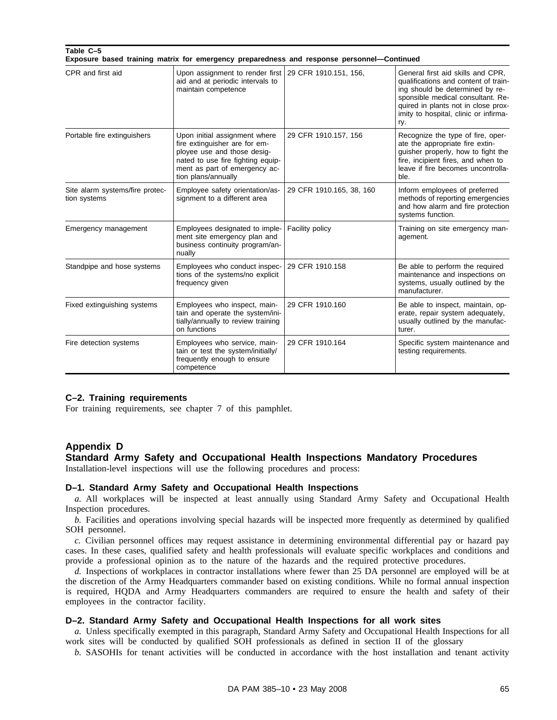| Table C-5 |  |                                                                                            |  |
|-----------|--|--------------------------------------------------------------------------------------------|--|
|           |  | Exposure based training matrix for emergency preparedness and response personnel—Continued |  |

| CPR and first aid                               | Upon assignment to render first<br>aid and at periodic intervals to<br>maintain competence                                                                                                 | 29 CFR 1910.151, 156,    | General first aid skills and CPR,<br>qualifications and content of train-<br>ing should be determined by re-<br>sponsible medical consultant. Re-<br>quired in plants not in close prox-<br>imity to hospital, clinic or infirma-<br>ry. |
|-------------------------------------------------|--------------------------------------------------------------------------------------------------------------------------------------------------------------------------------------------|--------------------------|------------------------------------------------------------------------------------------------------------------------------------------------------------------------------------------------------------------------------------------|
| Portable fire extinguishers                     | Upon initial assignment where<br>fire extinguisher are for em-<br>ployee use and those desig-<br>nated to use fire fighting equip-<br>ment as part of emergency ac-<br>tion plans/annually | 29 CFR 1910.157, 156     | Recognize the type of fire, oper-<br>ate the appropriate fire extin-<br>guisher properly, how to fight the<br>fire, incipient fires, and when to<br>leave if fire becomes uncontrolla-<br>ble.                                           |
| Site alarm systems/fire protec-<br>tion systems | Employee safety orientation/as-<br>signment to a different area                                                                                                                            | 29 CFR 1910.165, 38, 160 | Inform employees of preferred<br>methods of reporting emergencies<br>and how alarm and fire protection<br>systems function.                                                                                                              |
| Emergency management                            | Employees designated to imple-<br>ment site emergency plan and<br>business continuity program/an-<br>nually                                                                                | Facility policy          | Training on site emergency man-<br>agement.                                                                                                                                                                                              |
| Standpipe and hose systems                      | Employees who conduct inspec-<br>tions of the systems/no explicit<br>frequency given                                                                                                       | 29 CFR 1910.158          | Be able to perform the required<br>maintenance and inspections on<br>systems, usually outlined by the<br>manufacturer.                                                                                                                   |
| Fixed extinguishing systems                     | Employees who inspect, main-<br>tain and operate the system/ini-<br>tially/annually to review training<br>on functions                                                                     | 29 CFR 1910.160          | Be able to inspect, maintain, op-<br>erate, repair system adequately,<br>usually outlined by the manufac-<br>turer.                                                                                                                      |
| Fire detection systems                          | Employees who service, main-<br>tain or test the system/initially/<br>frequently enough to ensure<br>competence                                                                            | 29 CFR 1910.164          | Specific system maintenance and<br>testing requirements.                                                                                                                                                                                 |

### **C–2. Training requirements**

For training requirements, see chapter 7 of this pamphlet.

## **Appendix D**

## **Standard Army Safety and Occupational Health Inspections Mandatory Procedures**

Installation-level inspections will use the following procedures and process:

### **D–1. Standard Army Safety and Occupational Health Inspections**

*a.* All workplaces will be inspected at least annually using Standard Army Safety and Occupational Health Inspection procedures.

*b.* Facilities and operations involving special hazards will be inspected more frequently as determined by qualified SOH personnel.

*c.* Civilian personnel offices may request assistance in determining environmental differential pay or hazard pay cases. In these cases, qualified safety and health professionals will evaluate specific workplaces and conditions and provide a professional opinion as to the nature of the hazards and the required protective procedures.

*d.* Inspections of workplaces in contractor installations where fewer than 25 DA personnel are employed will be at the discretion of the Army Headquarters commander based on existing conditions. While no formal annual inspection is required, HQDA and Army Headquarters commanders are required to ensure the health and safety of their employees in the contractor facility.

## **D–2. Standard Army Safety and Occupational Health Inspections for all work sites**

*a.* Unless specifically exempted in this paragraph, Standard Army Safety and Occupational Health Inspections for all work sites will be conducted by qualified SOH professionals as defined in section II of the glossary

*b.* SASOHIs for tenant activities will be conducted in accordance with the host installation and tenant activity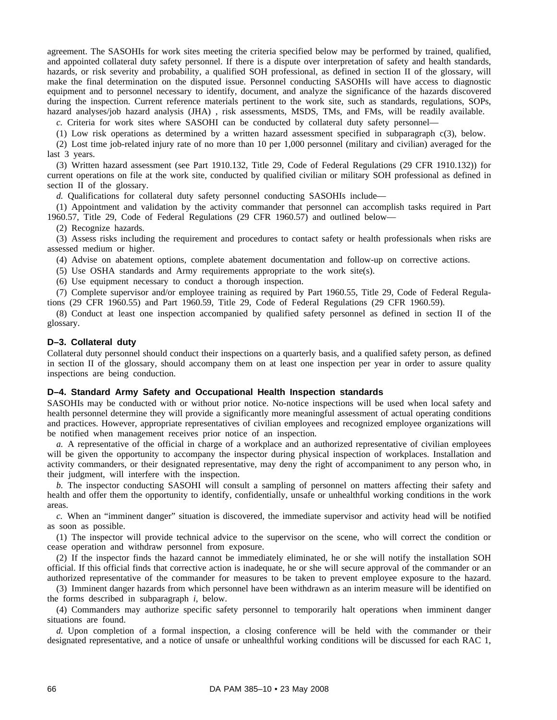agreement. The SASOHIs for work sites meeting the criteria specified below may be performed by trained, qualified, and appointed collateral duty safety personnel. If there is a dispute over interpretation of safety and health standards, hazards, or risk severity and probability, a qualified SOH professional, as defined in section II of the glossary, will make the final determination on the disputed issue. Personnel conducting SASOHIs will have access to diagnostic equipment and to personnel necessary to identify, document, and analyze the significance of the hazards discovered during the inspection. Current reference materials pertinent to the work site, such as standards, regulations, SOPs, hazard analyses/job hazard analysis (JHA) , risk assessments, MSDS, TMs, and FMs, will be readily available.

*c.* Criteria for work sites where SASOHI can be conducted by collateral duty safety personnel—

(1) Low risk operations as determined by a written hazard assessment specified in subparagraph c(3), below.

(2) Lost time job-related injury rate of no more than 10 per 1,000 personnel (military and civilian) averaged for the last 3 years.

(3) Written hazard assessment (see Part 1910.132, Title 29, Code of Federal Regulations (29 CFR 1910.132)) for current operations on file at the work site, conducted by qualified civilian or military SOH professional as defined in section II of the glossary.

d. Qualifications for collateral duty safety personnel conducting SASOHIs include—

(1) Appointment and validation by the activity commander that personnel can accomplish tasks required in Part 1960.57, Title 29, Code of Federal Regulations (29 CFR 1960.57) and outlined below—

(2) Recognize hazards.

(3) Assess risks including the requirement and procedures to contact safety or health professionals when risks are assessed medium or higher.

(4) Advise on abatement options, complete abatement documentation and follow-up on corrective actions.

(5) Use OSHA standards and Army requirements appropriate to the work site(s).

(6) Use equipment necessary to conduct a thorough inspection.

(7) Complete supervisor and/or employee training as required by Part 1960.55, Title 29, Code of Federal Regulations (29 CFR 1960.55) and Part 1960.59, Title 29, Code of Federal Regulations (29 CFR 1960.59).

(8) Conduct at least one inspection accompanied by qualified safety personnel as defined in section II of the glossary.

#### **D–3. Collateral duty**

Collateral duty personnel should conduct their inspections on a quarterly basis, and a qualified safety person, as defined in section II of the glossary, should accompany them on at least one inspection per year in order to assure quality inspections are being conduction.

## **D–4. Standard Army Safety and Occupational Health Inspection standards**

SASOHIs may be conducted with or without prior notice. No-notice inspections will be used when local safety and health personnel determine they will provide a significantly more meaningful assessment of actual operating conditions and practices. However, appropriate representatives of civilian employees and recognized employee organizations will be notified when management receives prior notice of an inspection.

*a.* A representative of the official in charge of a workplace and an authorized representative of civilian employees will be given the opportunity to accompany the inspector during physical inspection of workplaces. Installation and activity commanders, or their designated representative, may deny the right of accompaniment to any person who, in their judgment, will interfere with the inspection.

*b.* The inspector conducting SASOHI will consult a sampling of personnel on matters affecting their safety and health and offer them the opportunity to identify, confidentially, unsafe or unhealthful working conditions in the work areas.

*c.* When an "imminent danger" situation is discovered, the immediate supervisor and activity head will be notified as soon as possible.

(1) The inspector will provide technical advice to the supervisor on the scene, who will correct the condition or cease operation and withdraw personnel from exposure.

(2) If the inspector finds the hazard cannot be immediately eliminated, he or she will notify the installation SOH official. If this official finds that corrective action is inadequate, he or she will secure approval of the commander or an authorized representative of the commander for measures to be taken to prevent employee exposure to the hazard.

(3) Imminent danger hazards from which personnel have been withdrawn as an interim measure will be identified on the forms described in subparagraph *i*, below.

(4) Commanders may authorize specific safety personnel to temporarily halt operations when imminent danger situations are found.

*d.* Upon completion of a formal inspection, a closing conference will be held with the commander or their designated representative, and a notice of unsafe or unhealthful working conditions will be discussed for each RAC 1,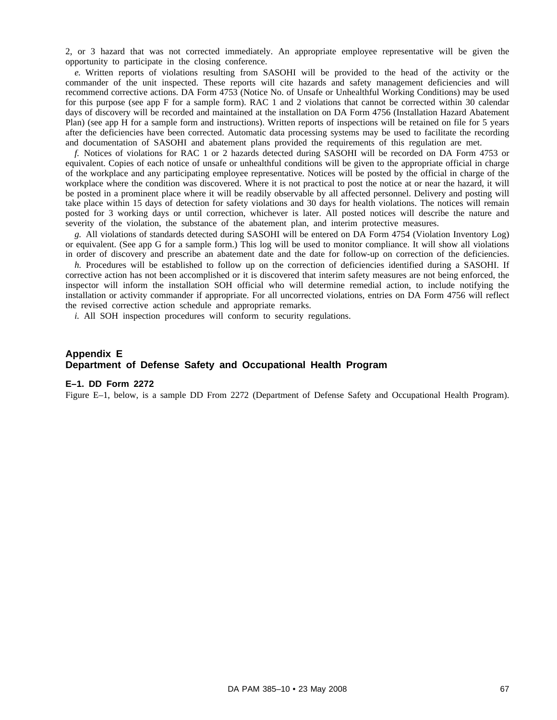2, or 3 hazard that was not corrected immediately. An appropriate employee representative will be given the opportunity to participate in the closing conference.

*e.* Written reports of violations resulting from SASOHI will be provided to the head of the activity or the commander of the unit inspected. These reports will cite hazards and safety management deficiencies and will recommend corrective actions. DA Form 4753 (Notice No. of Unsafe or Unhealthful Working Conditions) may be used for this purpose (see app F for a sample form). RAC 1 and 2 violations that cannot be corrected within 30 calendar days of discovery will be recorded and maintained at the installation on DA Form 4756 (Installation Hazard Abatement Plan) (see app H for a sample form and instructions). Written reports of inspections will be retained on file for 5 years after the deficiencies have been corrected. Automatic data processing systems may be used to facilitate the recording and documentation of SASOHI and abatement plans provided the requirements of this regulation are met.

*f.* Notices of violations for RAC 1 or 2 hazards detected during SASOHI will be recorded on DA Form 4753 or equivalent. Copies of each notice of unsafe or unhealthful conditions will be given to the appropriate official in charge of the workplace and any participating employee representative. Notices will be posted by the official in charge of the workplace where the condition was discovered. Where it is not practical to post the notice at or near the hazard, it will be posted in a prominent place where it will be readily observable by all affected personnel. Delivery and posting will take place within 15 days of detection for safety violations and 30 days for health violations. The notices will remain posted for 3 working days or until correction, whichever is later. All posted notices will describe the nature and severity of the violation, the substance of the abatement plan, and interim protective measures.

*g.* All violations of standards detected during SASOHI will be entered on DA Form 4754 (Violation Inventory Log) or equivalent. (See app G for a sample form.) This log will be used to monitor compliance. It will show all violations in order of discovery and prescribe an abatement date and the date for follow-up on correction of the deficiencies.

*h.* Procedures will be established to follow up on the correction of deficiencies identified during a SASOHI. If corrective action has not been accomplished or it is discovered that interim safety measures are not being enforced, the inspector will inform the installation SOH official who will determine remedial action, to include notifying the installation or activity commander if appropriate. For all uncorrected violations, entries on DA Form 4756 will reflect the revised corrective action schedule and appropriate remarks.

*i.* All SOH inspection procedures will conform to security regulations.

# **Appendix E Department of Defense Safety and Occupational Health Program**

### **E–1. DD Form 2272**

Figure E–1, below, is a sample DD From 2272 (Department of Defense Safety and Occupational Health Program).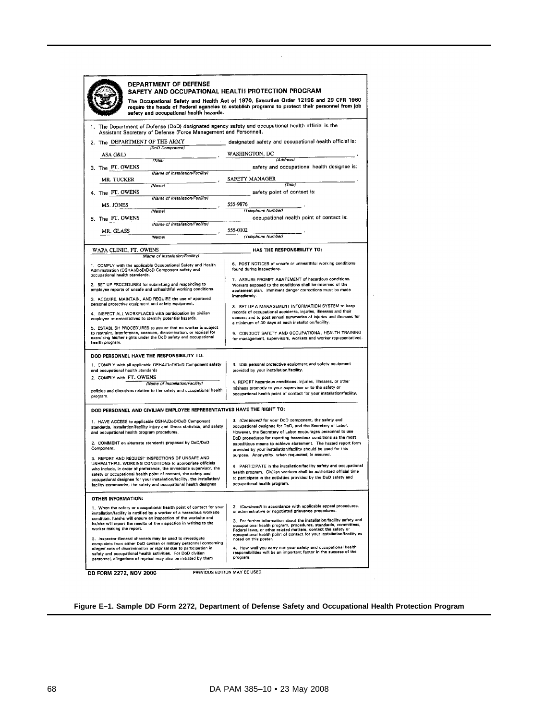| DEPARTMENT OF DEFENSE                                                                                                                                                                                                                                                                                                                     |                                                                                                                                                                                                                                                                                                                       |
|-------------------------------------------------------------------------------------------------------------------------------------------------------------------------------------------------------------------------------------------------------------------------------------------------------------------------------------------|-----------------------------------------------------------------------------------------------------------------------------------------------------------------------------------------------------------------------------------------------------------------------------------------------------------------------|
| SAFETY AND OCCUPATIONAL HEALTH PROTECTION PROGRAM                                                                                                                                                                                                                                                                                         | The Occupational Safety and Health Act of 1970, Executive Order 12196 and 29 CFR 1960                                                                                                                                                                                                                                 |
| safety and occupational health hazards.                                                                                                                                                                                                                                                                                                   | require the heads of Federal agencies to establish programs to protect their personnel from job                                                                                                                                                                                                                       |
| 1. The Department of Defense (DoD) designated agency safety and occupational health official is the<br>Assistant Secretary of Defense (Force Management and Personnel).                                                                                                                                                                   |                                                                                                                                                                                                                                                                                                                       |
| 2. The DEPARTMENT OF THE ARMY<br>(DoD Component)                                                                                                                                                                                                                                                                                          | designated safety and occupational health official is:                                                                                                                                                                                                                                                                |
| ASA (I&L)                                                                                                                                                                                                                                                                                                                                 | WASHINGTON, DC                                                                                                                                                                                                                                                                                                        |
| (Time)<br>3. The FT OWENS                                                                                                                                                                                                                                                                                                                 | (Address)<br>safety and occupational health designee is:                                                                                                                                                                                                                                                              |
| (Name of Installation/Facility)<br>MR. TUCKER                                                                                                                                                                                                                                                                                             | SAFETY MANAGER                                                                                                                                                                                                                                                                                                        |
| (Name)<br>4. The FT OWENS                                                                                                                                                                                                                                                                                                                 | (Title)<br>safety point of contact is:                                                                                                                                                                                                                                                                                |
| (Name of Installation/Facility)                                                                                                                                                                                                                                                                                                           |                                                                                                                                                                                                                                                                                                                       |
| MS. JONES<br>(Name)                                                                                                                                                                                                                                                                                                                       | 555-9876<br>(Telephone Number)                                                                                                                                                                                                                                                                                        |
| 5. The FT. OWENS<br>(Name of Installation/Facility)                                                                                                                                                                                                                                                                                       | occupational health point of contact is:                                                                                                                                                                                                                                                                              |
| MR. GLASS                                                                                                                                                                                                                                                                                                                                 | 555-0102                                                                                                                                                                                                                                                                                                              |
| (Name)                                                                                                                                                                                                                                                                                                                                    | (Telephone Number)                                                                                                                                                                                                                                                                                                    |
| WAPA CLINIC, FT. OWENS<br>(Name of Installation/Facility)                                                                                                                                                                                                                                                                                 | HAS THE RESPONSIBILITY TO:                                                                                                                                                                                                                                                                                            |
| 1. COMPLY with the applicable Occupational Safety and Health<br>Administration (OSHA)/DoD/DoD Component safety and<br>occupational health standards.                                                                                                                                                                                      | 6. POST NOTICES of unsafe or unhealthful working conditions<br>found during inspections.                                                                                                                                                                                                                              |
| 2. SET UP PROCEDURES for submitting and responding to<br>employee reports of unsafe and unhealthful working conditions.                                                                                                                                                                                                                   | 7. ASSURE PROMPT ABATEMENT of hazardous conditions.<br>Workers exposed to the conditions shall be informed of the<br>abatement plan. imminent danger corrections must be made<br>immediately.                                                                                                                         |
| 3. ACQUIRE, MAINTAIN, AND REQUIRE the use of approved<br>personal protective equipment and safety equipment.                                                                                                                                                                                                                              | 8. SET UP A MANAGEMENT INFORMATION SYSTEM to keep                                                                                                                                                                                                                                                                     |
| 4. INSPECT ALL WORKPLACES with participation by civilian<br>employee representatives to identify potential hazards.                                                                                                                                                                                                                       | records of occupational accidents, injuries, illnesses and their<br>causes; and to post annual summaries of injuries and illnesses for<br>a minimum of 30 days at each installation/facility.                                                                                                                         |
| 5. ESTABLISH PROCEDURES to assure that no worker is subject<br>to restraint, interference, coercion, discrimination, or reprisal for<br>exercising his/her rights under the DoD safety and occupational<br>health program.                                                                                                                | 9. CONDUCT SAFETY AND OCCUPATIONAL HEALTH TRAINING<br>for management, supervisors, workers and worker representatives.                                                                                                                                                                                                |
| DOD PERSONNEL HAVE THE RESPONSIBILITY TO:                                                                                                                                                                                                                                                                                                 |                                                                                                                                                                                                                                                                                                                       |
| 1. COMPLY with all applicable OSHA/DoD/DoD Component safety<br>and occupational health standards<br>2. COMPLY with FT. OWENS                                                                                                                                                                                                              | 3. USE personal protective equipment and safety equipment<br>provided by your installation/facility.                                                                                                                                                                                                                  |
| (Name of Installation/Facility)<br>policies and directives relative to the safety and occupational health<br>program.                                                                                                                                                                                                                     | 4. REPORT hazardous conditions, injuries, illnesses, or other<br>mishaps promptly to your supervisor or to the safety or<br>occupational health point of contact for your installation/facility.                                                                                                                      |
| DOD PERSONNEL AND CIVILIAN EMPLOYEE REPRESENTATIVES HAVE THE RIGHT TO:                                                                                                                                                                                                                                                                    |                                                                                                                                                                                                                                                                                                                       |
| 1. HAVE ACCESS to applicable OSHA/DoD/DoD Component<br>standards, installation/facility injury and illness statistics, and safety<br>and occupational health program procedures.<br>2. COMMENT on alternate standards proposed by DoD/DoD                                                                                                 | 3. (Continued) for your DoD component, the safety and<br>occupational designee for DoD, and the Secretary of Labor.<br>However, the Secretary of Labor encourages personnel to use<br>DoD procedures for reporting hazardous conditions as the most<br>expeditious means to achieve abatement. The hazard report form |
| Component.<br>3. REPORT AND REQUEST INSPECTIONS OF UNSAFE AND<br>UNHEALTHFUL WORKING CONDITIONS to appropriate officials                                                                                                                                                                                                                  | provided by your installation/facility should be used for this<br>purpose. Anonymity, when requested, is assured.                                                                                                                                                                                                     |
| who include, in order of preference, the immediate supervisor, the<br>safety or occupational health point of contact, the safety and<br>ccupational designee for your installation/facility, the installation/<br>facility commander, the safety and occupational health designee                                                         | 4. PARTICIPATE in the installation/facility safety and occupational<br>health program. Civilian workers shall be authorized official time<br>to participate in the activities provided by the DoD safety and<br>occupational health program.                                                                          |
| OTHER INFORMATION:                                                                                                                                                                                                                                                                                                                        |                                                                                                                                                                                                                                                                                                                       |
| 1. When the safety or occupational health point of contact for your<br>installation/facility is notified by a worker of a hazardous worksite<br>condition, he/she will ensure an inspection of the worksite and                                                                                                                           | 2. (Continued) in accordance with applicable appeal procedures,<br>or administrative or negotiated grievance procedures.<br>3. For further information about the installation/facility safety and                                                                                                                     |
| he/she will report the results of the inspection in writing to the<br>worker making the report.                                                                                                                                                                                                                                           | occupational health program, procedures, standards, committees,<br>Federal laws, or other related matters, contact the safety or<br>occupational health point of contact for your installation/facility as                                                                                                            |
| 2. Inspector General channels may be used to investigate<br>complaints from either DoD civilian or military personnel concerning<br>alleged acts of discrimination or reprisal due to participation in<br>safety and occupational health activities. For DoD civilian<br>personnel, allegations of reprisal may also be initiated by them | noted on this poster.<br>4. How well you carry out your safety and occupational health<br>responsibilities will be an important factor in the success of the<br>program.                                                                                                                                              |
| DD FORM 2272, NOV 2000                                                                                                                                                                                                                                                                                                                    | PREVIOUS EDITION MAY BE USED.                                                                                                                                                                                                                                                                                         |

**Figure E–1. Sample DD Form 2272, Department of Defense Safety and Occupational Health Protection Program**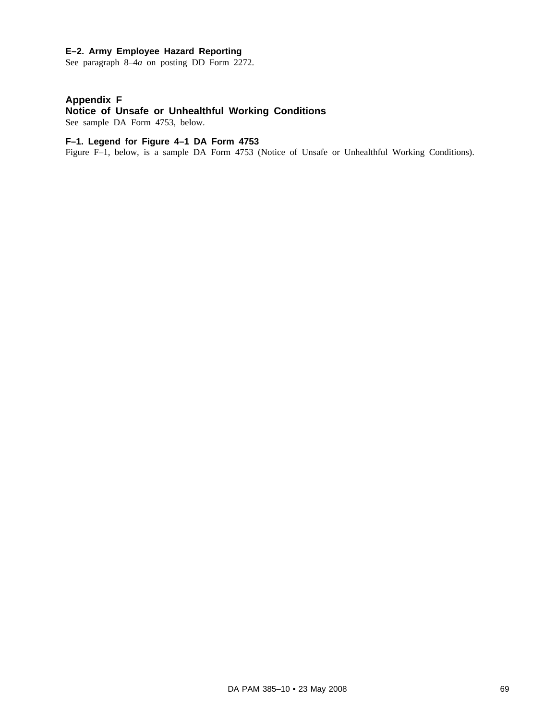## **E–2. Army Employee Hazard Reporting**

See paragraph 8–4*a* on posting DD Form 2272.

# **Appendix F**

# **Notice of Unsafe or Unhealthful Working Conditions**

See sample DA Form 4753, below.

# **F–1. Legend for Figure 4–1 DA Form 4753**

Figure F–1, below, is a sample DA Form 4753 (Notice of Unsafe or Unhealthful Working Conditions).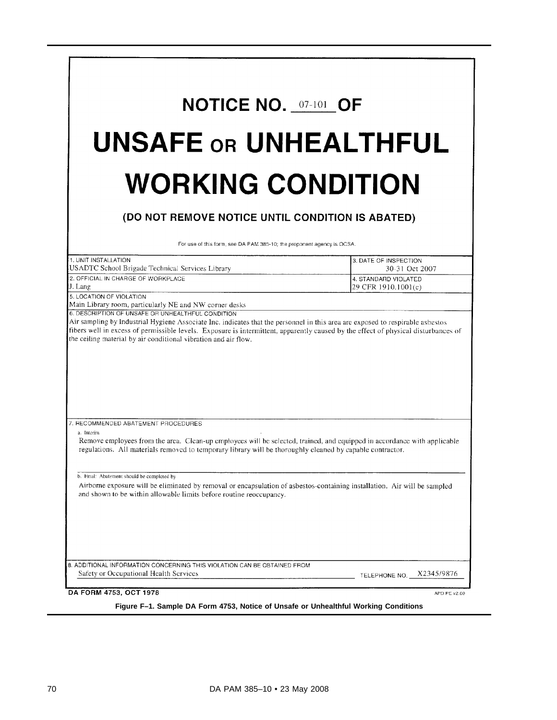| <b>NOTICE NO. 07-101 OF</b>                                                                                                                                                                                                                                                                                                                                                                                                                                                                                                                                                                                                           |                                                                                        |
|---------------------------------------------------------------------------------------------------------------------------------------------------------------------------------------------------------------------------------------------------------------------------------------------------------------------------------------------------------------------------------------------------------------------------------------------------------------------------------------------------------------------------------------------------------------------------------------------------------------------------------------|----------------------------------------------------------------------------------------|
| <b>UNSAFE OR UNHEALTHFUL</b>                                                                                                                                                                                                                                                                                                                                                                                                                                                                                                                                                                                                          |                                                                                        |
| <b>WORKING CONDITION</b>                                                                                                                                                                                                                                                                                                                                                                                                                                                                                                                                                                                                              |                                                                                        |
| (DO NOT REMOVE NOTICE UNTIL CONDITION IS ABATED)                                                                                                                                                                                                                                                                                                                                                                                                                                                                                                                                                                                      |                                                                                        |
| For use of this form, see DA PAM 385-10; the proponent agency is OCSA.                                                                                                                                                                                                                                                                                                                                                                                                                                                                                                                                                                |                                                                                        |
| 1. UNIT INSTALLATION<br>USADTC School Brigade Technical Services Library<br>2. OFFICIAL IN CHARGE OF WORKPLACE<br>J. Lang                                                                                                                                                                                                                                                                                                                                                                                                                                                                                                             | 3. DATE OF INSPECTION<br>30-31 Oct 2007<br>4. STANDARD VIOLATED<br>29 CFR 1910.1001(c) |
|                                                                                                                                                                                                                                                                                                                                                                                                                                                                                                                                                                                                                                       |                                                                                        |
|                                                                                                                                                                                                                                                                                                                                                                                                                                                                                                                                                                                                                                       |                                                                                        |
| Air sampling by Industrial Hygiene Associate Inc. indicates that the personnel in this area are exposed to respirable asbestos<br>fibers well in excess of permissible levels. Exposure is intermittent, apparently caused by the effect of physical disturbances of<br>the ceiling material by air conditional vibration and air flow.<br>7. RECOMMENDED ABATEMENT PROCEDURES<br>a. Interim<br>Remove employees from the area. Clean-up employees will be selected, trained, and equipped in accordance with applicable<br>regulations. All materials removed to temporary library will be thoroughly cleaned by capable contractor. |                                                                                        |
| b. Final: Abatement should be completed by<br>Airborne exposure will be eliminated by removal or encapsulation of asbestos-containing installation. Air will be sampled<br>and shown to be within allowable limits before routine reoccupancy.                                                                                                                                                                                                                                                                                                                                                                                        |                                                                                        |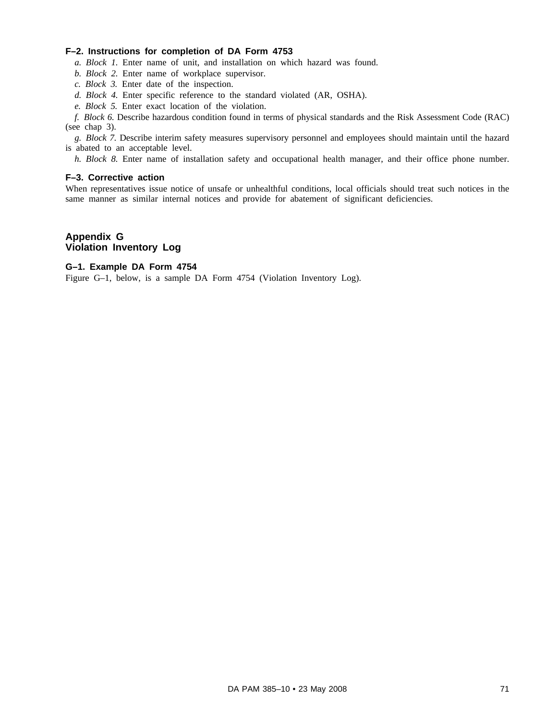## **F–2. Instructions for completion of DA Form 4753**

*a. Block 1.* Enter name of unit, and installation on which hazard was found.

- *b. Block 2.* Enter name of workplace supervisor.
- *c. Block 3.* Enter date of the inspection.
- *d. Block 4.* Enter specific reference to the standard violated (AR, OSHA).
- *e. Block 5.* Enter exact location of the violation.

*f. Block 6.* Describe hazardous condition found in terms of physical standards and the Risk Assessment Code (RAC) (see chap 3).

*g. Block 7.* Describe interim safety measures supervisory personnel and employees should maintain until the hazard is abated to an acceptable level.

*h. Block 8.* Enter name of installation safety and occupational health manager, and their office phone number.

### **F–3. Corrective action**

When representatives issue notice of unsafe or unhealthful conditions, local officials should treat such notices in the same manner as similar internal notices and provide for abatement of significant deficiencies.

# **Appendix G Violation Inventory Log**

## **G–1. Example DA Form 4754**

Figure G–1, below, is a sample DA Form 4754 (Violation Inventory Log).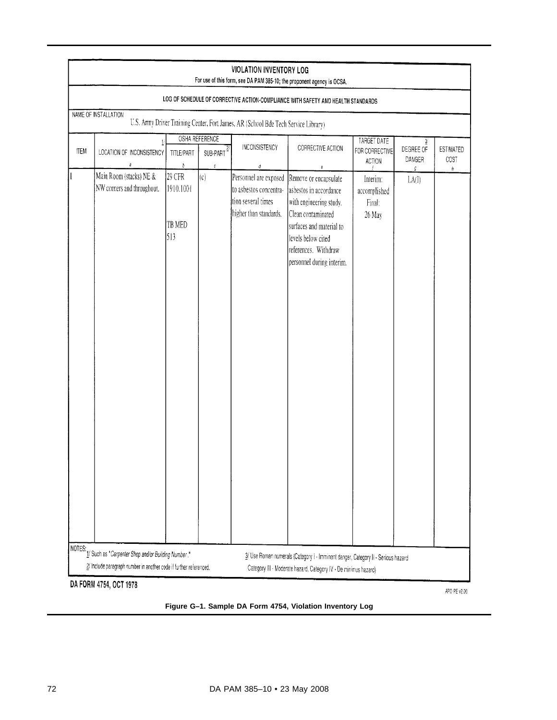|             |                                                       |                                       |                                              |                                                                                                 | LOG OF SCHEDULE OF CORRECTIVE ACTION-COMPLIANCE WITH SAFETY AND HEALTH STANDARDS                                                                                                                             |                                              |                          |                          |
|-------------|-------------------------------------------------------|---------------------------------------|----------------------------------------------|-------------------------------------------------------------------------------------------------|--------------------------------------------------------------------------------------------------------------------------------------------------------------------------------------------------------------|----------------------------------------------|--------------------------|--------------------------|
|             | NAME OF INSTALLATION                                  |                                       |                                              | U.S. Army Driver Training Center, Fort James, AR (School Bde Tech Service Library)              |                                                                                                                                                                                                              |                                              |                          |                          |
| <b>ITEM</b> | LOCATION OF INCONSISTENCY<br>a                        | <b>TITLE/PART</b><br>$\boldsymbol{b}$ | OSHA REFERENCE<br>$SUB-PART$<br>$\mathcal C$ | INCONSISTENCY<br>d                                                                              | CORRECTIVE ACTION                                                                                                                                                                                            | TARGET DATE<br>FOR CORRECTIVE<br>ACTION      | 3<br>DEGREE OF<br>DANGER | <b>ESTIMATED</b><br>COST |
|             | Main Room (stacks) NE &<br>NW corners and throughout. | 29 CFR<br>1910.1001<br>TB MED<br>513  | (c)                                          | Personnel are exposed<br>to asbestos concentra-<br>tion several times<br>higher than standards. | e<br>Remove or encapsulate<br>asbestos in accordance<br>with engineering study.<br>Clean contaminated<br>surfaces and material to<br>levels below cited<br>references. Withdraw<br>personnel during interim. | Interim:<br>accomplished<br>Final:<br>26 May | $\mathfrak{g}$<br>LA(I)  | ħ                        |

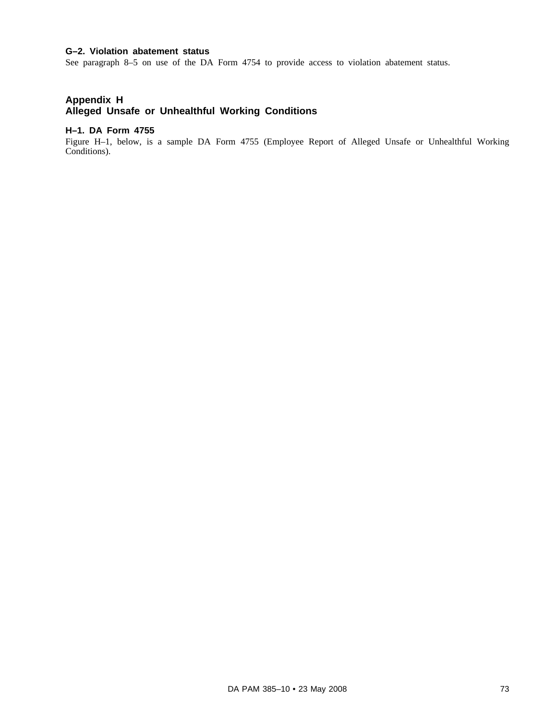## **G–2. Violation abatement status**

See paragraph 8–5 on use of the DA Form 4754 to provide access to violation abatement status.

# **Appendix H Alleged Unsafe or Unhealthful Working Conditions**

## **H–1. DA Form 4755**

Figure H–1, below, is a sample DA Form 4755 (Employee Report of Alleged Unsafe or Unhealthful Working Conditions).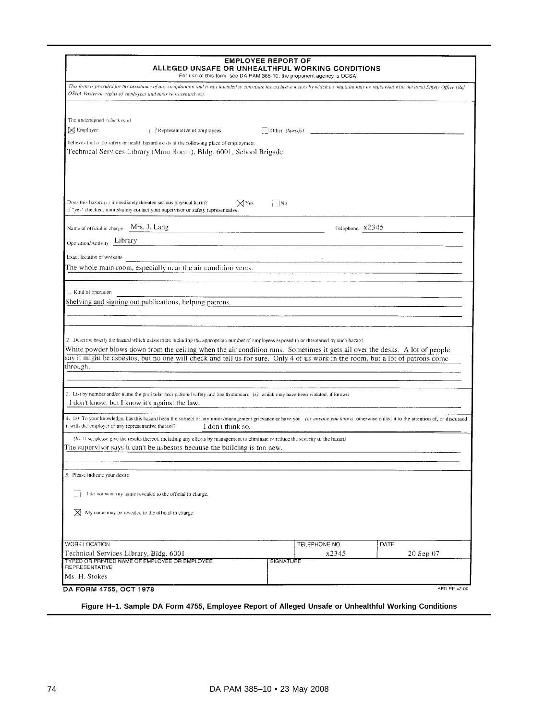| ALLEGED UNSAFE OR UNHEALTHFUL WORKING CONDITIONS<br>For use of this form, see DA PAM 385-10; the proponent agency is OCSA.                                                                                                                                                                                                                                                                                           | <b>EMPLOYEE REPORT OF</b> |                 |           |
|----------------------------------------------------------------------------------------------------------------------------------------------------------------------------------------------------------------------------------------------------------------------------------------------------------------------------------------------------------------------------------------------------------------------|---------------------------|-----------------|-----------|
| This form is provided for the assistance of any complainant and is not intended to constinite the exclusive means by which a complaint may be registered with the iocal Safety Office (Ref<br>OSHA Poster on rights of employees and their representatives).                                                                                                                                                         |                           |                 |           |
| The undersigned (check one)<br>X Employee<br>Representative of employees                                                                                                                                                                                                                                                                                                                                             | Other $(Specijy)$         |                 |           |
| believes that a job safety or health hazard exists at the following place of employment<br>Technical Services Library (Main Room), Bldg. 6001, School Brigade                                                                                                                                                                                                                                                        |                           |                 |           |
| Does this hazard(x) immediately threaten serious physical harm?<br>$\boxtimes$ Yes<br>If "yes" checked, immediately contact your supervisor or safety representative.                                                                                                                                                                                                                                                | $\Box$ No                 |                 |           |
| Mrs. J. Lang<br>Name of official in charge                                                                                                                                                                                                                                                                                                                                                                           |                           | Telephone X2345 |           |
| Operation/Activity Library                                                                                                                                                                                                                                                                                                                                                                                           |                           |                 |           |
| Exact location of worksite                                                                                                                                                                                                                                                                                                                                                                                           |                           |                 |           |
| The whole main room, especially near the air condition vents.                                                                                                                                                                                                                                                                                                                                                        |                           |                 |           |
| 2. Describe briefly the hazard which exists there including the appropriate number of employees exposed to or threatened by such hazard<br>White powder blows down from the ceiling when the air condition runs. Sometimes it gets all over the desks. A lot of people<br>say it might be asbestos, but no one will check and tell us for sure. Only 4 of us work in the room, but a lot of patrons come<br>through. |                           |                 |           |
| 3. List by number and/or name the particular occupational safety and health standard (s) which may have been violated, if known<br>I don't know, but I know it's against the law.                                                                                                                                                                                                                                    |                           |                 |           |
| 4. (a) To your knowledge, has this hazard been the subject of any union/management grievance or have you (or anyone you know) otherwise called it to the attention of, or discussed<br>it with the employer or any representative thereof?<br>I don't think so.                                                                                                                                                      |                           |                 |           |
| (b) If so, please give the results thereof, including any efforts by management to eliminate or reduce the severity of the hazard<br>The supervisor says it can't be asbestos because the building is too new.                                                                                                                                                                                                       |                           |                 |           |
| 5. Please indicate your desire:                                                                                                                                                                                                                                                                                                                                                                                      |                           |                 |           |
| I do not want my name revealed to the official in charge.<br>$\boxtimes$ My name may be revealed to the official in charge.                                                                                                                                                                                                                                                                                          |                           |                 |           |
|                                                                                                                                                                                                                                                                                                                                                                                                                      |                           |                 |           |
| WORK LOCATION                                                                                                                                                                                                                                                                                                                                                                                                        | TELEPHONE NO.             |                 | DATE      |
| Technical Services Library, Bldg. 6001<br>TYPED OR PRINTED NAME OF EMPLOYEE OR EMPLOYEE                                                                                                                                                                                                                                                                                                                              | <b>SIGNATURE</b>          | x2345           | 20 Sep 07 |
| <b>REPRESENTATIVE</b><br>Ms. H. Stokes                                                                                                                                                                                                                                                                                                                                                                               |                           |                 |           |
|                                                                                                                                                                                                                                                                                                                                                                                                                      |                           |                 |           |

**Figure H–1. Sample DA Form 4755, Employee Report of Alleged Unsafe or Unhealthful Working Conditions**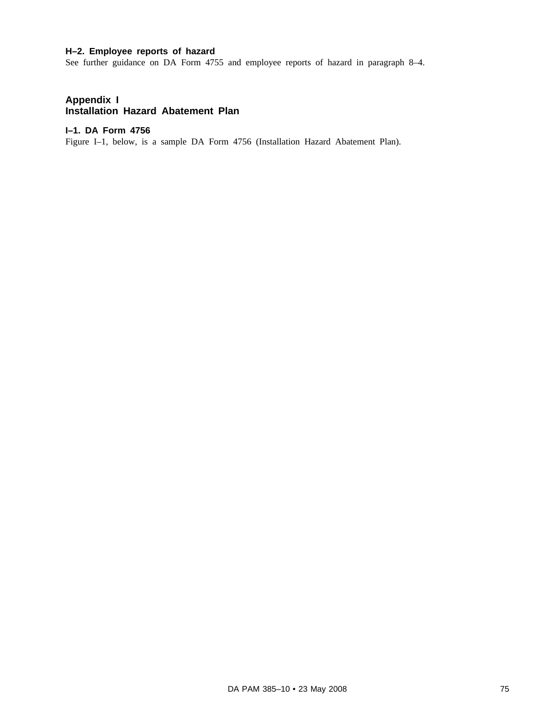# **H–2. Employee reports of hazard**

See further guidance on DA Form 4755 and employee reports of hazard in paragraph 8–4.

## **Appendix I Installation Hazard Abatement Plan**

## **I–1. DA Form 4756**

Figure I–1, below, is a sample DA Form 4756 (Installation Hazard Abatement Plan).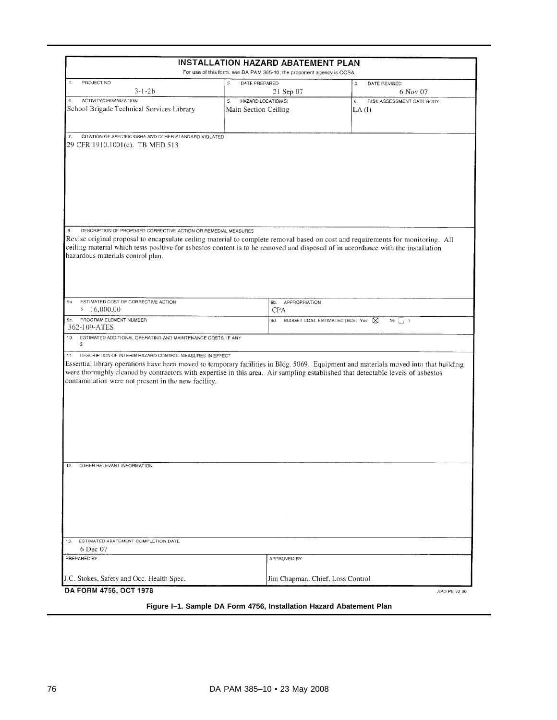|                                                                                                                                                                                                                                                                                                                                                                                      | INSTALLATION HAZARD ABATEMENT PLAN<br>For use of this form, see DA PAM 385-10; the proponent agency is OCSA. |                                          |  |
|--------------------------------------------------------------------------------------------------------------------------------------------------------------------------------------------------------------------------------------------------------------------------------------------------------------------------------------------------------------------------------------|--------------------------------------------------------------------------------------------------------------|------------------------------------------|--|
| PROJECT NO.<br>1.                                                                                                                                                                                                                                                                                                                                                                    | $\overline{c}$<br>DATE PREPARED                                                                              | 3.<br>DATE REVISED                       |  |
| 3-1-2b                                                                                                                                                                                                                                                                                                                                                                               | 21 Sep 07                                                                                                    | 6 Nov 07                                 |  |
| ACTIVITY/ORGANIZATION<br>$\ddot{\mathbf{4}}$ .<br>School Brigade Technical Services Library                                                                                                                                                                                                                                                                                          | HAZARD LOCATION(S)<br>5.<br>Main Section Ceiling                                                             | 6.<br>RISK ASSESSMENT CATEGORY<br>LA (I) |  |
| CITATION OF SPECIFIC OSHA AND OTHER STANDARD VIOLATED<br>7.<br>29 CFR 1910.1001(c). TB MED 513                                                                                                                                                                                                                                                                                       |                                                                                                              |                                          |  |
| DESCRIPTION OF PROPOSED CORRECTIVE ACTION OR REMEDIAL MEASURES<br>$\bf 8$<br>Revise original proposal to encapsulate ceiling material to complete removal based on cost and requirements for monitoring. All<br>ceiling material which tests positive for asbestos content is to be removed and disposed of in accordance with the installation<br>hazardous materials control plan. |                                                                                                              |                                          |  |
| ESTIMATED COST OF CORRECTIVE ACTION<br>9a.<br>$5 - 16,000.00$                                                                                                                                                                                                                                                                                                                        | 9b. APPROPRIATION<br><b>CPA</b>                                                                              |                                          |  |
| PROGRAM ELEMENT NUMBER<br>9c.<br>362-109-ATES                                                                                                                                                                                                                                                                                                                                        | BUDGET COST ESTIMATED (BCE: Yes   X<br>9d.<br>No $\Box$ )                                                    |                                          |  |
|                                                                                                                                                                                                                                                                                                                                                                                      |                                                                                                              |                                          |  |
| ESTIMATED ADDITIONAL OPERATING AND MAINTENANCE COSTS, IF ANY<br>10.<br>s<br>DESCRIPTION OF INTERIM HAZARD CONTROL MEASURES IN EFFECT<br>11.                                                                                                                                                                                                                                          |                                                                                                              |                                          |  |
| Essential library operations have been moved to temporary facilities in Bldg. 5069. Equipment and materials moved into that building<br>were thoroughly cleaned by contractors with expertise in this area. Air sampling established that detectable levels of asbestos<br>contamination were not present in the new facility.                                                       |                                                                                                              |                                          |  |
| 12.<br>OTHER RELEVANT INFORMATION                                                                                                                                                                                                                                                                                                                                                    |                                                                                                              |                                          |  |
|                                                                                                                                                                                                                                                                                                                                                                                      |                                                                                                              |                                          |  |
| ESTIMATED ABATEMENT COMPLETION DATE<br>6 Dec 07                                                                                                                                                                                                                                                                                                                                      |                                                                                                              |                                          |  |
| 13.<br>PREPARED BY                                                                                                                                                                                                                                                                                                                                                                   | APPROVED BY                                                                                                  |                                          |  |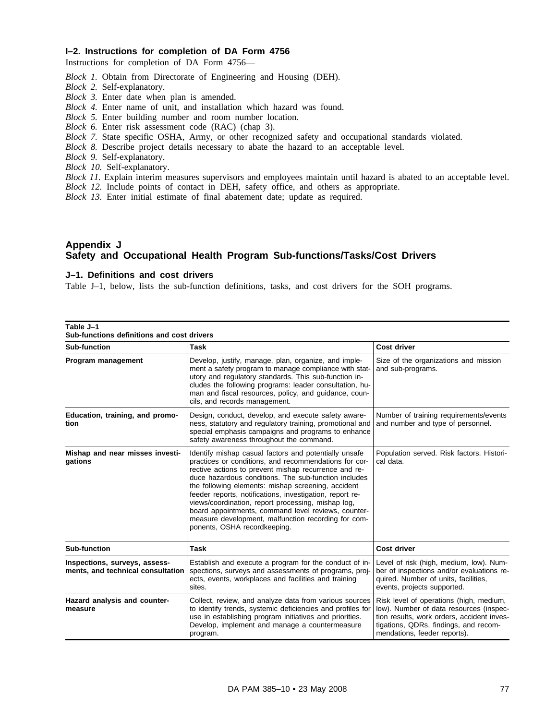## **I–2. Instructions for completion of DA Form 4756**

Instructions for completion of DA Form 4756—

- *Block 1.* Obtain from Directorate of Engineering and Housing (DEH).
- *Block 2.* Self-explanatory.
- *Block 3.* Enter date when plan is amended.
- *Block 4.* Enter name of unit, and installation which hazard was found.
- *Block 5.* Enter building number and room number location.
- *Block 6.* Enter risk assessment code (RAC) (chap 3).
- *Block 7.* State specific OSHA, Army, or other recognized safety and occupational standards violated.
- *Block 8.* Describe project details necessary to abate the hazard to an acceptable level.
- *Block 9.* Self-explanatory.
- *Block 10.* Self-explanatory.
- *Block 11.* Explain interim measures supervisors and employees maintain until hazard is abated to an acceptable level.
- *Block 12.* Include points of contact in DEH, safety office, and others as appropriate.
- *Block 13.* Enter initial estimate of final abatement date; update as required.

## **Appendix J Safety and Occupational Health Program Sub-functions/Tasks/Cost Drivers**

## **J–1. Definitions and cost drivers**

Table J–1, below, lists the sub-function definitions, tasks, and cost drivers for the SOH programs.

| Table J-1<br>Sub-functions definitions and cost drivers            |                                                                                                                                                                                                                                                                                                                                                                                                                                                                                                                                                      |                                                                                                                                                                                                           |  |  |
|--------------------------------------------------------------------|------------------------------------------------------------------------------------------------------------------------------------------------------------------------------------------------------------------------------------------------------------------------------------------------------------------------------------------------------------------------------------------------------------------------------------------------------------------------------------------------------------------------------------------------------|-----------------------------------------------------------------------------------------------------------------------------------------------------------------------------------------------------------|--|--|
| Sub-function                                                       | <b>Task</b>                                                                                                                                                                                                                                                                                                                                                                                                                                                                                                                                          | Cost driver                                                                                                                                                                                               |  |  |
| Program management                                                 | Develop, justify, manage, plan, organize, and imple-<br>ment a safety program to manage compliance with stat-<br>utory and regulatory standards. This sub-function in-<br>cludes the following programs: leader consultation, hu-<br>man and fiscal resources, policy, and guidance, coun-<br>cils, and records management.                                                                                                                                                                                                                          | Size of the organizations and mission<br>and sub-programs.                                                                                                                                                |  |  |
| Education, training, and promo-<br>tion                            | Design, conduct, develop, and execute safety aware-<br>ness, statutory and regulatory training, promotional and<br>special emphasis campaigns and programs to enhance<br>safety awareness throughout the command.                                                                                                                                                                                                                                                                                                                                    | Number of training requirements/events<br>and number and type of personnel.                                                                                                                               |  |  |
| Mishap and near misses investi-<br>gations                         | Identify mishap casual factors and potentially unsafe<br>practices or conditions, and recommendations for cor-<br>rective actions to prevent mishap recurrence and re-<br>duce hazardous conditions. The sub-function includes<br>the following elements: mishap screening, accident<br>feeder reports, notifications, investigation, report re-<br>views/coordination, report processing, mishap log,<br>board appointments, command level reviews, counter-<br>measure development, malfunction recording for com-<br>ponents, OSHA recordkeeping. | Population served. Risk factors. Histori-<br>cal data.                                                                                                                                                    |  |  |
| Sub-function                                                       | Task                                                                                                                                                                                                                                                                                                                                                                                                                                                                                                                                                 | Cost driver                                                                                                                                                                                               |  |  |
| Inspections, surveys, assess-<br>ments, and technical consultation | Establish and execute a program for the conduct of in-<br>spections, surveys and assessments of programs, proj-<br>ects, events, workplaces and facilities and training<br>sites.                                                                                                                                                                                                                                                                                                                                                                    | Level of risk (high, medium, low). Num-<br>ber of inspections and/or evaluations re-<br>quired. Number of units, facilities,<br>events, projects supported.                                               |  |  |
| Hazard analysis and counter-<br>measure                            | Collect, review, and analyze data from various sources<br>to identify trends, systemic deficiencies and profiles for<br>use in establishing program initiatives and priorities.<br>Develop, implement and manage a countermeasure<br>program.                                                                                                                                                                                                                                                                                                        | Risk level of operations (high, medium,<br>low). Number of data resources (inspec-<br>tion results, work orders, accident inves-<br>tigations, QDRs, findings, and recom-<br>mendations, feeder reports). |  |  |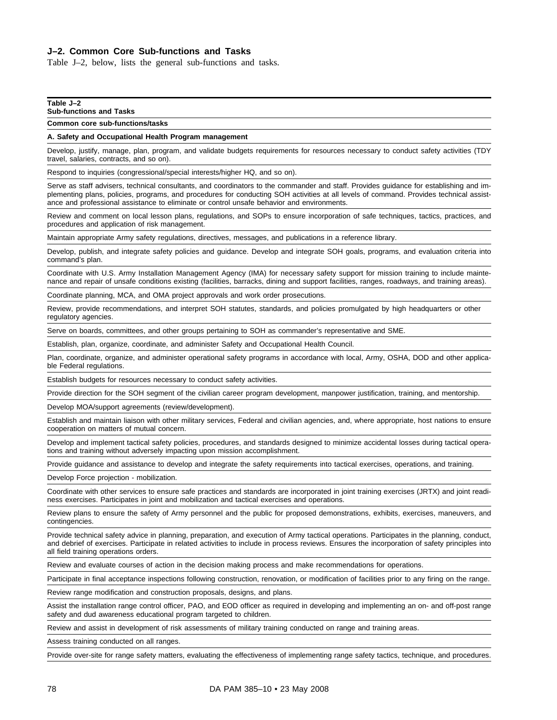## **J–2. Common Core Sub-functions and Tasks**

Table J–2, below, lists the general sub-functions and tasks.

#### **Table J–2**

### **Sub-functions and Tasks**

**Common core sub-functions/tasks**

#### **A. Safety and Occupational Health Program management**

Develop, justify, manage, plan, program, and validate budgets requirements for resources necessary to conduct safety activities (TDY travel, salaries, contracts, and so on).

Respond to inquiries (congressional/special interests/higher HQ, and so on).

Serve as staff advisers, technical consultants, and coordinators to the commander and staff. Provides guidance for establishing and implementing plans, policies, programs, and procedures for conducting SOH activities at all levels of command. Provides technical assistance and professional assistance to eliminate or control unsafe behavior and environments.

Review and comment on local lesson plans, regulations, and SOPs to ensure incorporation of safe techniques, tactics, practices, and procedures and application of risk management.

Maintain appropriate Army safety regulations, directives, messages, and publications in a reference library.

Develop, publish, and integrate safety policies and guidance. Develop and integrate SOH goals, programs, and evaluation criteria into command's plan.

Coordinate with U.S. Army Installation Management Agency (IMA) for necessary safety support for mission training to include maintenance and repair of unsafe conditions existing (facilities, barracks, dining and support facilities, ranges, roadways, and training areas).

Coordinate planning, MCA, and OMA project approvals and work order prosecutions.

Review, provide recommendations, and interpret SOH statutes, standards, and policies promulgated by high headquarters or other regulatory agencies.

Serve on boards, committees, and other groups pertaining to SOH as commander's representative and SME.

Establish, plan, organize, coordinate, and administer Safety and Occupational Health Council.

Plan, coordinate, organize, and administer operational safety programs in accordance with local, Army, OSHA, DOD and other applicable Federal regulations.

Establish budgets for resources necessary to conduct safety activities.

Provide direction for the SOH segment of the civilian career program development, manpower justification, training, and mentorship.

Develop MOA/support agreements (review/development).

Establish and maintain liaison with other military services, Federal and civilian agencies, and, where appropriate, host nations to ensure cooperation on matters of mutual concern.

Develop and implement tactical safety policies, procedures, and standards designed to minimize accidental losses during tactical operations and training without adversely impacting upon mission accomplishment.

Provide guidance and assistance to develop and integrate the safety requirements into tactical exercises, operations, and training.

Develop Force projection - mobilization.

Coordinate with other services to ensure safe practices and standards are incorporated in joint training exercises (JRTX) and joint readiness exercises. Participates in joint and mobilization and tactical exercises and operations.

Review plans to ensure the safety of Army personnel and the public for proposed demonstrations, exhibits, exercises, maneuvers, and contingencies.

Provide technical safety advice in planning, preparation, and execution of Army tactical operations. Participates in the planning, conduct, and debrief of exercises. Participate in related activities to include in process reviews. Ensures the incorporation of safety principles into all field training operations orders.

Review and evaluate courses of action in the decision making process and make recommendations for operations.

Participate in final acceptance inspections following construction, renovation, or modification of facilities prior to any firing on the range.

Review range modification and construction proposals, designs, and plans.

Assist the installation range control officer, PAO, and EOD officer as required in developing and implementing an on- and off-post range safety and dud awareness educational program targeted to children.

Review and assist in development of risk assessments of military training conducted on range and training areas.

Assess training conducted on all ranges.

Provide over-site for range safety matters, evaluating the effectiveness of implementing range safety tactics, technique, and procedures.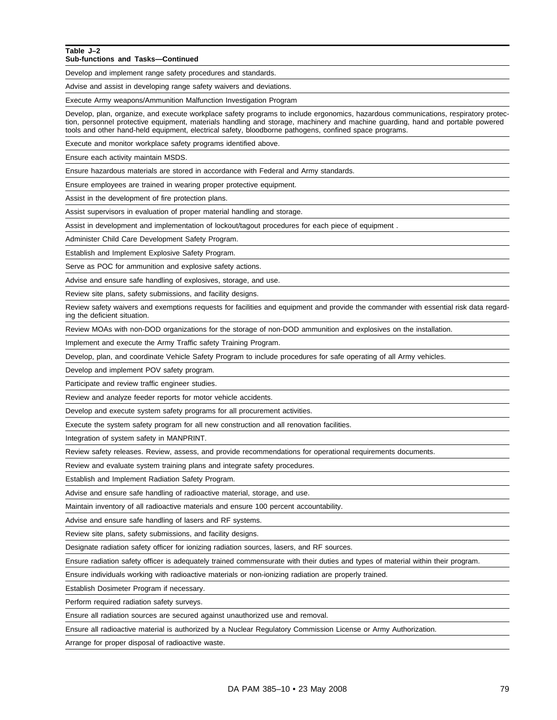#### **Table J–2 Sub-functions and Tasks—Continued**

Develop and implement range safety procedures and standards.

Advise and assist in developing range safety waivers and deviations.

Execute Army weapons/Ammunition Malfunction Investigation Program

Develop, plan, organize, and execute workplace safety programs to include ergonomics, hazardous communications, respiratory protection, personnel protective equipment, materials handling and storage, machinery and machine guarding, hand and portable powered tools and other hand-held equipment, electrical safety, bloodborne pathogens, confined space programs.

Execute and monitor workplace safety programs identified above.

Ensure each activity maintain MSDS.

Ensure hazardous materials are stored in accordance with Federal and Army standards.

Ensure employees are trained in wearing proper protective equipment.

Assist in the development of fire protection plans.

Assist supervisors in evaluation of proper material handling and storage.

Assist in development and implementation of lockout/tagout procedures for each piece of equipment .

Administer Child Care Development Safety Program.

Establish and Implement Explosive Safety Program.

Serve as POC for ammunition and explosive safety actions.

Advise and ensure safe handling of explosives, storage, and use.

Review site plans, safety submissions, and facility designs.

Review safety waivers and exemptions requests for facilities and equipment and provide the commander with essential risk data regarding the deficient situation.

Review MOAs with non-DOD organizations for the storage of non-DOD ammunition and explosives on the installation.

Implement and execute the Army Traffic safety Training Program.

Develop, plan, and coordinate Vehicle Safety Program to include procedures for safe operating of all Army vehicles.

Develop and implement POV safety program.

Participate and review traffic engineer studies.

Review and analyze feeder reports for motor vehicle accidents.

Develop and execute system safety programs for all procurement activities.

Execute the system safety program for all new construction and all renovation facilities.

Integration of system safety in MANPRINT.

Review safety releases. Review, assess, and provide recommendations for operational requirements documents.

Review and evaluate system training plans and integrate safety procedures.

Establish and Implement Radiation Safety Program.

Advise and ensure safe handling of radioactive material, storage, and use.

Maintain inventory of all radioactive materials and ensure 100 percent accountability.

Advise and ensure safe handling of lasers and RF systems.

Review site plans, safety submissions, and facility designs.

Designate radiation safety officer for ionizing radiation sources, lasers, and RF sources.

Ensure radiation safety officer is adequately trained commensurate with their duties and types of material within their program.

Ensure individuals working with radioactive materials or non-ionizing radiation are properly trained.

Establish Dosimeter Program if necessary.

Perform required radiation safety surveys.

Ensure all radiation sources are secured against unauthorized use and removal.

Ensure all radioactive material is authorized by a Nuclear Regulatory Commission License or Army Authorization.

Arrange for proper disposal of radioactive waste.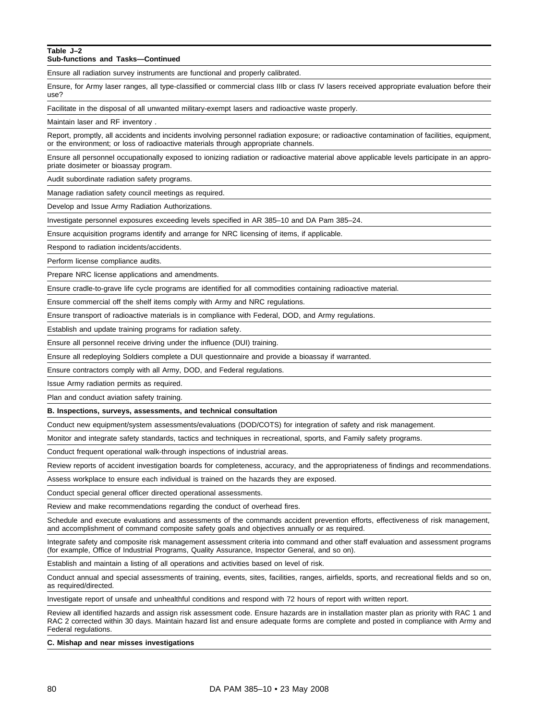### **Table J–2**

**Sub-functions and Tasks—Continued**

Ensure all radiation survey instruments are functional and properly calibrated.

Ensure, for Army laser ranges, all type-classified or commercial class IIIb or class IV lasers received appropriate evaluation before their use?

Facilitate in the disposal of all unwanted military-exempt lasers and radioactive waste properly.

Maintain laser and RF inventory .

Report, promptly, all accidents and incidents involving personnel radiation exposure; or radioactive contamination of facilities, equipment, or the environment; or loss of radioactive materials through appropriate channels.

Ensure all personnel occupationally exposed to ionizing radiation or radioactive material above applicable levels participate in an appropriate dosimeter or bioassay program.

Audit subordinate radiation safety programs.

Manage radiation safety council meetings as required.

Develop and Issue Army Radiation Authorizations.

Investigate personnel exposures exceeding levels specified in AR 385–10 and DA Pam 385–24.

Ensure acquisition programs identify and arrange for NRC licensing of items, if applicable.

Respond to radiation incidents/accidents.

Perform license compliance audits.

Prepare NRC license applications and amendments.

Ensure cradle-to-grave life cycle programs are identified for all commodities containing radioactive material.

Ensure commercial off the shelf items comply with Army and NRC regulations.

Ensure transport of radioactive materials is in compliance with Federal, DOD, and Army regulations.

Establish and update training programs for radiation safety.

Ensure all personnel receive driving under the influence (DUI) training.

Ensure all redeploying Soldiers complete a DUI questionnaire and provide a bioassay if warranted.

Ensure contractors comply with all Army, DOD, and Federal regulations.

Issue Army radiation permits as required.

Plan and conduct aviation safety training.

**B. Inspections, surveys, assessments, and technical consultation**

Conduct new equipment/system assessments/evaluations (DOD/COTS) for integration of safety and risk management.

Monitor and integrate safety standards, tactics and techniques in recreational, sports, and Family safety programs.

Conduct frequent operational walk-through inspections of industrial areas.

Review reports of accident investigation boards for completeness, accuracy, and the appropriateness of findings and recommendations.

Assess workplace to ensure each individual is trained on the hazards they are exposed.

Conduct special general officer directed operational assessments.

Review and make recommendations regarding the conduct of overhead fires.

Schedule and execute evaluations and assessments of the commands accident prevention efforts, effectiveness of risk management, and accomplishment of command composite safety goals and objectives annually or as required.

Integrate safety and composite risk management assessment criteria into command and other staff evaluation and assessment programs (for example, Office of Industrial Programs, Quality Assurance, Inspector General, and so on).

Establish and maintain a listing of all operations and activities based on level of risk.

Conduct annual and special assessments of training, events, sites, facilities, ranges, airfields, sports, and recreational fields and so on, as required/directed.

Investigate report of unsafe and unhealthful conditions and respond with 72 hours of report with written report.

Review all identified hazards and assign risk assessment code. Ensure hazards are in installation master plan as priority with RAC 1 and RAC 2 corrected within 30 days. Maintain hazard list and ensure adequate forms are complete and posted in compliance with Army and Federal regulations.

**C. Mishap and near misses investigations**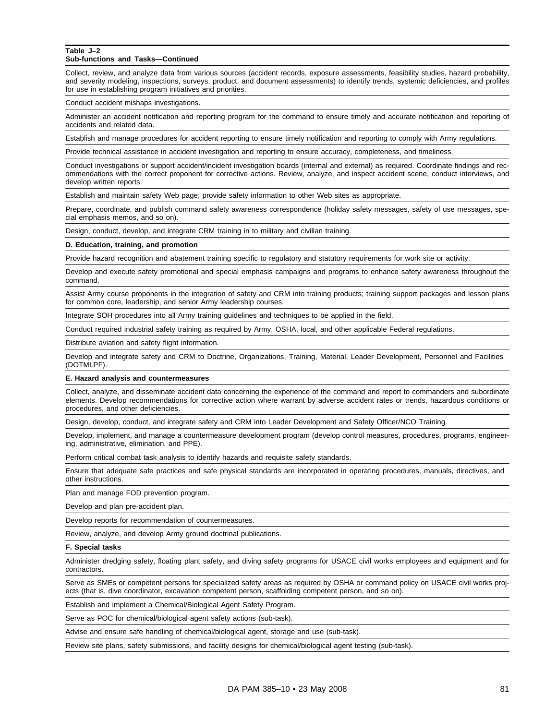#### **Table J–2 Sub-functions and Tasks—Continued**

Collect, review, and analyze data from various sources (accident records, exposure assessments, feasibility studies, hazard probability, and severity modeling, inspections, surveys, product, and document assessments) to identify trends, systemic deficiencies, and profiles for use in establishing program initiatives and priorities.

Conduct accident mishaps investigations.

Administer an accident notification and reporting program for the command to ensure timely and accurate notification and reporting of accidents and related data.

Establish and manage procedures for accident reporting to ensure timely notification and reporting to comply with Army regulations.

Provide technical assistance in accident investigation and reporting to ensure accuracy, completeness, and timeliness.

Conduct investigations or support accident/incident investigation boards (internal and external) as required. Coordinate findings and recommendations with the correct proponent for corrective actions. Review, analyze, and inspect accident scene, conduct interviews, and develop written reports.

Establish and maintain safety Web page; provide safety information to other Web sites as appropriate.

Prepare, coordinate, and publish command safety awareness correspondence (holiday safety messages, safety of use messages, special emphasis memos, and so on).

Design, conduct, develop, and integrate CRM training in to military and civilian training.

#### **D. Education, training, and promotion**

Provide hazard recognition and abatement training specific to regulatory and statutory requirements for work site or activity.

Develop and execute safety promotional and special emphasis campaigns and programs to enhance safety awareness throughout the command.

Assist Army course proponents in the integration of safety and CRM into training products; training support packages and lesson plans for common core, leadership, and senior Army leadership courses.

Integrate SOH procedures into all Army training guidelines and techniques to be applied in the field.

Conduct required industrial safety training as required by Army, OSHA, local, and other applicable Federal regulations.

Distribute aviation and safety flight information.

Develop and integrate safety and CRM to Doctrine, Organizations, Training, Material, Leader Development, Personnel and Facilities (DOTMLPF).

#### **E. Hazard analysis and countermeasures**

Collect, analyze, and disseminate accident data concerning the experience of the command and report to commanders and subordinate elements. Develop recommendations for corrective action where warrant by adverse accident rates or trends, hazardous conditions or procedures, and other deficiencies.

Design, develop, conduct, and integrate safety and CRM into Leader Development and Safety Officer/NCO Training.

Develop, implement, and manage a countermeasure development program (develop control measures, procedures, programs, engineering, administrative, elimination, and PPE).

Perform critical combat task analysis to identify hazards and requisite safety standards.

Ensure that adequate safe practices and safe physical standards are incorporated in operating procedures, manuals, directives, and other instructions.

Plan and manage FOD prevention program.

Develop and plan pre-accident plan.

Develop reports for recommendation of countermeasures.

Review, analyze, and develop Army ground doctrinal publications.

#### **F. Special tasks**

Administer dredging safety, floating plant safety, and diving safety programs for USACE civil works employees and equipment and for contractors.

Serve as SMEs or competent persons for specialized safety areas as required by OSHA or command policy on USACE civil works projects (that is, dive coordinator, excavation competent person, scaffolding competent person, and so on).

Establish and implement a Chemical/Biological Agent Safety Program.

Serve as POC for chemical/biological agent safety actions (sub-task).

Advise and ensure safe handling of chemical/biological agent, storage and use (sub-task).

Review site plans, safety submissions, and facility designs for chemical/biological agent testing (sub-task).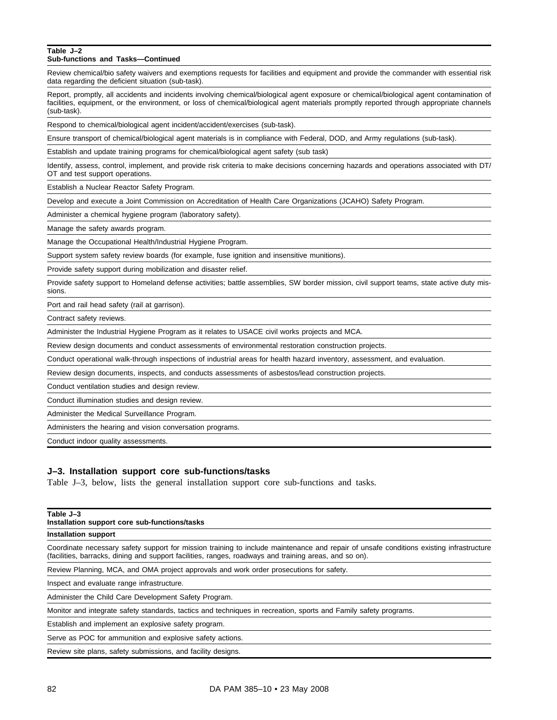#### **Table J–2 Sub-functions and Tasks—Continued**

Review chemical/bio safety waivers and exemptions requests for facilities and equipment and provide the commander with essential risk data regarding the deficient situation (sub-task).

Report, promptly, all accidents and incidents involving chemical/biological agent exposure or chemical/biological agent contamination of facilities, equipment, or the environment, or loss of chemical/biological agent materials promptly reported through appropriate channels (sub-task).

Respond to chemical/biological agent incident/accident/exercises (sub-task).

Ensure transport of chemical/biological agent materials is in compliance with Federal, DOD, and Army regulations (sub-task).

Establish and update training programs for chemical/biological agent safety (sub task)

Identify, assess, control, implement, and provide risk criteria to make decisions concerning hazards and operations associated with DT/ OT and test support operations.

Establish a Nuclear Reactor Safety Program.

Develop and execute a Joint Commission on Accreditation of Health Care Organizations (JCAHO) Safety Program.

Administer a chemical hygiene program (laboratory safety).

Manage the safety awards program.

Manage the Occupational Health/Industrial Hygiene Program.

Support system safety review boards (for example, fuse ignition and insensitive munitions).

Provide safety support during mobilization and disaster relief.

Provide safety support to Homeland defense activities; battle assemblies, SW border mission, civil support teams, state active duty missions.

Port and rail head safety (rail at garrison).

Contract safety reviews.

Administer the Industrial Hygiene Program as it relates to USACE civil works projects and MCA.

Review design documents and conduct assessments of environmental restoration construction projects.

Conduct operational walk-through inspections of industrial areas for health hazard inventory, assessment, and evaluation.

Review design documents, inspects, and conducts assessments of asbestos/lead construction projects.

Conduct ventilation studies and design review.

Conduct illumination studies and design review.

Administer the Medical Surveillance Program.

Administers the hearing and vision conversation programs.

Conduct indoor quality assessments.

#### **J–3. Installation support core sub-functions/tasks**

Table J–3, below, lists the general installation support core sub-functions and tasks.

#### **Table J–3**

**Installation support core sub-functions/tasks**

**Installation support**

Coordinate necessary safety support for mission training to include maintenance and repair of unsafe conditions existing infrastructure (facilities, barracks, dining and support facilities, ranges, roadways and training areas, and so on).

Review Planning, MCA, and OMA project approvals and work order prosecutions for safety.

Inspect and evaluate range infrastructure.

Administer the Child Care Development Safety Program.

Monitor and integrate safety standards, tactics and techniques in recreation, sports and Family safety programs.

Establish and implement an explosive safety program.

Serve as POC for ammunition and explosive safety actions.

Review site plans, safety submissions, and facility designs.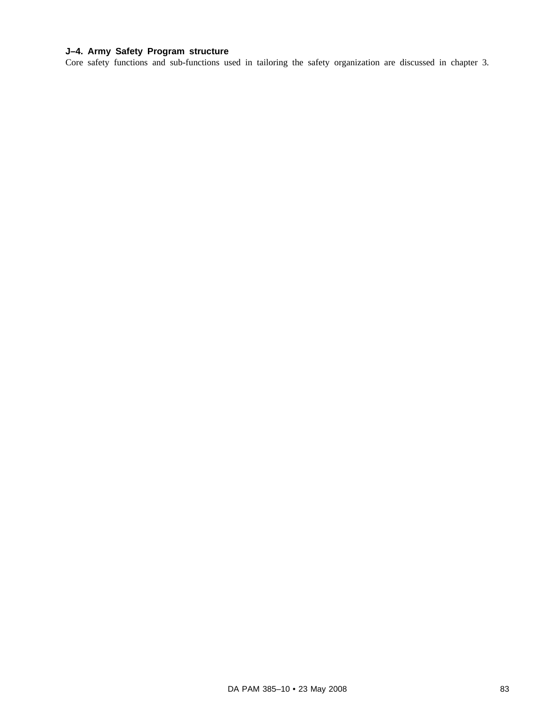# **J–4. Army Safety Program structure**

Core safety functions and sub-functions used in tailoring the safety organization are discussed in chapter 3.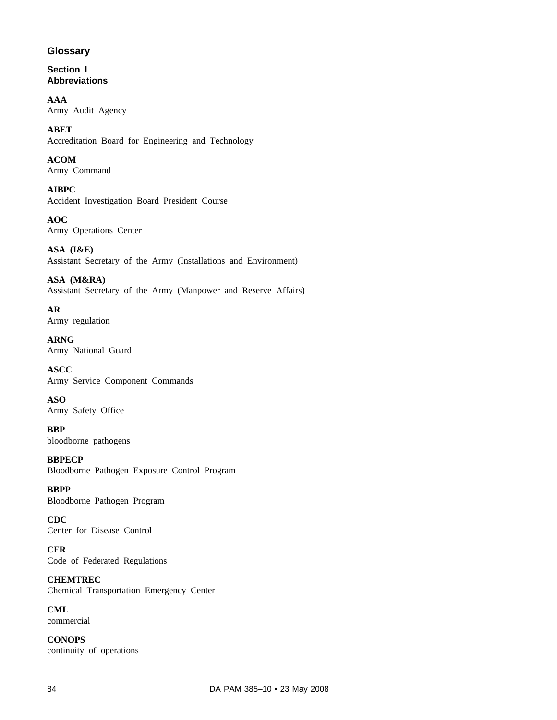# **Glossary**

## **Section I Abbreviations**

**AAA** Army Audit Agency

**ABET** Accreditation Board for Engineering and Technology

## **ACOM** Army Command

**AIBPC** Accident Investigation Board President Course

**AOC** Army Operations Center

**ASA (I&E)** Assistant Secretary of the Army (Installations and Environment)

**ASA (M&RA)** Assistant Secretary of the Army (Manpower and Reserve Affairs)

**AR** Army regulation

**ARNG** Army National Guard

**ASCC** Army Service Component Commands

**ASO** Army Safety Office

**BBP** bloodborne pathogens

**BBPECP** Bloodborne Pathogen Exposure Control Program

**BBPP** Bloodborne Pathogen Program

**CDC** Center for Disease Control

**CFR** Code of Federated Regulations

**CHEMTREC** Chemical Transportation Emergency Center

**CML** commercial

**CONOPS** continuity of operations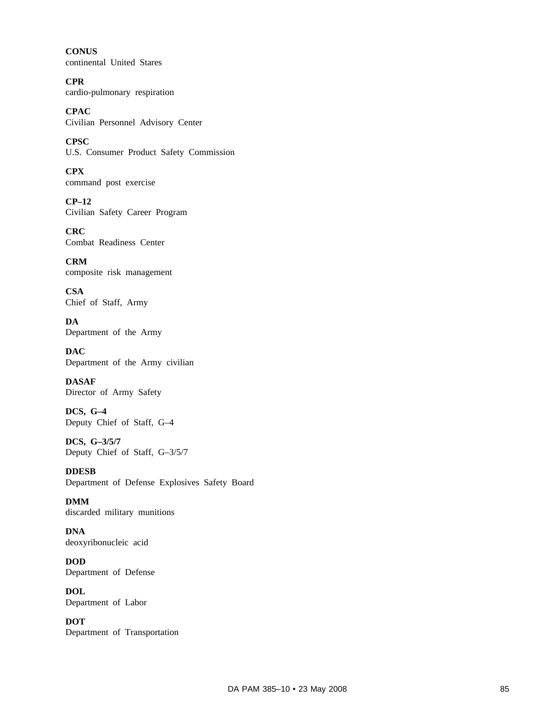**CONUS** continental United Stares

**CPR** cardio-pulmonary respiration

**CPAC** Civilian Personnel Advisory Center

**CPSC** U.S. Consumer Product Safety Commission

**CPX** command post exercise

**CP–12** Civilian Safety Career Program

**CRC** Combat Readiness Center

**CRM** composite risk management

**CSA** Chief of Staff, Army

**DA** Department of the Army

**DAC** Department of the Army civilian

**DASAF** Director of Army Safety

**DCS, G–4** Deputy Chief of Staff, G–4

**DCS, G–3/5/7** Deputy Chief of Staff, G–3/5/7

**DDESB** Department of Defense Explosives Safety Board

**DMM** discarded military munitions

**DNA** deoxyribonucleic acid

**DOD** Department of Defense

**DOL** Department of Labor

**DOT** Department of Transportation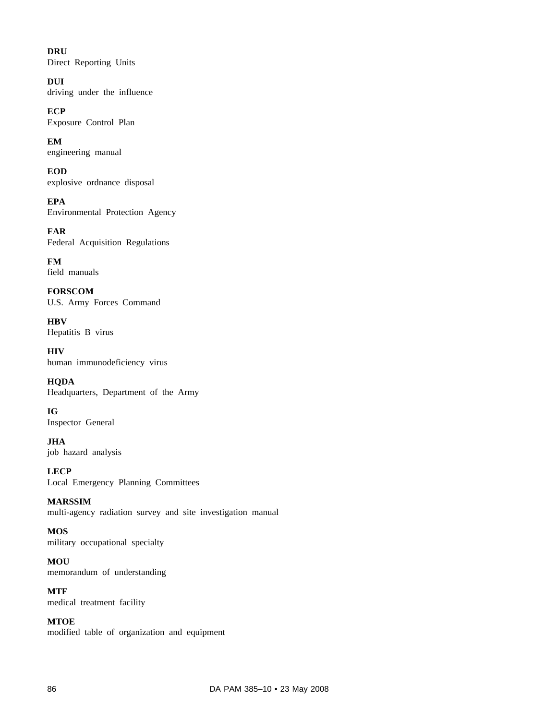**DRU** Direct Reporting Units

**DUI** driving under the influence

**ECP** Exposure Control Plan

**EM** engineering manual

**EOD** explosive ordnance disposal

**EPA** Environmental Protection Agency

**FAR** Federal Acquisition Regulations

**FM** field manuals

**FORSCOM** U.S. Army Forces Command

**HBV** Hepatitis B virus

**HIV** human immunodeficiency virus

**HQDA** Headquarters, Department of the Army

**IG** Inspector General

**JHA** job hazard analysis

**LECP** Local Emergency Planning Committees

**MARSSIM** multi-agency radiation survey and site investigation manual

**MOS** military occupational specialty

**MOU** memorandum of understanding

**MTF** medical treatment facility

**MTOE** modified table of organization and equipment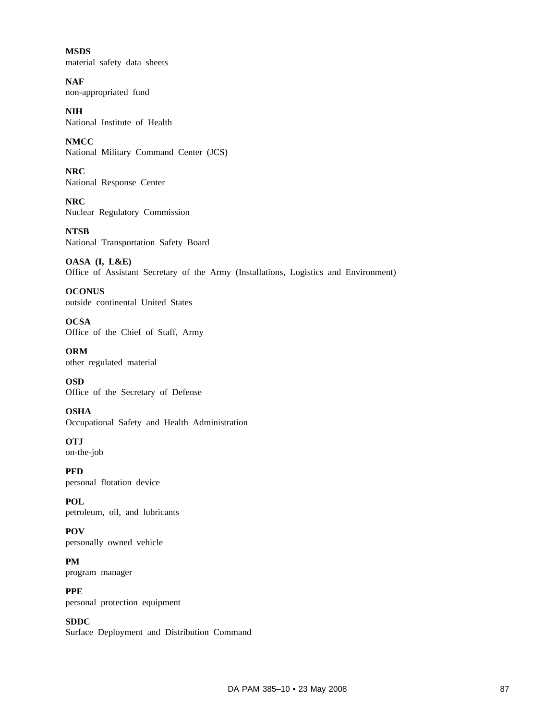**MSDS** material safety data sheets

**NAF** non-appropriated fund

**NIH** National Institute of Health

**NMCC** National Military Command Center (JCS)

**NRC** National Response Center

**NRC** Nuclear Regulatory Commission

**NTSB** National Transportation Safety Board

**OASA (I, L&E)** Office of Assistant Secretary of the Army (Installations, Logistics and Environment)

**OCONUS** outside continental United States

**OCSA** Office of the Chief of Staff, Army

**ORM** other regulated material

**OSD** Office of the Secretary of Defense

**OSHA** Occupational Safety and Health Administration

**OTJ** on-the-job

**PFD** personal flotation device

**POL** petroleum, oil, and lubricants

**POV** personally owned vehicle

**PM** program manager

**PPE** personal protection equipment

**SDDC** Surface Deployment and Distribution Command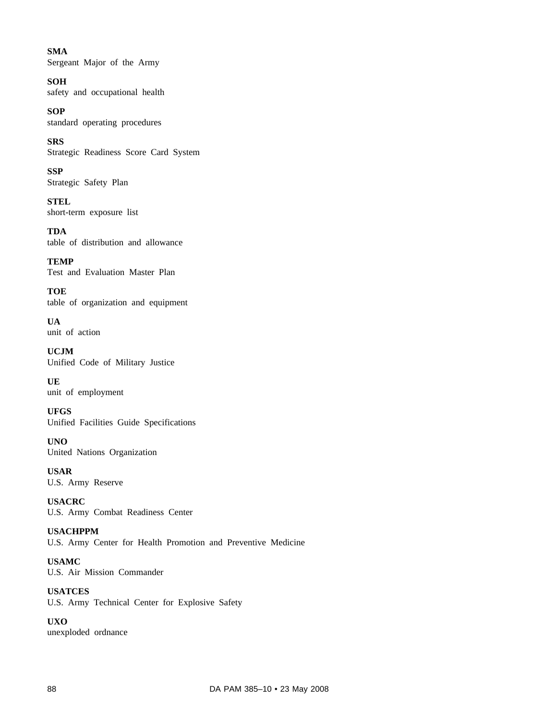**SMA** Sergeant Major of the Army

**SOH** safety and occupational health

**SOP** standard operating procedures

**SRS** Strategic Readiness Score Card System

**SSP** Strategic Safety Plan

**STEL** short-term exposure list

**TDA** table of distribution and allowance

**TEMP** Test and Evaluation Master Plan

**TOE** table of organization and equipment

**UA** unit of action

**UCJM** Unified Code of Military Justice

**UE** unit of employment

**UFGS** Unified Facilities Guide Specifications

**UNO** United Nations Organization

**USAR** U.S. Army Reserve

**USACRC** U.S. Army Combat Readiness Center

**USACHPPM** U.S. Army Center for Health Promotion and Preventive Medicine

**USAMC** U.S. Air Mission Commander

**USATCES** U.S. Army Technical Center for Explosive Safety

**UXO** unexploded ordnance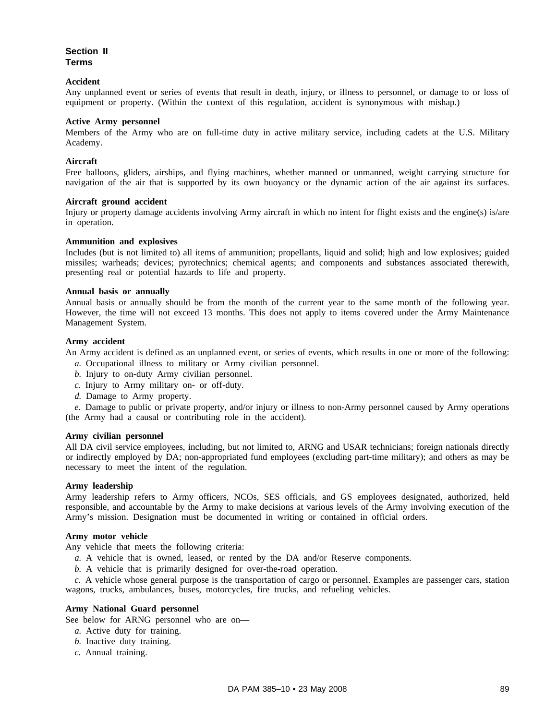## **Section II Terms**

### **Accident**

Any unplanned event or series of events that result in death, injury, or illness to personnel, or damage to or loss of equipment or property. (Within the context of this regulation, accident is synonymous with mishap.)

### **Active Army personnel**

Members of the Army who are on full-time duty in active military service, including cadets at the U.S. Military Academy.

### **Aircraft**

Free balloons, gliders, airships, and flying machines, whether manned or unmanned, weight carrying structure for navigation of the air that is supported by its own buoyancy or the dynamic action of the air against its surfaces.

### **Aircraft ground accident**

Injury or property damage accidents involving Army aircraft in which no intent for flight exists and the engine(s) is/are in operation.

#### **Ammunition and explosives**

Includes (but is not limited to) all items of ammunition; propellants, liquid and solid; high and low explosives; guided missiles; warheads; devices; pyrotechnics; chemical agents; and components and substances associated therewith, presenting real or potential hazards to life and property.

### **Annual basis or annually**

Annual basis or annually should be from the month of the current year to the same month of the following year. However, the time will not exceed 13 months. This does not apply to items covered under the Army Maintenance Management System.

### **Army accident**

An Army accident is defined as an unplanned event, or series of events, which results in one or more of the following:

- *a.* Occupational illness to military or Army civilian personnel.
- *b.* Injury to on-duty Army civilian personnel.
- *c.* Injury to Army military on- or off-duty.
- *d.* Damage to Army property.

*e.* Damage to public or private property, and/or injury or illness to non-Army personnel caused by Army operations (the Army had a causal or contributing role in the accident).

#### **Army civilian personnel**

All DA civil service employees, including, but not limited to, ARNG and USAR technicians; foreign nationals directly or indirectly employed by DA; non-appropriated fund employees (excluding part-time military); and others as may be necessary to meet the intent of the regulation.

### **Army leadership**

Army leadership refers to Army officers, NCOs, SES officials, and GS employees designated, authorized, held responsible, and accountable by the Army to make decisions at various levels of the Army involving execution of the Army's mission. Designation must be documented in writing or contained in official orders.

#### **Army motor vehicle**

Any vehicle that meets the following criteria:

- *a.* A vehicle that is owned, leased, or rented by the DA and/or Reserve components.
- *b.* A vehicle that is primarily designed for over-the-road operation.

*c.* A vehicle whose general purpose is the transportation of cargo or personnel. Examples are passenger cars, station wagons, trucks, ambulances, buses, motorcycles, fire trucks, and refueling vehicles.

### **Army National Guard personnel**

See below for ARNG personnel who are on—

- *a.* Active duty for training.
- *b.* Inactive duty training.
- *c.* Annual training.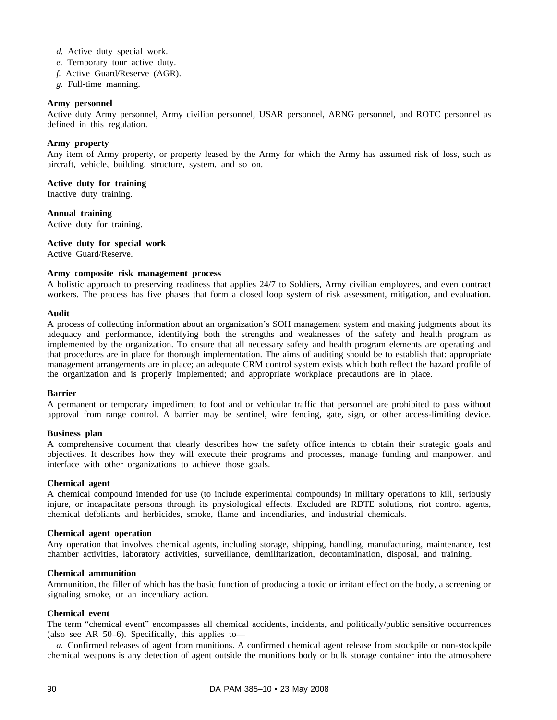- *d.* Active duty special work.
- *e.* Temporary tour active duty.
- *f.* Active Guard/Reserve (AGR).
- *g.* Full-time manning.

### **Army personnel**

Active duty Army personnel, Army civilian personnel, USAR personnel, ARNG personnel, and ROTC personnel as defined in this regulation.

### **Army property**

Any item of Army property, or property leased by the Army for which the Army has assumed risk of loss, such as aircraft, vehicle, building, structure, system, and so on.

**Active duty for training**

Inactive duty training.

**Annual training** Active duty for training.

**Active duty for special work**

Active Guard/Reserve.

### **Army composite risk management process**

A holistic approach to preserving readiness that applies 24/7 to Soldiers, Army civilian employees, and even contract workers. The process has five phases that form a closed loop system of risk assessment, mitigation, and evaluation.

### **Audit**

A process of collecting information about an organization's SOH management system and making judgments about its adequacy and performance, identifying both the strengths and weaknesses of the safety and health program as implemented by the organization. To ensure that all necessary safety and health program elements are operating and that procedures are in place for thorough implementation. The aims of auditing should be to establish that: appropriate management arrangements are in place; an adequate CRM control system exists which both reflect the hazard profile of the organization and is properly implemented; and appropriate workplace precautions are in place.

#### **Barrier**

A permanent or temporary impediment to foot and or vehicular traffic that personnel are prohibited to pass without approval from range control. A barrier may be sentinel, wire fencing, gate, sign, or other access-limiting device.

### **Business plan**

A comprehensive document that clearly describes how the safety office intends to obtain their strategic goals and objectives. It describes how they will execute their programs and processes, manage funding and manpower, and interface with other organizations to achieve those goals.

#### **Chemical agent**

A chemical compound intended for use (to include experimental compounds) in military operations to kill, seriously injure, or incapacitate persons through its physiological effects. Excluded are RDTE solutions, riot control agents, chemical defoliants and herbicides, smoke, flame and incendiaries, and industrial chemicals.

### **Chemical agent operation**

Any operation that involves chemical agents, including storage, shipping, handling, manufacturing, maintenance, test chamber activities, laboratory activities, surveillance, demilitarization, decontamination, disposal, and training.

#### **Chemical ammunition**

Ammunition, the filler of which has the basic function of producing a toxic or irritant effect on the body, a screening or signaling smoke, or an incendiary action.

### **Chemical event**

The term "chemical event" encompasses all chemical accidents, incidents, and politically/public sensitive occurrences (also see AR 50–6). Specifically, this applies to—

*a.* Confirmed releases of agent from munitions. A confirmed chemical agent release from stockpile or non-stockpile chemical weapons is any detection of agent outside the munitions body or bulk storage container into the atmosphere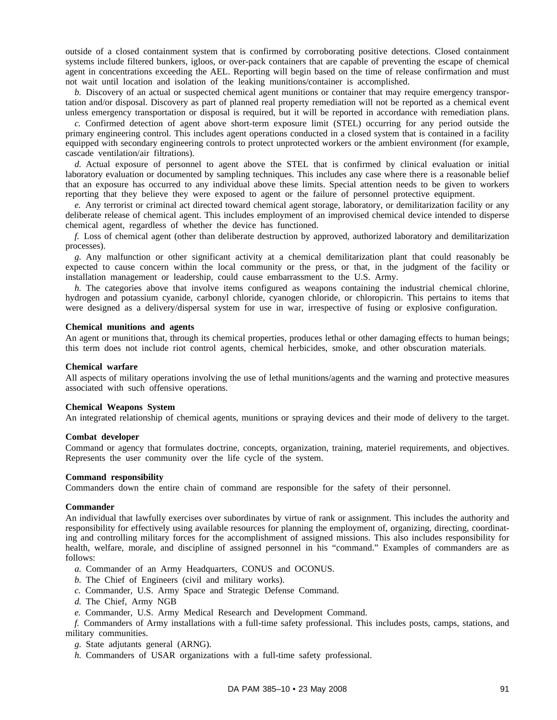outside of a closed containment system that is confirmed by corroborating positive detections. Closed containment systems include filtered bunkers, igloos, or over-pack containers that are capable of preventing the escape of chemical agent in concentrations exceeding the AEL. Reporting will begin based on the time of release confirmation and must not wait until location and isolation of the leaking munitions/container is accomplished.

*b.* Discovery of an actual or suspected chemical agent munitions or container that may require emergency transportation and/or disposal. Discovery as part of planned real property remediation will not be reported as a chemical event unless emergency transportation or disposal is required, but it will be reported in accordance with remediation plans.

*c.* Confirmed detection of agent above short-term exposure limit (STEL) occurring for any period outside the primary engineering control. This includes agent operations conducted in a closed system that is contained in a facility equipped with secondary engineering controls to protect unprotected workers or the ambient environment (for example, cascade ventilation/air filtrations).

*d.* Actual exposure of personnel to agent above the STEL that is confirmed by clinical evaluation or initial laboratory evaluation or documented by sampling techniques. This includes any case where there is a reasonable belief that an exposure has occurred to any individual above these limits. Special attention needs to be given to workers reporting that they believe they were exposed to agent or the failure of personnel protective equipment.

*e.* Any terrorist or criminal act directed toward chemical agent storage, laboratory, or demilitarization facility or any deliberate release of chemical agent. This includes employment of an improvised chemical device intended to disperse chemical agent, regardless of whether the device has functioned.

*f.* Loss of chemical agent (other than deliberate destruction by approved, authorized laboratory and demilitarization processes).

*g.* Any malfunction or other significant activity at a chemical demilitarization plant that could reasonably be expected to cause concern within the local community or the press, or that, in the judgment of the facility or installation management or leadership, could cause embarrassment to the U.S. Army.

*h.* The categories above that involve items configured as weapons containing the industrial chemical chlorine, hydrogen and potassium cyanide, carbonyl chloride, cyanogen chloride, or chloropicrin. This pertains to items that were designed as a delivery/dispersal system for use in war, irrespective of fusing or explosive configuration.

### **Chemical munitions and agents**

An agent or munitions that, through its chemical properties, produces lethal or other damaging effects to human beings; this term does not include riot control agents, chemical herbicides, smoke, and other obscuration materials.

#### **Chemical warfare**

All aspects of military operations involving the use of lethal munitions/agents and the warning and protective measures associated with such offensive operations.

### **Chemical Weapons System**

An integrated relationship of chemical agents, munitions or spraying devices and their mode of delivery to the target.

#### **Combat developer**

Command or agency that formulates doctrine, concepts, organization, training, materiel requirements, and objectives. Represents the user community over the life cycle of the system.

#### **Command responsibility**

Commanders down the entire chain of command are responsible for the safety of their personnel.

#### **Commander**

An individual that lawfully exercises over subordinates by virtue of rank or assignment. This includes the authority and responsibility for effectively using available resources for planning the employment of, organizing, directing, coordinating and controlling military forces for the accomplishment of assigned missions. This also includes responsibility for health, welfare, morale, and discipline of assigned personnel in his "command." Examples of commanders are as follows:

*a.* Commander of an Army Headquarters, CONUS and OCONUS.

*b.* The Chief of Engineers (civil and military works).

- *c.* Commander, U.S. Army Space and Strategic Defense Command.
- *d.* The Chief, Army NGB
- *e.* Commander, U.S. Army Medical Research and Development Command.

*f.* Commanders of Army installations with a full-time safety professional. This includes posts, camps, stations, and military communities.

*g.* State adjutants general (ARNG).

*h.* Commanders of USAR organizations with a full-time safety professional.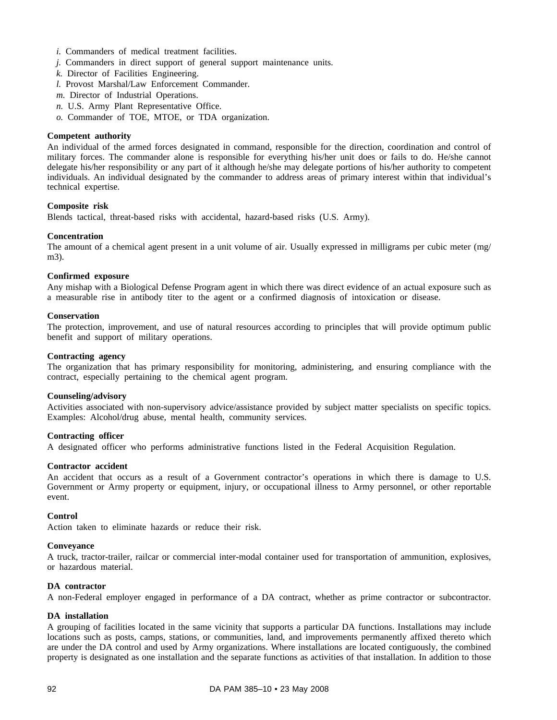- *i.* Commanders of medical treatment facilities.
- *j.* Commanders in direct support of general support maintenance units.
- *k.* Director of Facilities Engineering.
- *l.* Provost Marshal/Law Enforcement Commander.
- *m.* Director of Industrial Operations.
- *n.* U.S. Army Plant Representative Office.
- *o.* Commander of TOE, MTOE, or TDA organization.

### **Competent authority**

An individual of the armed forces designated in command, responsible for the direction, coordination and control of military forces. The commander alone is responsible for everything his/her unit does or fails to do. He/she cannot delegate his/her responsibility or any part of it although he/she may delegate portions of his/her authority to competent individuals. An individual designated by the commander to address areas of primary interest within that individual's technical expertise.

### **Composite risk**

Blends tactical, threat-based risks with accidental, hazard-based risks (U.S. Army).

### **Concentration**

The amount of a chemical agent present in a unit volume of air. Usually expressed in milligrams per cubic meter (mg/ m3).

### **Confirmed exposure**

Any mishap with a Biological Defense Program agent in which there was direct evidence of an actual exposure such as a measurable rise in antibody titer to the agent or a confirmed diagnosis of intoxication or disease.

### **Conservation**

The protection, improvement, and use of natural resources according to principles that will provide optimum public benefit and support of military operations.

#### **Contracting agency**

The organization that has primary responsibility for monitoring, administering, and ensuring compliance with the contract, especially pertaining to the chemical agent program.

### **Counseling/advisory**

Activities associated with non-supervisory advice/assistance provided by subject matter specialists on specific topics. Examples: Alcohol/drug abuse, mental health, community services.

## **Contracting officer**

A designated officer who performs administrative functions listed in the Federal Acquisition Regulation.

### **Contractor accident**

An accident that occurs as a result of a Government contractor's operations in which there is damage to U.S. Government or Army property or equipment, injury, or occupational illness to Army personnel, or other reportable event.

#### **Control**

Action taken to eliminate hazards or reduce their risk.

### **Conveyance**

A truck, tractor-trailer, railcar or commercial inter-modal container used for transportation of ammunition, explosives, or hazardous material.

### **DA contractor**

A non-Federal employer engaged in performance of a DA contract, whether as prime contractor or subcontractor.

### **DA installation**

A grouping of facilities located in the same vicinity that supports a particular DA functions. Installations may include locations such as posts, camps, stations, or communities, land, and improvements permanently affixed thereto which are under the DA control and used by Army organizations. Where installations are located contiguously, the combined property is designated as one installation and the separate functions as activities of that installation. In addition to those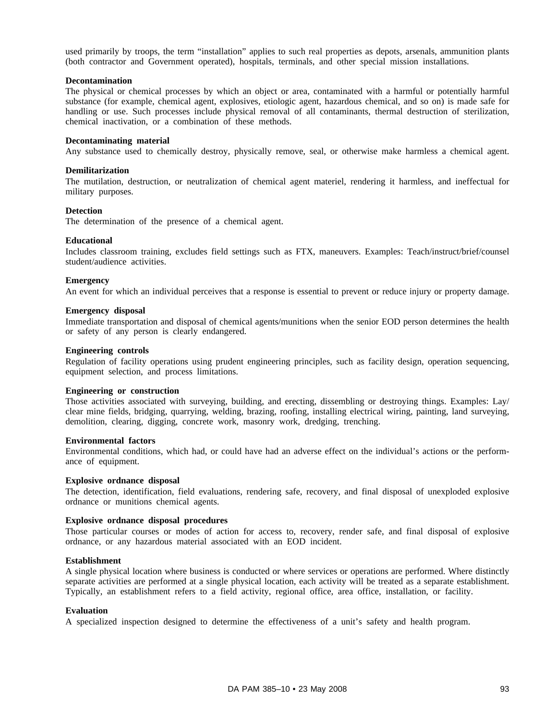used primarily by troops, the term "installation" applies to such real properties as depots, arsenals, ammunition plants (both contractor and Government operated), hospitals, terminals, and other special mission installations.

### **Decontamination**

The physical or chemical processes by which an object or area, contaminated with a harmful or potentially harmful substance (for example, chemical agent, explosives, etiologic agent, hazardous chemical, and so on) is made safe for handling or use. Such processes include physical removal of all contaminants, thermal destruction of sterilization, chemical inactivation, or a combination of these methods.

### **Decontaminating material**

Any substance used to chemically destroy, physically remove, seal, or otherwise make harmless a chemical agent.

### **Demilitarization**

The mutilation, destruction, or neutralization of chemical agent materiel, rendering it harmless, and ineffectual for military purposes.

### **Detection**

The determination of the presence of a chemical agent.

### **Educational**

Includes classroom training, excludes field settings such as FTX, maneuvers. Examples: Teach/instruct/brief/counsel student/audience activities.

### **Emergency**

An event for which an individual perceives that a response is essential to prevent or reduce injury or property damage.

### **Emergency disposal**

Immediate transportation and disposal of chemical agents/munitions when the senior EOD person determines the health or safety of any person is clearly endangered.

#### **Engineering controls**

Regulation of facility operations using prudent engineering principles, such as facility design, operation sequencing, equipment selection, and process limitations.

#### **Engineering or construction**

Those activities associated with surveying, building, and erecting, dissembling or destroying things. Examples: Lay/ clear mine fields, bridging, quarrying, welding, brazing, roofing, installing electrical wiring, painting, land surveying, demolition, clearing, digging, concrete work, masonry work, dredging, trenching.

### **Environmental factors**

Environmental conditions, which had, or could have had an adverse effect on the individual's actions or the performance of equipment.

#### **Explosive ordnance disposal**

The detection, identification, field evaluations, rendering safe, recovery, and final disposal of unexploded explosive ordnance or munitions chemical agents.

#### **Explosive ordnance disposal procedures**

Those particular courses or modes of action for access to, recovery, render safe, and final disposal of explosive ordnance, or any hazardous material associated with an EOD incident.

### **Establishment**

A single physical location where business is conducted or where services or operations are performed. Where distinctly separate activities are performed at a single physical location, each activity will be treated as a separate establishment. Typically, an establishment refers to a field activity, regional office, area office, installation, or facility.

### **Evaluation**

A specialized inspection designed to determine the effectiveness of a unit's safety and health program.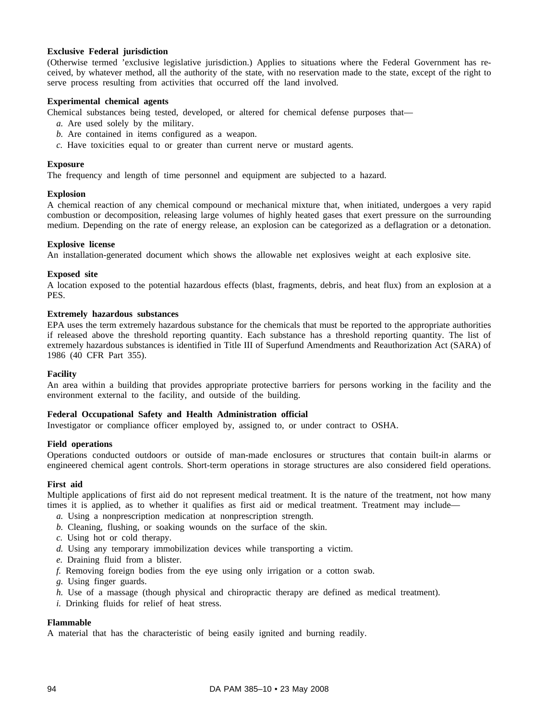### **Exclusive Federal jurisdiction**

(Otherwise termed 'exclusive legislative jurisdiction.) Applies to situations where the Federal Government has received, by whatever method, all the authority of the state, with no reservation made to the state, except of the right to serve process resulting from activities that occurred off the land involved.

### **Experimental chemical agents**

Chemical substances being tested, developed, or altered for chemical defense purposes that—

- *a.* Are used solely by the military.
- *b.* Are contained in items configured as a weapon.
- *c.* Have toxicities equal to or greater than current nerve or mustard agents.

### **Exposure**

The frequency and length of time personnel and equipment are subjected to a hazard.

### **Explosion**

A chemical reaction of any chemical compound or mechanical mixture that, when initiated, undergoes a very rapid combustion or decomposition, releasing large volumes of highly heated gases that exert pressure on the surrounding medium. Depending on the rate of energy release, an explosion can be categorized as a deflagration or a detonation.

### **Explosive license**

An installation-generated document which shows the allowable net explosives weight at each explosive site.

### **Exposed site**

A location exposed to the potential hazardous effects (blast, fragments, debris, and heat flux) from an explosion at a PES.

### **Extremely hazardous substances**

EPA uses the term extremely hazardous substance for the chemicals that must be reported to the appropriate authorities if released above the threshold reporting quantity. Each substance has a threshold reporting quantity. The list of extremely hazardous substances is identified in Title III of Superfund Amendments and Reauthorization Act (SARA) of 1986 (40 CFR Part 355).

#### **Facility**

An area within a building that provides appropriate protective barriers for persons working in the facility and the environment external to the facility, and outside of the building.

#### **Federal Occupational Safety and Health Administration official**

Investigator or compliance officer employed by, assigned to, or under contract to OSHA.

#### **Field operations**

Operations conducted outdoors or outside of man-made enclosures or structures that contain built-in alarms or engineered chemical agent controls. Short-term operations in storage structures are also considered field operations.

#### **First aid**

Multiple applications of first aid do not represent medical treatment. It is the nature of the treatment, not how many times it is applied, as to whether it qualifies as first aid or medical treatment. Treatment may include—

- *a.* Using a nonprescription medication at nonprescription strength.
- *b.* Cleaning, flushing, or soaking wounds on the surface of the skin.
- *c.* Using hot or cold therapy.
- *d.* Using any temporary immobilization devices while transporting a victim.
- *e.* Draining fluid from a blister.
- *f.* Removing foreign bodies from the eye using only irrigation or a cotton swab.
- *g.* Using finger guards.
- *h.* Use of a massage (though physical and chiropractic therapy are defined as medical treatment).
- *i.* Drinking fluids for relief of heat stress.

# **Flammable**

A material that has the characteristic of being easily ignited and burning readily.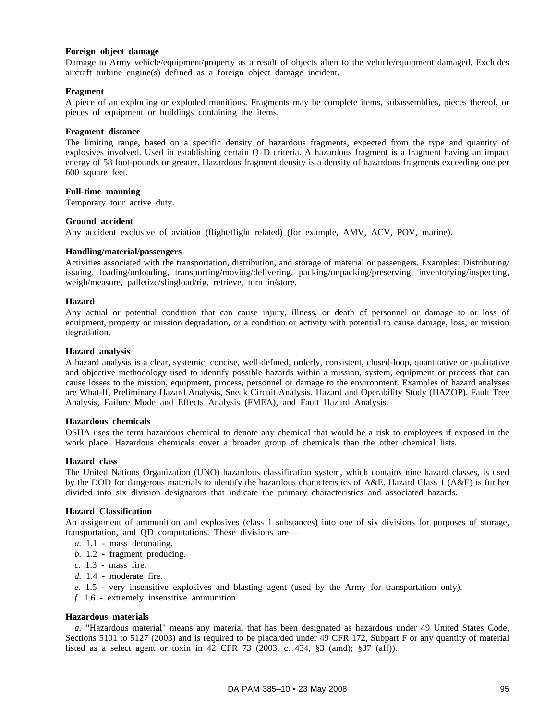### **Foreign object damage**

Damage to Army vehicle/equipment/property as a result of objects alien to the vehicle/equipment damaged. Excludes aircraft turbine engine(s) defined as a foreign object damage incident.

### **Fragment**

A piece of an exploding or exploded munitions. Fragments may be complete items, subassemblies, pieces thereof, or pieces of equipment or buildings containing the items.

### **Fragment distance**

The limiting range, based on a specific density of hazardous fragments, expected from the type and quantity of explosives involved. Used in establishing certain Q–D criteria. A hazardous fragment is a fragment having an impact energy of 58 foot-pounds or greater. Hazardous fragment density is a density of hazardous fragments exceeding one per 600 square feet.

## **Full-time manning**

Temporary tour active duty.

### **Ground accident**

Any accident exclusive of aviation (flight/flight related) (for example, AMV, ACV, POV, marine).

## **Handling/material/passengers**

Activities associated with the transportation, distribution, and storage of material or passengers. Examples: Distributing/ issuing, loading/unloading, transporting/moving/delivering, packing/unpacking/preserving, inventorying/inspecting, weigh/measure, palletize/slingload/rig, retrieve, turn in/store.

### **Hazard**

Any actual or potential condition that can cause injury, illness, or death of personnel or damage to or loss of equipment, property or mission degradation, or a condition or activity with potential to cause damage, loss, or mission degradation.

## **Hazard analysis**

A hazard analysis is a clear, systemic, concise, well-defined, orderly, consistent, closed-loop, quantitative or qualitative and objective methodology used to identify possible hazards within a mission, system, equipment or process that can cause losses to the mission, equipment, process, personnel or damage to the environment. Examples of hazard analyses are What-If, Preliminary Hazard Analysis, Sneak Circuit Analysis, Hazard and Operability Study (HAZOP), Fault Tree Analysis, Failure Mode and Effects Analysis (FMEA), and Fault Hazard Analysis.

### **Hazardous chemicals**

OSHA uses the term hazardous chemical to denote any chemical that would be a risk to employees if exposed in the work place. Hazardous chemicals cover a broader group of chemicals than the other chemical lists.

### **Hazard class**

The United Nations Organization (UNO) hazardous classification system, which contains nine hazard classes, is used by the DOD for dangerous materials to identify the hazardous characteristics of A&E. Hazard Class 1 (A&E) is further divided into six division designators that indicate the primary characteristics and associated hazards.

### **Hazard Classification**

An assignment of ammunition and explosives (class 1 substances) into one of six divisions for purposes of storage, transportation, and QD computations. These divisions are—

- *a.* 1.1 mass detonating.
- *b.* 1.2 fragment producing.
- *c.* 1.3 mass fire.
- *d.* 1.4 moderate fire.
- *e.* 1.5 very insensitive explosives and blasting agent (used by the Army for transportation only).
- *f.* 1.6 extremely insensitive ammunition.

### **Hazardous materials**

*a.* "Hazardous material" means any material that has been designated as hazardous under 49 United States Code, Sections 5101 to 5127 (2003) and is required to be placarded under 49 CFR 172, Subpart F or any quantity of material listed as a select agent or toxin in 42 CFR 73 (2003, c. 434, §3 (amd); §37 (aff)).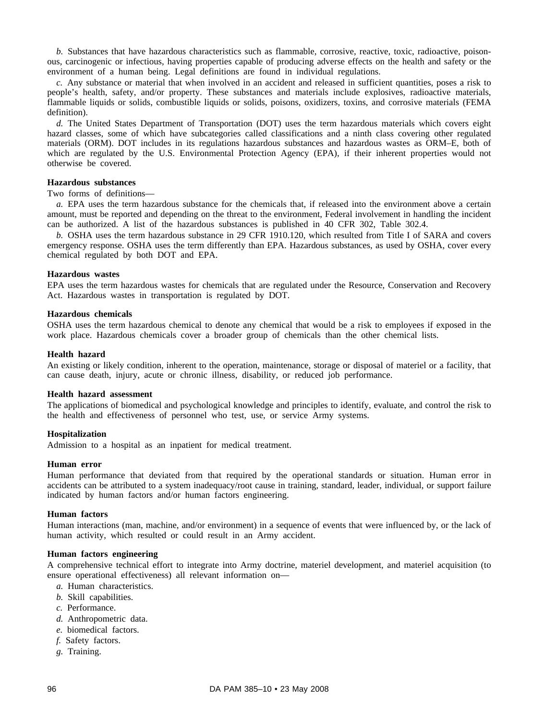*b.* Substances that have hazardous characteristics such as flammable, corrosive, reactive, toxic, radioactive, poisonous, carcinogenic or infectious, having properties capable of producing adverse effects on the health and safety or the environment of a human being. Legal definitions are found in individual regulations.

*c.* Any substance or material that when involved in an accident and released in sufficient quantities, poses a risk to people's health, safety, and/or property. These substances and materials include explosives, radioactive materials, flammable liquids or solids, combustible liquids or solids, poisons, oxidizers, toxins, and corrosive materials (FEMA definition).

*d.* The United States Department of Transportation (DOT) uses the term hazardous materials which covers eight hazard classes, some of which have subcategories called classifications and a ninth class covering other regulated materials (ORM). DOT includes in its regulations hazardous substances and hazardous wastes as ORM–E, both of which are regulated by the U.S. Environmental Protection Agency (EPA), if their inherent properties would not otherwise be covered.

### **Hazardous substances**

### Two forms of definitions—

*a.* EPA uses the term hazardous substance for the chemicals that, if released into the environment above a certain amount, must be reported and depending on the threat to the environment, Federal involvement in handling the incident can be authorized. A list of the hazardous substances is published in 40 CFR 302, Table 302.4.

*b.* OSHA uses the term hazardous substance in 29 CFR 1910.120, which resulted from Title I of SARA and covers emergency response. OSHA uses the term differently than EPA. Hazardous substances, as used by OSHA, cover every chemical regulated by both DOT and EPA.

### **Hazardous wastes**

EPA uses the term hazardous wastes for chemicals that are regulated under the Resource, Conservation and Recovery Act. Hazardous wastes in transportation is regulated by DOT.

### **Hazardous chemicals**

OSHA uses the term hazardous chemical to denote any chemical that would be a risk to employees if exposed in the work place. Hazardous chemicals cover a broader group of chemicals than the other chemical lists.

### **Health hazard**

An existing or likely condition, inherent to the operation, maintenance, storage or disposal of materiel or a facility, that can cause death, injury, acute or chronic illness, disability, or reduced job performance.

### **Health hazard assessment**

The applications of biomedical and psychological knowledge and principles to identify, evaluate, and control the risk to the health and effectiveness of personnel who test, use, or service Army systems.

### **Hospitalization**

Admission to a hospital as an inpatient for medical treatment.

### **Human error**

Human performance that deviated from that required by the operational standards or situation. Human error in accidents can be attributed to a system inadequacy/root cause in training, standard, leader, individual, or support failure indicated by human factors and/or human factors engineering.

#### **Human factors**

Human interactions (man, machine, and/or environment) in a sequence of events that were influenced by, or the lack of human activity, which resulted or could result in an Army accident.

### **Human factors engineering**

A comprehensive technical effort to integrate into Army doctrine, materiel development, and materiel acquisition (to ensure operational effectiveness) all relevant information on—

- *a.* Human characteristics.
- *b.* Skill capabilities.
- *c.* Performance.
- *d.* Anthropometric data.
- *e.* biomedical factors.
- *f.* Safety factors.
- *g.* Training.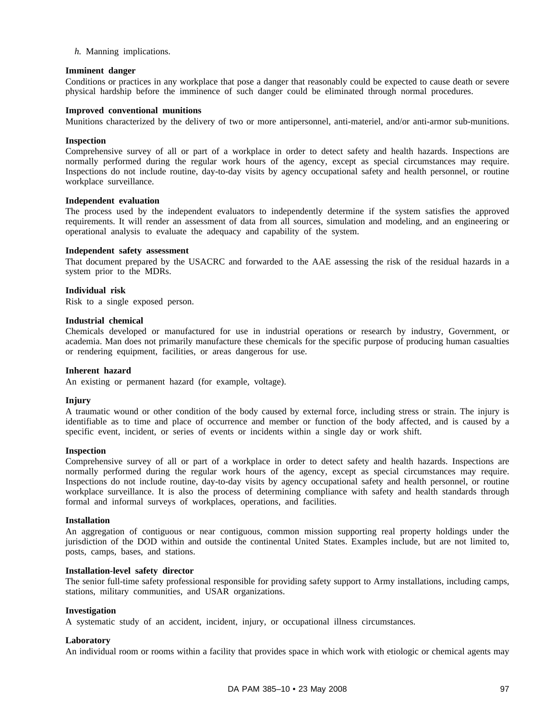*h.* Manning implications.

### **Imminent danger**

Conditions or practices in any workplace that pose a danger that reasonably could be expected to cause death or severe physical hardship before the imminence of such danger could be eliminated through normal procedures.

## **Improved conventional munitions**

Munitions characterized by the delivery of two or more antipersonnel, anti-materiel, and/or anti-armor sub-munitions.

### **Inspection**

Comprehensive survey of all or part of a workplace in order to detect safety and health hazards. Inspections are normally performed during the regular work hours of the agency, except as special circumstances may require. Inspections do not include routine, day-to-day visits by agency occupational safety and health personnel, or routine workplace surveillance.

### **Independent evaluation**

The process used by the independent evaluators to independently determine if the system satisfies the approved requirements. It will render an assessment of data from all sources, simulation and modeling, and an engineering or operational analysis to evaluate the adequacy and capability of the system.

#### **Independent safety assessment**

That document prepared by the USACRC and forwarded to the AAE assessing the risk of the residual hazards in a system prior to the MDRs.

### **Individual risk**

Risk to a single exposed person.

### **Industrial chemical**

Chemicals developed or manufactured for use in industrial operations or research by industry, Government, or academia. Man does not primarily manufacture these chemicals for the specific purpose of producing human casualties or rendering equipment, facilities, or areas dangerous for use.

#### **Inherent hazard**

An existing or permanent hazard (for example, voltage).

#### **Injury**

A traumatic wound or other condition of the body caused by external force, including stress or strain. The injury is identifiable as to time and place of occurrence and member or function of the body affected, and is caused by a specific event, incident, or series of events or incidents within a single day or work shift.

### **Inspection**

Comprehensive survey of all or part of a workplace in order to detect safety and health hazards. Inspections are normally performed during the regular work hours of the agency, except as special circumstances may require. Inspections do not include routine, day-to-day visits by agency occupational safety and health personnel, or routine workplace surveillance. It is also the process of determining compliance with safety and health standards through formal and informal surveys of workplaces, operations, and facilities.

#### **Installation**

An aggregation of contiguous or near contiguous, common mission supporting real property holdings under the jurisdiction of the DOD within and outside the continental United States. Examples include, but are not limited to, posts, camps, bases, and stations.

#### **Installation-level safety director**

The senior full-time safety professional responsible for providing safety support to Army installations, including camps, stations, military communities, and USAR organizations.

#### **Investigation**

A systematic study of an accident, incident, injury, or occupational illness circumstances.

#### **Laboratory**

An individual room or rooms within a facility that provides space in which work with etiologic or chemical agents may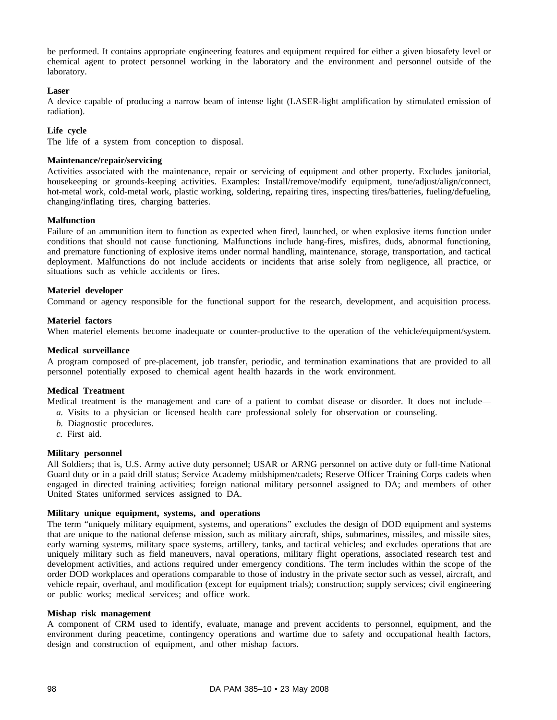be performed. It contains appropriate engineering features and equipment required for either a given biosafety level or chemical agent to protect personnel working in the laboratory and the environment and personnel outside of the laboratory.

### **Laser**

A device capable of producing a narrow beam of intense light (LASER-light amplification by stimulated emission of radiation).

### **Life cycle**

The life of a system from conception to disposal.

### **Maintenance/repair/servicing**

Activities associated with the maintenance, repair or servicing of equipment and other property. Excludes janitorial, housekeeping or grounds-keeping activities. Examples: Install/remove/modify equipment, tune/adjust/align/connect, hot-metal work, cold-metal work, plastic working, soldering, repairing tires, inspecting tires/batteries, fueling/defueling, changing/inflating tires, charging batteries.

### **Malfunction**

Failure of an ammunition item to function as expected when fired, launched, or when explosive items function under conditions that should not cause functioning. Malfunctions include hang-fires, misfires, duds, abnormal functioning, and premature functioning of explosive items under normal handling, maintenance, storage, transportation, and tactical deployment. Malfunctions do not include accidents or incidents that arise solely from negligence, all practice, or situations such as vehicle accidents or fires.

### **Materiel developer**

Command or agency responsible for the functional support for the research, development, and acquisition process.

### **Materiel factors**

When materiel elements become inadequate or counter-productive to the operation of the vehicle/equipment/system.

### **Medical surveillance**

A program composed of pre-placement, job transfer, periodic, and termination examinations that are provided to all personnel potentially exposed to chemical agent health hazards in the work environment.

### **Medical Treatment**

Medical treatment is the management and care of a patient to combat disease or disorder. It does not include—

- *a.* Visits to a physician or licensed health care professional solely for observation or counseling.
- *b.* Diagnostic procedures.
- *c.* First aid.

### **Military personnel**

All Soldiers; that is, U.S. Army active duty personnel; USAR or ARNG personnel on active duty or full-time National Guard duty or in a paid drill status; Service Academy midshipmen/cadets; Reserve Officer Training Corps cadets when engaged in directed training activities; foreign national military personnel assigned to DA; and members of other United States uniformed services assigned to DA.

### **Military unique equipment, systems, and operations**

The term "uniquely military equipment, systems, and operations" excludes the design of DOD equipment and systems that are unique to the national defense mission, such as military aircraft, ships, submarines, missiles, and missile sites, early warning systems, military space systems, artillery, tanks, and tactical vehicles; and excludes operations that are uniquely military such as field maneuvers, naval operations, military flight operations, associated research test and development activities, and actions required under emergency conditions. The term includes within the scope of the order DOD workplaces and operations comparable to those of industry in the private sector such as vessel, aircraft, and vehicle repair, overhaul, and modification (except for equipment trials); construction; supply services; civil engineering or public works; medical services; and office work.

### **Mishap risk management**

A component of CRM used to identify, evaluate, manage and prevent accidents to personnel, equipment, and the environment during peacetime, contingency operations and wartime due to safety and occupational health factors, design and construction of equipment, and other mishap factors.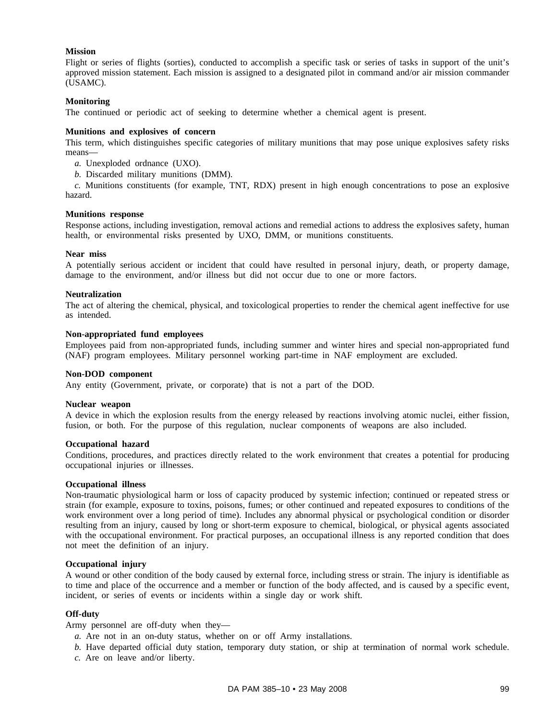### **Mission**

Flight or series of flights (sorties), conducted to accomplish a specific task or series of tasks in support of the unit's approved mission statement. Each mission is assigned to a designated pilot in command and/or air mission commander (USAMC).

### **Monitoring**

The continued or periodic act of seeking to determine whether a chemical agent is present.

### **Munitions and explosives of concern**

This term, which distinguishes specific categories of military munitions that may pose unique explosives safety risks means—

- *a.* Unexploded ordnance (UXO).
- *b.* Discarded military munitions (DMM).

*c.* Munitions constituents (for example, TNT, RDX) present in high enough concentrations to pose an explosive hazard.

#### **Munitions response**

Response actions, including investigation, removal actions and remedial actions to address the explosives safety, human health, or environmental risks presented by UXO, DMM, or munitions constituents.

### **Near miss**

A potentially serious accident or incident that could have resulted in personal injury, death, or property damage, damage to the environment, and/or illness but did not occur due to one or more factors.

### **Neutralization**

The act of altering the chemical, physical, and toxicological properties to render the chemical agent ineffective for use as intended.

### **Non-appropriated fund employees**

Employees paid from non-appropriated funds, including summer and winter hires and special non-appropriated fund (NAF) program employees. Military personnel working part-time in NAF employment are excluded.

#### **Non-DOD component**

Any entity (Government, private, or corporate) that is not a part of the DOD.

### **Nuclear weapon**

A device in which the explosion results from the energy released by reactions involving atomic nuclei, either fission, fusion, or both. For the purpose of this regulation, nuclear components of weapons are also included.

#### **Occupational hazard**

Conditions, procedures, and practices directly related to the work environment that creates a potential for producing occupational injuries or illnesses.

#### **Occupational illness**

Non-traumatic physiological harm or loss of capacity produced by systemic infection; continued or repeated stress or strain (for example, exposure to toxins, poisons, fumes; or other continued and repeated exposures to conditions of the work environment over a long period of time). Includes any abnormal physical or psychological condition or disorder resulting from an injury, caused by long or short-term exposure to chemical, biological, or physical agents associated with the occupational environment. For practical purposes, an occupational illness is any reported condition that does not meet the definition of an injury.

### **Occupational injury**

A wound or other condition of the body caused by external force, including stress or strain. The injury is identifiable as to time and place of the occurrence and a member or function of the body affected, and is caused by a specific event, incident, or series of events or incidents within a single day or work shift.

### **Off-duty**

Army personnel are off-duty when they—

- *a.* Are not in an on-duty status, whether on or off Army installations.
- *b.* Have departed official duty station, temporary duty station, or ship at termination of normal work schedule.
- *c.* Are on leave and/or liberty.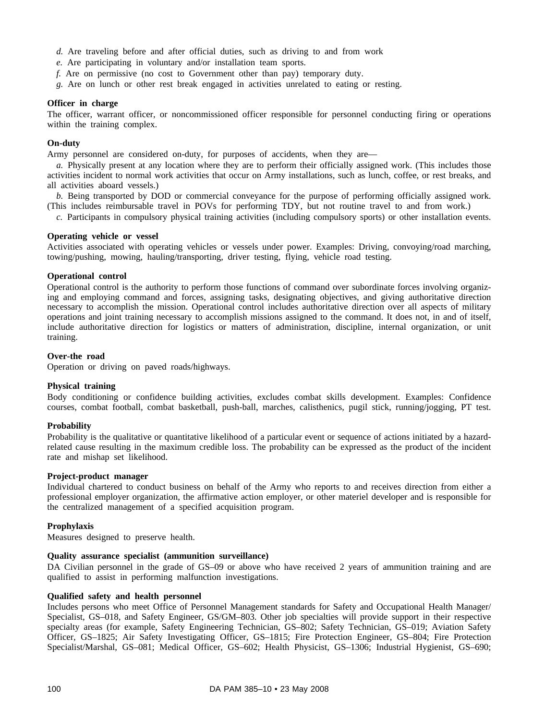- *d.* Are traveling before and after official duties, such as driving to and from work
- *e.* Are participating in voluntary and/or installation team sports.
- *f.* Are on permissive (no cost to Government other than pay) temporary duty.
- *g.* Are on lunch or other rest break engaged in activities unrelated to eating or resting.

### **Officer in charge**

The officer, warrant officer, or noncommissioned officer responsible for personnel conducting firing or operations within the training complex.

### **On-duty**

Army personnel are considered on-duty, for purposes of accidents, when they are—

*a.* Physically present at any location where they are to perform their officially assigned work. (This includes those activities incident to normal work activities that occur on Army installations, such as lunch, coffee, or rest breaks, and all activities aboard vessels.)

*b.* Being transported by DOD or commercial conveyance for the purpose of performing officially assigned work. (This includes reimbursable travel in POVs for performing TDY, but not routine travel to and from work.)

*c.* Participants in compulsory physical training activities (including compulsory sports) or other installation events.

### **Operating vehicle or vessel**

Activities associated with operating vehicles or vessels under power. Examples: Driving, convoying/road marching, towing/pushing, mowing, hauling/transporting, driver testing, flying, vehicle road testing.

### **Operational control**

Operational control is the authority to perform those functions of command over subordinate forces involving organizing and employing command and forces, assigning tasks, designating objectives, and giving authoritative direction necessary to accomplish the mission. Operational control includes authoritative direction over all aspects of military operations and joint training necessary to accomplish missions assigned to the command. It does not, in and of itself, include authoritative direction for logistics or matters of administration, discipline, internal organization, or unit training.

### **Over-the road**

Operation or driving on paved roads/highways.

### **Physical training**

Body conditioning or confidence building activities, excludes combat skills development. Examples: Confidence courses, combat football, combat basketball, push-ball, marches, calisthenics, pugil stick, running/jogging, PT test.

### **Probability**

Probability is the qualitative or quantitative likelihood of a particular event or sequence of actions initiated by a hazardrelated cause resulting in the maximum credible loss. The probability can be expressed as the product of the incident rate and mishap set likelihood.

#### **Project-product manager**

Individual chartered to conduct business on behalf of the Army who reports to and receives direction from either a professional employer organization, the affirmative action employer, or other materiel developer and is responsible for the centralized management of a specified acquisition program.

### **Prophylaxis**

Measures designed to preserve health.

### **Quality assurance specialist (ammunition surveillance)**

DA Civilian personnel in the grade of GS–09 or above who have received 2 years of ammunition training and are qualified to assist in performing malfunction investigations.

### **Qualified safety and health personnel**

Includes persons who meet Office of Personnel Management standards for Safety and Occupational Health Manager/ Specialist, GS–018, and Safety Engineer, GS/GM–803. Other job specialties will provide support in their respective specialty areas (for example, Safety Engineering Technician, GS–802; Safety Technician, GS–019; Aviation Safety Officer, GS–1825; Air Safety Investigating Officer, GS–1815; Fire Protection Engineer, GS–804; Fire Protection Specialist/Marshal, GS–081; Medical Officer, GS–602; Health Physicist, GS–1306; Industrial Hygienist, GS–690;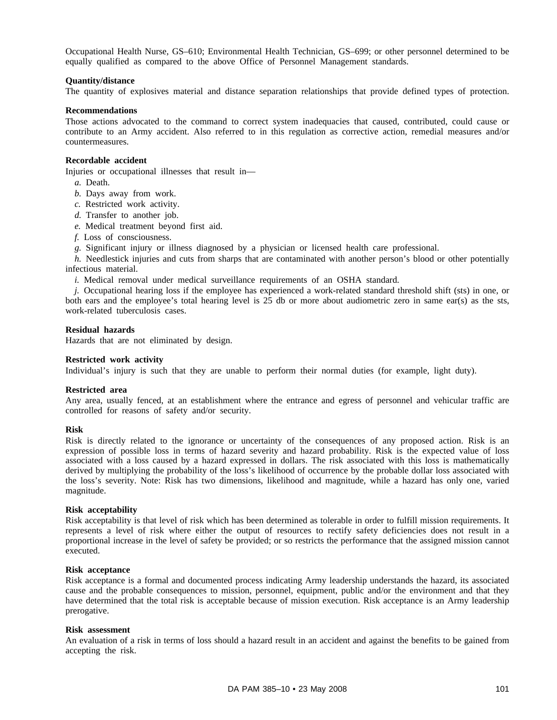Occupational Health Nurse, GS–610; Environmental Health Technician, GS–699; or other personnel determined to be equally qualified as compared to the above Office of Personnel Management standards.

### **Quantity/distance**

The quantity of explosives material and distance separation relationships that provide defined types of protection.

### **Recommendations**

Those actions advocated to the command to correct system inadequacies that caused, contributed, could cause or contribute to an Army accident. Also referred to in this regulation as corrective action, remedial measures and/or countermeasures.

### **Recordable accident**

Injuries or occupational illnesses that result in—

- *a.* Death.
- *b.* Days away from work.
- *c.* Restricted work activity.
- *d.* Transfer to another job.
- *e.* Medical treatment beyond first aid.
- *f.* Loss of consciousness.

*g.* Significant injury or illness diagnosed by a physician or licensed health care professional.

*h.* Needlestick injuries and cuts from sharps that are contaminated with another person's blood or other potentially infectious material.

*i.* Medical removal under medical surveillance requirements of an OSHA standard.

*j.* Occupational hearing loss if the employee has experienced a work-related standard threshold shift (sts) in one, or both ears and the employee's total hearing level is 25 db or more about audiometric zero in same ear(s) as the sts, work-related tuberculosis cases.

## **Residual hazards**

Hazards that are not eliminated by design.

### **Restricted work activity**

Individual's injury is such that they are unable to perform their normal duties (for example, light duty).

#### **Restricted area**

Any area, usually fenced, at an establishment where the entrance and egress of personnel and vehicular traffic are controlled for reasons of safety and/or security.

### **Risk**

Risk is directly related to the ignorance or uncertainty of the consequences of any proposed action. Risk is an expression of possible loss in terms of hazard severity and hazard probability. Risk is the expected value of loss associated with a loss caused by a hazard expressed in dollars. The risk associated with this loss is mathematically derived by multiplying the probability of the loss's likelihood of occurrence by the probable dollar loss associated with the loss's severity. Note: Risk has two dimensions, likelihood and magnitude, while a hazard has only one, varied magnitude.

#### **Risk acceptability**

Risk acceptability is that level of risk which has been determined as tolerable in order to fulfill mission requirements. It represents a level of risk where either the output of resources to rectify safety deficiencies does not result in a proportional increase in the level of safety be provided; or so restricts the performance that the assigned mission cannot executed.

### **Risk acceptance**

Risk acceptance is a formal and documented process indicating Army leadership understands the hazard, its associated cause and the probable consequences to mission, personnel, equipment, public and/or the environment and that they have determined that the total risk is acceptable because of mission execution. Risk acceptance is an Army leadership prerogative.

#### **Risk assessment**

An evaluation of a risk in terms of loss should a hazard result in an accident and against the benefits to be gained from accepting the risk.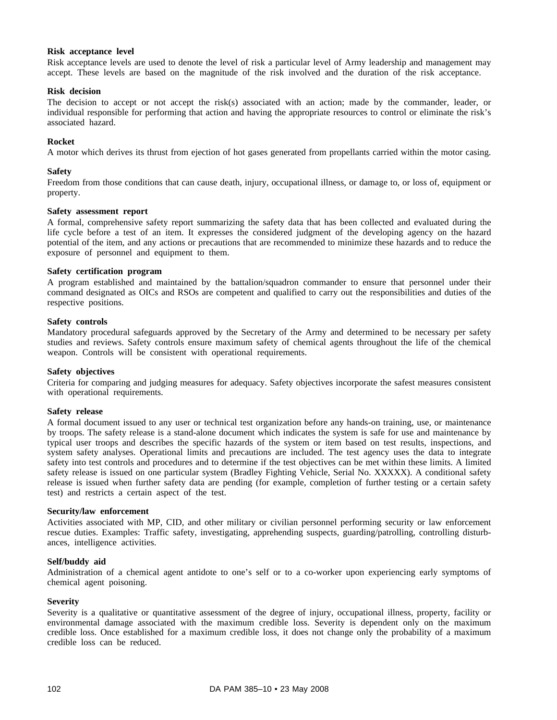### **Risk acceptance level**

Risk acceptance levels are used to denote the level of risk a particular level of Army leadership and management may accept. These levels are based on the magnitude of the risk involved and the duration of the risk acceptance.

### **Risk decision**

The decision to accept or not accept the risk(s) associated with an action; made by the commander, leader, or individual responsible for performing that action and having the appropriate resources to control or eliminate the risk's associated hazard.

### **Rocket**

A motor which derives its thrust from ejection of hot gases generated from propellants carried within the motor casing.

### **Safety**

Freedom from those conditions that can cause death, injury, occupational illness, or damage to, or loss of, equipment or property.

### **Safety assessment report**

A formal, comprehensive safety report summarizing the safety data that has been collected and evaluated during the life cycle before a test of an item. It expresses the considered judgment of the developing agency on the hazard potential of the item, and any actions or precautions that are recommended to minimize these hazards and to reduce the exposure of personnel and equipment to them.

### **Safety certification program**

A program established and maintained by the battalion/squadron commander to ensure that personnel under their command designated as OICs and RSOs are competent and qualified to carry out the responsibilities and duties of the respective positions.

### **Safety controls**

Mandatory procedural safeguards approved by the Secretary of the Army and determined to be necessary per safety studies and reviews. Safety controls ensure maximum safety of chemical agents throughout the life of the chemical weapon. Controls will be consistent with operational requirements.

#### **Safety objectives**

Criteria for comparing and judging measures for adequacy. Safety objectives incorporate the safest measures consistent with operational requirements.

#### **Safety release**

A formal document issued to any user or technical test organization before any hands-on training, use, or maintenance by troops. The safety release is a stand-alone document which indicates the system is safe for use and maintenance by typical user troops and describes the specific hazards of the system or item based on test results, inspections, and system safety analyses. Operational limits and precautions are included. The test agency uses the data to integrate safety into test controls and procedures and to determine if the test objectives can be met within these limits. A limited safety release is issued on one particular system (Bradley Fighting Vehicle, Serial No. XXXXX). A conditional safety release is issued when further safety data are pending (for example, completion of further testing or a certain safety test) and restricts a certain aspect of the test.

#### **Security/law enforcement**

Activities associated with MP, CID, and other military or civilian personnel performing security or law enforcement rescue duties. Examples: Traffic safety, investigating, apprehending suspects, guarding/patrolling, controlling disturbances, intelligence activities.

#### **Self/buddy aid**

Administration of a chemical agent antidote to one's self or to a co-worker upon experiencing early symptoms of chemical agent poisoning.

### **Severity**

Severity is a qualitative or quantitative assessment of the degree of injury, occupational illness, property, facility or environmental damage associated with the maximum credible loss. Severity is dependent only on the maximum credible loss. Once established for a maximum credible loss, it does not change only the probability of a maximum credible loss can be reduced.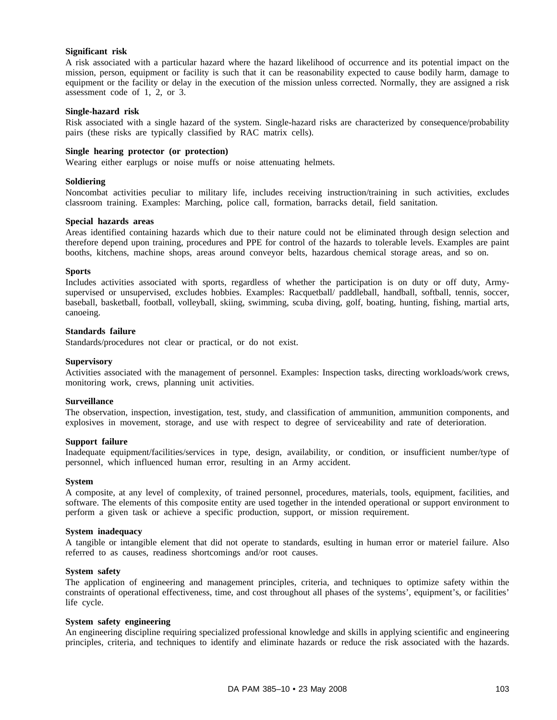## **Significant risk**

A risk associated with a particular hazard where the hazard likelihood of occurrence and its potential impact on the mission, person, equipment or facility is such that it can be reasonability expected to cause bodily harm, damage to equipment or the facility or delay in the execution of the mission unless corrected. Normally, they are assigned a risk assessment code of 1, 2, or 3.

#### **Single-hazard risk**

Risk associated with a single hazard of the system. Single-hazard risks are characterized by consequence/probability pairs (these risks are typically classified by RAC matrix cells).

### **Single hearing protector (or protection)**

Wearing either earplugs or noise muffs or noise attenuating helmets.

#### **Soldiering**

Noncombat activities peculiar to military life, includes receiving instruction/training in such activities, excludes classroom training. Examples: Marching, police call, formation, barracks detail, field sanitation.

#### **Special hazards areas**

Areas identified containing hazards which due to their nature could not be eliminated through design selection and therefore depend upon training, procedures and PPE for control of the hazards to tolerable levels. Examples are paint booths, kitchens, machine shops, areas around conveyor belts, hazardous chemical storage areas, and so on.

#### **Sports**

Includes activities associated with sports, regardless of whether the participation is on duty or off duty, Armysupervised or unsupervised, excludes hobbies. Examples: Racquetball/ paddleball, handball, softball, tennis, soccer, baseball, basketball, football, volleyball, skiing, swimming, scuba diving, golf, boating, hunting, fishing, martial arts, canoeing.

### **Standards failure**

Standards/procedures not clear or practical, or do not exist.

#### **Supervisory**

Activities associated with the management of personnel. Examples: Inspection tasks, directing workloads/work crews, monitoring work, crews, planning unit activities.

#### **Surveillance**

The observation, inspection, investigation, test, study, and classification of ammunition, ammunition components, and explosives in movement, storage, and use with respect to degree of serviceability and rate of deterioration.

# **Support failure**

Inadequate equipment/facilities/services in type, design, availability, or condition, or insufficient number/type of personnel, which influenced human error, resulting in an Army accident.

#### **System**

A composite, at any level of complexity, of trained personnel, procedures, materials, tools, equipment, facilities, and software. The elements of this composite entity are used together in the intended operational or support environment to perform a given task or achieve a specific production, support, or mission requirement.

#### **System inadequacy**

A tangible or intangible element that did not operate to standards, esulting in human error or materiel failure. Also referred to as causes, readiness shortcomings and/or root causes.

#### **System safety**

The application of engineering and management principles, criteria, and techniques to optimize safety within the constraints of operational effectiveness, time, and cost throughout all phases of the systems', equipment's, or facilities' life cycle.

### **System safety engineering**

An engineering discipline requiring specialized professional knowledge and skills in applying scientific and engineering principles, criteria, and techniques to identify and eliminate hazards or reduce the risk associated with the hazards.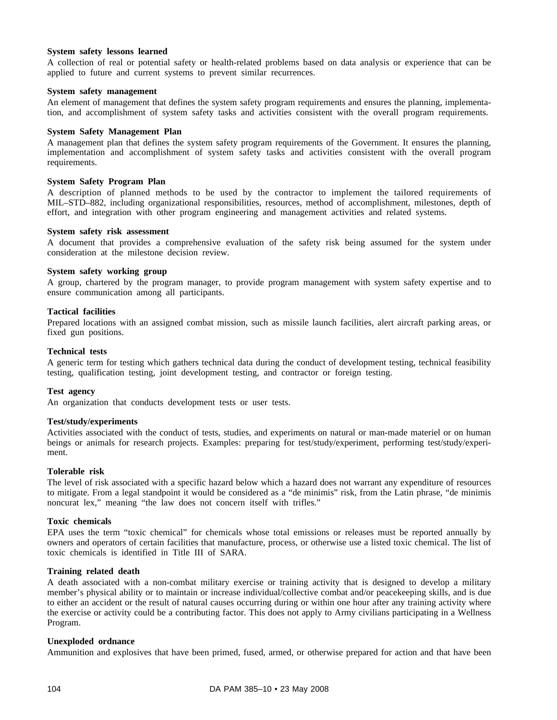## **System safety lessons learned**

A collection of real or potential safety or health-related problems based on data analysis or experience that can be applied to future and current systems to prevent similar recurrences.

### **System safety management**

An element of management that defines the system safety program requirements and ensures the planning, implementation, and accomplishment of system safety tasks and activities consistent with the overall program requirements.

#### **System Safety Management Plan**

A management plan that defines the system safety program requirements of the Government. It ensures the planning, implementation and accomplishment of system safety tasks and activities consistent with the overall program requirements.

### **System Safety Program Plan**

A description of planned methods to be used by the contractor to implement the tailored requirements of MIL–STD–882, including organizational responsibilities, resources, method of accomplishment, milestones, depth of effort, and integration with other program engineering and management activities and related systems.

### **System safety risk assessment**

A document that provides a comprehensive evaluation of the safety risk being assumed for the system under consideration at the milestone decision review.

### **System safety working group**

A group, chartered by the program manager, to provide program management with system safety expertise and to ensure communication among all participants.

### **Tactical facilities**

Prepared locations with an assigned combat mission, such as missile launch facilities, alert aircraft parking areas, or fixed gun positions.

### **Technical tests**

A generic term for testing which gathers technical data during the conduct of development testing, technical feasibility testing, qualification testing, joint development testing, and contractor or foreign testing.

### **Test agency**

An organization that conducts development tests or user tests.

## **Test/study/experiments**

Activities associated with the conduct of tests, studies, and experiments on natural or man-made materiel or on human beings or animals for research projects. Examples: preparing for test/study/experiment, performing test/study/experiment.

## **Tolerable risk**

The level of risk associated with a specific hazard below which a hazard does not warrant any expenditure of resources to mitigate. From a legal standpoint it would be considered as a "de minimis" risk, from the Latin phrase, "de minimis noncurat lex," meaning "the law does not concern itself with trifles."

#### **Toxic chemicals**

EPA uses the term "toxic chemical" for chemicals whose total emissions or releases must be reported annually by owners and operators of certain facilities that manufacture, process, or otherwise use a listed toxic chemical. The list of toxic chemicals is identified in Title III of SARA.

## **Training related death**

A death associated with a non-combat military exercise or training activity that is designed to develop a military member's physical ability or to maintain or increase individual/collective combat and/or peacekeeping skills, and is due to either an accident or the result of natural causes occurring during or within one hour after any training activity where the exercise or activity could be a contributing factor. This does not apply to Army civilians participating in a Wellness Program.

## **Unexploded ordnance**

Ammunition and explosives that have been primed, fused, armed, or otherwise prepared for action and that have been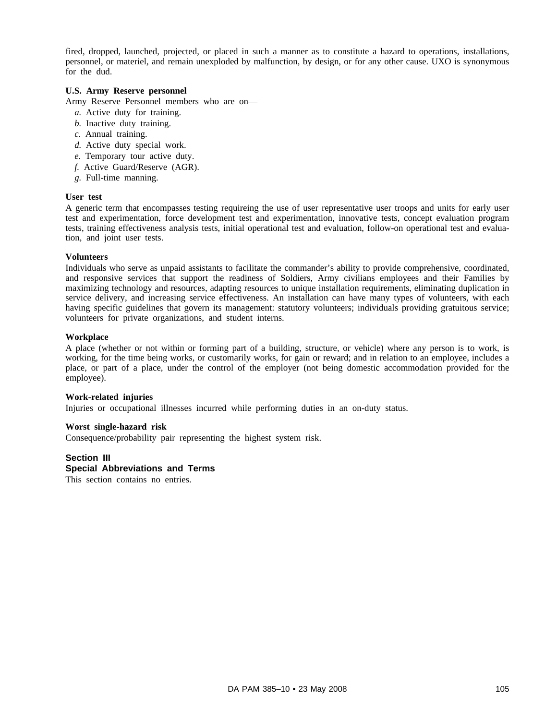fired, dropped, launched, projected, or placed in such a manner as to constitute a hazard to operations, installations, personnel, or materiel, and remain unexploded by malfunction, by design, or for any other cause. UXO is synonymous for the dud.

# **U.S. Army Reserve personnel**

Army Reserve Personnel members who are on—

- *a.* Active duty for training.
- *b.* Inactive duty training.
- *c.* Annual training.
- *d.* Active duty special work.
- *e.* Temporary tour active duty.
- *f.* Active Guard/Reserve (AGR).
- *g.* Full-time manning.

### **User test**

A generic term that encompasses testing requireing the use of user representative user troops and units for early user test and experimentation, force development test and experimentation, innovative tests, concept evaluation program tests, training effectiveness analysis tests, initial operational test and evaluation, follow-on operational test and evaluation, and joint user tests.

## **Volunteers**

Individuals who serve as unpaid assistants to facilitate the commander's ability to provide comprehensive, coordinated, and responsive services that support the readiness of Soldiers, Army civilians employees and their Families by maximizing technology and resources, adapting resources to unique installation requirements, eliminating duplication in service delivery, and increasing service effectiveness. An installation can have many types of volunteers, with each having specific guidelines that govern its management: statutory volunteers; individuals providing gratuitous service; volunteers for private organizations, and student interns.

## **Workplace**

A place (whether or not within or forming part of a building, structure, or vehicle) where any person is to work, is working, for the time being works, or customarily works, for gain or reward; and in relation to an employee, includes a place, or part of a place, under the control of the employer (not being domestic accommodation provided for the employee).

## **Work-related injuries**

Injuries or occupational illnesses incurred while performing duties in an on-duty status.

## **Worst single-hazard risk**

Consequence/probability pair representing the highest system risk.

## **Section III**

## **Special Abbreviations and Terms**

This section contains no entries.